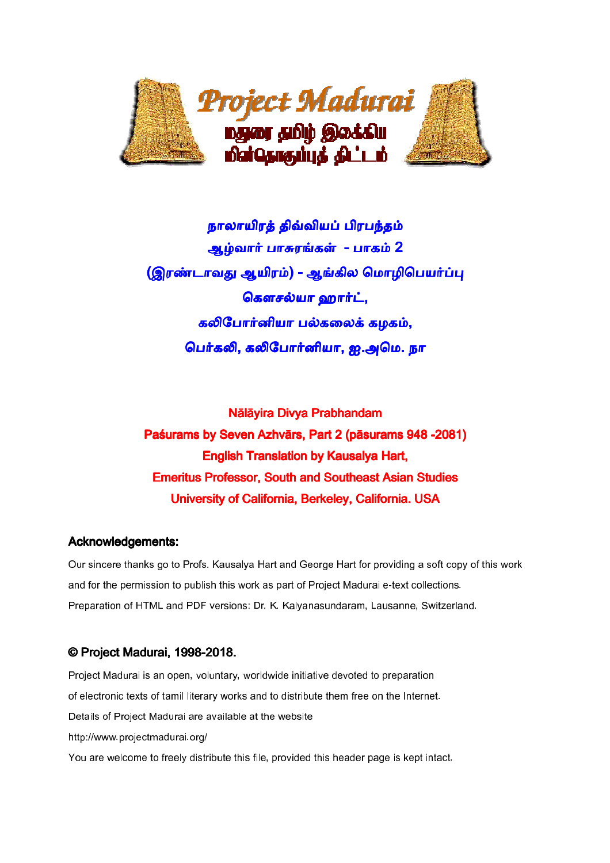

நாலாயிரத் திவ்வியப் பிரபந்தம் ஆழ்வார் பாசுரங்கள் - பாகம் 2 (இரண்டாவது ஆயிரம்) - ஆங்கில மொழிபெயர்ப்பு கௌசல்யா ஹார்ட், கலிபோர்னியா பல்கலைக் கழகம், பெர்கலி, கலிபோர்னியா, ஐ.அமெ. நா

Nālāyira Divya Prabhandam Paśurams by Seven Azhvārs, Part 2 (pāsurams 948 -2081) **English Translation by Kausalya Hart,** Emeritus Professor, South and Southeast Asian Studies University of California, Berkeley, California. USA

#### Acknowledgements:

Our sincere thanks go to Profs. Kausalya Hart and George Hart for providing a soft copy of this work and for the permission to publish this work as part of Project Madurai e-text collections. Preparation of HTML and PDF versions: Dr. K. Kalyanasundaram, Lausanne, Switzerland.

## © Project Madurai, 1998-2018.

Project Madurai is an open, voluntary, worldwide initiative devoted to preparation of electronic texts of tamil literary works and to distribute them free on the Internet. Details of Project Madurai are available at the website http://www.projectmadurai.org/ You are welcome to freely distribute this file, provided this header page is kept intact.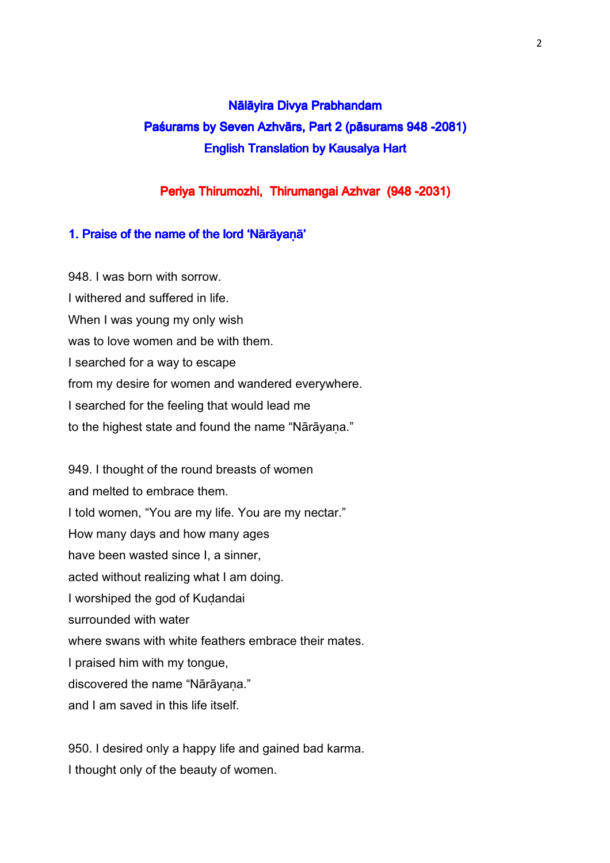# Nālāyira Divya Prabhandam Paśurams by Seven Azhvārs, Part 2 (pāsurams 948 -2081) **English Translation by Kausalya Hart**

## Periya Thirumozhi, Thirumangai Azhvar (948 -2031)

#### 1. Praise of the name of the lord 'Nārāyaṇā'

948. I was born with sorrow. I withered and suffered in life. When I was young my only wish was to love women and be with them. I searched for a way to escape from my desire for women and wandered everywhere. I searched for the feeling that would lead me to the highest state and found the name "Nārāyana."

949. I thought of the round breasts of women and melted to embrace them. I told women, "You are my life. You are my nectar." How many days and how many ages have been wasted since I, a sinner, acted without realizing what I am doing. I worshiped the god of Kuḍandai surrounded with water where swans with white feathers embrace their mates. I praised him with my tongue, discovered the name "Nārāyana." and I am saved in this life itself.

950. I desired only a happy life and gained bad karma. I thought only of the beauty of women.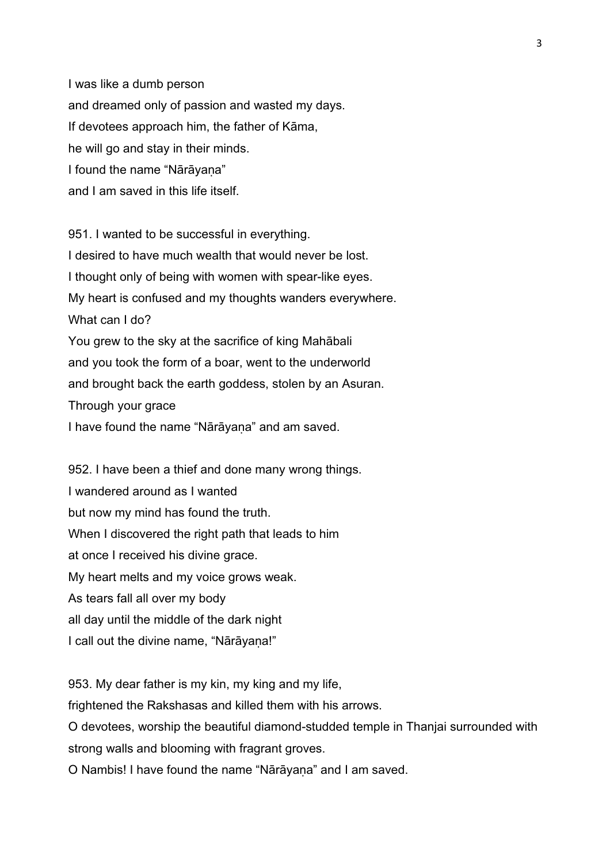I was like a dumb person and dreamed only of passion and wasted my days. If devotees approach him, the father of Kāma, he will go and stay in their minds. I found the name "Nārāyana" and I am saved in this life itself.

951. I wanted to be successful in everything. I desired to have much wealth that would never be lost. I thought only of being with women with spear-like eyes. My heart is confused and my thoughts wanders everywhere. What can I do? You grew to the sky at the sacrifice of king Mahābali and you took the form of a boar, went to the underworld and brought back the earth goddess, stolen by an Asuran. Through your grace I have found the name "Nārāyana" and am saved.

952. I have been a thief and done many wrong things. I wandered around as I wanted but now my mind has found the truth. When I discovered the right path that leads to him at once I received his divine grace. My heart melts and my voice grows weak. As tears fall all over my body all day until the middle of the dark night I call out the divine name, "Nārāyana!"

953. My dear father is my kin, my king and my life, frightened the Rakshasas and killed them with his arrows. O devotees, worship the beautiful diamond-studded temple in Thanjai surrounded with strong walls and blooming with fragrant groves. O Nambis! I have found the name "Nārāyaṇa" and I am saved.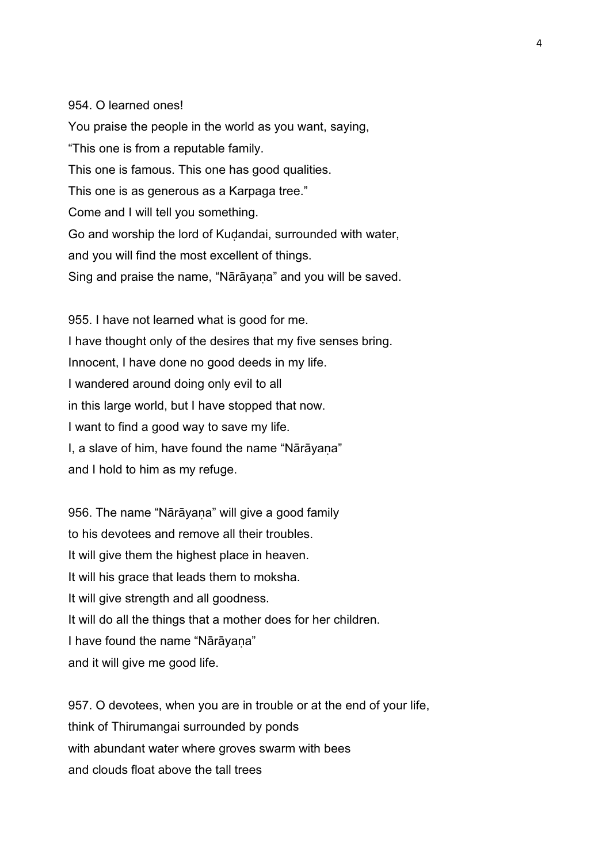#### 954. O learned ones!

You praise the people in the world as you want, saying, "This one is from a reputable family. This one is famous. This one has good qualities. This one is as generous as a Karpaga tree." Come and I will tell you something. Go and worship the lord of Kuḍandai, surrounded with water, and you will find the most excellent of things. Sing and praise the name, "Nārāyaṇa" and you will be saved.

955. I have not learned what is good for me. I have thought only of the desires that my five senses bring. Innocent, I have done no good deeds in my life. I wandered around doing only evil to all in this large world, but I have stopped that now. I want to find a good way to save my life. I, a slave of him, have found the name "Nārāyaṇa" and I hold to him as my refuge.

956. The name "Nārāyana" will give a good family to his devotees and remove all their troubles. It will give them the highest place in heaven. It will his grace that leads them to moksha. It will give strength and all goodness. It will do all the things that a mother does for her children. I have found the name "Nārāyaṇa" and it will give me good life.

957. O devotees, when you are in trouble or at the end of your life, think of Thirumangai surrounded by ponds with abundant water where groves swarm with bees and clouds float above the tall trees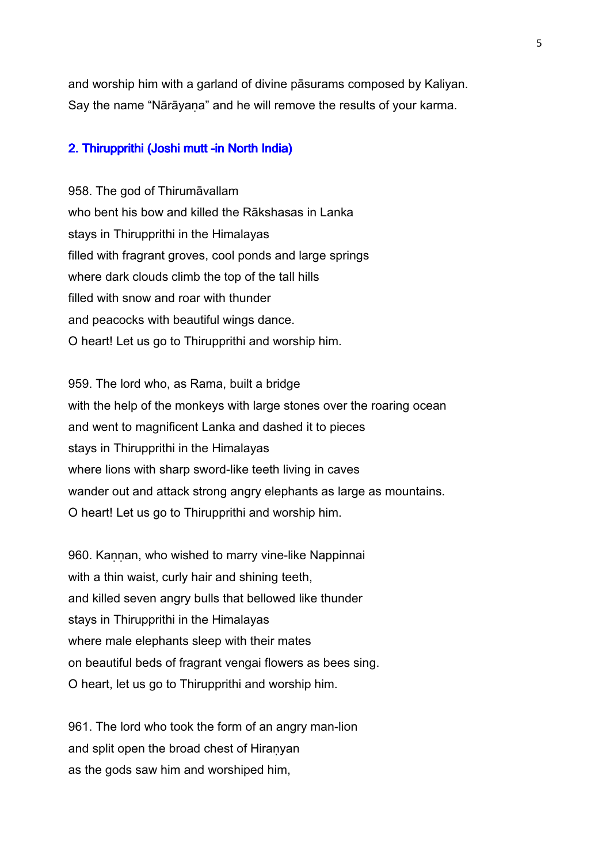and worship him with a garland of divine pāsurams composed by Kaliyan. Say the name "Nārāyaṇa" and he will remove the results of your karma.

#### 2. Thirupprithi (Joshi mutt -in North India)

958. The god of Thirumāvallam who bent his bow and killed the Rākshasas in Lanka stays in Thirupprithi in the Himalayas filled with fragrant groves, cool ponds and large springs where dark clouds climb the top of the tall hills filled with snow and roar with thunder and peacocks with beautiful wings dance. O heart! Let us go to Thirupprithi and worship him.

959. The lord who, as Rama, built a bridge with the help of the monkeys with large stones over the roaring ocean and went to magnificent Lanka and dashed it to pieces stays in Thirupprithi in the Himalayas where lions with sharp sword-like teeth living in caves wander out and attack strong angry elephants as large as mountains. O heart! Let us go to Thirupprithi and worship him.

960. Kannan, who wished to marry vine-like Nappinnai with a thin waist, curly hair and shining teeth, and killed seven angry bulls that bellowed like thunder stays in Thirupprithi in the Himalayas where male elephants sleep with their mates on beautiful beds of fragrant vengai flowers as bees sing. O heart, let us go to Thirupprithi and worship him.

961. The lord who took the form of an angry man-lion and split open the broad chest of Hiranyan as the gods saw him and worshiped him,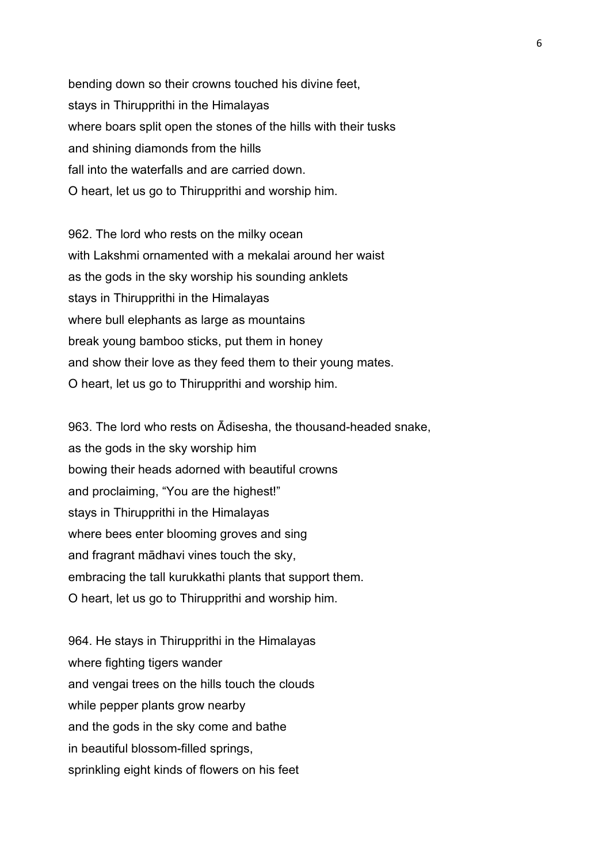bending down so their crowns touched his divine feet, stays in Thirupprithi in the Himalayas where boars split open the stones of the hills with their tusks and shining diamonds from the hills fall into the waterfalls and are carried down. O heart, let us go to Thirupprithi and worship him.

962. The lord who rests on the milky ocean with Lakshmi ornamented with a mekalai around her waist as the gods in the sky worship his sounding anklets stays in Thirupprithi in the Himalayas where bull elephants as large as mountains break young bamboo sticks, put them in honey and show their love as they feed them to their young mates. O heart, let us go to Thirupprithi and worship him.

963. The lord who rests on Ādisesha, the thousand-headed snake, as the gods in the sky worship him bowing their heads adorned with beautiful crowns and proclaiming, "You are the highest!" stays in Thirupprithi in the Himalayas where bees enter blooming groves and sing and fragrant mādhavi vines touch the sky, embracing the tall kurukkathi plants that support them. O heart, let us go to Thirupprithi and worship him.

964. He stays in Thirupprithi in the Himalayas where fighting tigers wander and vengai trees on the hills touch the clouds while pepper plants grow nearby and the gods in the sky come and bathe in beautiful blossom-filled springs, sprinkling eight kinds of flowers on his feet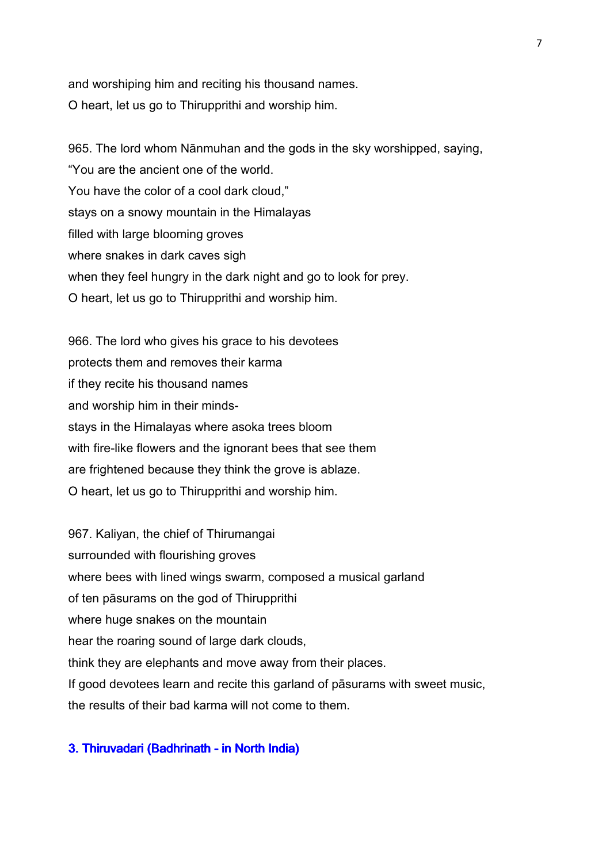and worshiping him and reciting his thousand names. O heart, let us go to Thirupprithi and worship him.

965. The lord whom Nānmuhan and the gods in the sky worshipped, saying, "You are the ancient one of the world. You have the color of a cool dark cloud," stays on a snowy mountain in the Himalayas filled with large blooming groves where snakes in dark caves sigh when they feel hungry in the dark night and go to look for prey. O heart, let us go to Thirupprithi and worship him.

966. The lord who gives his grace to his devotees protects them and removes their karma if they recite his thousand names and worship him in their mindsstays in the Himalayas where asoka trees bloom with fire-like flowers and the ignorant bees that see them are frightened because they think the grove is ablaze. O heart, let us go to Thirupprithi and worship him.

967. Kaliyan, the chief of Thirumangai surrounded with flourishing groves where bees with lined wings swarm, composed a musical garland of ten pāsurams on the god of Thirupprithi where huge snakes on the mountain hear the roaring sound of large dark clouds, think they are elephants and move away from their places. If good devotees learn and recite this garland of pāsurams with sweet music, the results of their bad karma will not come to them.

## 3. Thiruvadari (Badhrinath - in North India)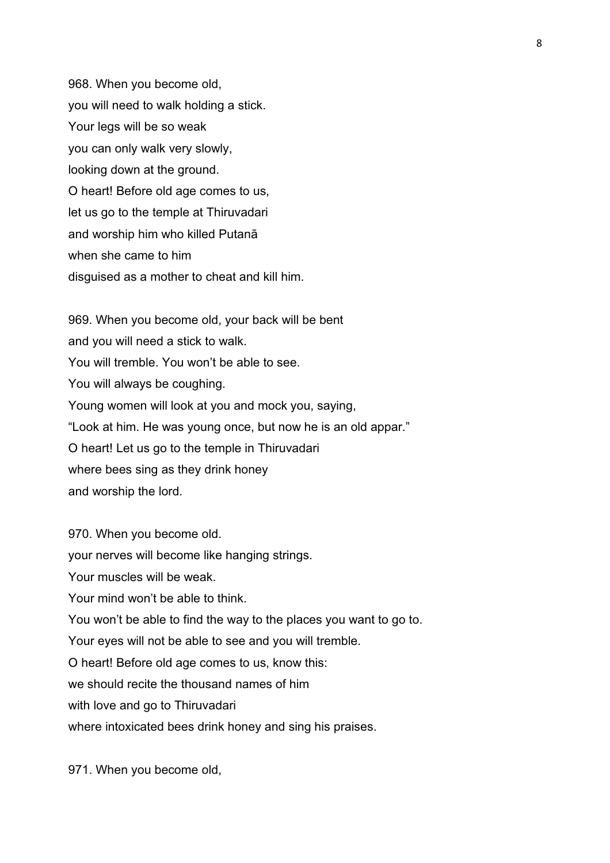968. When you become old, you will need to walk holding a stick. Your legs will be so weak you can only walk very slowly, looking down at the ground. O heart! Before old age comes to us, let us go to the temple at Thiruvadari and worship him who killed Putanā when she came to him disguised as a mother to cheat and kill him.

969. When you become old, your back will be bent and you will need a stick to walk. You will tremble. You won't be able to see. You will always be coughing. Young women will look at you and mock you, saying, "Look at him. He was young once, but now he is an old appar." O heart! Let us go to the temple in Thiruvadari where bees sing as they drink honey and worship the lord.

970. When you become old. your nerves will become like hanging strings. Your muscles will be weak. Your mind won't be able to think. You won't be able to find the way to the places you want to go to. Your eyes will not be able to see and you will tremble. O heart! Before old age comes to us, know this: we should recite the thousand names of him with love and go to Thiruvadari where intoxicated bees drink honey and sing his praises.

971. When you become old,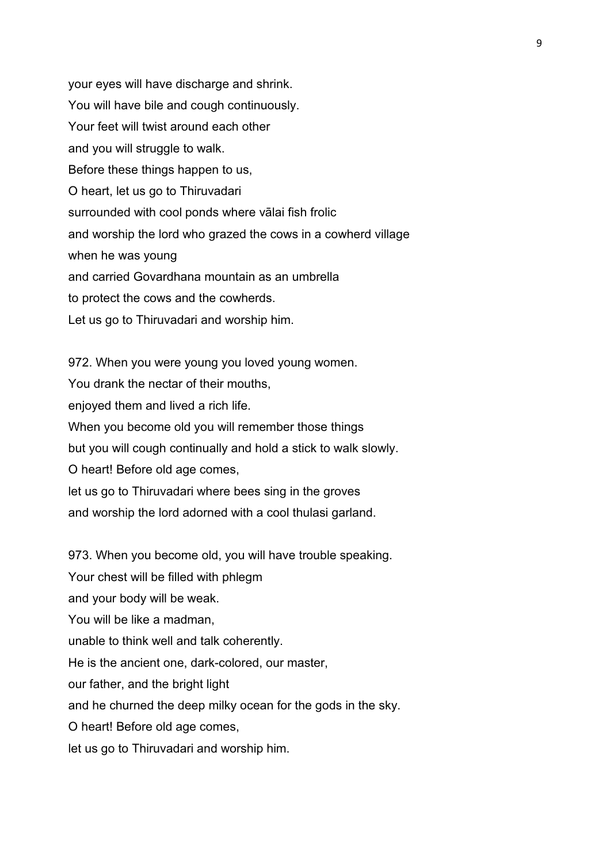your eyes will have discharge and shrink. You will have bile and cough continuously. Your feet will twist around each other and you will struggle to walk. Before these things happen to us, O heart, let us go to Thiruvadari surrounded with cool ponds where vālai fish frolic and worship the lord who grazed the cows in a cowherd village when he was young and carried Govardhana mountain as an umbrella to protect the cows and the cowherds. Let us go to Thiruvadari and worship him.

972. When you were young you loved young women. You drank the nectar of their mouths, enjoyed them and lived a rich life. When you become old you will remember those things but you will cough continually and hold a stick to walk slowly. O heart! Before old age comes, let us go to Thiruvadari where bees sing in the groves and worship the lord adorned with a cool thulasi garland.

973. When you become old, you will have trouble speaking.

Your chest will be filled with phlegm

and your body will be weak.

You will be like a madman,

unable to think well and talk coherently.

He is the ancient one, dark-colored, our master,

our father, and the bright light

and he churned the deep milky ocean for the gods in the sky.

O heart! Before old age comes,

let us go to Thiruvadari and worship him.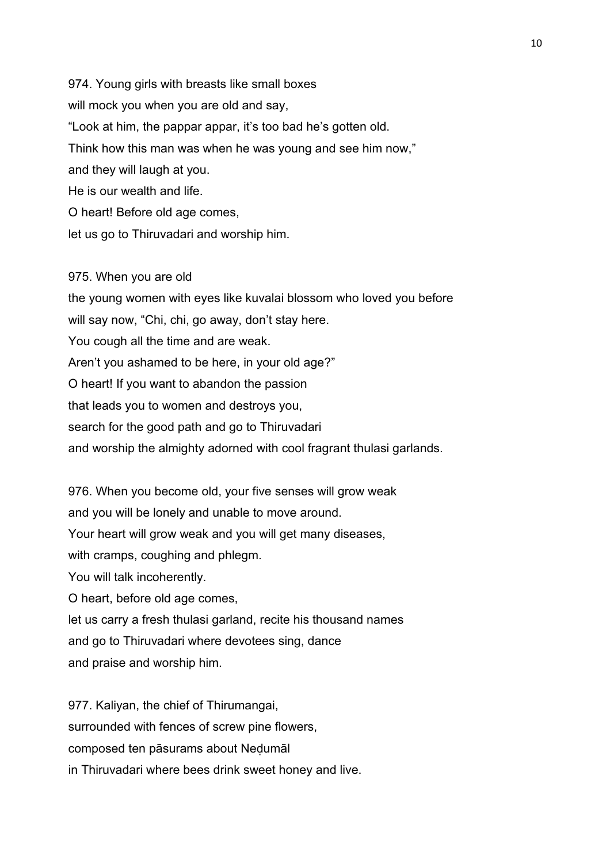974. Young girls with breasts like small boxes will mock you when you are old and say, "Look at him, the pappar appar, it's too bad he's gotten old. Think how this man was when he was young and see him now," and they will laugh at you. He is our wealth and life. O heart! Before old age comes, let us go to Thiruvadari and worship him.

#### 975. When you are old

the young women with eyes like kuvalai blossom who loved you before will say now, "Chi, chi, go away, don't stay here. You cough all the time and are weak. Aren't you ashamed to be here, in your old age?" O heart! If you want to abandon the passion that leads you to women and destroys you, search for the good path and go to Thiruvadari and worship the almighty adorned with cool fragrant thulasi garlands.

976. When you become old, your five senses will grow weak and you will be lonely and unable to move around. Your heart will grow weak and you will get many diseases, with cramps, coughing and phlegm. You will talk incoherently. O heart, before old age comes, let us carry a fresh thulasi garland, recite his thousand names and go to Thiruvadari where devotees sing, dance and praise and worship him.

977. Kaliyan, the chief of Thirumangai, surrounded with fences of screw pine flowers, composed ten pāsurams about Neḍumāl in Thiruvadari where bees drink sweet honey and live.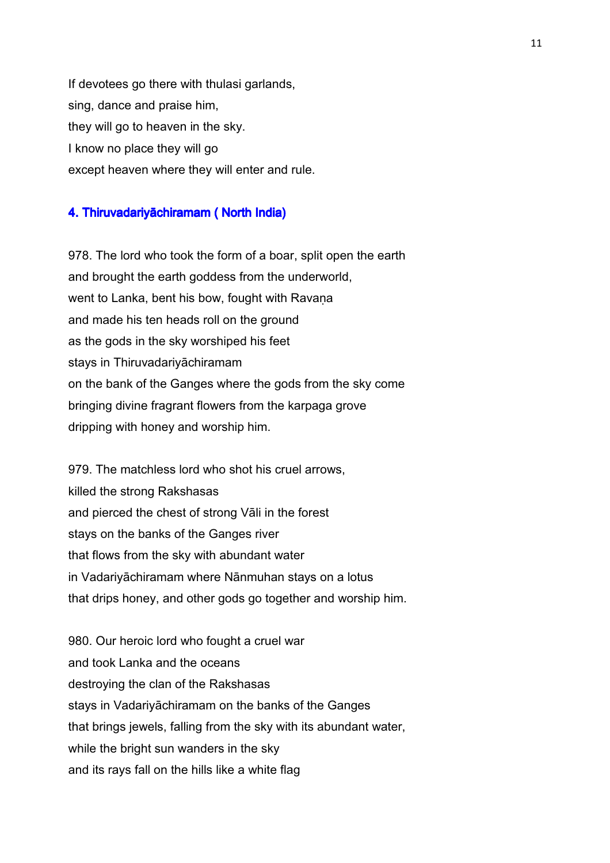If devotees go there with thulasi garlands, sing, dance and praise him, they will go to heaven in the sky. I know no place they will go except heaven where they will enter and rule.

## 4. Thiruvadariyāchiramam ( North India)

978. The lord who took the form of a boar, split open the earth and brought the earth goddess from the underworld, went to Lanka, bent his bow, fought with Ravana and made his ten heads roll on the ground as the gods in the sky worshiped his feet stays in Thiruvadariyāchiramam on the bank of the Ganges where the gods from the sky come bringing divine fragrant flowers from the karpaga grove dripping with honey and worship him.

979. The matchless lord who shot his cruel arrows, killed the strong Rakshasas and pierced the chest of strong Vāli in the forest stays on the banks of the Ganges river that flows from the sky with abundant water in Vadariyāchiramam where Nānmuhan stays on a lotus that drips honey, and other gods go together and worship him.

980. Our heroic lord who fought a cruel war and took Lanka and the oceans destroying the clan of the Rakshasas stays in Vadariyāchiramam on the banks of the Ganges that brings jewels, falling from the sky with its abundant water, while the bright sun wanders in the sky and its rays fall on the hills like a white flag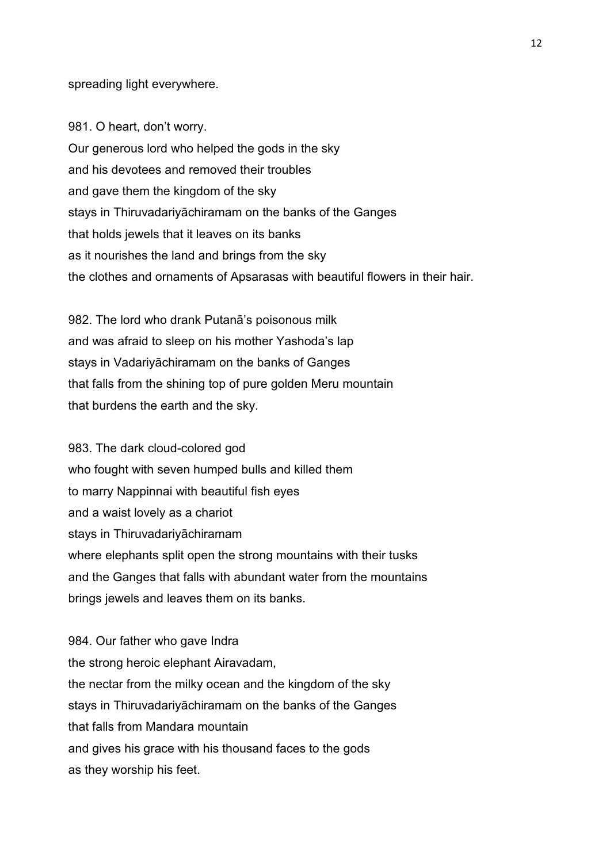spreading light everywhere.

981. O heart, don't worry. Our generous lord who helped the gods in the sky and his devotees and removed their troubles and gave them the kingdom of the sky stays in Thiruvadariyāchiramam on the banks of the Ganges that holds jewels that it leaves on its banks as it nourishes the land and brings from the sky the clothes and ornaments of Apsarasas with beautiful flowers in their hair.

982. The lord who drank Putanā's poisonous milk and was afraid to sleep on his mother Yashoda's lap stays in Vadariyāchiramam on the banks of Ganges that falls from the shining top of pure golden Meru mountain that burdens the earth and the sky.

983. The dark cloud-colored god who fought with seven humped bulls and killed them to marry Nappinnai with beautiful fish eyes and a waist lovely as a chariot stays in Thiruvadariyāchiramam where elephants split open the strong mountains with their tusks and the Ganges that falls with abundant water from the mountains brings jewels and leaves them on its banks.

984. Our father who gave Indra the strong heroic elephant Airavadam, the nectar from the milky ocean and the kingdom of the sky stays in Thiruvadariyāchiramam on the banks of the Ganges that falls from Mandara mountain and gives his grace with his thousand faces to the gods as they worship his feet.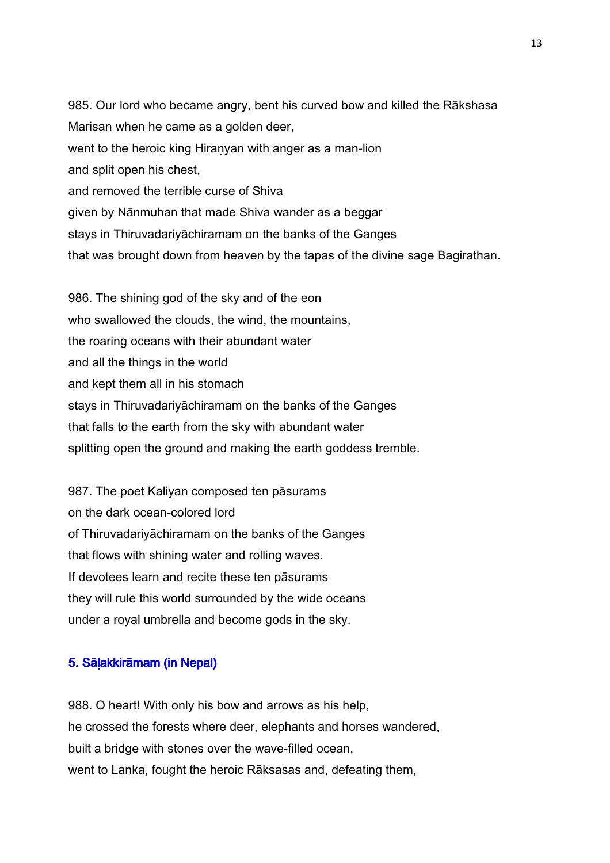985. Our lord who became angry, bent his curved bow and killed the Rākshasa Marisan when he came as a golden deer, went to the heroic king Hiranyan with anger as a man-lion and split open his chest, and removed the terrible curse of Shiva given by Nānmuhan that made Shiva wander as a beggar stays in Thiruvadariyāchiramam on the banks of the Ganges that was brought down from heaven by the tapas of the divine sage Bagirathan.

986. The shining god of the sky and of the eon who swallowed the clouds, the wind, the mountains, the roaring oceans with their abundant water and all the things in the world and kept them all in his stomach stays in Thiruvadariyāchiramam on the banks of the Ganges that falls to the earth from the sky with abundant water splitting open the ground and making the earth goddess tremble.

987. The poet Kaliyan composed ten pāsurams on the dark ocean-colored lord of Thiruvadariyāchiramam on the banks of the Ganges that flows with shining water and rolling waves. If devotees learn and recite these ten pāsurams they will rule this world surrounded by the wide oceans under a royal umbrella and become gods in the sky.

#### 5. Sālakkirāmam (in Nepal)

988. O heart! With only his bow and arrows as his help, he crossed the forests where deer, elephants and horses wandered, built a bridge with stones over the wave-filled ocean, went to Lanka, fought the heroic Rāksasas and, defeating them,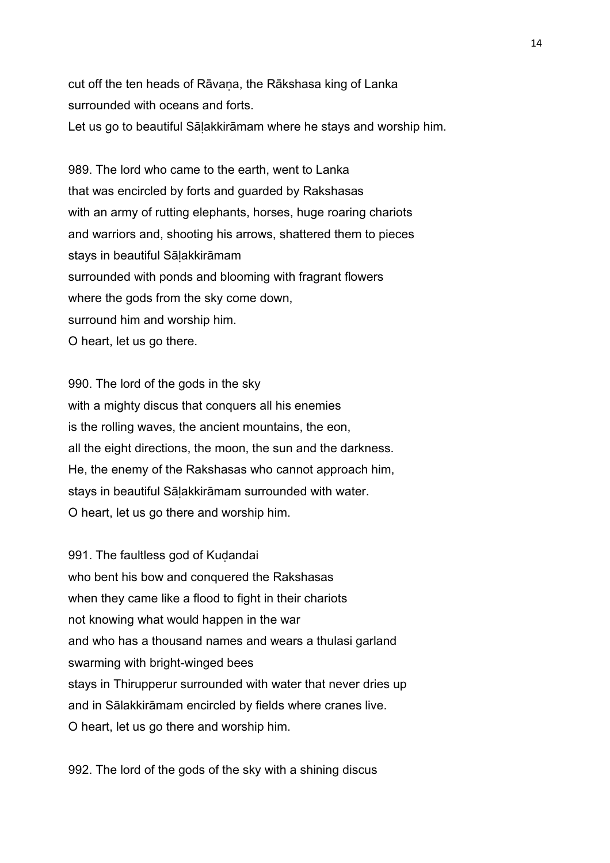cut off the ten heads of Rāvana, the Rākshasa king of Lanka surrounded with oceans and forts.

Let us go to beautiful Sāḷakkirāmam where he stays and worship him.

989. The lord who came to the earth, went to Lanka that was encircled by forts and guarded by Rakshasas with an army of rutting elephants, horses, huge roaring chariots and warriors and, shooting his arrows, shattered them to pieces stays in beautiful Sāḷakkirāmam surrounded with ponds and blooming with fragrant flowers where the gods from the sky come down, surround him and worship him. O heart, let us go there.

990. The lord of the gods in the sky with a mighty discus that conquers all his enemies is the rolling waves, the ancient mountains, the eon, all the eight directions, the moon, the sun and the darkness. He, the enemy of the Rakshasas who cannot approach him, stays in beautiful Sāḷakkirāmam surrounded with water. O heart, let us go there and worship him.

991. The faultless god of Kudandai who bent his bow and conquered the Rakshasas when they came like a flood to fight in their chariots not knowing what would happen in the war and who has a thousand names and wears a thulasi garland swarming with bright-winged bees stays in Thirupperur surrounded with water that never dries up and in Sālakkirāmam encircled by fields where cranes live. O heart, let us go there and worship him.

992. The lord of the gods of the sky with a shining discus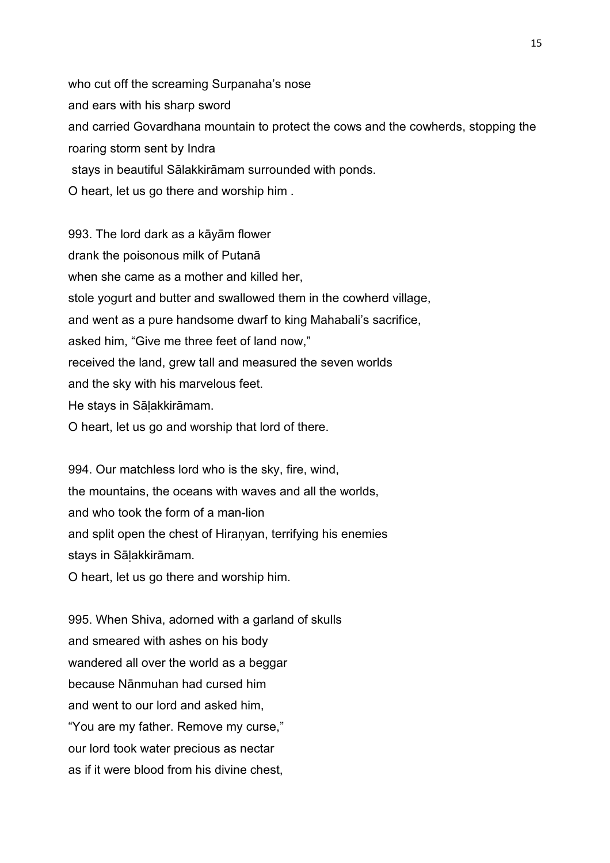who cut off the screaming Surpanaha's nose and ears with his sharp sword and carried Govardhana mountain to protect the cows and the cowherds, stopping the roaring storm sent by Indra stays in beautiful Sālakkirāmam surrounded with ponds. O heart, let us go there and worship him .

993. The lord dark as a kāyām flower drank the poisonous milk of Putanā when she came as a mother and killed her, stole yogurt and butter and swallowed them in the cowherd village, and went as a pure handsome dwarf to king Mahabali's sacrifice, asked him, "Give me three feet of land now," received the land, grew tall and measured the seven worlds and the sky with his marvelous feet. He stays in Sāḷakkirāmam. O heart, let us go and worship that lord of there.

994. Our matchless lord who is the sky, fire, wind, the mountains, the oceans with waves and all the worlds, and who took the form of a man-lion and split open the chest of Hiranyan, terrifying his enemies stays in Sāḷakkirāmam. O heart, let us go there and worship him.

995. When Shiva, adorned with a garland of skulls and smeared with ashes on his body wandered all over the world as a beggar because Nānmuhan had cursed him and went to our lord and asked him, "You are my father. Remove my curse," our lord took water precious as nectar as if it were blood from his divine chest,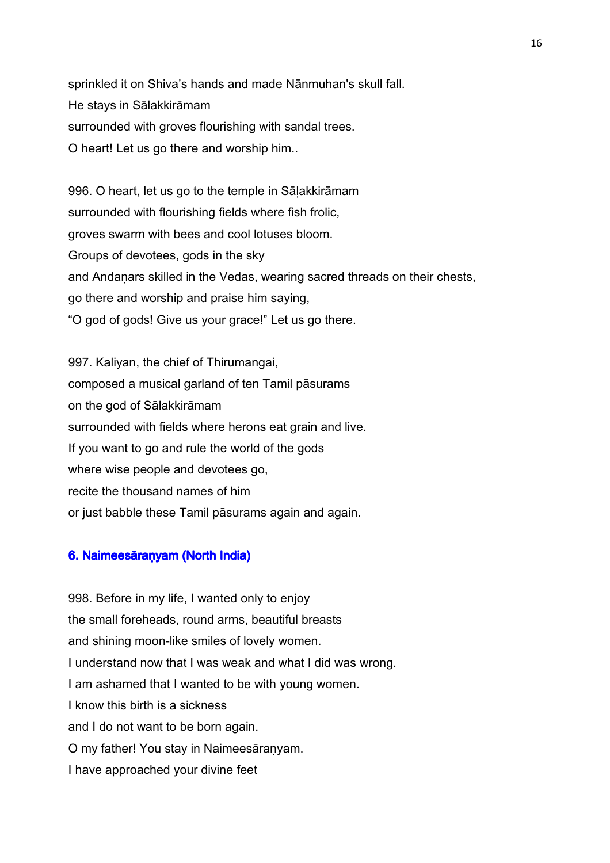sprinkled it on Shiva's hands and made Nānmuhan's skull fall. He stays in Sālakkirāmam surrounded with groves flourishing with sandal trees. O heart! Let us go there and worship him..

996. O heart, let us go to the temple in Sāḷakkirāmam surrounded with flourishing fields where fish frolic, groves swarm with bees and cool lotuses bloom. Groups of devotees, gods in the sky and Andaṇars skilled in the Vedas, wearing sacred threads on their chests, go there and worship and praise him saying, "O god of gods! Give us your grace!" Let us go there.

997. Kaliyan, the chief of Thirumangai, composed a musical garland of ten Tamil pāsurams on the god of Sālakkirāmam surrounded with fields where herons eat grain and live. If you want to go and rule the world of the gods where wise people and devotees go, recite the thousand names of him or just babble these Tamil pāsurams again and again.

#### 6. Naimeesāranyam (North India)

998. Before in my life, I wanted only to enjoy the small foreheads, round arms, beautiful breasts and shining moon-like smiles of lovely women. I understand now that I was weak and what I did was wrong. I am ashamed that I wanted to be with young women. I know this birth is a sickness and I do not want to be born again. O my father! You stay in Naimeesāraṇyam. I have approached your divine feet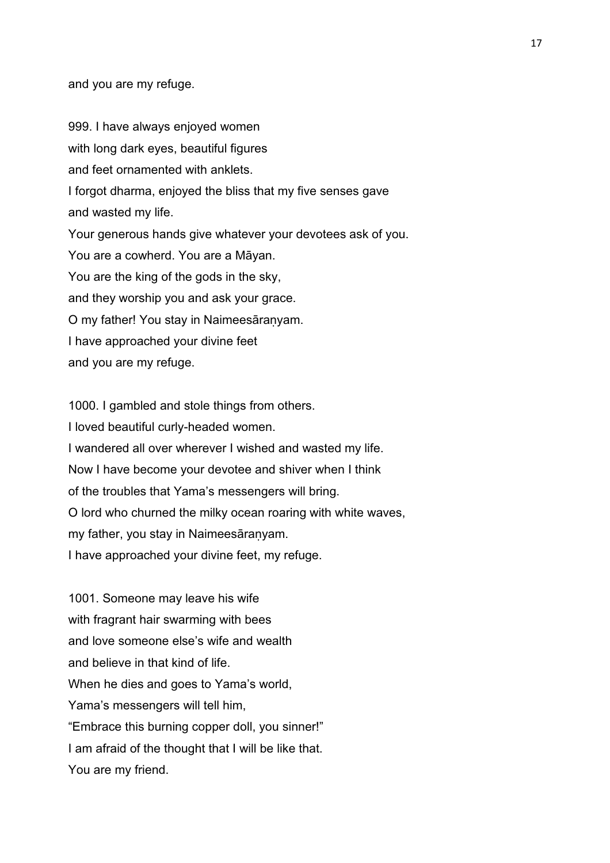and you are my refuge.

999. I have always enjoyed women with long dark eyes, beautiful figures and feet ornamented with anklets. I forgot dharma, enjoyed the bliss that my five senses gave and wasted my life. Your generous hands give whatever your devotees ask of you. You are a cowherd. You are a Māyan. You are the king of the gods in the sky, and they worship you and ask your grace. O my father! You stay in Naimeesāraṇyam. I have approached your divine feet and you are my refuge.

1000. I gambled and stole things from others. I loved beautiful curly-headed women. I wandered all over wherever I wished and wasted my life. Now I have become your devotee and shiver when I think of the troubles that Yama's messengers will bring. O lord who churned the milky ocean roaring with white waves, my father, you stay in Naimeesāraṇyam. I have approached your divine feet, my refuge.

1001. Someone may leave his wife with fragrant hair swarming with bees and love someone else's wife and wealth and believe in that kind of life. When he dies and goes to Yama's world, Yama's messengers will tell him, "Embrace this burning copper doll, you sinner!" I am afraid of the thought that I will be like that. You are my friend.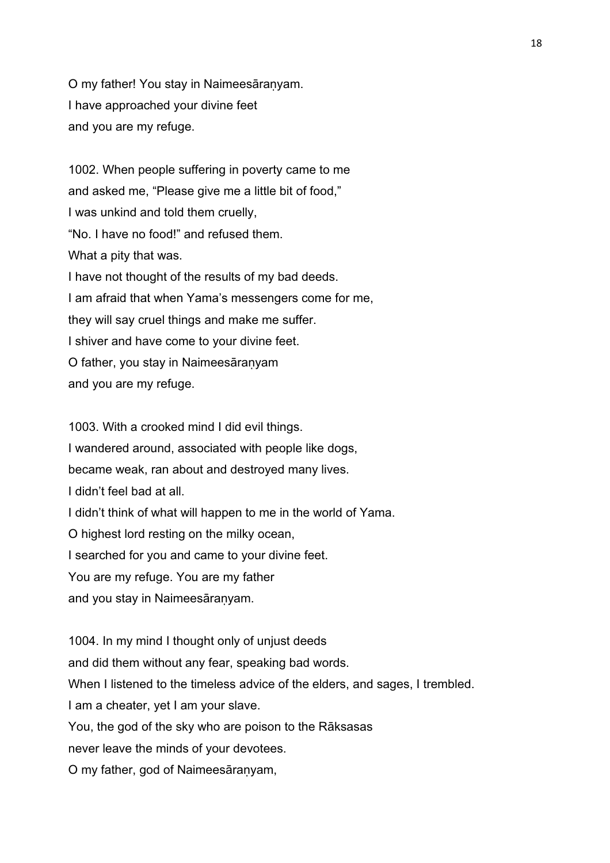O my father! You stay in Naimeesāraṇyam. I have approached your divine feet and you are my refuge.

1002. When people suffering in poverty came to me and asked me, "Please give me a little bit of food," I was unkind and told them cruelly, "No. I have no food!" and refused them. What a pity that was. I have not thought of the results of my bad deeds. I am afraid that when Yama's messengers come for me, they will say cruel things and make me suffer. I shiver and have come to your divine feet. O father, you stay in Naimeesāraṇyam and you are my refuge.

1003. With a crooked mind I did evil things. I wandered around, associated with people like dogs, became weak, ran about and destroyed many lives. I didn't feel bad at all. I didn't think of what will happen to me in the world of Yama. O highest lord resting on the milky ocean, I searched for you and came to your divine feet. You are my refuge. You are my father and you stay in Naimeesāraṇyam.

1004. In my mind I thought only of unjust deeds and did them without any fear, speaking bad words. When I listened to the timeless advice of the elders, and sages, I trembled. I am a cheater, yet I am your slave. You, the god of the sky who are poison to the Rāksasas never leave the minds of your devotees. O my father, god of Naimeesāraṇyam,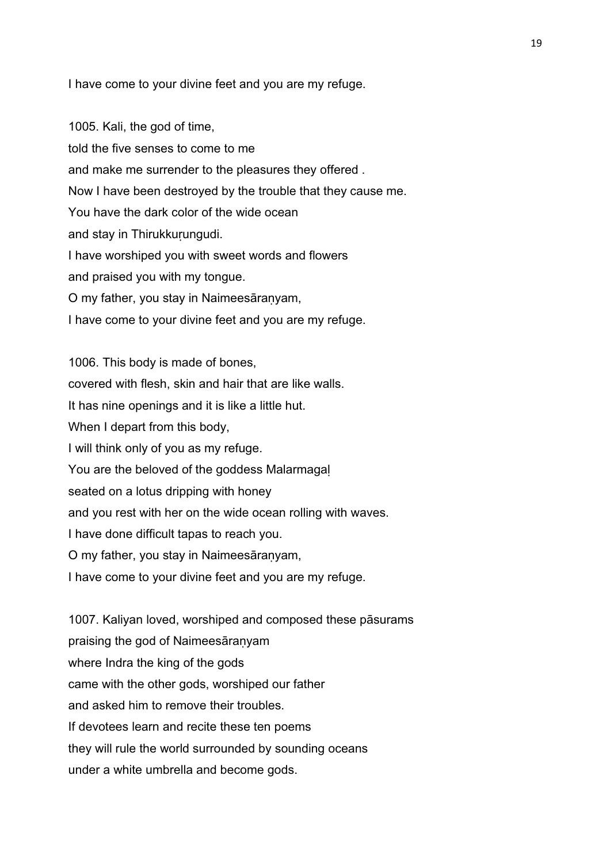I have come to your divine feet and you are my refuge.

1005. Kali, the god of time, told the five senses to come to me and make me surrender to the pleasures they offered . Now I have been destroyed by the trouble that they cause me. You have the dark color of the wide ocean and stay in Thirukkuṛungudi. I have worshiped you with sweet words and flowers and praised you with my tongue. O my father, you stay in Naimeesāraṇyam, I have come to your divine feet and you are my refuge.

1006. This body is made of bones, covered with flesh, skin and hair that are like walls. It has nine openings and it is like a little hut. When I depart from this body, I will think only of you as my refuge. You are the beloved of the goddess Malarmagal seated on a lotus dripping with honey and you rest with her on the wide ocean rolling with waves. I have done difficult tapas to reach you. O my father, you stay in Naimeesāraṇyam, I have come to your divine feet and you are my refuge.

1007. Kaliyan loved, worshiped and composed these pāsurams praising the god of Naimeesāraṇyam where Indra the king of the gods came with the other gods, worshiped our father and asked him to remove their troubles. If devotees learn and recite these ten poems they will rule the world surrounded by sounding oceans under a white umbrella and become gods.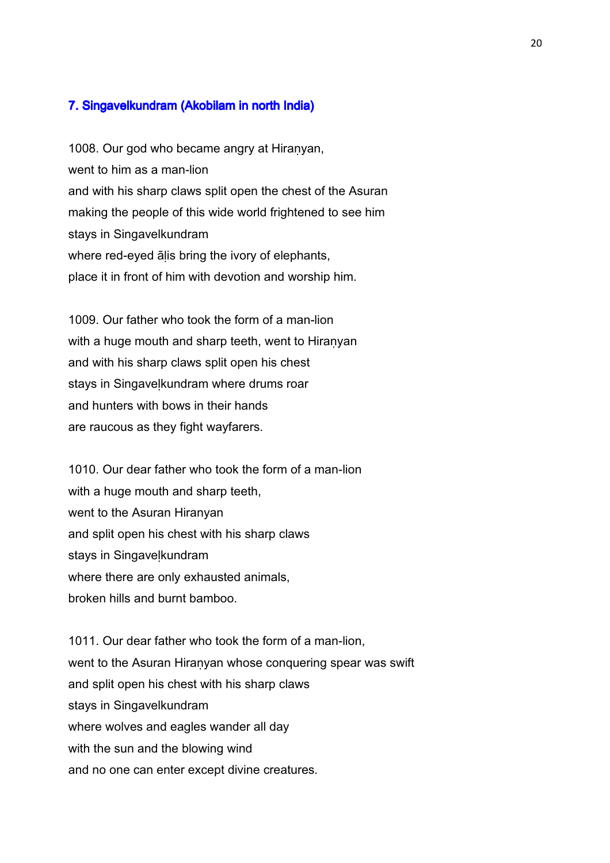## 7. Singavelkundram (Akobilam in north India)

1008. Our god who became angry at Hiranyan, went to him as a man-lion and with his sharp claws split open the chest of the Asuran making the people of this wide world frightened to see him stays in Singavelkundram where red-eyed alis bring the ivory of elephants, place it in front of him with devotion and worship him.

1009. Our father who took the form of a man-lion with a huge mouth and sharp teeth, went to Hiranyan and with his sharp claws split open his chest stays in Singaveḷkundram where drums roar and hunters with bows in their hands are raucous as they fight wayfarers.

1010. Our dear father who took the form of a man-lion with a huge mouth and sharp teeth, went to the Asuran Hiranyan and split open his chest with his sharp claws stays in Singavelkundram where there are only exhausted animals, broken hills and burnt bamboo.

1011. Our dear father who took the form of a man-lion, went to the Asuran Hiranyan whose conquering spear was swift and split open his chest with his sharp claws stays in Singavelkundram where wolves and eagles wander all day with the sun and the blowing wind and no one can enter except divine creatures.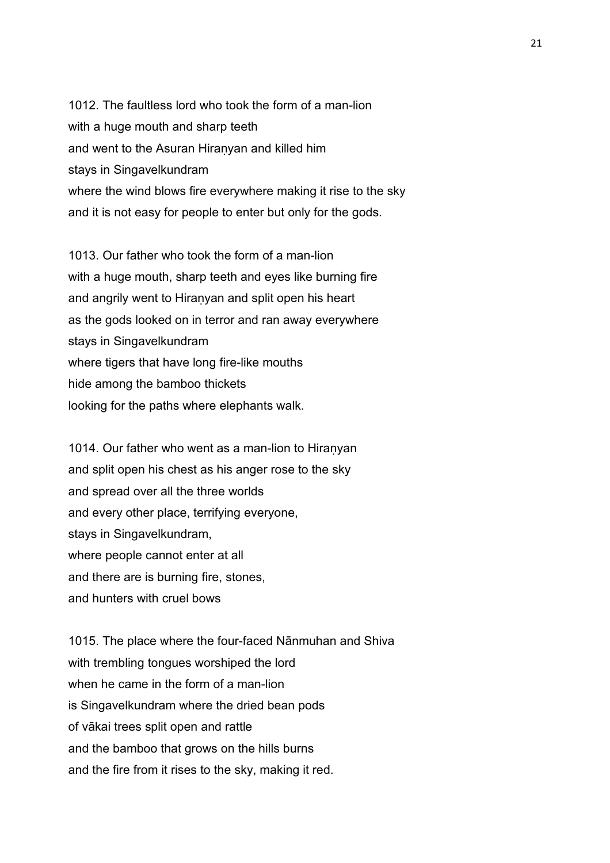1012. The faultless lord who took the form of a man-lion with a huge mouth and sharp teeth and went to the Asuran Hiraṇyan and killed him stays in Singavelkundram where the wind blows fire everywhere making it rise to the sky and it is not easy for people to enter but only for the gods.

1013. Our father who took the form of a man-lion with a huge mouth, sharp teeth and eyes like burning fire and angrily went to Hiraṇyan and split open his heart as the gods looked on in terror and ran away everywhere stays in Singavelkundram where tigers that have long fire-like mouths hide among the bamboo thickets looking for the paths where elephants walk.

1014. Our father who went as a man-lion to Hiranyan and split open his chest as his anger rose to the sky and spread over all the three worlds and every other place, terrifying everyone, stays in Singavelkundram, where people cannot enter at all and there are is burning fire, stones, and hunters with cruel bows

1015. The place where the four-faced Nānmuhan and Shiva with trembling tongues worshiped the lord when he came in the form of a man-lion is Singavelkundram where the dried bean pods of vākai trees split open and rattle and the bamboo that grows on the hills burns and the fire from it rises to the sky, making it red.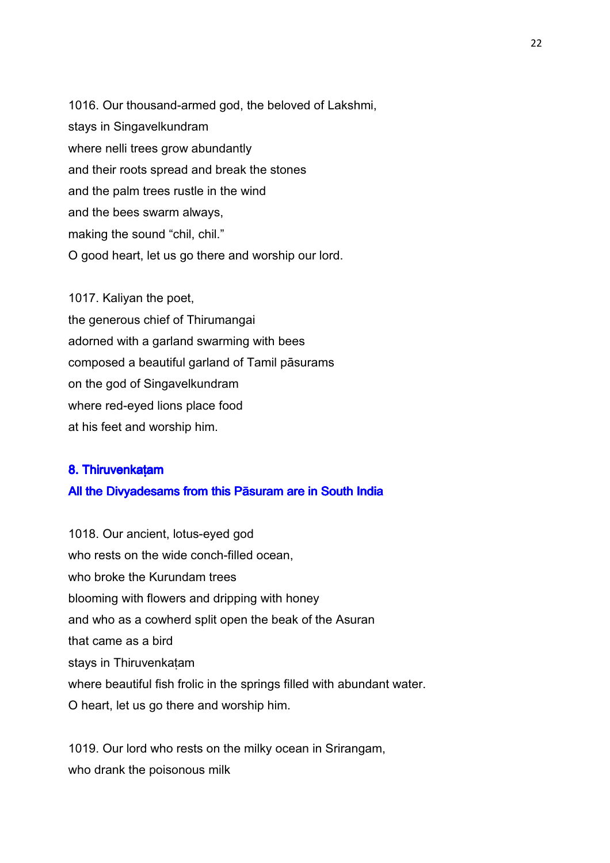1016. Our thousand-armed god, the beloved of Lakshmi, stays in Singavelkundram where nelli trees grow abundantly and their roots spread and break the stones and the palm trees rustle in the wind and the bees swarm always, making the sound "chil, chil." O good heart, let us go there and worship our lord.

1017. Kaliyan the poet, the generous chief of Thirumangai adorned with a garland swarming with bees composed a beautiful garland of Tamil pāsurams on the god of Singavelkundram where red-eyed lions place food at his feet and worship him.

## 8. Thiruvenkatam All the Divyadesams from this Pāsuram are in South India

1018. Our ancient, lotus-eyed god who rests on the wide conch-filled ocean. who broke the Kurundam trees blooming with flowers and dripping with honey and who as a cowherd split open the beak of the Asuran that came as a bird stays in Thiruvenkatam where beautiful fish frolic in the springs filled with abundant water. O heart, let us go there and worship him.

1019. Our lord who rests on the milky ocean in Srirangam, who drank the poisonous milk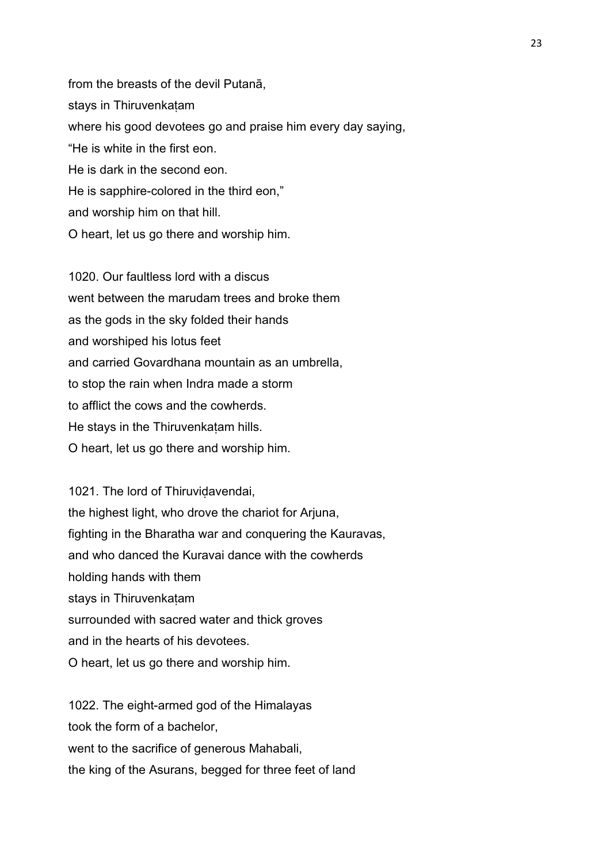from the breasts of the devil Putanā, stays in Thiruvenkatam where his good devotees go and praise him every day saying, "He is white in the first eon. He is dark in the second eon. He is sapphire-colored in the third eon," and worship him on that hill.

O heart, let us go there and worship him.

1020. Our faultless lord with a discus went between the marudam trees and broke them as the gods in the sky folded their hands and worshiped his lotus feet and carried Govardhana mountain as an umbrella, to stop the rain when Indra made a storm to afflict the cows and the cowherds. He stays in the Thiruvenkatam hills. O heart, let us go there and worship him.

1021. The lord of Thiruvidavendai, the highest light, who drove the chariot for Arjuna, fighting in the Bharatha war and conquering the Kauravas, and who danced the Kuravai dance with the cowherds holding hands with them stays in Thiruvenkatam surrounded with sacred water and thick groves and in the hearts of his devotees. O heart, let us go there and worship him.

1022. The eight-armed god of the Himalayas took the form of a bachelor, went to the sacrifice of generous Mahabali. the king of the Asurans, begged for three feet of land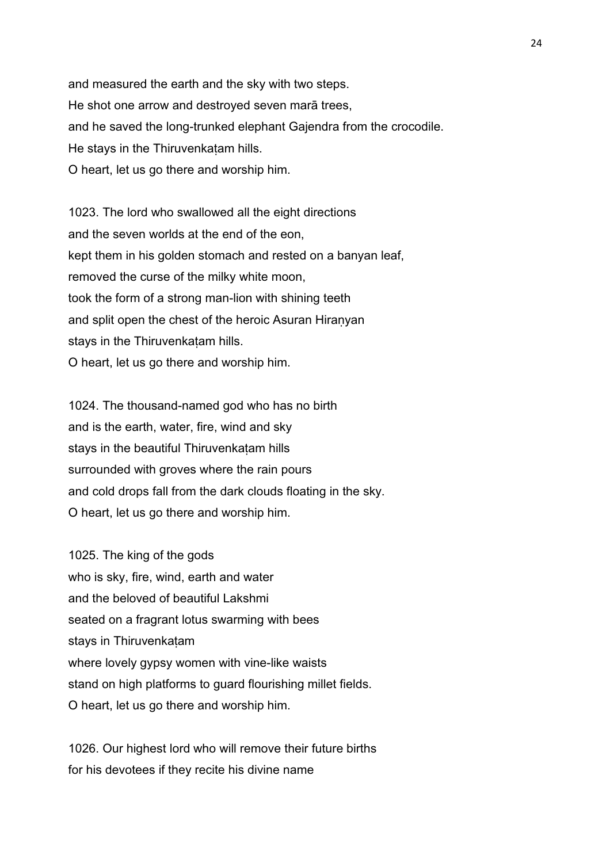and measured the earth and the sky with two steps. He shot one arrow and destroyed seven marā trees, and he saved the long-trunked elephant Gajendra from the crocodile. He stays in the Thiruvenkatam hills. O heart, let us go there and worship him.

1023. The lord who swallowed all the eight directions and the seven worlds at the end of the eon, kept them in his golden stomach and rested on a banyan leaf, removed the curse of the milky white moon, took the form of a strong man-lion with shining teeth and split open the chest of the heroic Asuran Hiranyan stays in the Thiruvenkatam hills. O heart, let us go there and worship him.

1024. The thousand-named god who has no birth and is the earth, water, fire, wind and sky stays in the beautiful Thiruvenkatam hills surrounded with groves where the rain pours and cold drops fall from the dark clouds floating in the sky. O heart, let us go there and worship him.

1025. The king of the gods who is sky, fire, wind, earth and water and the beloved of beautiful Lakshmi seated on a fragrant lotus swarming with bees stays in Thiruvenkatam where lovely gypsy women with vine-like waists stand on high platforms to guard flourishing millet fields. O heart, let us go there and worship him.

1026. Our highest lord who will remove their future births for his devotees if they recite his divine name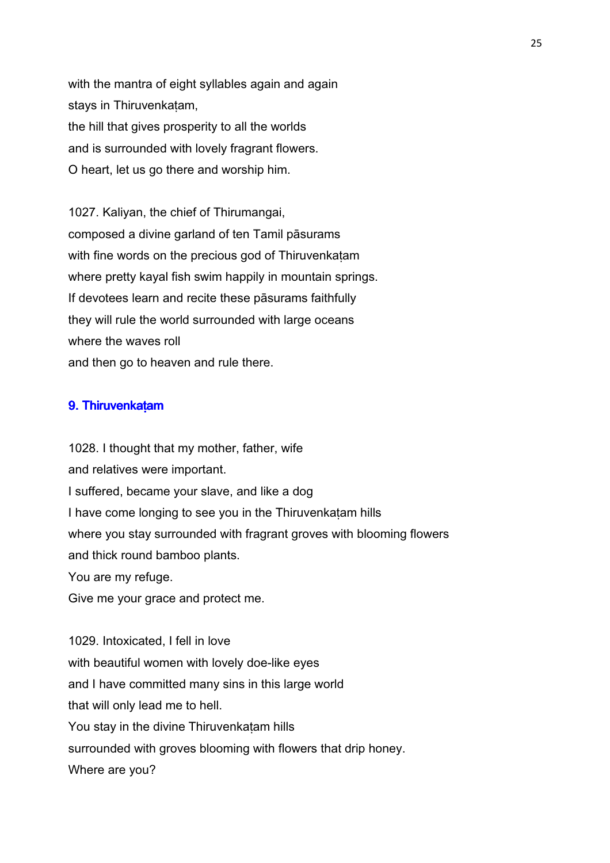with the mantra of eight syllables again and again stays in Thiruvenkaṭam, the hill that gives prosperity to all the worlds and is surrounded with lovely fragrant flowers. O heart, let us go there and worship him.

1027. Kaliyan, the chief of Thirumangai, composed a divine garland of ten Tamil pāsurams with fine words on the precious god of Thiruvenkatam where pretty kayal fish swim happily in mountain springs. If devotees learn and recite these pāsurams faithfully they will rule the world surrounded with large oceans where the waves roll and then go to heaven and rule there.

#### 9. Thiruvenkatam

1028. I thought that my mother, father, wife and relatives were important. I suffered, became your slave, and like a dog I have come longing to see you in the Thiruvenkaṭam hills where you stay surrounded with fragrant groves with blooming flowers and thick round bamboo plants. You are my refuge. Give me your grace and protect me.

1029. Intoxicated, I fell in love with beautiful women with lovely doe-like eyes and I have committed many sins in this large world that will only lead me to hell. You stay in the divine Thiruvenkatam hills surrounded with groves blooming with flowers that drip honey. Where are you?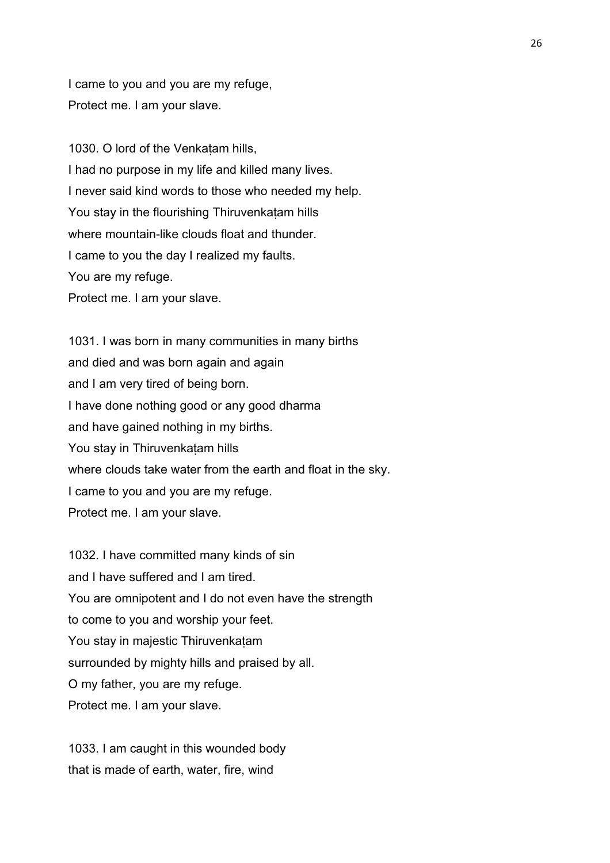I came to you and you are my refuge, Protect me. I am your slave.

1030. O lord of the Venkatam hills, I had no purpose in my life and killed many lives. I never said kind words to those who needed my help. You stay in the flourishing Thiruvenkaṭam hills where mountain-like clouds float and thunder. I came to you the day I realized my faults. You are my refuge. Protect me. I am your slave.

1031. I was born in many communities in many births and died and was born again and again and I am very tired of being born. I have done nothing good or any good dharma and have gained nothing in my births. You stay in Thiruvenkatam hills where clouds take water from the earth and float in the sky. I came to you and you are my refuge. Protect me. I am your slave.

1032. I have committed many kinds of sin and I have suffered and I am tired. You are omnipotent and I do not even have the strength to come to you and worship your feet. You stay in majestic Thiruvenkatam surrounded by mighty hills and praised by all. O my father, you are my refuge. Protect me. I am your slave.

1033. I am caught in this wounded body that is made of earth, water, fire, wind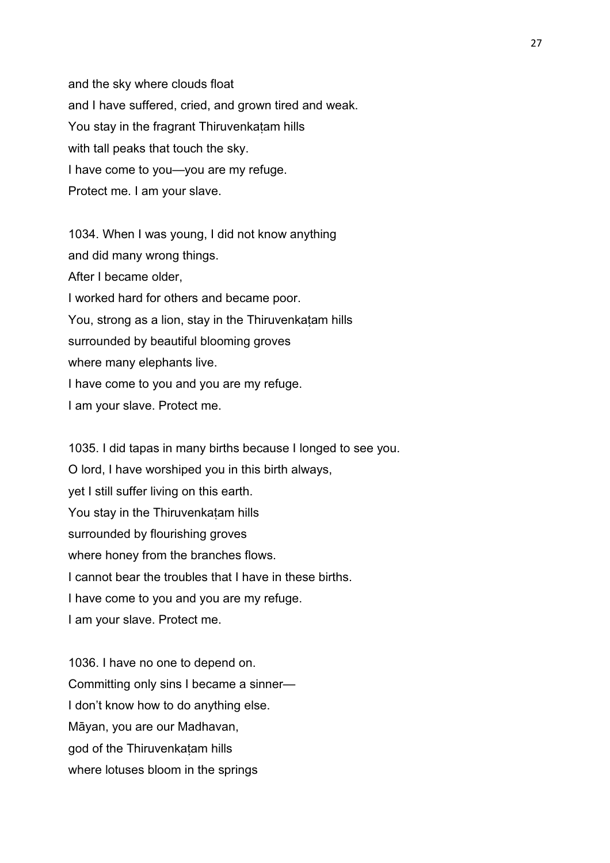and the sky where clouds float and I have suffered, cried, and grown tired and weak. You stay in the fragrant Thiruvenkaṭam hills with tall peaks that touch the sky. I have come to you—you are my refuge. Protect me. I am your slave.

1034. When I was young, I did not know anything and did many wrong things. After I became older, I worked hard for others and became poor. You, strong as a lion, stay in the Thiruvenkatam hills surrounded by beautiful blooming groves where many elephants live. I have come to you and you are my refuge. I am your slave. Protect me.

1035. I did tapas in many births because I longed to see you. O lord, I have worshiped you in this birth always, yet I still suffer living on this earth. You stay in the Thiruvenkatam hills surrounded by flourishing groves where honey from the branches flows. I cannot bear the troubles that I have in these births. I have come to you and you are my refuge. I am your slave. Protect me.

1036. I have no one to depend on. Committing only sins I became a sinner— I don't know how to do anything else. Māyan, you are our Madhavan, god of the Thiruvenkaṭam hills where lotuses bloom in the springs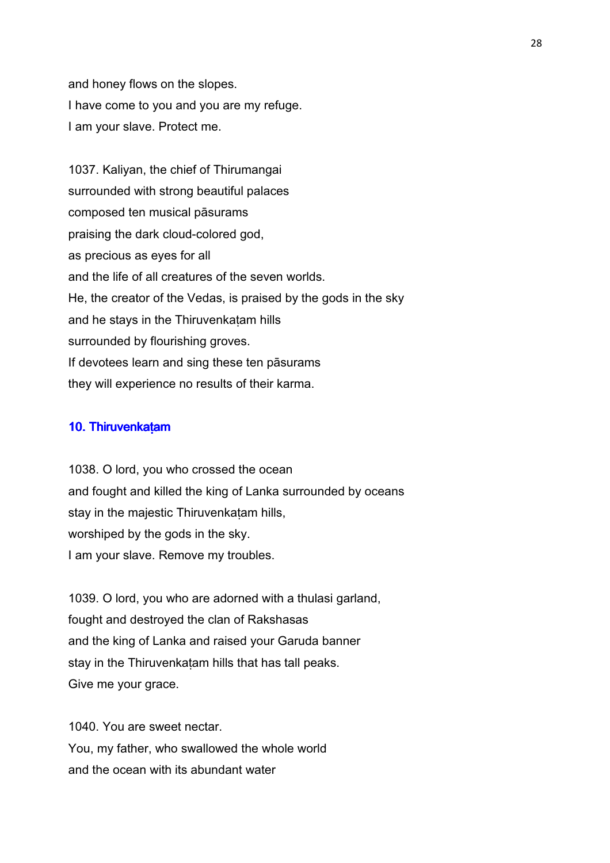and honey flows on the slopes. I have come to you and you are my refuge. I am your slave. Protect me.

1037. Kaliyan, the chief of Thirumangai surrounded with strong beautiful palaces composed ten musical pāsurams praising the dark cloud-colored god, as precious as eyes for all and the life of all creatures of the seven worlds. He, the creator of the Vedas, is praised by the gods in the sky and he stays in the Thiruvenkatam hills surrounded by flourishing groves. If devotees learn and sing these ten pāsurams they will experience no results of their karma.

### 10. Thiruvenkatam

1038. O lord, you who crossed the ocean and fought and killed the king of Lanka surrounded by oceans stay in the majestic Thiruvenkatam hills, worshiped by the gods in the sky. I am your slave. Remove my troubles.

1039. O lord, you who are adorned with a thulasi garland, fought and destroyed the clan of Rakshasas and the king of Lanka and raised your Garuda banner stay in the Thiruvenkatam hills that has tall peaks. Give me your grace.

1040. You are sweet nectar. You, my father, who swallowed the whole world and the ocean with its abundant water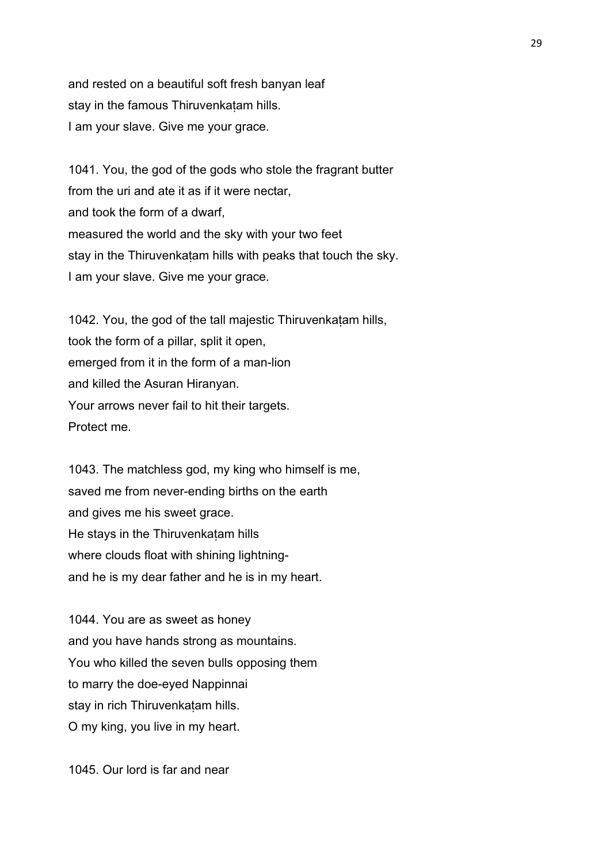and rested on a beautiful soft fresh banyan leaf stay in the famous Thiruvenkaṭam hills. I am your slave. Give me your grace.

1041. You, the god of the gods who stole the fragrant butter from the uri and ate it as if it were nectar, and took the form of a dwarf, measured the world and the sky with your two feet stay in the Thiruvenkatam hills with peaks that touch the sky. I am your slave. Give me your grace.

1042. You, the god of the tall majestic Thiruvenkatam hills, took the form of a pillar, split it open, emerged from it in the form of a man-lion and killed the Asuran Hiranyan. Your arrows never fail to hit their targets. Protect me.

1043. The matchless god, my king who himself is me, saved me from never-ending births on the earth and gives me his sweet grace. He stays in the Thiruvenkatam hills where clouds float with shining lightningand he is my dear father and he is in my heart.

1044. You are as sweet as honey and you have hands strong as mountains. You who killed the seven bulls opposing them to marry the doe-eyed Nappinnai stay in rich Thiruvenkatam hills. O my king, you live in my heart.

1045. Our lord is far and near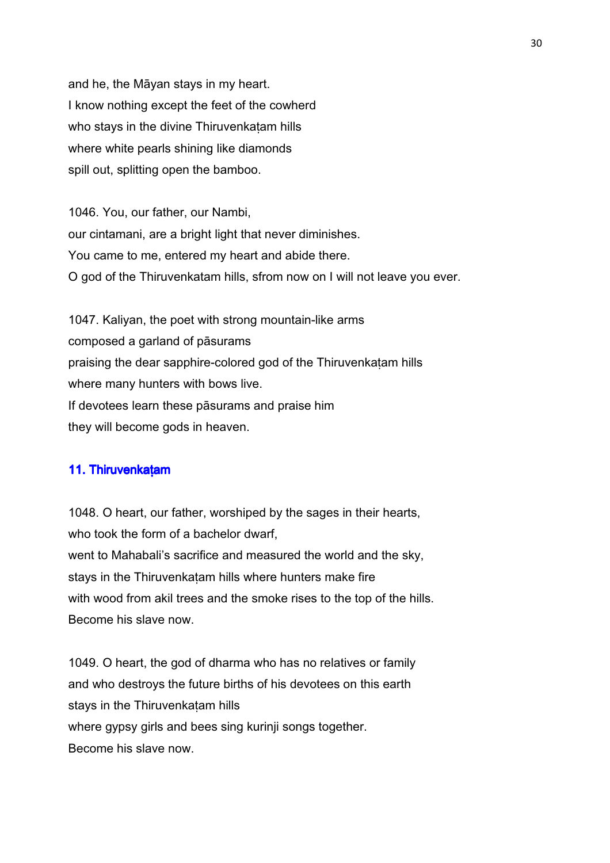and he, the Māyan stays in my heart. I know nothing except the feet of the cowherd who stays in the divine Thiruvenkaṭam hills where white pearls shining like diamonds spill out, splitting open the bamboo.

1046. You, our father, our Nambi, our cintamani, are a bright light that never diminishes. You came to me, entered my heart and abide there. O god of the Thiruvenkatam hills, sfrom now on I will not leave you ever.

1047. Kaliyan, the poet with strong mountain-like arms composed a garland of pāsurams praising the dear sapphire-colored god of the Thiruvenkaṭam hills where many hunters with bows live. If devotees learn these pāsurams and praise him they will become gods in heaven.

## 11. Thiruvenkatam

1048. O heart, our father, worshiped by the sages in their hearts, who took the form of a bachelor dwarf, went to Mahabali's sacrifice and measured the world and the sky, stays in the Thiruvenkatam hills where hunters make fire with wood from akil trees and the smoke rises to the top of the hills. Become his slave now.

1049. O heart, the god of dharma who has no relatives or family and who destroys the future births of his devotees on this earth stays in the Thiruvenkatam hills where gypsy girls and bees sing kurinji songs together. Become his slave now.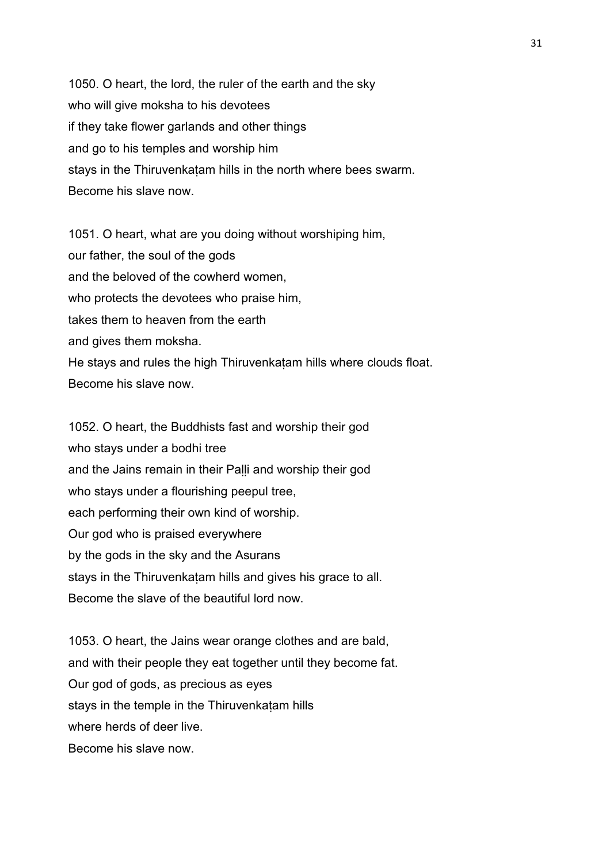1050. O heart, the lord, the ruler of the earth and the sky who will give moksha to his devotees if they take flower garlands and other things and go to his temples and worship him stays in the Thiruvenkatam hills in the north where bees swarm. Become his slave now.

1051. O heart, what are you doing without worshiping him, our father, the soul of the gods and the beloved of the cowherd women, who protects the devotees who praise him, takes them to heaven from the earth and gives them moksha. He stays and rules the high Thiruvenkatam hills where clouds float. Become his slave now.

1052. O heart, the Buddhists fast and worship their god who stays under a bodhi tree and the Jains remain in their Palli and worship their god who stays under a flourishing peepul tree, each performing their own kind of worship. Our god who is praised everywhere by the gods in the sky and the Asurans stays in the Thiruvenkatam hills and gives his grace to all. Become the slave of the beautiful lord now.

1053. O heart, the Jains wear orange clothes and are bald, and with their people they eat together until they become fat. Our god of gods, as precious as eyes stays in the temple in the Thiruvenkatam hills where herds of deer live. Become his slave now.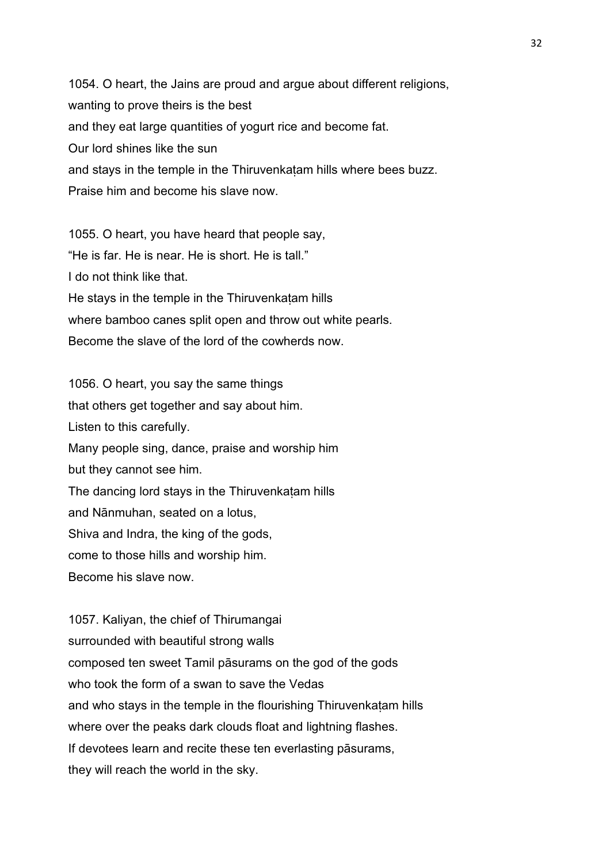1054. O heart, the Jains are proud and argue about different religions, wanting to prove theirs is the best and they eat large quantities of yogurt rice and become fat. Our lord shines like the sun and stays in the temple in the Thiruvenkatam hills where bees buzz. Praise him and become his slave now.

1055. O heart, you have heard that people say, "He is far. He is near. He is short. He is tall." I do not think like that. He stays in the temple in the Thiruvenkaṭam hills where bamboo canes split open and throw out white pearls. Become the slave of the lord of the cowherds now.

1056. O heart, you say the same things that others get together and say about him. Listen to this carefully. Many people sing, dance, praise and worship him but they cannot see him. The dancing lord stays in the Thiruvenkaṭam hills and Nānmuhan, seated on a lotus, Shiva and Indra, the king of the gods, come to those hills and worship him. Become his slave now.

1057. Kaliyan, the chief of Thirumangai surrounded with beautiful strong walls composed ten sweet Tamil pāsurams on the god of the gods who took the form of a swan to save the Vedas and who stays in the temple in the flourishing Thiruvenkatam hills where over the peaks dark clouds float and lightning flashes. If devotees learn and recite these ten everlasting pāsurams, they will reach the world in the sky.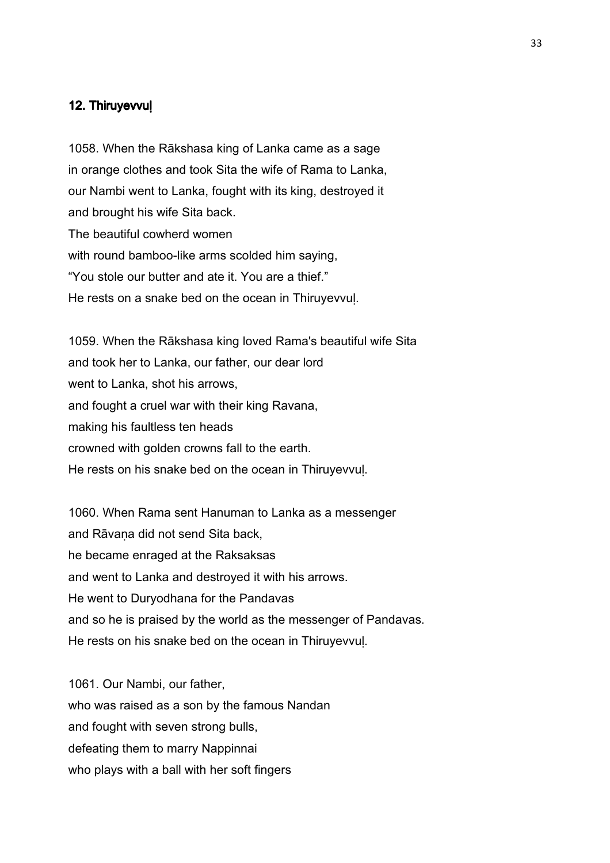#### 12. Thiruyevvul

1058. When the Rākshasa king of Lanka came as a sage in orange clothes and took Sita the wife of Rama to Lanka, our Nambi went to Lanka, fought with its king, destroyed it and brought his wife Sita back. The beautiful cowherd women with round bamboo-like arms scolded him saying, "You stole our butter and ate it. You are a thief." He rests on a snake bed on the ocean in Thiruyevvuḷ.

1059. When the Rākshasa king loved Rama's beautiful wife Sita and took her to Lanka, our father, our dear lord went to Lanka, shot his arrows, and fought a cruel war with their king Ravana, making his faultless ten heads crowned with golden crowns fall to the earth. He rests on his snake bed on the ocean in Thiruyevvuḷ.

1060. When Rama sent Hanuman to Lanka as a messenger and Rāvaṇa did not send Sita back, he became enraged at the Raksaksas and went to Lanka and destroyed it with his arrows. He went to Duryodhana for the Pandavas and so he is praised by the world as the messenger of Pandavas. He rests on his snake bed on the ocean in Thiruyevvuḷ.

1061. Our Nambi, our father, who was raised as a son by the famous Nandan and fought with seven strong bulls, defeating them to marry Nappinnai who plays with a ball with her soft fingers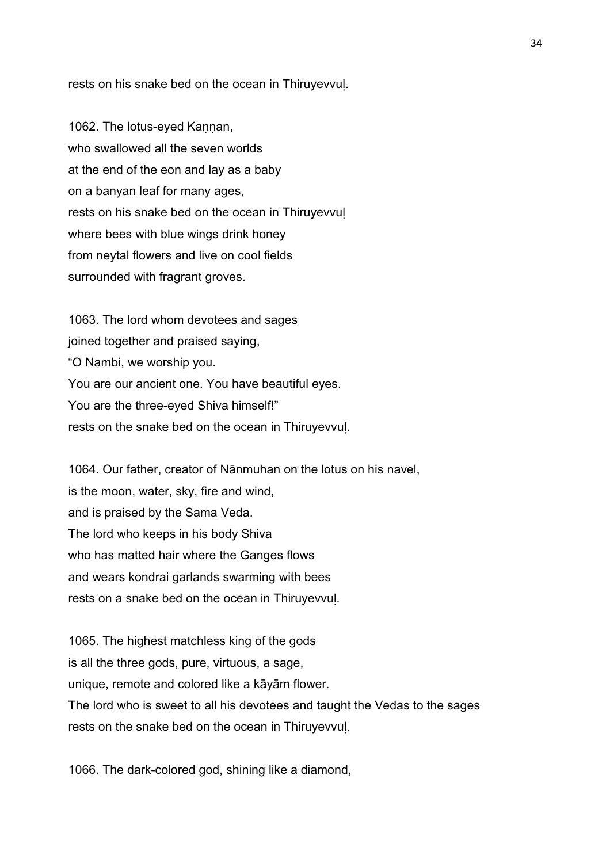rests on his snake bed on the ocean in Thiruyevvuḷ.

1062. The lotus-eyed Kaṇṇan, who swallowed all the seven worlds at the end of the eon and lay as a baby on a banyan leaf for many ages, rests on his snake bed on the ocean in Thiruyevvuḷ where bees with blue wings drink honey from neytal flowers and live on cool fields surrounded with fragrant groves.

1063. The lord whom devotees and sages joined together and praised saying, "O Nambi, we worship you. You are our ancient one. You have beautiful eyes. You are the three-eyed Shiva himself!" rests on the snake bed on the ocean in Thiruyevvuḷ.

1064. Our father, creator of Nānmuhan on the lotus on his navel, is the moon, water, sky, fire and wind, and is praised by the Sama Veda. The lord who keeps in his body Shiva who has matted hair where the Ganges flows and wears kondrai garlands swarming with bees rests on a snake bed on the ocean in Thiruyevvuḷ.

1065. The highest matchless king of the gods is all the three gods, pure, virtuous, a sage, unique, remote and colored like a kāyām flower. The lord who is sweet to all his devotees and taught the Vedas to the sages rests on the snake bed on the ocean in Thiruyevvuḷ.

1066. The dark-colored god, shining like a diamond,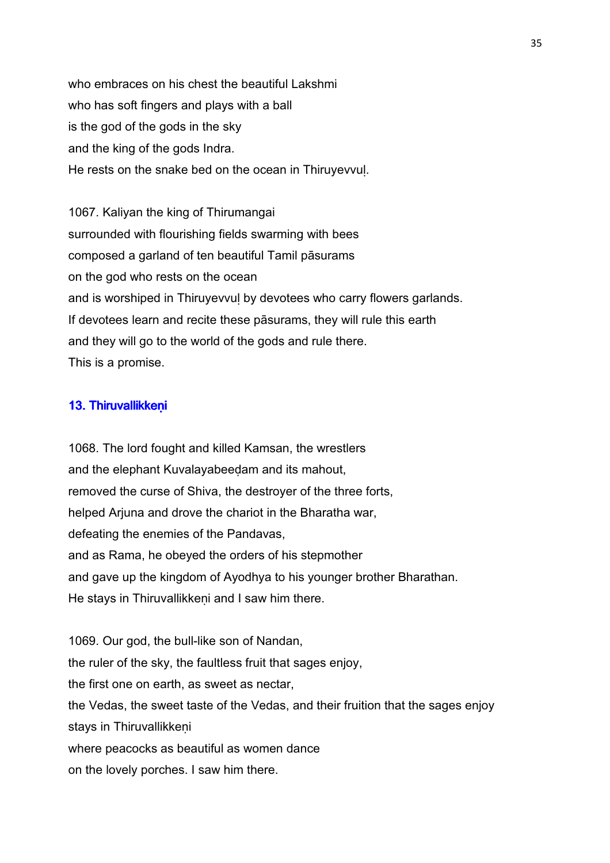who embraces on his chest the beautiful Lakshmi who has soft fingers and plays with a ball is the god of the gods in the sky and the king of the gods Indra. He rests on the snake bed on the ocean in Thiruyevvuḷ.

1067. Kaliyan the king of Thirumangai surrounded with flourishing fields swarming with bees composed a garland of ten beautiful Tamil pāsurams on the god who rests on the ocean and is worshiped in Thiruyevvul by devotees who carry flowers garlands. If devotees learn and recite these pāsurams, they will rule this earth and they will go to the world of the gods and rule there. This is a promise.

## 13. Thiruvallikkeni

1068. The lord fought and killed Kamsan, the wrestlers and the elephant Kuvalayabeeḍam and its mahout, removed the curse of Shiva, the destroyer of the three forts, helped Arjuna and drove the chariot in the Bharatha war, defeating the enemies of the Pandavas, and as Rama, he obeyed the orders of his stepmother and gave up the kingdom of Ayodhya to his younger brother Bharathan. He stays in Thiruvallikkeni and I saw him there.

1069. Our god, the bull-like son of Nandan, the ruler of the sky, the faultless fruit that sages enjoy, the first one on earth, as sweet as nectar, the Vedas, the sweet taste of the Vedas, and their fruition that the sages enjoy stays in Thiruvallikkeni where peacocks as beautiful as women dance on the lovely porches. I saw him there.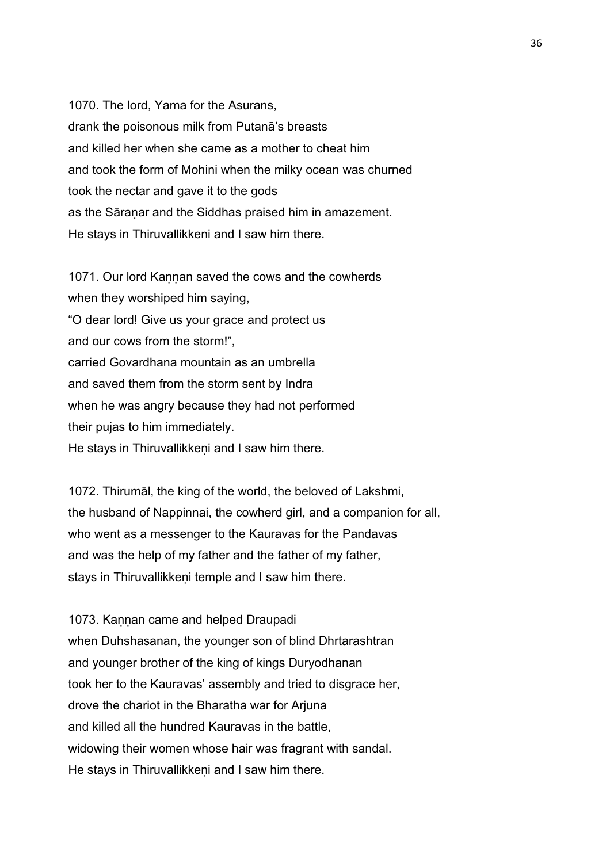1070. The lord, Yama for the Asurans, drank the poisonous milk from Putanā's breasts and killed her when she came as a mother to cheat him and took the form of Mohini when the milky ocean was churned took the nectar and gave it to the gods as the Sāraṇar and the Siddhas praised him in amazement. He stays in Thiruvallikkeni and I saw him there.

1071. Our lord Kaṇṇan saved the cows and the cowherds when they worshiped him saying, "O dear lord! Give us your grace and protect us and our cows from the storm!", carried Govardhana mountain as an umbrella and saved them from the storm sent by Indra when he was angry because they had not performed their pujas to him immediately. He stays in Thiruvallikkeni and I saw him there.

1072. Thirumāl, the king of the world, the beloved of Lakshmi, the husband of Nappinnai, the cowherd girl, and a companion for all, who went as a messenger to the Kauravas for the Pandavas and was the help of my father and the father of my father, stays in Thiruvallikkeni temple and I saw him there.

1073. Kannan came and helped Draupadi when Duhshasanan, the younger son of blind Dhrtarashtran and younger brother of the king of kings Duryodhanan took her to the Kauravas' assembly and tried to disgrace her, drove the chariot in the Bharatha war for Arjuna and killed all the hundred Kauravas in the battle, widowing their women whose hair was fragrant with sandal. He stays in Thiruvallikkeni and I saw him there.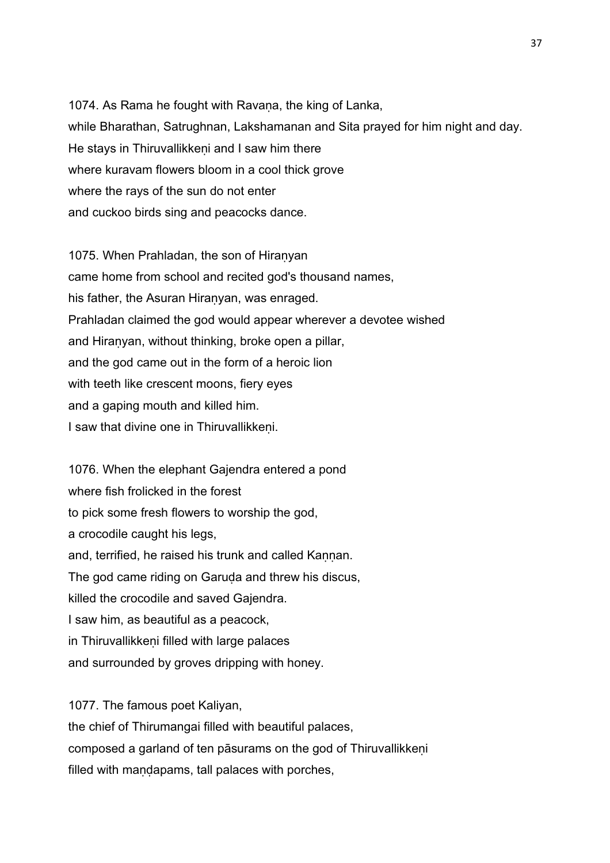1074. As Rama he fought with Ravaṇa, the king of Lanka, while Bharathan, Satrughnan, Lakshamanan and Sita prayed for him night and day. He stays in Thiruvallikkeni and I saw him there where kuravam flowers bloom in a cool thick grove where the rays of the sun do not enter and cuckoo birds sing and peacocks dance.

1075. When Prahladan, the son of Hiranyan came home from school and recited god's thousand names, his father, the Asuran Hiranyan, was enraged. Prahladan claimed the god would appear wherever a devotee wished and Hiraṇyan, without thinking, broke open a pillar, and the god came out in the form of a heroic lion with teeth like crescent moons, fiery eyes and a gaping mouth and killed him. I saw that divine one in Thiruvallikkeni.

1076. When the elephant Gajendra entered a pond where fish frolicked in the forest to pick some fresh flowers to worship the god, a crocodile caught his legs, and, terrified, he raised his trunk and called Kannan. The god came riding on Garuda and threw his discus, killed the crocodile and saved Gajendra. I saw him, as beautiful as a peacock, in Thiruvallikkeni filled with large palaces and surrounded by groves dripping with honey.

1077. The famous poet Kaliyan,

the chief of Thirumangai filled with beautiful palaces, composed a garland of ten pāsurams on the god of Thiruvallikkeṇi filled with mandapams, tall palaces with porches,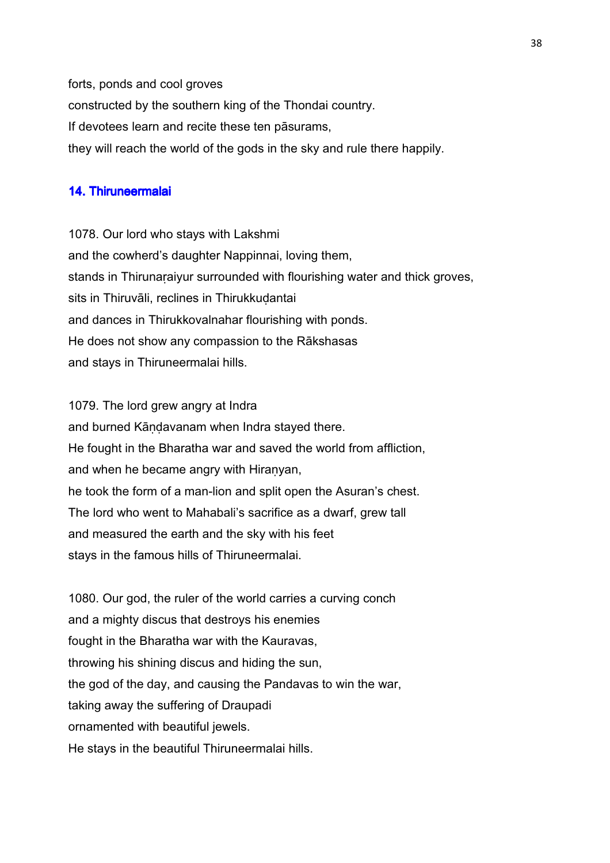forts, ponds and cool groves constructed by the southern king of the Thondai country. If devotees learn and recite these ten pāsurams, they will reach the world of the gods in the sky and rule there happily.

# 14. Thiruneermalai

1078. Our lord who stays with Lakshmi and the cowherd's daughter Nappinnai, loving them, stands in Thirunaraiyur surrounded with flourishing water and thick groves, sits in Thiruvāli, reclines in Thirukkudantai and dances in Thirukkovalnahar flourishing with ponds. He does not show any compassion to the Rākshasas and stays in Thiruneermalai hills.

1079. The lord grew angry at Indra and burned Kāṇḍavanam when Indra stayed there. He fought in the Bharatha war and saved the world from affliction, and when he became angry with Hiranyan, he took the form of a man-lion and split open the Asuran's chest. The lord who went to Mahabali's sacrifice as a dwarf, grew tall and measured the earth and the sky with his feet stays in the famous hills of Thiruneermalai.

1080. Our god, the ruler of the world carries a curving conch and a mighty discus that destroys his enemies fought in the Bharatha war with the Kauravas, throwing his shining discus and hiding the sun, the god of the day, and causing the Pandavas to win the war, taking away the suffering of Draupadi ornamented with beautiful jewels. He stays in the beautiful Thiruneermalai hills.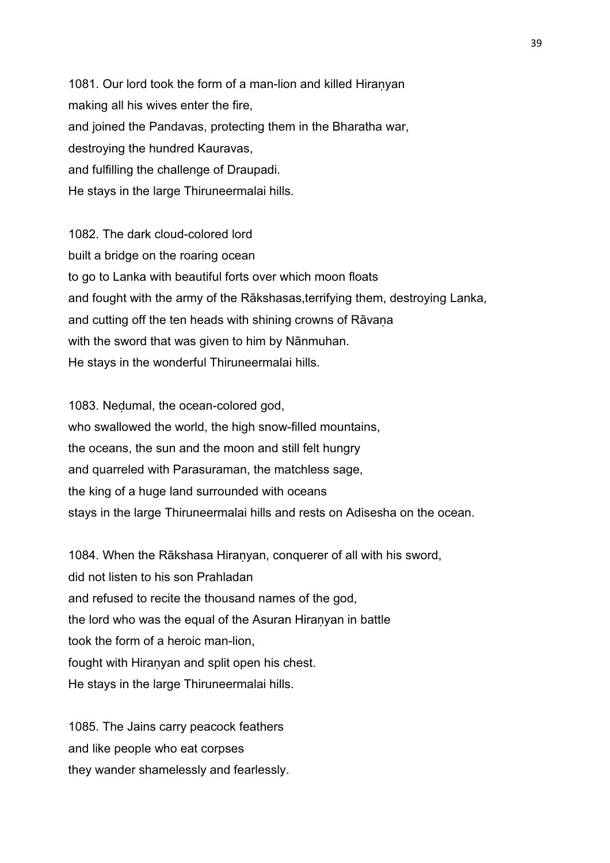1081. Our lord took the form of a man-lion and killed Hiranyan making all his wives enter the fire, and joined the Pandavas, protecting them in the Bharatha war, destroying the hundred Kauravas, and fulfilling the challenge of Draupadi. He stays in the large Thiruneermalai hills.

1082. The dark cloud-colored lord built a bridge on the roaring ocean to go to Lanka with beautiful forts over which moon floats and fought with the army of the Rākshasas,terrifying them, destroying Lanka, and cutting off the ten heads with shining crowns of Rāvaṇa with the sword that was given to him by Nānmuhan. He stays in the wonderful Thiruneermalai hills.

1083. Neḍumal, the ocean-colored god, who swallowed the world, the high snow-filled mountains, the oceans, the sun and the moon and still felt hungry and quarreled with Parasuraman, the matchless sage, the king of a huge land surrounded with oceans stays in the large Thiruneermalai hills and rests on Adisesha on the ocean.

1084. When the Rākshasa Hiranyan, conquerer of all with his sword, did not listen to his son Prahladan and refused to recite the thousand names of the god, the lord who was the equal of the Asuran Hiraṇyan in battle took the form of a heroic man-lion, fought with Hiranyan and split open his chest. He stays in the large Thiruneermalai hills.

1085. The Jains carry peacock feathers and like people who eat corpses they wander shamelessly and fearlessly.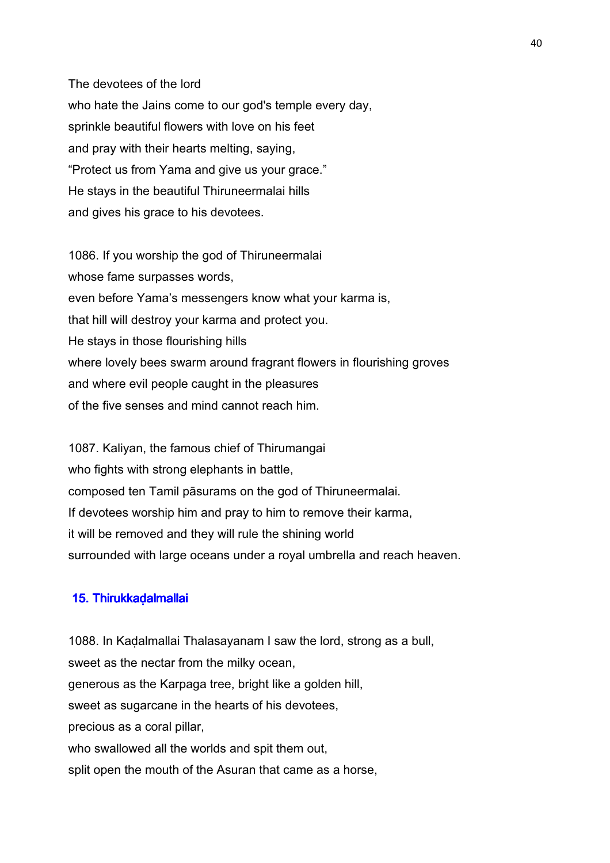The devotees of the lord who hate the Jains come to our god's temple every day, sprinkle beautiful flowers with love on his feet and pray with their hearts melting, saying, "Protect us from Yama and give us your grace." He stays in the beautiful Thiruneermalai hills and gives his grace to his devotees.

1086. If you worship the god of Thiruneermalai whose fame surpasses words, even before Yama's messengers know what your karma is, that hill will destroy your karma and protect you. He stays in those flourishing hills where lovely bees swarm around fragrant flowers in flourishing groves and where evil people caught in the pleasures of the five senses and mind cannot reach him.

1087. Kaliyan, the famous chief of Thirumangai who fights with strong elephants in battle, composed ten Tamil pāsurams on the god of Thiruneermalai. If devotees worship him and pray to him to remove their karma, it will be removed and they will rule the shining world surrounded with large oceans under a royal umbrella and reach heaven.

### 15. Thirukka dalmallai

1088. In Kaḍalmallai Thalasayanam I saw the lord, strong as a bull, sweet as the nectar from the milky ocean, generous as the Karpaga tree, bright like a golden hill, sweet as sugarcane in the hearts of his devotees, precious as a coral pillar, who swallowed all the worlds and spit them out, split open the mouth of the Asuran that came as a horse,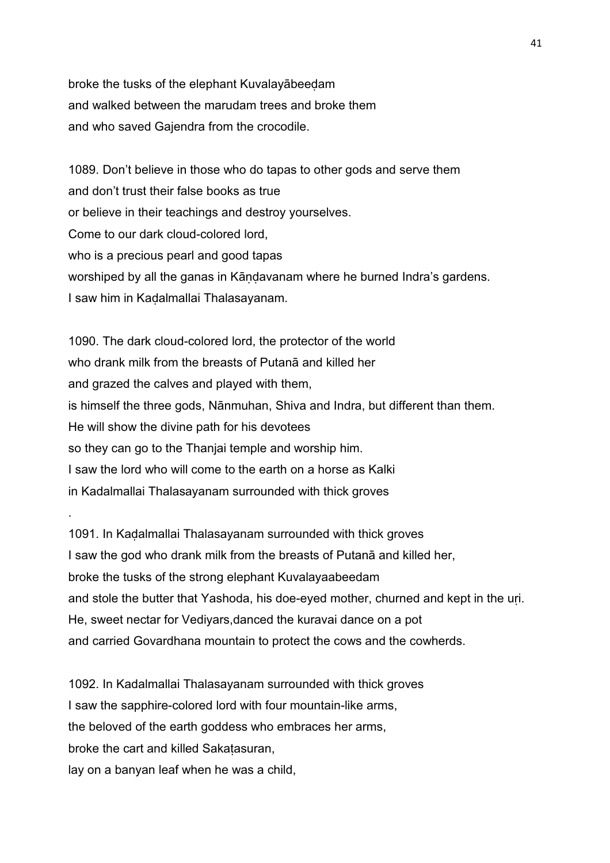broke the tusks of the elephant Kuvalayābeeḍam and walked between the marudam trees and broke them and who saved Gajendra from the crocodile.

1089. Don't believe in those who do tapas to other gods and serve them and don't trust their false books as true or believe in their teachings and destroy yourselves. Come to our dark cloud-colored lord, who is a precious pearl and good tapas worshiped by all the ganas in Kāṇḍavanam where he burned Indra's gardens. I saw him in Kaḍalmallai Thalasayanam.

1090. The dark cloud-colored lord, the protector of the world who drank milk from the breasts of Putanā and killed her and grazed the calves and played with them, is himself the three gods, Nānmuhan, Shiva and Indra, but different than them. He will show the divine path for his devotees so they can go to the Thanjai temple and worship him. I saw the lord who will come to the earth on a horse as Kalki in Kadalmallai Thalasayanam surrounded with thick groves

1091. In Kaḍalmallai Thalasayanam surrounded with thick groves I saw the god who drank milk from the breasts of Putanā and killed her, broke the tusks of the strong elephant Kuvalayaabeedam and stole the butter that Yashoda, his doe-eyed mother, churned and kept in the uri. He, sweet nectar for Vediyars,danced the kuravai dance on a pot and carried Govardhana mountain to protect the cows and the cowherds.

1092. In Kadalmallai Thalasayanam surrounded with thick groves I saw the sapphire-colored lord with four mountain-like arms, the beloved of the earth goddess who embraces her arms, broke the cart and killed Sakaṭasuran, lay on a banyan leaf when he was a child,

.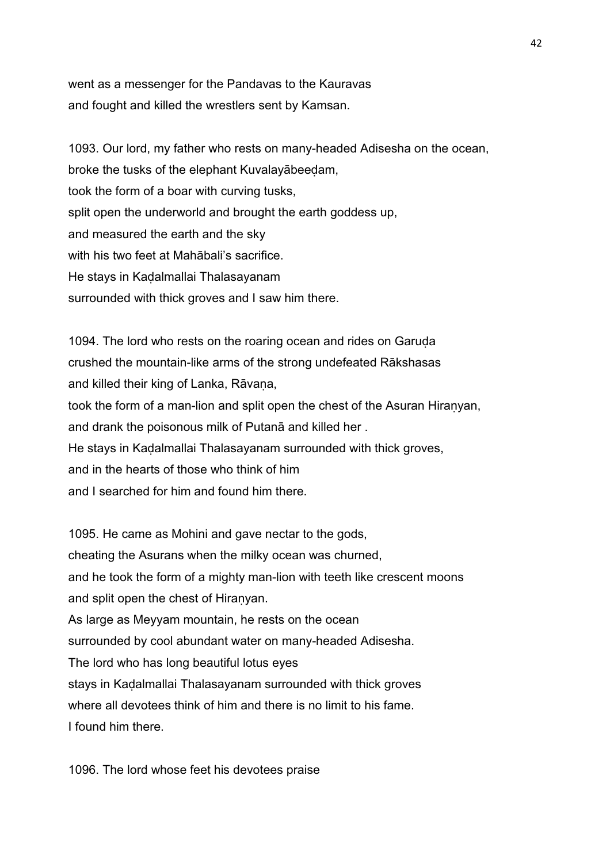went as a messenger for the Pandavas to the Kauravas and fought and killed the wrestlers sent by Kamsan.

1093. Our lord, my father who rests on many-headed Adisesha on the ocean, broke the tusks of the elephant Kuvalayābeeḍam, took the form of a boar with curving tusks, split open the underworld and brought the earth goddess up, and measured the earth and the sky with his two feet at Mahābali's sacrifice. He stays in Kaḍalmallai Thalasayanam surrounded with thick groves and I saw him there.

1094. The lord who rests on the roaring ocean and rides on Garuda crushed the mountain-like arms of the strong undefeated Rākshasas and killed their king of Lanka, Rāvana, took the form of a man-lion and split open the chest of the Asuran Hiraṇyan, and drank the poisonous milk of Putanā and killed her . He stays in Kaḍalmallai Thalasayanam surrounded with thick groves, and in the hearts of those who think of him and I searched for him and found him there.

1095. He came as Mohini and gave nectar to the gods, cheating the Asurans when the milky ocean was churned, and he took the form of a mighty man-lion with teeth like crescent moons and split open the chest of Hiranyan. As large as Meyyam mountain, he rests on the ocean surrounded by cool abundant water on many-headed Adisesha. The lord who has long beautiful lotus eyes stays in Kaḍalmallai Thalasayanam surrounded with thick groves where all devotees think of him and there is no limit to his fame. I found him there.

1096. The lord whose feet his devotees praise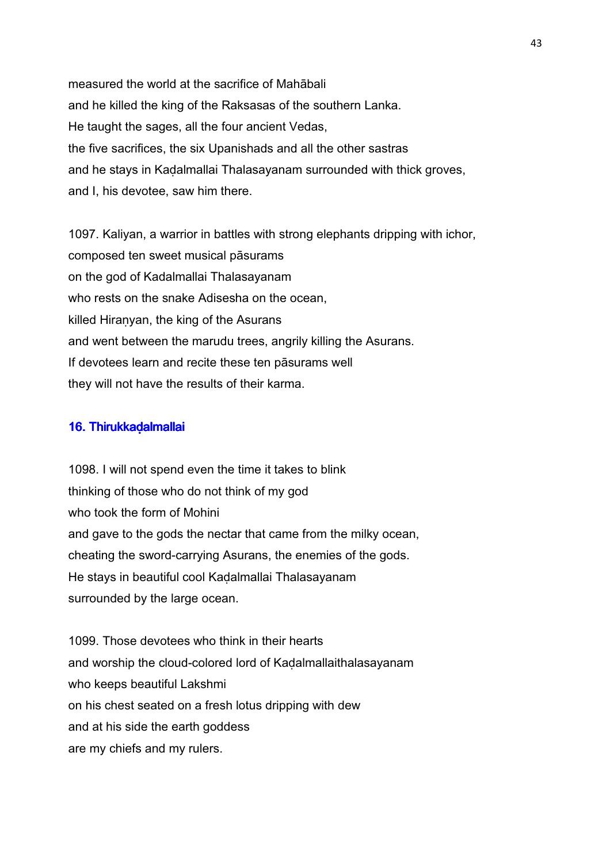measured the world at the sacrifice of Mahābali and he killed the king of the Raksasas of the southern Lanka. He taught the sages, all the four ancient Vedas, the five sacrifices, the six Upanishads and all the other sastras and he stays in Kaḍalmallai Thalasayanam surrounded with thick groves, and I, his devotee, saw him there.

1097. Kaliyan, a warrior in battles with strong elephants dripping with ichor, composed ten sweet musical pāsurams on the god of Kadalmallai Thalasayanam who rests on the snake Adisesha on the ocean, killed Hiraṇyan, the king of the Asurans and went between the marudu trees, angrily killing the Asurans. If devotees learn and recite these ten pāsurams well they will not have the results of their karma.

### 16. Thirukkadalmallai

1098. I will not spend even the time it takes to blink thinking of those who do not think of my god who took the form of Mohini and gave to the gods the nectar that came from the milky ocean, cheating the sword-carrying Asurans, the enemies of the gods. He stays in beautiful cool Kaḍalmallai Thalasayanam surrounded by the large ocean.

1099. Those devotees who think in their hearts and worship the cloud-colored lord of Kaḍalmallaithalasayanam who keeps beautiful Lakshmi on his chest seated on a fresh lotus dripping with dew and at his side the earth goddess are my chiefs and my rulers.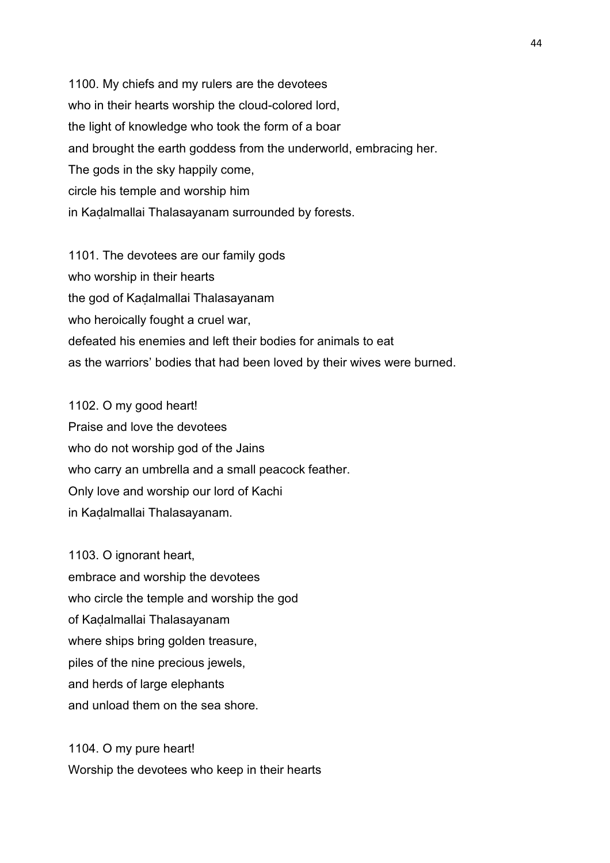1100. My chiefs and my rulers are the devotees who in their hearts worship the cloud-colored lord, the light of knowledge who took the form of a boar and brought the earth goddess from the underworld, embracing her. The gods in the sky happily come, circle his temple and worship him in Kaḍalmallai Thalasayanam surrounded by forests.

1101. The devotees are our family gods who worship in their hearts the god of Kaḍalmallai Thalasayanam who heroically fought a cruel war, defeated his enemies and left their bodies for animals to eat as the warriors' bodies that had been loved by their wives were burned.

1102. O my good heart! Praise and love the devotees who do not worship god of the Jains who carry an umbrella and a small peacock feather. Only love and worship our lord of Kachi in Kaḍalmallai Thalasayanam.

1103. O ignorant heart. embrace and worship the devotees who circle the temple and worship the god of Kaḍalmallai Thalasayanam where ships bring golden treasure, piles of the nine precious jewels, and herds of large elephants and unload them on the sea shore.

1104. O my pure heart! Worship the devotees who keep in their hearts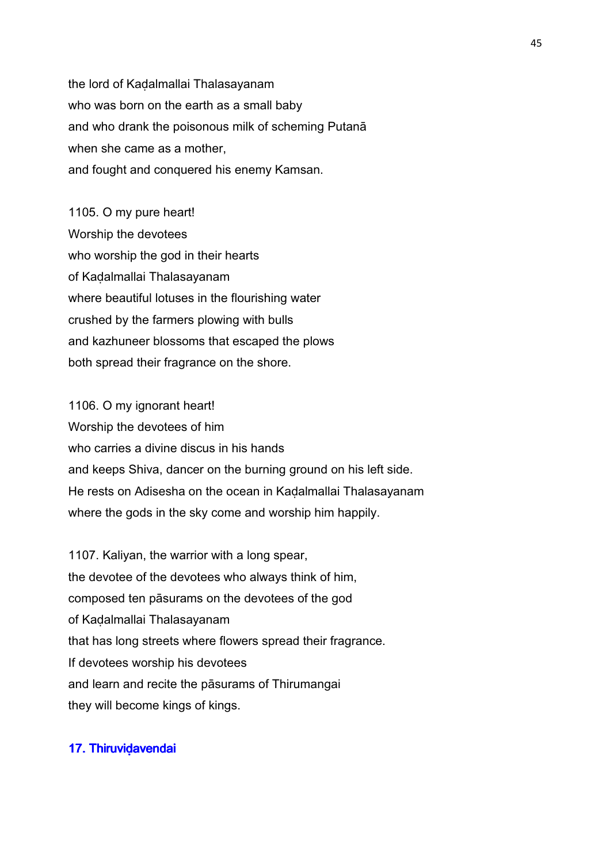the lord of Kaḍalmallai Thalasayanam who was born on the earth as a small baby and who drank the poisonous milk of scheming Putanā when she came as a mother, and fought and conquered his enemy Kamsan.

1105. O my pure heart! Worship the devotees who worship the god in their hearts of Kaḍalmallai Thalasayanam where beautiful lotuses in the flourishing water crushed by the farmers plowing with bulls and kazhuneer blossoms that escaped the plows both spread their fragrance on the shore.

1106. O my ignorant heart! Worship the devotees of him who carries a divine discus in his hands and keeps Shiva, dancer on the burning ground on his left side. He rests on Adisesha on the ocean in Kaḍalmallai Thalasayanam where the gods in the sky come and worship him happily.

1107. Kaliyan, the warrior with a long spear, the devotee of the devotees who always think of him, composed ten pāsurams on the devotees of the god of Kaḍalmallai Thalasayanam that has long streets where flowers spread their fragrance. If devotees worship his devotees and learn and recite the pāsurams of Thirumangai they will become kings of kings.

## 17. Thiruvidavendai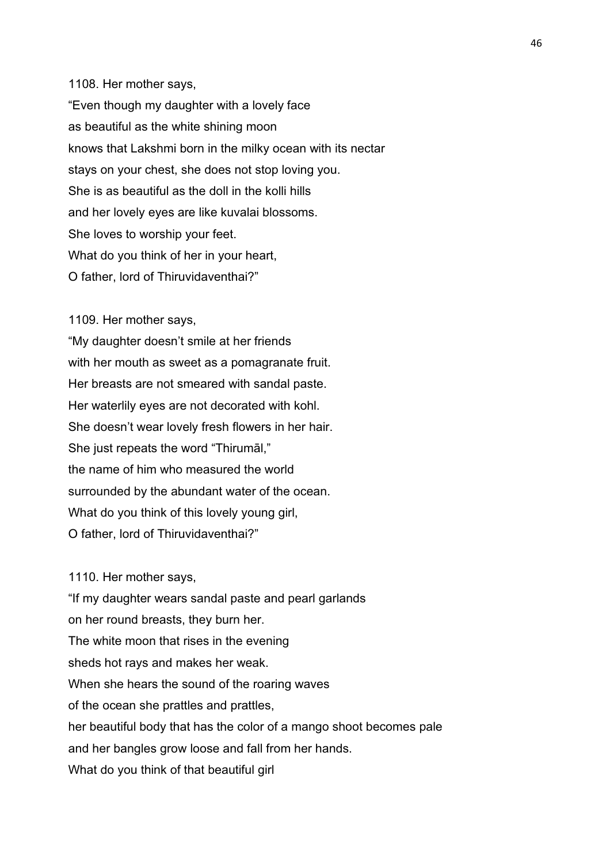1108. Her mother says,

"Even though my daughter with a lovely face as beautiful as the white shining moon knows that Lakshmi born in the milky ocean with its nectar stays on your chest, she does not stop loving you. She is as beautiful as the doll in the kolli hills and her lovely eyes are like kuvalai blossoms. She loves to worship your feet. What do you think of her in your heart, O father, lord of Thiruvidaventhai?"

1109. Her mother says,

"My daughter doesn't smile at her friends with her mouth as sweet as a pomagranate fruit. Her breasts are not smeared with sandal paste. Her waterlily eyes are not decorated with kohl. She doesn't wear lovely fresh flowers in her hair. She just repeats the word "Thirumāl," the name of him who measured the world surrounded by the abundant water of the ocean. What do you think of this lovely young girl, O father, lord of Thiruvidaventhai?"

1110. Her mother says, "If my daughter wears sandal paste and pearl garlands

on her round breasts, they burn her. The white moon that rises in the evening sheds hot rays and makes her weak. When she hears the sound of the roaring waves of the ocean she prattles and prattles, her beautiful body that has the color of a mango shoot becomes pale and her bangles grow loose and fall from her hands. What do you think of that beautiful girl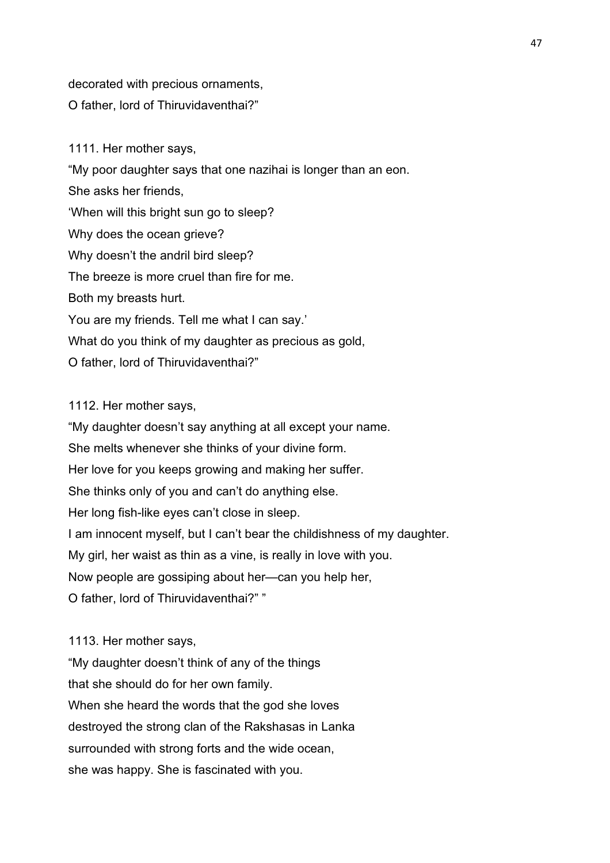decorated with precious ornaments, O father, lord of Thiruvidaventhai?"

1111. Her mother says, "My poor daughter says that one nazihai is longer than an eon. She asks her friends, 'When will this bright sun go to sleep? Why does the ocean grieve? Why doesn't the andril bird sleep? The breeze is more cruel than fire for me. Both my breasts hurt. You are my friends. Tell me what I can say.' What do you think of my daughter as precious as gold, O father, lord of Thiruvidaventhai?"

### 1112. Her mother says,

"My daughter doesn't say anything at all except your name. She melts whenever she thinks of your divine form. Her love for you keeps growing and making her suffer. She thinks only of you and can't do anything else. Her long fish-like eyes can't close in sleep. I am innocent myself, but I can't bear the childishness of my daughter. My girl, her waist as thin as a vine, is really in love with you. Now people are gossiping about her—can you help her, O father, lord of Thiruvidaventhai?" "

1113. Her mother says,

"My daughter doesn't think of any of the things that she should do for her own family. When she heard the words that the god she loves destroyed the strong clan of the Rakshasas in Lanka surrounded with strong forts and the wide ocean, she was happy. She is fascinated with you.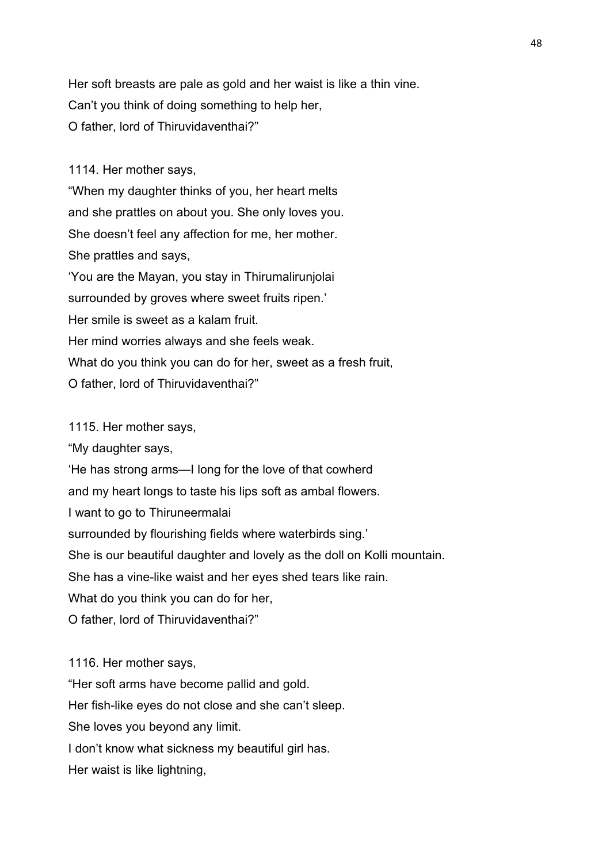Her soft breasts are pale as gold and her waist is like a thin vine. Can't you think of doing something to help her, O father, lord of Thiruvidaventhai?"

1114. Her mother says,

"When my daughter thinks of you, her heart melts and she prattles on about you. She only loves you. She doesn't feel any affection for me, her mother. She prattles and says, 'You are the Mayan, you stay in Thirumalirunjolai surrounded by groves where sweet fruits ripen.' Her smile is sweet as a kalam fruit. Her mind worries always and she feels weak. What do you think you can do for her, sweet as a fresh fruit,

O father, lord of Thiruvidaventhai?"

1115. Her mother says,

"My daughter says,

'He has strong arms—I long for the love of that cowherd

and my heart longs to taste his lips soft as ambal flowers.

I want to go to Thiruneermalai

surrounded by flourishing fields where waterbirds sing.'

She is our beautiful daughter and lovely as the doll on Kolli mountain.

She has a vine-like waist and her eyes shed tears like rain.

What do you think you can do for her,

O father, lord of Thiruvidaventhai?"

1116. Her mother says,

"Her soft arms have become pallid and gold.

Her fish-like eyes do not close and she can't sleep.

She loves you beyond any limit.

I don't know what sickness my beautiful girl has.

Her waist is like lightning,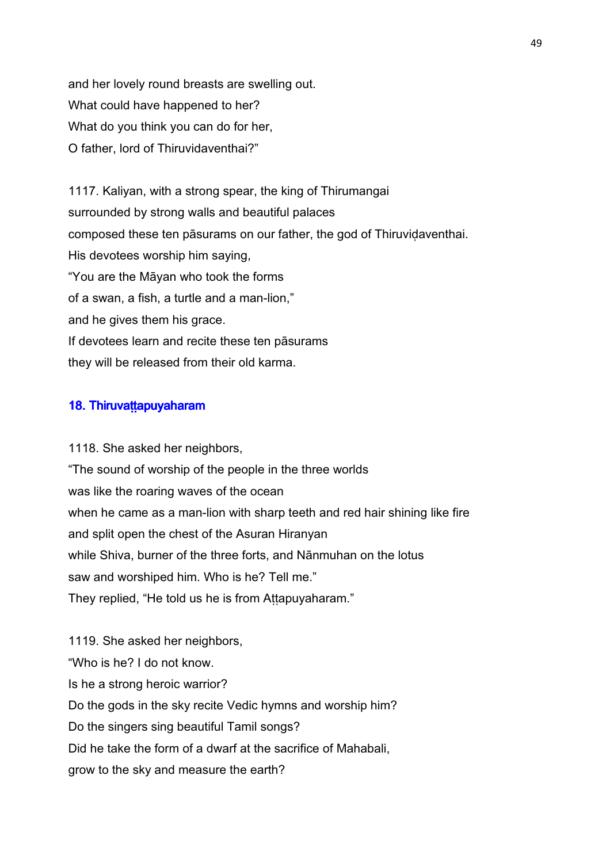and her lovely round breasts are swelling out. What could have happened to her? What do you think you can do for her, O father, lord of Thiruvidaventhai?"

1117. Kaliyan, with a strong spear, the king of Thirumangai surrounded by strong walls and beautiful palaces composed these ten pāsurams on our father, the god of Thiruviḍaventhai. His devotees worship him saying, "You are the Māyan who took the forms of a swan, a fish, a turtle and a man-lion," and he gives them his grace. If devotees learn and recite these ten pāsurams they will be released from their old karma.

### 18. Thiruvattapuyaharam

1118. She asked her neighbors, "The sound of worship of the people in the three worlds was like the roaring waves of the ocean when he came as a man-lion with sharp teeth and red hair shining like fire and split open the chest of the Asuran Hiranyan while Shiva, burner of the three forts, and Nānmuhan on the lotus saw and worshiped him. Who is he? Tell me." They replied, "He told us he is from Attapuyaharam."

1119. She asked her neighbors, "Who is he? I do not know. Is he a strong heroic warrior? Do the gods in the sky recite Vedic hymns and worship him? Do the singers sing beautiful Tamil songs? Did he take the form of a dwarf at the sacrifice of Mahabali, grow to the sky and measure the earth?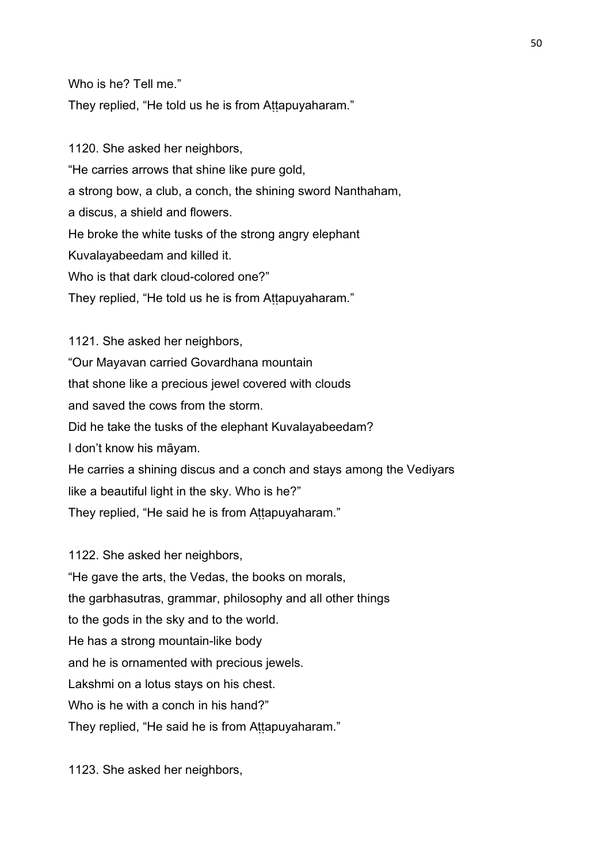Who is he? Tell me."

They replied, "He told us he is from Attapuyaharam."

1120. She asked her neighbors, "He carries arrows that shine like pure gold, a strong bow, a club, a conch, the shining sword Nanthaham, a discus, a shield and flowers. He broke the white tusks of the strong angry elephant Kuvalayabeedam and killed it. Who is that dark cloud-colored one?" They replied, "He told us he is from Attapuyaharam."

1121. She asked her neighbors, "Our Mayavan carried Govardhana mountain that shone like a precious jewel covered with clouds and saved the cows from the storm. Did he take the tusks of the elephant Kuvalayabeedam? I don't know his māyam. He carries a shining discus and a conch and stays among the Vediyars like a beautiful light in the sky. Who is he?" They replied, "He said he is from Attapuyaharam."

1122. She asked her neighbors,

"He gave the arts, the Vedas, the books on morals, the garbhasutras, grammar, philosophy and all other things to the gods in the sky and to the world. He has a strong mountain-like body and he is ornamented with precious jewels. Lakshmi on a lotus stays on his chest. Who is he with a conch in his hand?" They replied, "He said he is from Attapuyaharam."

1123. She asked her neighbors,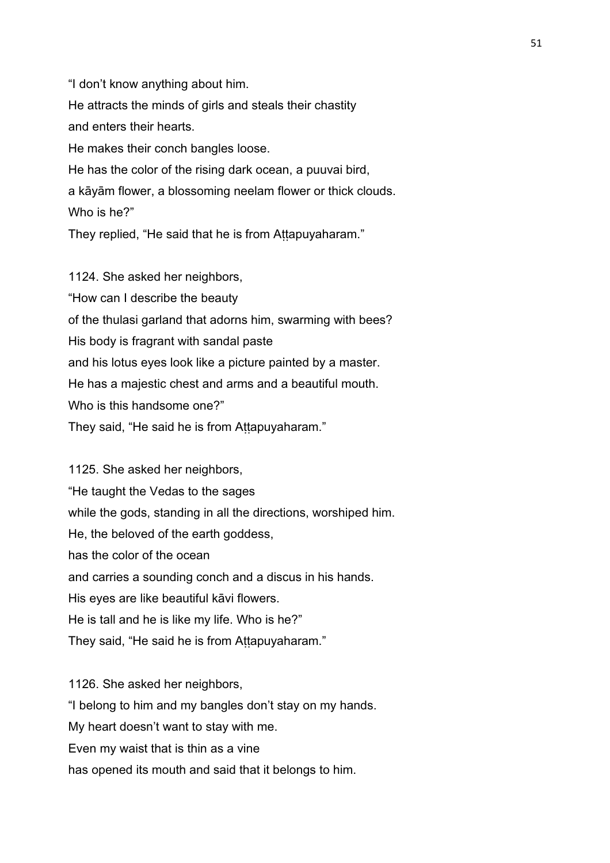"I don't know anything about him. He attracts the minds of girls and steals their chastity and enters their hearts. He makes their conch bangles loose. He has the color of the rising dark ocean, a puuvai bird, a kāyām flower, a blossoming neelam flower or thick clouds. Who is he?"

They replied, "He said that he is from Attapuyaharam."

1124. She asked her neighbors, "How can I describe the beauty of the thulasi garland that adorns him, swarming with bees? His body is fragrant with sandal paste and his lotus eyes look like a picture painted by a master. He has a majestic chest and arms and a beautiful mouth. Who is this handsome one?" They said, "He said he is from Attapuyaharam."

1125. She asked her neighbors, "He taught the Vedas to the sages while the gods, standing in all the directions, worshiped him. He, the beloved of the earth goddess, has the color of the ocean and carries a sounding conch and a discus in his hands. His eyes are like beautiful kāvi flowers. He is tall and he is like my life. Who is he?" They said, "He said he is from Attapuyaharam."

1126. She asked her neighbors, "I belong to him and my bangles don't stay on my hands. My heart doesn't want to stay with me. Even my waist that is thin as a vine

has opened its mouth and said that it belongs to him.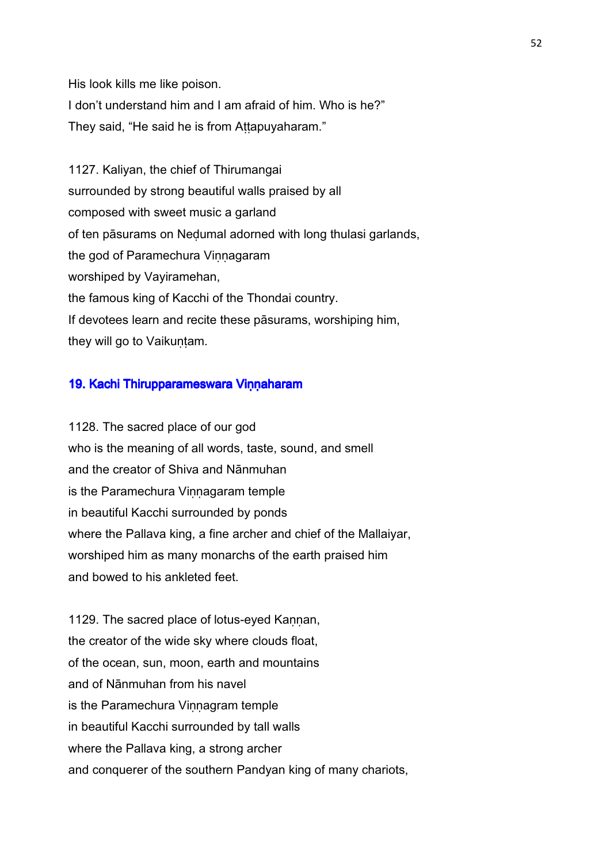His look kills me like poison.

I don't understand him and I am afraid of him. Who is he?" They said, "He said he is from Aṭṭapuyaharam."

1127. Kaliyan, the chief of Thirumangai surrounded by strong beautiful walls praised by all composed with sweet music a garland of ten pāsurams on Neḍumal adorned with long thulasi garlands, the god of Paramechura Vinnagaram worshiped by Vayiramehan, the famous king of Kacchi of the Thondai country. If devotees learn and recite these pāsurams, worshiping him, they will go to Vaikuṇṭam.

## 19. Kachi Thirupparameswara Vinnaharam

1128. The sacred place of our god who is the meaning of all words, taste, sound, and smell and the creator of Shiva and Nānmuhan is the Paramechura Vinnagaram temple in beautiful Kacchi surrounded by ponds where the Pallava king, a fine archer and chief of the Mallaiyar, worshiped him as many monarchs of the earth praised him and bowed to his ankleted feet.

1129. The sacred place of lotus-eyed Kannan, the creator of the wide sky where clouds float, of the ocean, sun, moon, earth and mountains and of Nānmuhan from his navel is the Paramechura Vinnagram temple in beautiful Kacchi surrounded by tall walls where the Pallava king, a strong archer and conquerer of the southern Pandyan king of many chariots,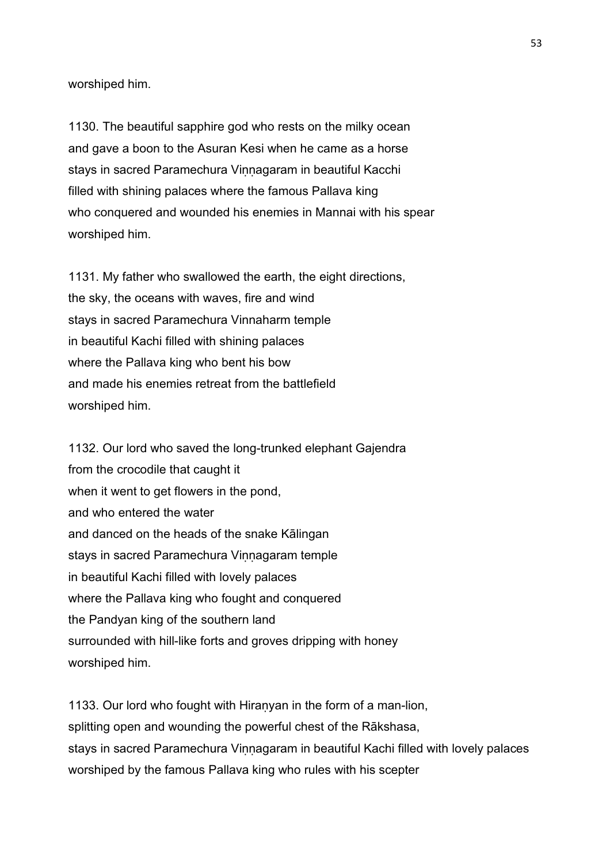worshiped him.

1130. The beautiful sapphire god who rests on the milky ocean and gave a boon to the Asuran Kesi when he came as a horse stays in sacred Paramechura Vinnagaram in beautiful Kacchi filled with shining palaces where the famous Pallava king who conquered and wounded his enemies in Mannai with his spear worshiped him.

1131. My father who swallowed the earth, the eight directions, the sky, the oceans with waves, fire and wind stays in sacred Paramechura Vinnaharm temple in beautiful Kachi filled with shining palaces where the Pallava king who bent his bow and made his enemies retreat from the battlefield worshiped him.

1132. Our lord who saved the long-trunked elephant Gajendra from the crocodile that caught it when it went to get flowers in the pond, and who entered the water and danced on the heads of the snake Kālingan stays in sacred Paramechura Vinnagaram temple in beautiful Kachi filled with lovely palaces where the Pallava king who fought and conquered the Pandyan king of the southern land surrounded with hill-like forts and groves dripping with honey worshiped him.

1133. Our lord who fought with Hiranyan in the form of a man-lion, splitting open and wounding the powerful chest of the Rākshasa, stays in sacred Paramechura Viṇṇagaram in beautiful Kachi filled with lovely palaces worshiped by the famous Pallava king who rules with his scepter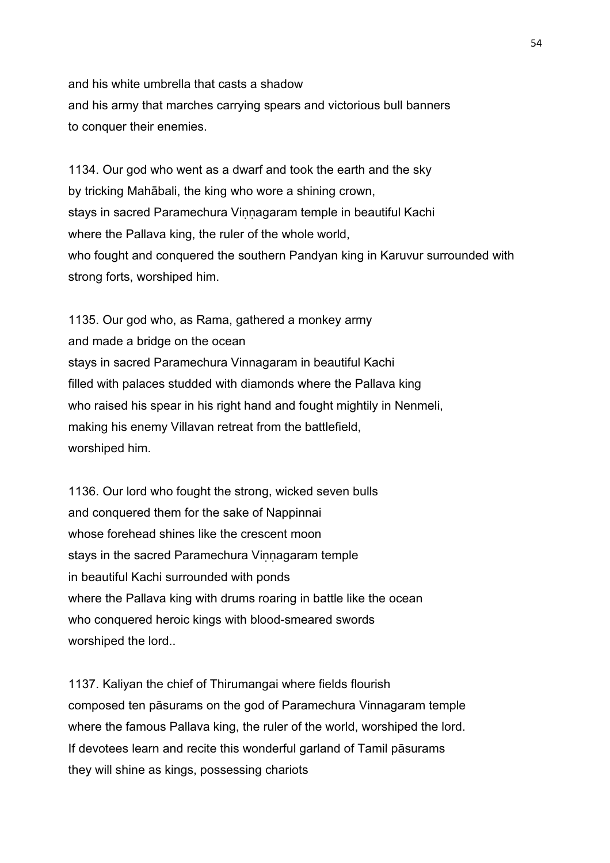and his white umbrella that casts a shadow and his army that marches carrying spears and victorious bull banners to conquer their enemies.

1134. Our god who went as a dwarf and took the earth and the sky by tricking Mahābali, the king who wore a shining crown, stays in sacred Paramechura Vinnagaram temple in beautiful Kachi where the Pallava king, the ruler of the whole world, who fought and conquered the southern Pandyan king in Karuvur surrounded with strong forts, worshiped him.

1135. Our god who, as Rama, gathered a monkey army and made a bridge on the ocean stays in sacred Paramechura Vinnagaram in beautiful Kachi filled with palaces studded with diamonds where the Pallava king who raised his spear in his right hand and fought mightily in Nenmeli, making his enemy Villavan retreat from the battlefield, worshiped him.

1136. Our lord who fought the strong, wicked seven bulls and conquered them for the sake of Nappinnai whose forehead shines like the crescent moon stays in the sacred Paramechura Vinnagaram temple in beautiful Kachi surrounded with ponds where the Pallava king with drums roaring in battle like the ocean who conquered heroic kings with blood-smeared swords worshiped the lord..

1137. Kaliyan the chief of Thirumangai where fields flourish composed ten pāsurams on the god of Paramechura Vinnagaram temple where the famous Pallava king, the ruler of the world, worshiped the lord. If devotees learn and recite this wonderful garland of Tamil pāsurams they will shine as kings, possessing chariots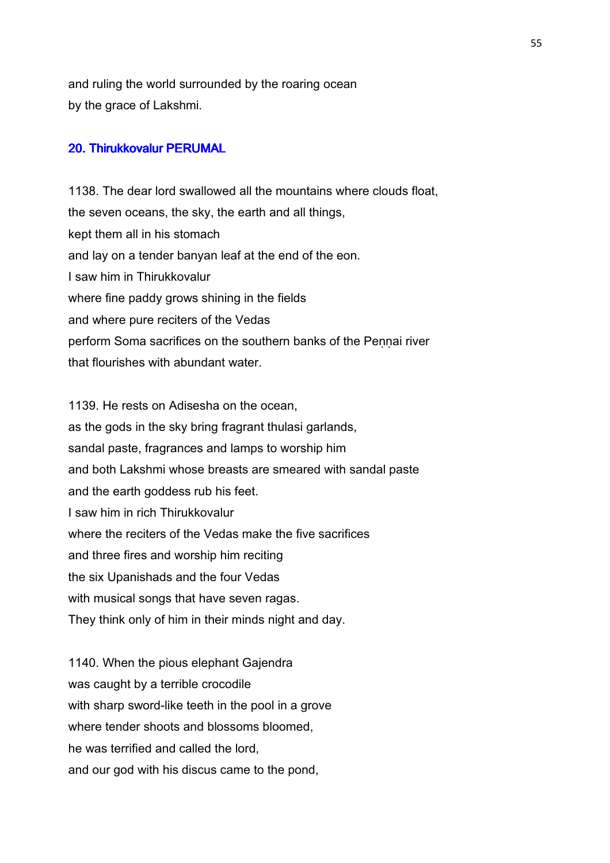and ruling the world surrounded by the roaring ocean by the grace of Lakshmi.

# 20. Thirukkovalur PERUMAL

1138. The dear lord swallowed all the mountains where clouds float, the seven oceans, the sky, the earth and all things, kept them all in his stomach and lay on a tender banyan leaf at the end of the eon. I saw him in Thirukkovalur where fine paddy grows shining in the fields and where pure reciters of the Vedas perform Soma sacrifices on the southern banks of the Pennai river that flourishes with abundant water.

1139. He rests on Adisesha on the ocean, as the gods in the sky bring fragrant thulasi garlands, sandal paste, fragrances and lamps to worship him and both Lakshmi whose breasts are smeared with sandal paste and the earth goddess rub his feet. I saw him in rich Thirukkovalur where the reciters of the Vedas make the five sacrifices and three fires and worship him reciting the six Upanishads and the four Vedas with musical songs that have seven ragas. They think only of him in their minds night and day.

1140. When the pious elephant Gajendra was caught by a terrible crocodile with sharp sword-like teeth in the pool in a grove where tender shoots and blossoms bloomed. he was terrified and called the lord, and our god with his discus came to the pond,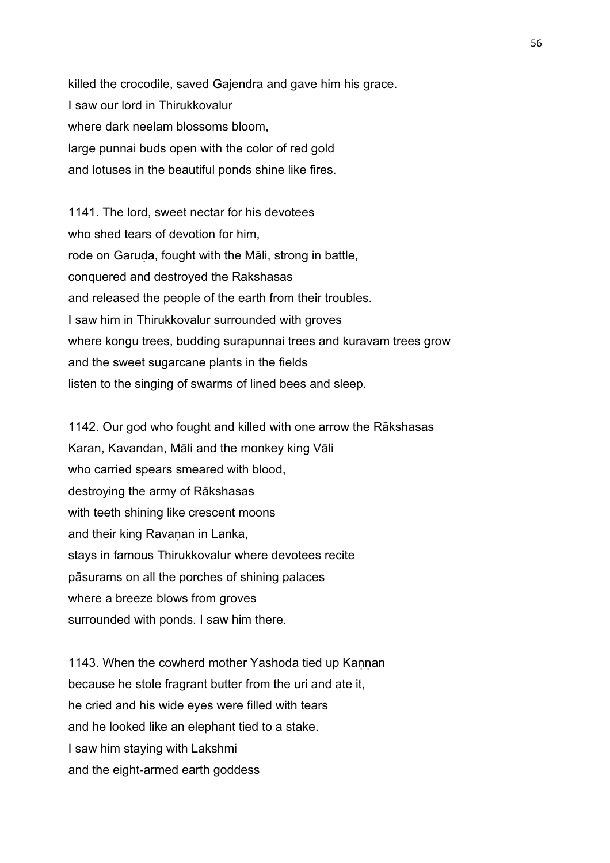killed the crocodile, saved Gajendra and gave him his grace. I saw our lord in Thirukkovalur where dark neelam blossoms bloom, large punnai buds open with the color of red gold and lotuses in the beautiful ponds shine like fires.

1141. The lord, sweet nectar for his devotees who shed tears of devotion for him, rode on Garuda, fought with the Māli, strong in battle, conquered and destroyed the Rakshasas and released the people of the earth from their troubles. I saw him in Thirukkovalur surrounded with groves where kongu trees, budding surapunnai trees and kuravam trees grow and the sweet sugarcane plants in the fields listen to the singing of swarms of lined bees and sleep.

1142. Our god who fought and killed with one arrow the Rākshasas Karan, Kavandan, Māli and the monkey king Vāli who carried spears smeared with blood, destroying the army of Rākshasas with teeth shining like crescent moons and their king Ravanan in Lanka, stays in famous Thirukkovalur where devotees recite pāsurams on all the porches of shining palaces where a breeze blows from groves surrounded with ponds. I saw him there.

1143. When the cowherd mother Yashoda tied up Kannan because he stole fragrant butter from the uri and ate it, he cried and his wide eyes were filled with tears and he looked like an elephant tied to a stake. I saw him staying with Lakshmi and the eight-armed earth goddess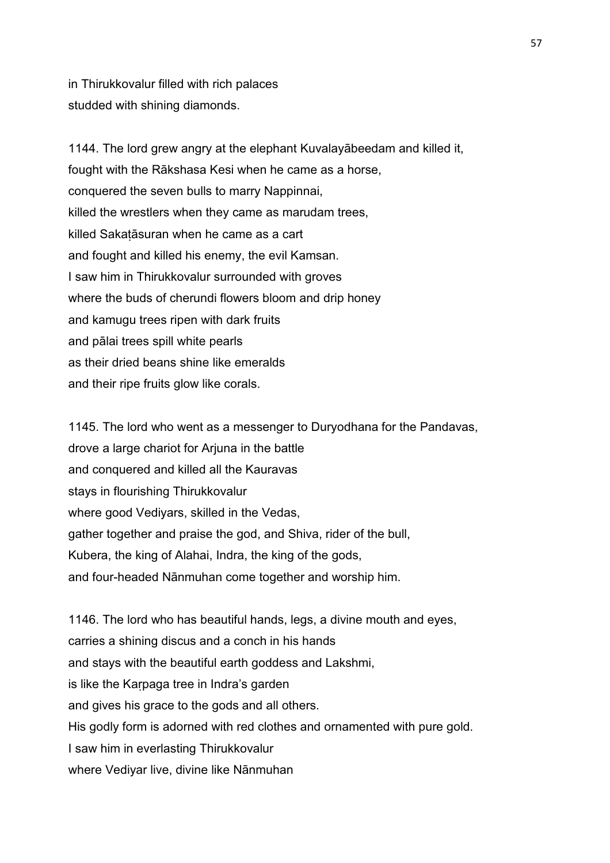in Thirukkovalur filled with rich palaces studded with shining diamonds.

1144. The lord grew angry at the elephant Kuvalayābeedam and killed it, fought with the Rākshasa Kesi when he came as a horse, conquered the seven bulls to marry Nappinnai, killed the wrestlers when they came as marudam trees, killed Sakaṭāsuran when he came as a cart and fought and killed his enemy, the evil Kamsan. I saw him in Thirukkovalur surrounded with groves where the buds of cherundi flowers bloom and drip honey and kamugu trees ripen with dark fruits and pālai trees spill white pearls as their dried beans shine like emeralds and their ripe fruits glow like corals.

1145. The lord who went as a messenger to Duryodhana for the Pandavas, drove a large chariot for Arjuna in the battle and conquered and killed all the Kauravas stays in flourishing Thirukkovalur where good Vediyars, skilled in the Vedas, gather together and praise the god, and Shiva, rider of the bull, Kubera, the king of Alahai, Indra, the king of the gods, and four-headed Nānmuhan come together and worship him.

1146. The lord who has beautiful hands, legs, a divine mouth and eyes, carries a shining discus and a conch in his hands and stays with the beautiful earth goddess and Lakshmi, is like the Kaṛpaga tree in Indra's garden and gives his grace to the gods and all others. His godly form is adorned with red clothes and ornamented with pure gold. I saw him in everlasting Thirukkovalur where Vediyar live, divine like Nānmuhan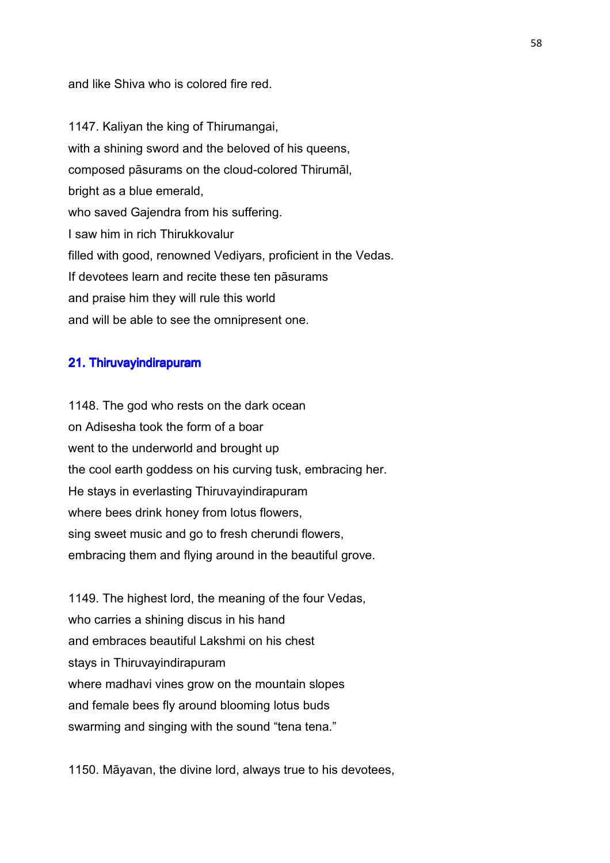and like Shiva who is colored fire red.

1147. Kaliyan the king of Thirumangai, with a shining sword and the beloved of his queens, composed pāsurams on the cloud-colored Thirumāl, bright as a blue emerald, who saved Gajendra from his suffering. I saw him in rich Thirukkovalur filled with good, renowned Vediyars, proficient in the Vedas. If devotees learn and recite these ten pāsurams and praise him they will rule this world and will be able to see the omnipresent one.

### 21. Thiruvayindirapuram

1148. The god who rests on the dark ocean on Adisesha took the form of a boar went to the underworld and brought up the cool earth goddess on his curving tusk, embracing her. He stays in everlasting Thiruvayindirapuram where bees drink honey from lotus flowers, sing sweet music and go to fresh cherundi flowers, embracing them and flying around in the beautiful grove.

1149. The highest lord, the meaning of the four Vedas, who carries a shining discus in his hand and embraces beautiful Lakshmi on his chest stays in Thiruvayindirapuram where madhavi vines grow on the mountain slopes and female bees fly around blooming lotus buds swarming and singing with the sound "tena tena."

1150. Māyavan, the divine lord, always true to his devotees,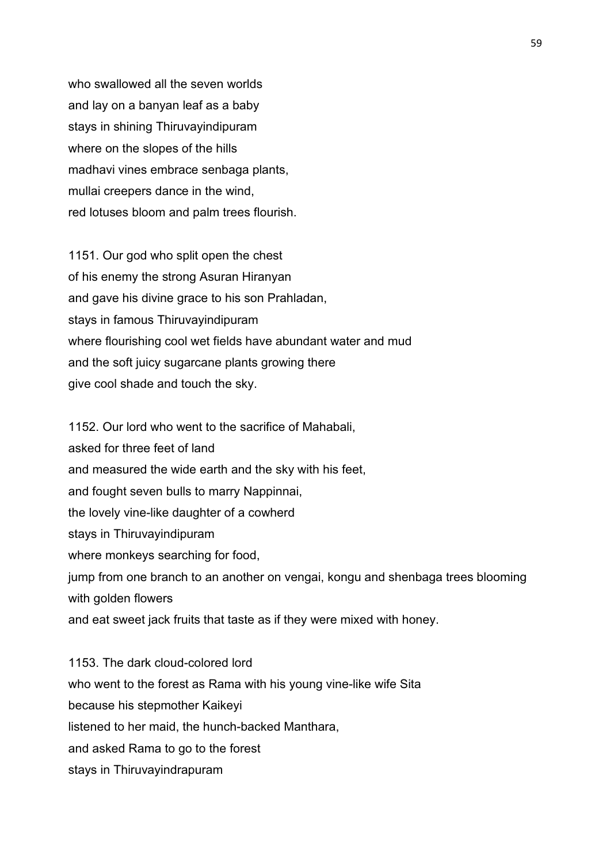who swallowed all the seven worlds and lay on a banyan leaf as a baby stays in shining Thiruvayindipuram where on the slopes of the hills madhavi vines embrace senbaga plants, mullai creepers dance in the wind, red lotuses bloom and palm trees flourish.

1151. Our god who split open the chest of his enemy the strong Asuran Hiranyan and gave his divine grace to his son Prahladan, stays in famous Thiruvayindipuram where flourishing cool wet fields have abundant water and mud and the soft juicy sugarcane plants growing there give cool shade and touch the sky.

1152. Our lord who went to the sacrifice of Mahabali, asked for three feet of land and measured the wide earth and the sky with his feet, and fought seven bulls to marry Nappinnai, the lovely vine-like daughter of a cowherd stays in Thiruvayindipuram where monkeys searching for food, jump from one branch to an another on vengai, kongu and shenbaga trees blooming with golden flowers and eat sweet jack fruits that taste as if they were mixed with honey.

1153. The dark cloud-colored lord who went to the forest as Rama with his young vine-like wife Sita because his stepmother Kaikeyi listened to her maid, the hunch-backed Manthara, and asked Rama to go to the forest stays in Thiruvayindrapuram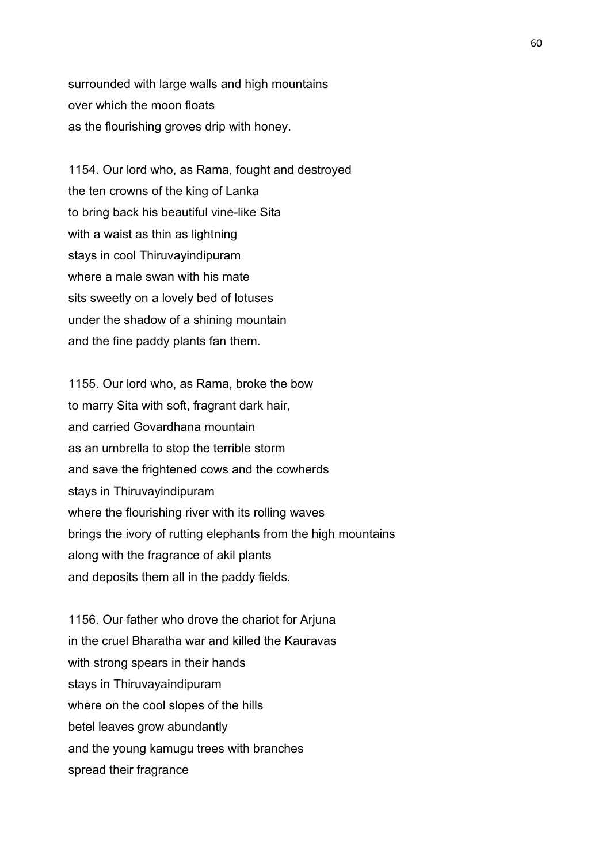surrounded with large walls and high mountains over which the moon floats as the flourishing groves drip with honey.

1154. Our lord who, as Rama, fought and destroyed the ten crowns of the king of Lanka to bring back his beautiful vine-like Sita with a waist as thin as lightning stays in cool Thiruvayindipuram where a male swan with his mate sits sweetly on a lovely bed of lotuses under the shadow of a shining mountain and the fine paddy plants fan them.

1155. Our lord who, as Rama, broke the bow to marry Sita with soft, fragrant dark hair, and carried Govardhana mountain as an umbrella to stop the terrible storm and save the frightened cows and the cowherds stays in Thiruvayindipuram where the flourishing river with its rolling waves brings the ivory of rutting elephants from the high mountains along with the fragrance of akil plants and deposits them all in the paddy fields.

1156. Our father who drove the chariot for Arjuna in the cruel Bharatha war and killed the Kauravas with strong spears in their hands stays in Thiruvayaindipuram where on the cool slopes of the hills betel leaves grow abundantly and the young kamugu trees with branches spread their fragrance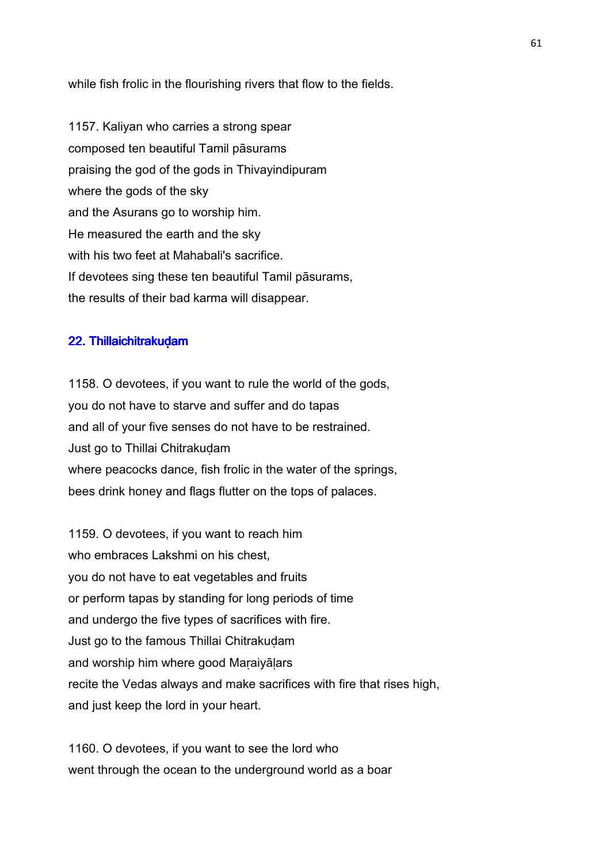while fish frolic in the flourishing rivers that flow to the fields.

1157. Kaliyan who carries a strong spear composed ten beautiful Tamil pāsurams praising the god of the gods in Thivayindipuram where the gods of the sky and the Asurans go to worship him. He measured the earth and the sky with his two feet at Mahabali's sacrifice. If devotees sing these ten beautiful Tamil pāsurams, the results of their bad karma will disappear.

### 22. Thillaichitrakuḍam

1158. O devotees, if you want to rule the world of the gods, you do not have to starve and suffer and do tapas and all of your five senses do not have to be restrained. Just go to Thillai Chitrakuḍam where peacocks dance, fish frolic in the water of the springs, bees drink honey and flags flutter on the tops of palaces.

1159. O devotees, if you want to reach him who embraces Lakshmi on his chest. you do not have to eat vegetables and fruits or perform tapas by standing for long periods of time and undergo the five types of sacrifices with fire. Just go to the famous Thillai Chitrakudam and worship him where good Maṛaiyāḷars recite the Vedas always and make sacrifices with fire that rises high, and just keep the lord in your heart.

1160. O devotees, if you want to see the lord who went through the ocean to the underground world as a boar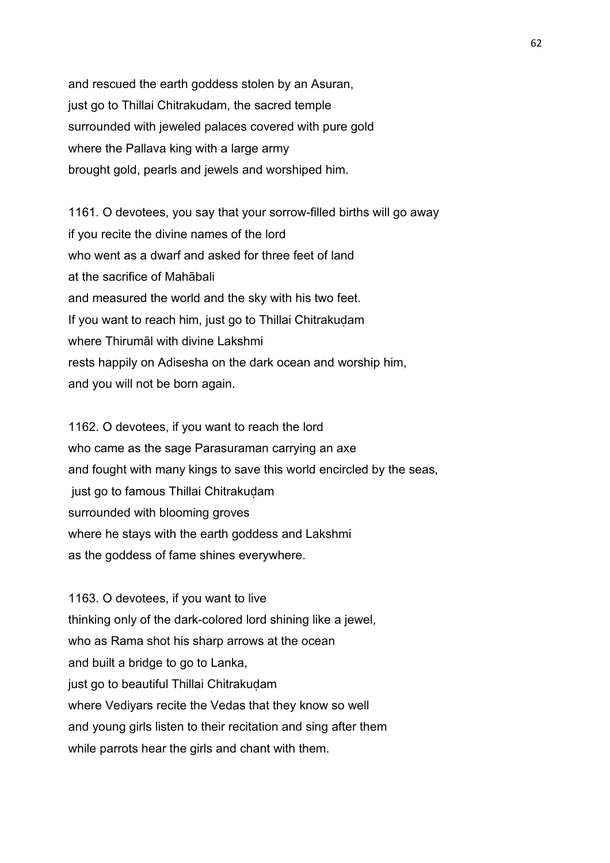and rescued the earth goddess stolen by an Asuran, just go to Thillai Chitrakudam, the sacred temple surrounded with jeweled palaces covered with pure gold where the Pallava king with a large army brought gold, pearls and jewels and worshiped him.

1161. O devotees, you say that your sorrow-filled births will go away if you recite the divine names of the lord who went as a dwarf and asked for three feet of land at the sacrifice of Mahābali and measured the world and the sky with his two feet. If you want to reach him, just go to Thillai Chitrakudam where Thirumāl with divine Lakshmi rests happily on Adisesha on the dark ocean and worship him, and you will not be born again.

1162. O devotees, if you want to reach the lord who came as the sage Parasuraman carrying an axe and fought with many kings to save this world encircled by the seas, just go to famous Thillai Chitrakudam surrounded with blooming groves where he stays with the earth goddess and Lakshmi as the goddess of fame shines everywhere.

1163. O devotees, if you want to live thinking only of the dark-colored lord shining like a jewel, who as Rama shot his sharp arrows at the ocean and built a bridge to go to Lanka, just go to beautiful Thillai Chitrakudam where Vediyars recite the Vedas that they know so well and young girls listen to their recitation and sing after them while parrots hear the girls and chant with them.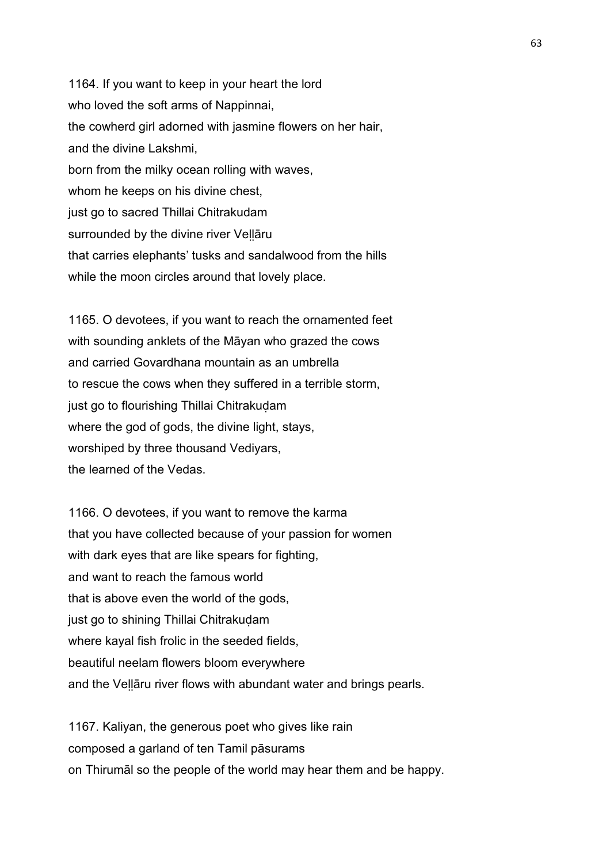1164. If you want to keep in your heart the lord who loved the soft arms of Nappinnai, the cowherd girl adorned with jasmine flowers on her hair, and the divine Lakshmi, born from the milky ocean rolling with waves, whom he keeps on his divine chest, just go to sacred Thillai Chitrakudam surrounded by the divine river Veḷḷāru that carries elephants' tusks and sandalwood from the hills while the moon circles around that lovely place.

1165. O devotees, if you want to reach the ornamented feet with sounding anklets of the Māyan who grazed the cows and carried Govardhana mountain as an umbrella to rescue the cows when they suffered in a terrible storm, just go to flourishing Thillai Chitrakudam where the god of gods, the divine light, stays, worshiped by three thousand Vediyars, the learned of the Vedas.

1166. O devotees, if you want to remove the karma that you have collected because of your passion for women with dark eyes that are like spears for fighting. and want to reach the famous world that is above even the world of the gods, just go to shining Thillai Chitrakudam where kayal fish frolic in the seeded fields, beautiful neelam flowers bloom everywhere and the Veḷḷāru river flows with abundant water and brings pearls.

1167. Kaliyan, the generous poet who gives like rain composed a garland of ten Tamil pāsurams on Thirumāl so the people of the world may hear them and be happy.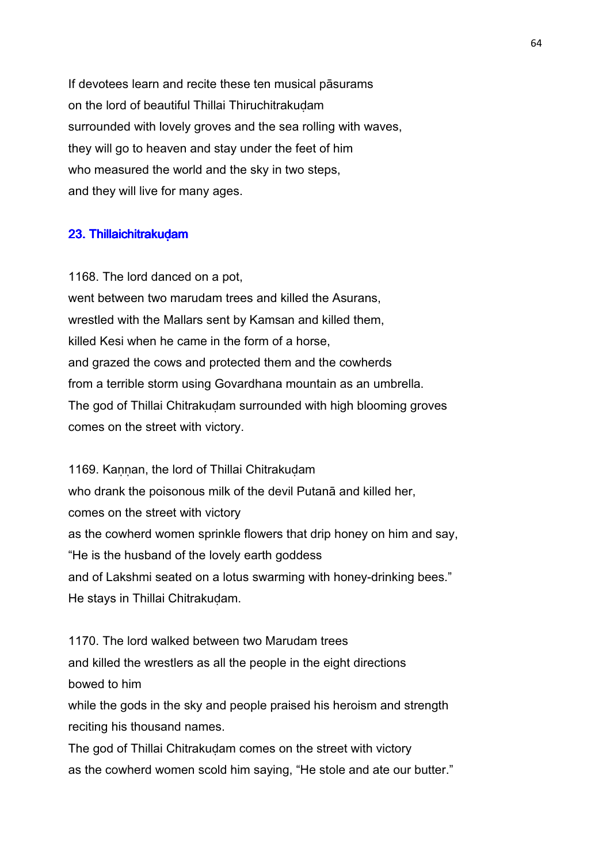If devotees learn and recite these ten musical pāsurams on the lord of beautiful Thillai Thiruchitrakuḍam surrounded with lovely groves and the sea rolling with waves, they will go to heaven and stay under the feet of him who measured the world and the sky in two steps, and they will live for many ages.

### 23. Thillaichitrakuḍam

1168. The lord danced on a pot, went between two marudam trees and killed the Asurans, wrestled with the Mallars sent by Kamsan and killed them, killed Kesi when he came in the form of a horse, and grazed the cows and protected them and the cowherds from a terrible storm using Govardhana mountain as an umbrella. The god of Thillai Chitrakudam surrounded with high blooming groves comes on the street with victory.

1169. Kannan, the lord of Thillai Chitrakudam who drank the poisonous milk of the devil Putanā and killed her, comes on the street with victory as the cowherd women sprinkle flowers that drip honey on him and say, "He is the husband of the lovely earth goddess and of Lakshmi seated on a lotus swarming with honey-drinking bees." He stays in Thillai Chitrakudam.

1170. The lord walked between two Marudam trees and killed the wrestlers as all the people in the eight directions bowed to him while the gods in the sky and people praised his heroism and strength reciting his thousand names. The god of Thillai Chitrakudam comes on the street with victory

as the cowherd women scold him saying, "He stole and ate our butter."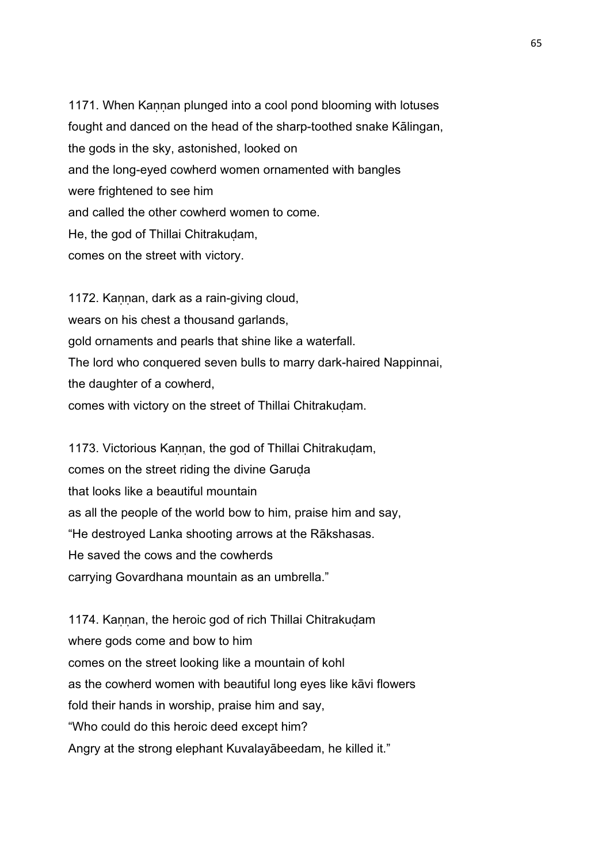1171. When Kannan plunged into a cool pond blooming with lotuses fought and danced on the head of the sharp-toothed snake Kālingan, the gods in the sky, astonished, looked on and the long-eyed cowherd women ornamented with bangles were frightened to see him and called the other cowherd women to come. He, the god of Thillai Chitrakuḍam, comes on the street with victory.

1172. Kannan, dark as a rain-giving cloud, wears on his chest a thousand garlands, gold ornaments and pearls that shine like a waterfall. The lord who conquered seven bulls to marry dark-haired Nappinnai, the daughter of a cowherd, comes with victory on the street of Thillai Chitrakudam.

1173. Victorious Kannan, the god of Thillai Chitrakudam, comes on the street riding the divine Garuda that looks like a beautiful mountain as all the people of the world bow to him, praise him and say, "He destroyed Lanka shooting arrows at the Rākshasas. He saved the cows and the cowherds carrying Govardhana mountain as an umbrella."

1174. Kannan, the heroic god of rich Thillai Chitrakudam where gods come and bow to him comes on the street looking like a mountain of kohl as the cowherd women with beautiful long eyes like kāvi flowers fold their hands in worship, praise him and say, "Who could do this heroic deed except him? Angry at the strong elephant Kuvalayābeedam, he killed it."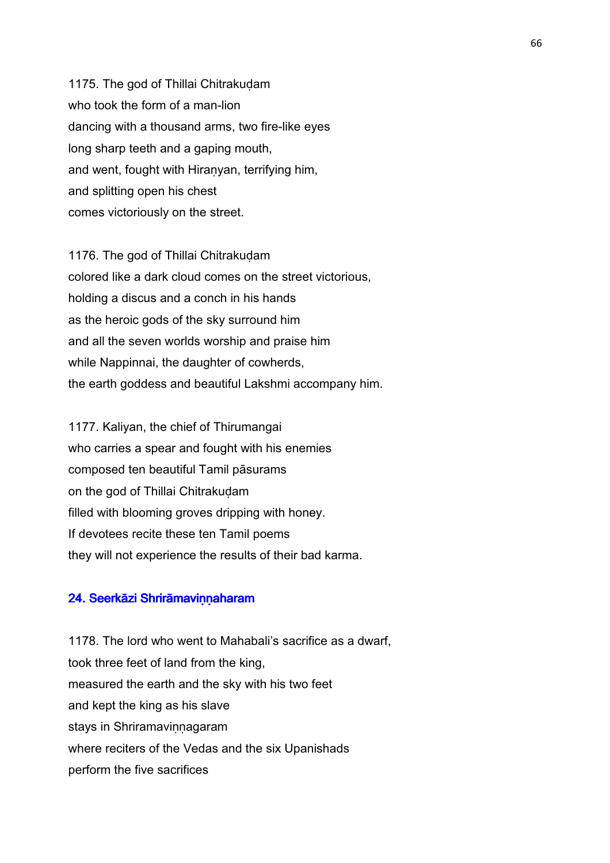1175. The god of Thillai Chitrakudam who took the form of a man-lion dancing with a thousand arms, two fire-like eyes long sharp teeth and a gaping mouth, and went, fought with Hiraṇyan, terrifying him, and splitting open his chest comes victoriously on the street.

1176. The god of Thillai Chitrakudam colored like a dark cloud comes on the street victorious, holding a discus and a conch in his hands as the heroic gods of the sky surround him and all the seven worlds worship and praise him while Nappinnai, the daughter of cowherds, the earth goddess and beautiful Lakshmi accompany him.

1177. Kaliyan, the chief of Thirumangai who carries a spear and fought with his enemies composed ten beautiful Tamil pāsurams on the god of Thillai Chitrakudam filled with blooming groves dripping with honey. If devotees recite these ten Tamil poems they will not experience the results of their bad karma.

#### 24. Seerkāzi Shrirāmaviṇṇaharam

1178. The lord who went to Mahabali's sacrifice as a dwarf, took three feet of land from the king, measured the earth and the sky with his two feet and kept the king as his slave stays in Shriramavinnagaram where reciters of the Vedas and the six Upanishads perform the five sacrifices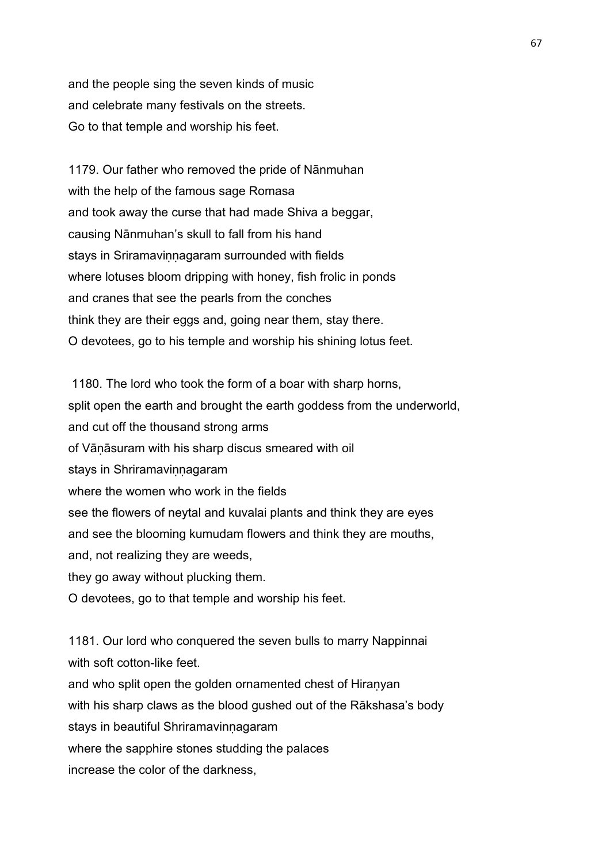and the people sing the seven kinds of music and celebrate many festivals on the streets. Go to that temple and worship his feet.

1179. Our father who removed the pride of Nānmuhan with the help of the famous sage Romasa and took away the curse that had made Shiva a beggar, causing Nānmuhan's skull to fall from his hand stays in Sriramavinnagaram surrounded with fields where lotuses bloom dripping with honey, fish frolic in ponds and cranes that see the pearls from the conches think they are their eggs and, going near them, stay there. O devotees, go to his temple and worship his shining lotus feet.

 1180. The lord who took the form of a boar with sharp horns, split open the earth and brought the earth goddess from the underworld, and cut off the thousand strong arms of Vāṇāsuram with his sharp discus smeared with oil stays in Shriramavinnagaram where the women who work in the fields see the flowers of neytal and kuvalai plants and think they are eyes and see the blooming kumudam flowers and think they are mouths, and, not realizing they are weeds, they go away without plucking them. O devotees, go to that temple and worship his feet.

1181. Our lord who conquered the seven bulls to marry Nappinnai with soft cotton-like feet. and who split open the golden ornamented chest of Hiranyan with his sharp claws as the blood gushed out of the Rākshasa's body stays in beautiful Shriramavinnagaram where the sapphire stones studding the palaces increase the color of the darkness,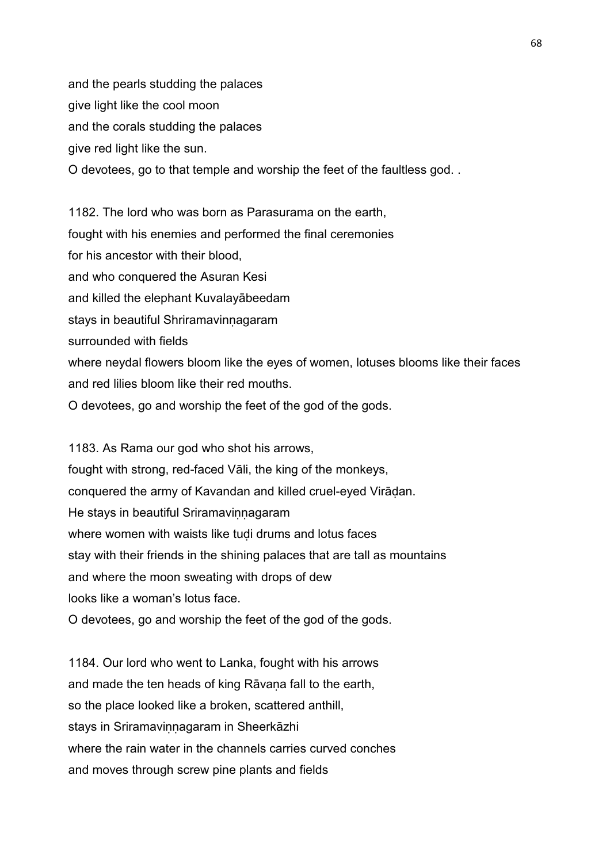and the pearls studding the palaces give light like the cool moon and the corals studding the palaces give red light like the sun. O devotees, go to that temple and worship the feet of the faultless god. .

1182. The lord who was born as Parasurama on the earth, fought with his enemies and performed the final ceremonies for his ancestor with their blood, and who conquered the Asuran Kesi and killed the elephant Kuvalayābeedam stays in beautiful Shriramavinnagaram surrounded with fields where neydal flowers bloom like the eyes of women, lotuses blooms like their faces and red lilies bloom like their red mouths. O devotees, go and worship the feet of the god of the gods.

1183. As Rama our god who shot his arrows, fought with strong, red-faced Vāli, the king of the monkeys, conquered the army of Kavandan and killed cruel-eyed Virāḍan. He stays in beautiful Sriramavinnagaram where women with waists like tudi drums and lotus faces stay with their friends in the shining palaces that are tall as mountains and where the moon sweating with drops of dew looks like a woman's lotus face.

O devotees, go and worship the feet of the god of the gods.

1184. Our lord who went to Lanka, fought with his arrows and made the ten heads of king Rāvaṇa fall to the earth, so the place looked like a broken, scattered anthill, stays in Sriramavinnagaram in Sheerkāzhi where the rain water in the channels carries curved conches and moves through screw pine plants and fields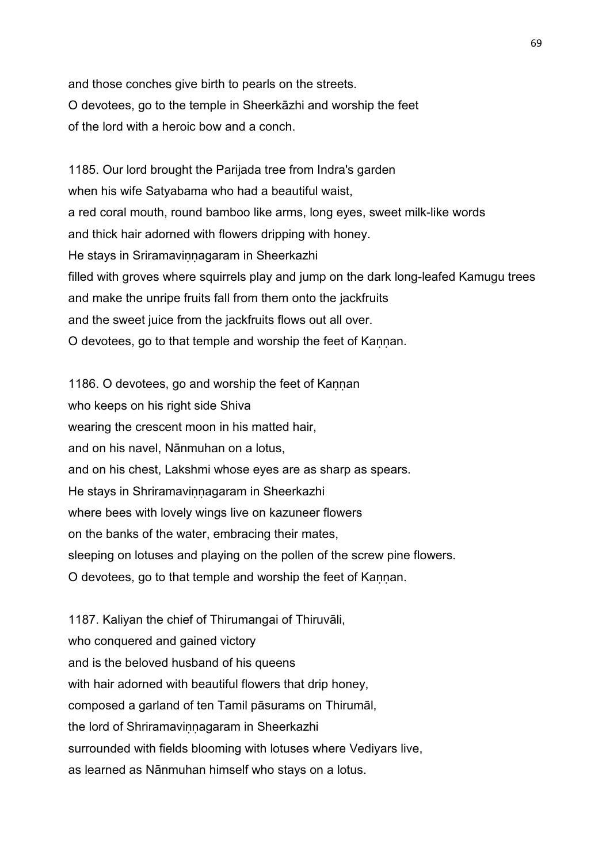and those conches give birth to pearls on the streets. O devotees, go to the temple in Sheerkāzhi and worship the feet of the lord with a heroic bow and a conch.

1185. Our lord brought the Parijada tree from Indra's garden when his wife Satyabama who had a beautiful waist, a red coral mouth, round bamboo like arms, long eyes, sweet milk-like words and thick hair adorned with flowers dripping with honey. He stays in Sriramavinnagaram in Sheerkazhi filled with groves where squirrels play and jump on the dark long-leafed Kamugu trees and make the unripe fruits fall from them onto the jackfruits and the sweet juice from the jackfruits flows out all over. O devotees, go to that temple and worship the feet of Kannan.

1186. O devotees, go and worship the feet of Kannan who keeps on his right side Shiva wearing the crescent moon in his matted hair, and on his navel, Nānmuhan on a lotus, and on his chest, Lakshmi whose eyes are as sharp as spears. He stays in Shriramavinnagaram in Sheerkazhi where bees with lovely wings live on kazuneer flowers on the banks of the water, embracing their mates, sleeping on lotuses and playing on the pollen of the screw pine flowers. O devotees, go to that temple and worship the feet of Kannan.

1187. Kaliyan the chief of Thirumangai of Thiruvāli, who conquered and gained victory and is the beloved husband of his queens with hair adorned with beautiful flowers that drip honey, composed a garland of ten Tamil pāsurams on Thirumāl, the lord of Shriramavinnagaram in Sheerkazhi surrounded with fields blooming with lotuses where Vediyars live, as learned as Nānmuhan himself who stays on a lotus.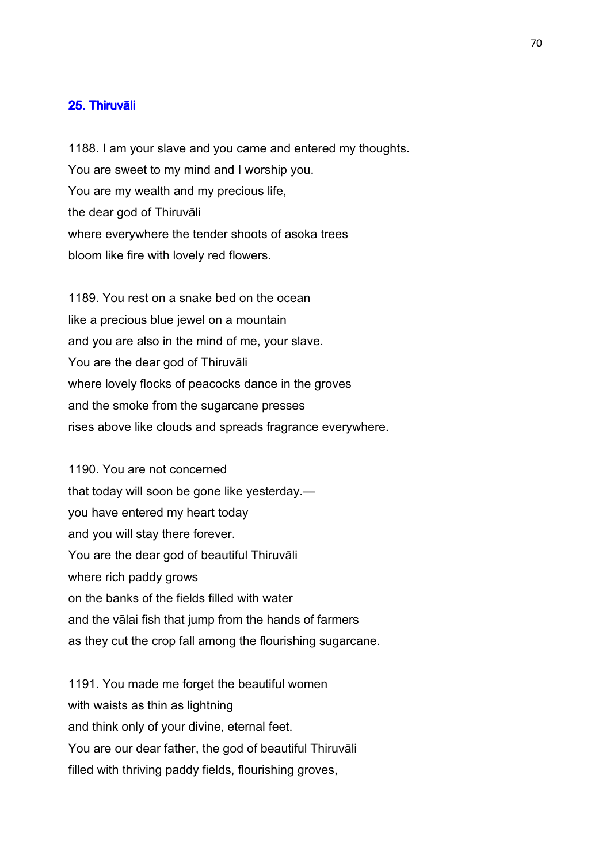### 25. Thiruvāli

1188. I am your slave and you came and entered my thoughts. You are sweet to my mind and I worship you. You are my wealth and my precious life, the dear god of Thiruvāli where everywhere the tender shoots of asoka trees bloom like fire with lovely red flowers.

1189. You rest on a snake bed on the ocean like a precious blue jewel on a mountain and you are also in the mind of me, your slave. You are the dear god of Thiruvāli where lovely flocks of peacocks dance in the groves and the smoke from the sugarcane presses rises above like clouds and spreads fragrance everywhere.

1190. You are not concerned that today will soon be gone like yesterday. you have entered my heart today and you will stay there forever. You are the dear god of beautiful Thiruvāli where rich paddy grows on the banks of the fields filled with water and the vālai fish that jump from the hands of farmers as they cut the crop fall among the flourishing sugarcane.

1191. You made me forget the beautiful women with waists as thin as lightning and think only of your divine, eternal feet. You are our dear father, the god of beautiful Thiruvāli filled with thriving paddy fields, flourishing groves,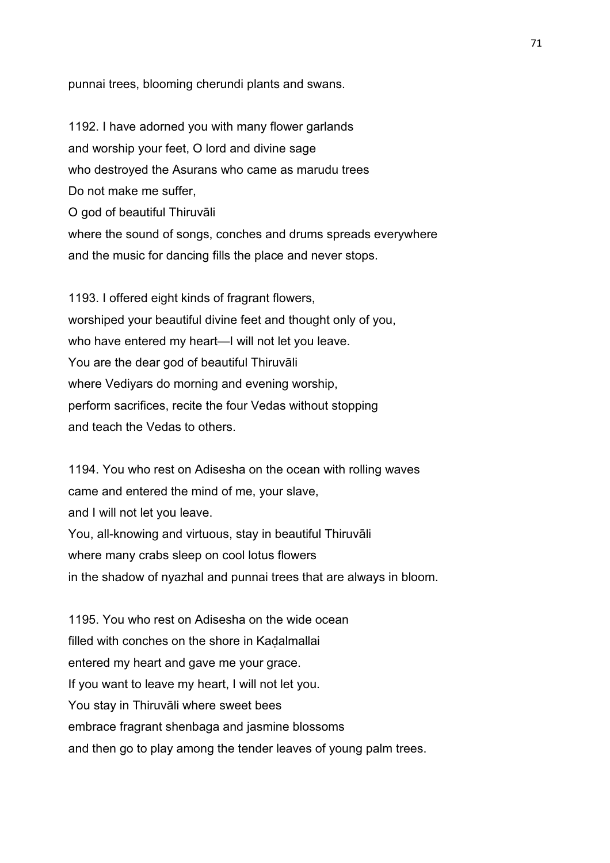punnai trees, blooming cherundi plants and swans.

1192. I have adorned you with many flower garlands and worship your feet, O lord and divine sage who destroyed the Asurans who came as marudu trees Do not make me suffer. O god of beautiful Thiruvāli where the sound of songs, conches and drums spreads everywhere and the music for dancing fills the place and never stops.

1193. I offered eight kinds of fragrant flowers, worshiped your beautiful divine feet and thought only of you, who have entered my heart—I will not let you leave. You are the dear god of beautiful Thiruvāli where Vediyars do morning and evening worship, perform sacrifices, recite the four Vedas without stopping and teach the Vedas to others.

1194. You who rest on Adisesha on the ocean with rolling waves came and entered the mind of me, your slave, and I will not let you leave. You, all-knowing and virtuous, stay in beautiful Thiruvāli where many crabs sleep on cool lotus flowers in the shadow of nyazhal and punnai trees that are always in bloom.

1195. You who rest on Adisesha on the wide ocean filled with conches on the shore in Kadalmallai entered my heart and gave me your grace. If you want to leave my heart, I will not let you. You stay in Thiruvāli where sweet bees embrace fragrant shenbaga and jasmine blossoms and then go to play among the tender leaves of young palm trees.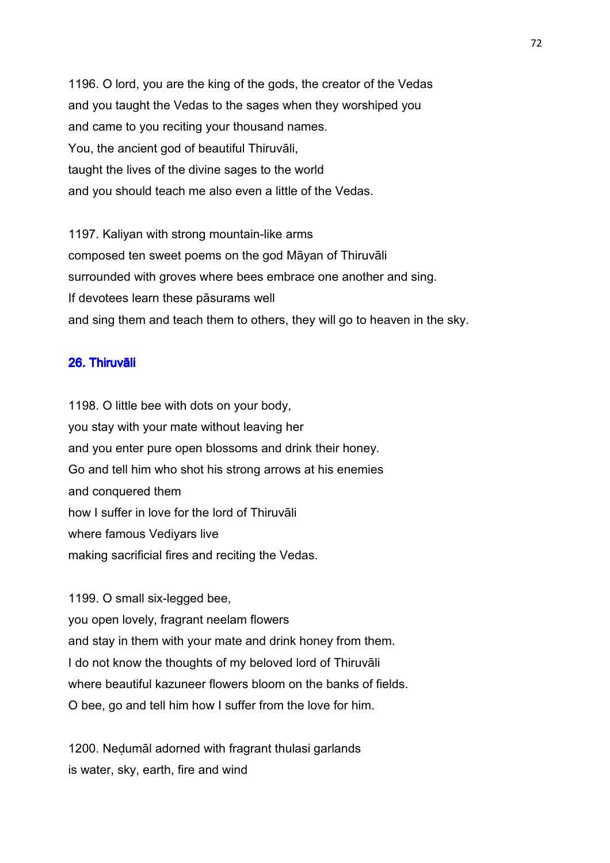1196. O lord, you are the king of the gods, the creator of the Vedas and you taught the Vedas to the sages when they worshiped you and came to you reciting your thousand names. You, the ancient god of beautiful Thiruvāli, taught the lives of the divine sages to the world and you should teach me also even a little of the Vedas.

1197. Kaliyan with strong mountain-like arms composed ten sweet poems on the god Māyan of Thiruvāli surrounded with groves where bees embrace one another and sing. If devotees learn these pāsurams well and sing them and teach them to others, they will go to heaven in the sky.

# 26. Thiruvāli

1198. O little bee with dots on your body, you stay with your mate without leaving her and you enter pure open blossoms and drink their honey. Go and tell him who shot his strong arrows at his enemies and conquered them how I suffer in love for the lord of Thiruvāli where famous Vediyars live making sacrificial fires and reciting the Vedas.

1199. O small six-legged bee,

you open lovely, fragrant neelam flowers and stay in them with your mate and drink honey from them. I do not know the thoughts of my beloved lord of Thiruvāli where beautiful kazuneer flowers bloom on the banks of fields. O bee, go and tell him how I suffer from the love for him.

1200. Neḍumāl adorned with fragrant thulasi garlands is water, sky, earth, fire and wind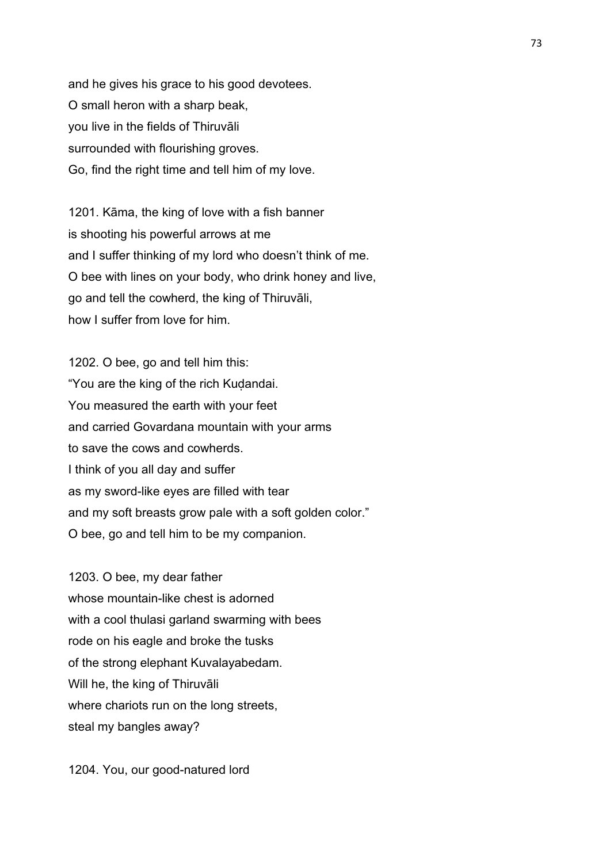and he gives his grace to his good devotees. O small heron with a sharp beak, you live in the fields of Thiruvāli surrounded with flourishing groves. Go, find the right time and tell him of my love.

1201. Kāma, the king of love with a fish banner is shooting his powerful arrows at me and I suffer thinking of my lord who doesn't think of me. O bee with lines on your body, who drink honey and live, go and tell the cowherd, the king of Thiruvāli, how I suffer from love for him.

1202. O bee, go and tell him this: "You are the king of the rich Kudandai. You measured the earth with your feet and carried Govardana mountain with your arms to save the cows and cowherds. I think of you all day and suffer as my sword-like eyes are filled with tear and my soft breasts grow pale with a soft golden color." O bee, go and tell him to be my companion.

1203. O bee, my dear father whose mountain-like chest is adorned with a cool thulasi garland swarming with bees rode on his eagle and broke the tusks of the strong elephant Kuvalayabedam. Will he, the king of Thiruvāli where chariots run on the long streets, steal my bangles away?

1204. You, our good-natured lord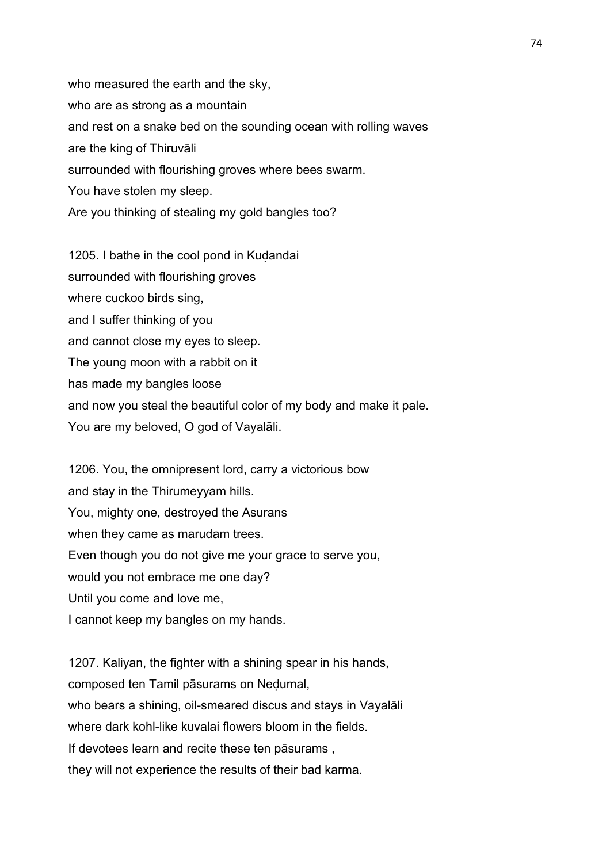who measured the earth and the sky, who are as strong as a mountain and rest on a snake bed on the sounding ocean with rolling waves are the king of Thiruvāli surrounded with flourishing groves where bees swarm. You have stolen my sleep. Are you thinking of stealing my gold bangles too?

1205. I bathe in the cool pond in Kudandai surrounded with flourishing groves where cuckoo birds sing, and I suffer thinking of you and cannot close my eyes to sleep. The young moon with a rabbit on it has made my bangles loose and now you steal the beautiful color of my body and make it pale. You are my beloved, O god of Vayalāli.

1206. You, the omnipresent lord, carry a victorious bow and stay in the Thirumeyyam hills. You, mighty one, destroyed the Asurans when they came as marudam trees. Even though you do not give me your grace to serve you, would you not embrace me one day? Until you come and love me, I cannot keep my bangles on my hands.

1207. Kaliyan, the fighter with a shining spear in his hands, composed ten Tamil pāsurams on Neḍumal, who bears a shining, oil-smeared discus and stays in Vayalāli where dark kohl-like kuvalai flowers bloom in the fields. If devotees learn and recite these ten pāsurams , they will not experience the results of their bad karma.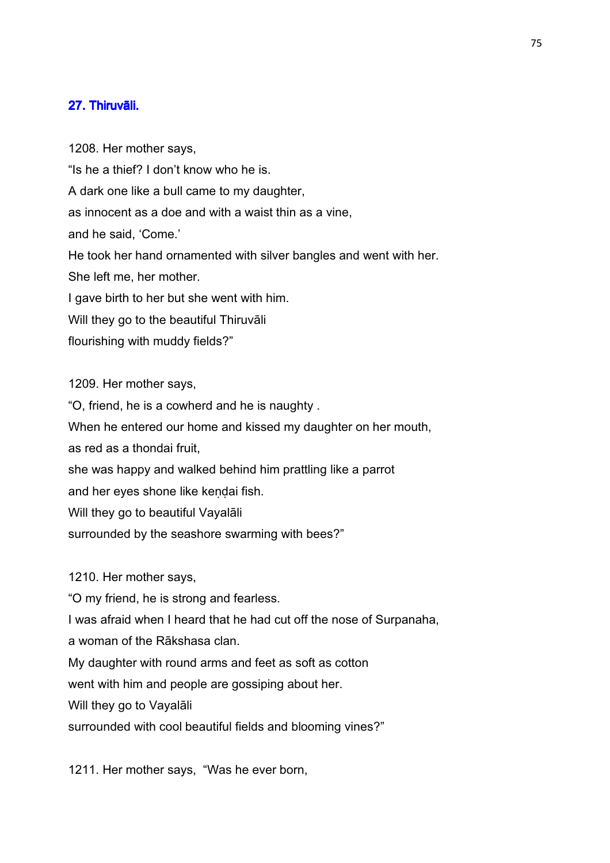## 27. Thiruvāli.

1208. Her mother says, "Is he a thief? I don't know who he is. A dark one like a bull came to my daughter, as innocent as a doe and with a waist thin as a vine, and he said, 'Come.' He took her hand ornamented with silver bangles and went with her. She left me, her mother. I gave birth to her but she went with him. Will they go to the beautiful Thiruvāli flourishing with muddy fields?"

1209. Her mother says,

"O, friend, he is a cowherd and he is naughty . When he entered our home and kissed my daughter on her mouth, as red as a thondai fruit, she was happy and walked behind him prattling like a parrot and her eyes shone like kendai fish. Will they go to beautiful Vayalāli surrounded by the seashore swarming with bees?"

1210. Her mother says,

"O my friend, he is strong and fearless.

I was afraid when I heard that he had cut off the nose of Surpanaha,

a woman of the Rākshasa clan.

My daughter with round arms and feet as soft as cotton

went with him and people are gossiping about her.

Will they go to Vayalāli

surrounded with cool beautiful fields and blooming vines?"

1211. Her mother says, "Was he ever born,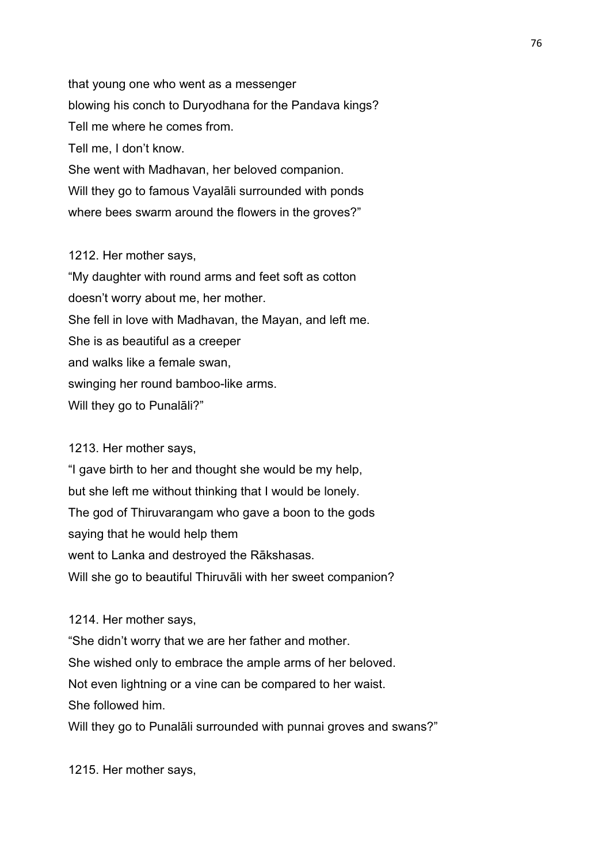that young one who went as a messenger blowing his conch to Duryodhana for the Pandava kings? Tell me where he comes from. Tell me, I don't know. She went with Madhavan, her beloved companion. Will they go to famous Vayalāli surrounded with ponds where bees swarm around the flowers in the groves?"

## 1212. Her mother says,

"My daughter with round arms and feet soft as cotton doesn't worry about me, her mother. She fell in love with Madhavan, the Mayan, and left me. She is as beautiful as a creeper and walks like a female swan, swinging her round bamboo-like arms. Will they go to Punalāli?"

## 1213. Her mother says,

"I gave birth to her and thought she would be my help, but she left me without thinking that I would be lonely. The god of Thiruvarangam who gave a boon to the gods saying that he would help them went to Lanka and destroyed the Rākshasas. Will she go to beautiful Thiruvāli with her sweet companion?

1214. Her mother says,

"She didn't worry that we are her father and mother. She wished only to embrace the ample arms of her beloved. Not even lightning or a vine can be compared to her waist. She followed him.

Will they go to Punalāli surrounded with punnai groves and swans?"

1215. Her mother says,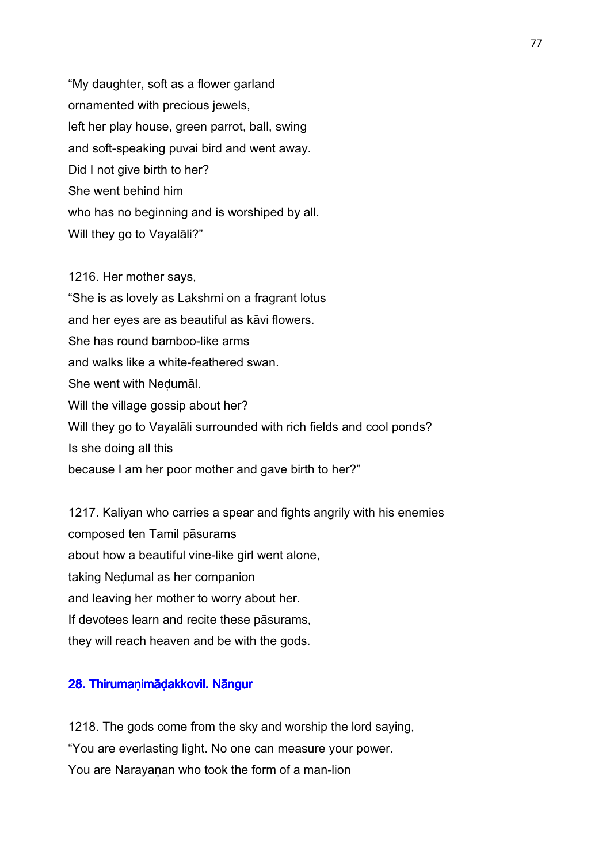"My daughter, soft as a flower garland ornamented with precious jewels, left her play house, green parrot, ball, swing and soft-speaking puvai bird and went away. Did I not give birth to her? She went behind him who has no beginning and is worshiped by all. Will they go to Vayalāli?"

1216. Her mother says, "She is as lovely as Lakshmi on a fragrant lotus and her eyes are as beautiful as kāvi flowers. She has round bamboo-like arms and walks like a white-feathered swan. She went with Neḍumāl. Will the village gossip about her? Will they go to Vayalāli surrounded with rich fields and cool ponds? Is she doing all this because I am her poor mother and gave birth to her?"

1217. Kaliyan who carries a spear and fights angrily with his enemies composed ten Tamil pāsurams about how a beautiful vine-like girl went alone, taking Neḍumal as her companion and leaving her mother to worry about her. If devotees learn and recite these pāsurams, they will reach heaven and be with the gods.

## 28. Thirumaṇimāḍakkovil. Nāngur

1218. The gods come from the sky and worship the lord saying, "You are everlasting light. No one can measure your power. You are Narayanan who took the form of a man-lion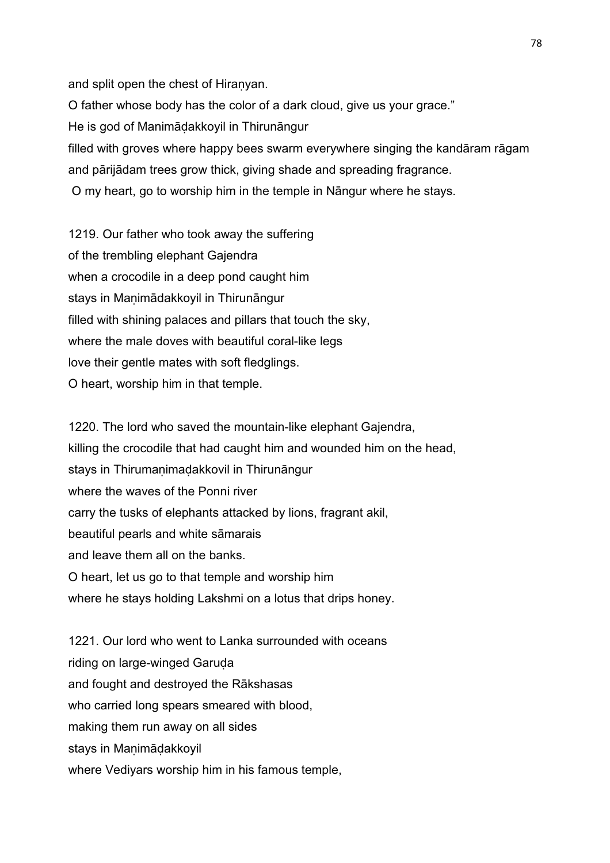and split open the chest of Hiranyan. O father whose body has the color of a dark cloud, give us your grace." He is god of Manimāḍakkoyil in Thirunāngur filled with groves where happy bees swarm everywhere singing the kandāram rāgam and pārijādam trees grow thick, giving shade and spreading fragrance. O my heart, go to worship him in the temple in Nāngur where he stays.

1219. Our father who took away the suffering of the trembling elephant Gajendra when a crocodile in a deep pond caught him stays in Manimādakkoyil in Thirunāngur filled with shining palaces and pillars that touch the sky, where the male doves with beautiful coral-like legs love their gentle mates with soft fledglings. O heart, worship him in that temple.

1220. The lord who saved the mountain-like elephant Gajendra, killing the crocodile that had caught him and wounded him on the head, stays in Thirumanimadakkovil in Thirunāngur where the waves of the Ponni river carry the tusks of elephants attacked by lions, fragrant akil, beautiful pearls and white sāmarais and leave them all on the banks. O heart, let us go to that temple and worship him where he stays holding Lakshmi on a lotus that drips honey.

1221. Our lord who went to Lanka surrounded with oceans riding on large-winged Garuda and fought and destroyed the Rākshasas who carried long spears smeared with blood, making them run away on all sides stays in Manimādakkoyil where Vediyars worship him in his famous temple,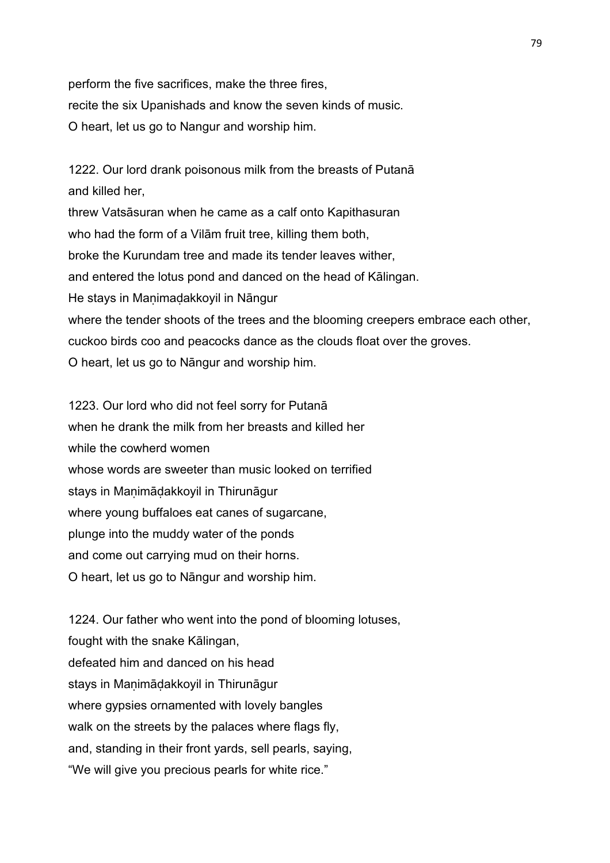perform the five sacrifices, make the three fires, recite the six Upanishads and know the seven kinds of music. O heart, let us go to Nangur and worship him.

1222. Our lord drank poisonous milk from the breasts of Putanā and killed her, threw Vatsāsuran when he came as a calf onto Kapithasuran who had the form of a Vilām fruit tree, killing them both, broke the Kurundam tree and made its tender leaves wither, and entered the lotus pond and danced on the head of Kālingan. He stays in Maṇimaḍakkoyil in Nāngur where the tender shoots of the trees and the blooming creepers embrace each other, cuckoo birds coo and peacocks dance as the clouds float over the groves. O heart, let us go to Nāngur and worship him.

1223. Our lord who did not feel sorry for Putanā when he drank the milk from her breasts and killed her while the cowherd women whose words are sweeter than music looked on terrified stays in Maṇimāḍakkoyil in Thirunāgur where young buffaloes eat canes of sugarcane, plunge into the muddy water of the ponds and come out carrying mud on their horns. O heart, let us go to Nāngur and worship him.

1224. Our father who went into the pond of blooming lotuses, fought with the snake Kālingan, defeated him and danced on his head stays in Maṇimāḍakkoyil in Thirunāgur where gypsies ornamented with lovely bangles walk on the streets by the palaces where flags fly, and, standing in their front yards, sell pearls, saying, "We will give you precious pearls for white rice."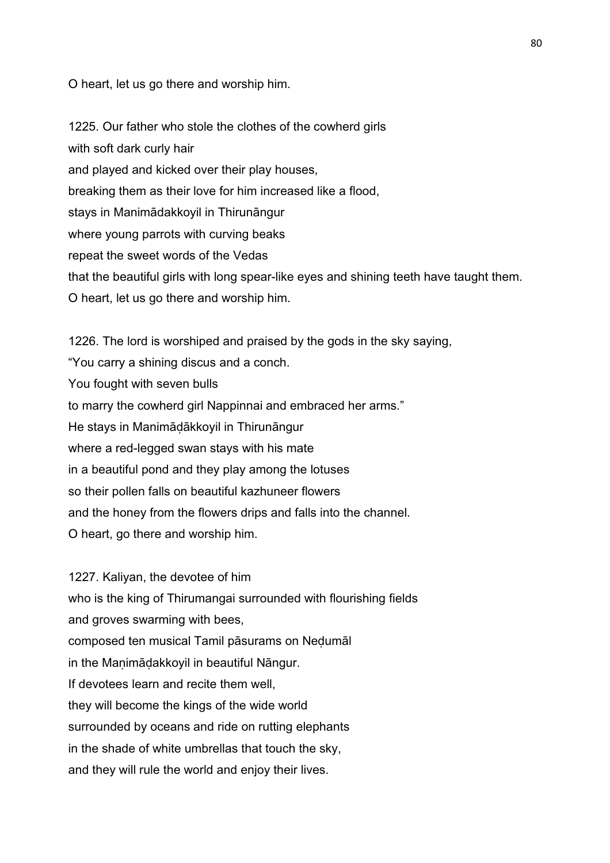O heart, let us go there and worship him.

1225. Our father who stole the clothes of the cowherd girls with soft dark curly hair and played and kicked over their play houses, breaking them as their love for him increased like a flood, stays in Manimādakkoyil in Thirunāngur where young parrots with curving beaks repeat the sweet words of the Vedas that the beautiful girls with long spear-like eyes and shining teeth have taught them. O heart, let us go there and worship him.

1226. The lord is worshiped and praised by the gods in the sky saying, "You carry a shining discus and a conch. You fought with seven bulls to marry the cowherd girl Nappinnai and embraced her arms." He stays in Manimāḍākkoyil in Thirunāngur where a red-legged swan stays with his mate in a beautiful pond and they play among the lotuses so their pollen falls on beautiful kazhuneer flowers and the honey from the flowers drips and falls into the channel. O heart, go there and worship him.

1227. Kaliyan, the devotee of him who is the king of Thirumangai surrounded with flourishing fields and groves swarming with bees, composed ten musical Tamil pāsurams on Neḍumāl in the Manimādakkoyil in beautiful Nāngur. If devotees learn and recite them well, they will become the kings of the wide world surrounded by oceans and ride on rutting elephants in the shade of white umbrellas that touch the sky, and they will rule the world and enjoy their lives.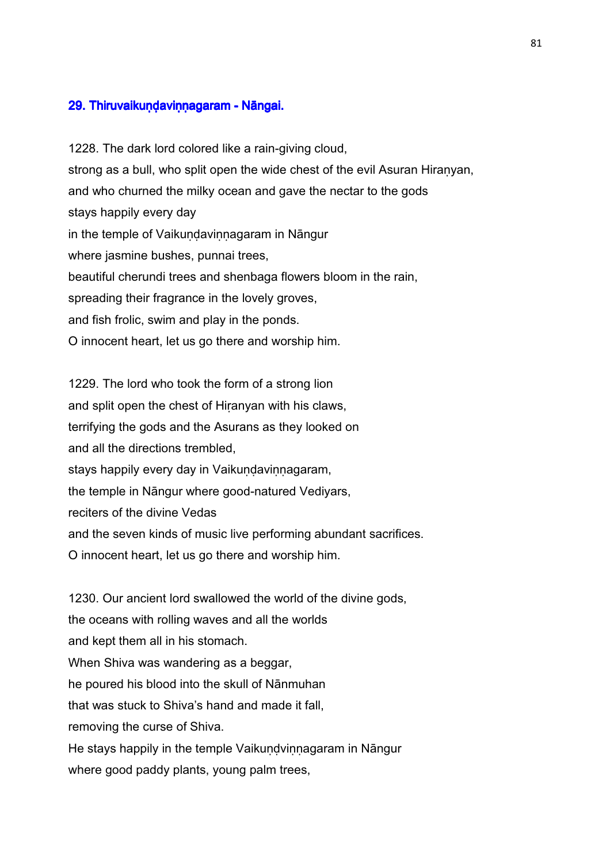## 29. Thiruvaikuṇḍaviṇṇagaram - Nāngai.

1228. The dark lord colored like a rain-giving cloud, strong as a bull, who split open the wide chest of the evil Asuran Hiranyan, and who churned the milky ocean and gave the nectar to the gods stays happily every day in the temple of Vaikuṇḍaviṇṇagaram in Nāngur where jasmine bushes, punnai trees, beautiful cherundi trees and shenbaga flowers bloom in the rain, spreading their fragrance in the lovely groves, and fish frolic, swim and play in the ponds. O innocent heart, let us go there and worship him.

1229. The lord who took the form of a strong lion and split open the chest of Hiṛanyan with his claws, terrifying the gods and the Asurans as they looked on and all the directions trembled, stays happily every day in Vaikundavinnagaram, the temple in Nāngur where good-natured Vediyars, reciters of the divine Vedas and the seven kinds of music live performing abundant sacrifices. O innocent heart, let us go there and worship him.

1230. Our ancient lord swallowed the world of the divine gods, the oceans with rolling waves and all the worlds and kept them all in his stomach. When Shiva was wandering as a beggar, he poured his blood into the skull of Nānmuhan that was stuck to Shiva's hand and made it fall, removing the curse of Shiva. He stays happily in the temple Vaikundvinnagaram in Nāngur where good paddy plants, young palm trees,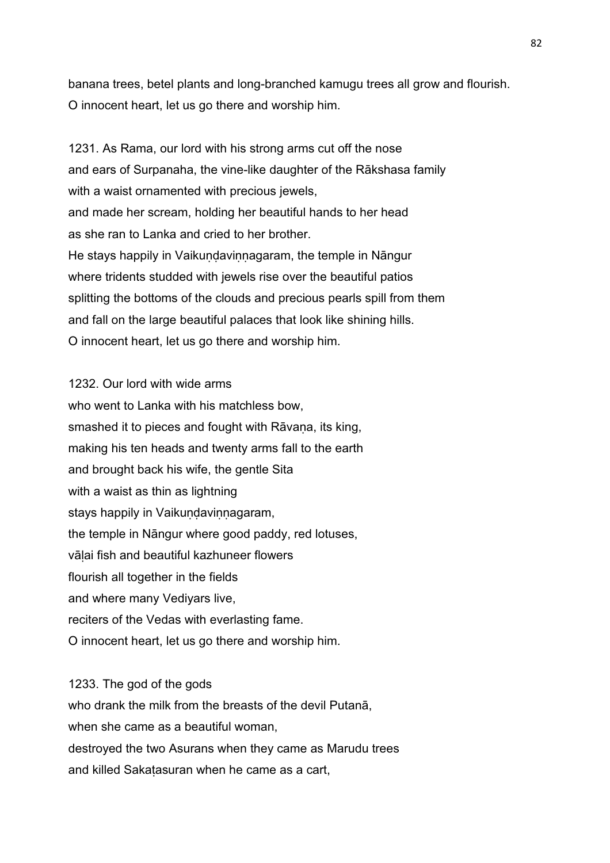banana trees, betel plants and long-branched kamugu trees all grow and flourish. O innocent heart, let us go there and worship him.

1231. As Rama, our lord with his strong arms cut off the nose and ears of Surpanaha, the vine-like daughter of the Rākshasa family with a waist ornamented with precious jewels, and made her scream, holding her beautiful hands to her head as she ran to Lanka and cried to her brother. He stays happily in Vaikundavinnagaram, the temple in Nāngur where tridents studded with jewels rise over the beautiful patios splitting the bottoms of the clouds and precious pearls spill from them and fall on the large beautiful palaces that look like shining hills. O innocent heart, let us go there and worship him.

1232. Our lord with wide arms who went to Lanka with his matchless bow, smashed it to pieces and fought with Rāvana, its king, making his ten heads and twenty arms fall to the earth and brought back his wife, the gentle Sita with a waist as thin as lightning stays happily in Vaikundavinnagaram, the temple in Nāngur where good paddy, red lotuses, vāḷai fish and beautiful kazhuneer flowers flourish all together in the fields and where many Vediyars live, reciters of the Vedas with everlasting fame. O innocent heart, let us go there and worship him.

1233. The god of the gods who drank the milk from the breasts of the devil Putanā, when she came as a beautiful woman. destroyed the two Asurans when they came as Marudu trees and killed Sakaṭasuran when he came as a cart,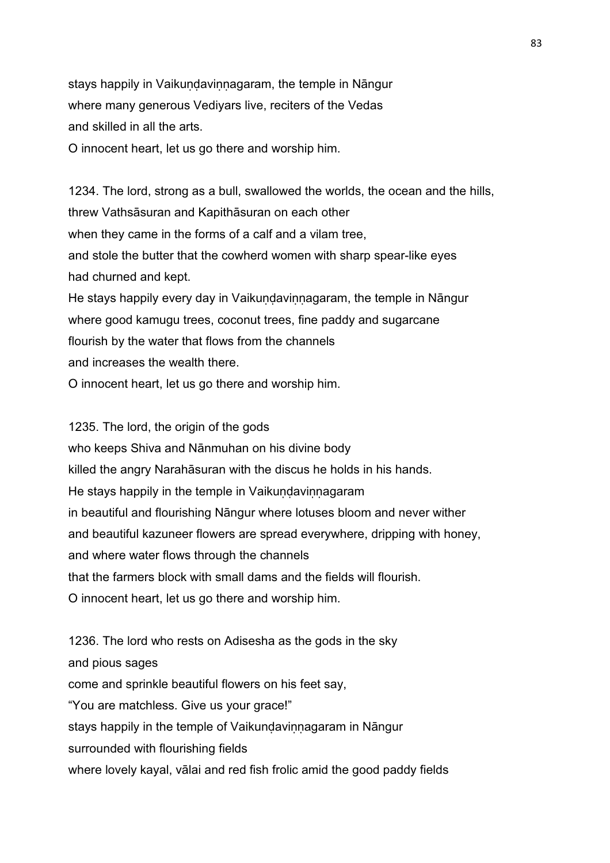stays happily in Vaikundavinnagaram, the temple in Nāngur where many generous Vediyars live, reciters of the Vedas and skilled in all the arts.

O innocent heart, let us go there and worship him.

1234. The lord, strong as a bull, swallowed the worlds, the ocean and the hills, threw Vathsāsuran and Kapithāsuran on each other when they came in the forms of a calf and a vilam tree, and stole the butter that the cowherd women with sharp spear-like eyes had churned and kept. He stays happily every day in Vaikundavinnagaram, the temple in Nāngur where good kamugu trees, coconut trees, fine paddy and sugarcane

flourish by the water that flows from the channels

and increases the wealth there.

O innocent heart, let us go there and worship him.

1235. The lord, the origin of the gods who keeps Shiva and Nānmuhan on his divine body killed the angry Narahāsuran with the discus he holds in his hands. He stays happily in the temple in Vaikundavinnagaram in beautiful and flourishing Nāngur where lotuses bloom and never wither and beautiful kazuneer flowers are spread everywhere, dripping with honey, and where water flows through the channels that the farmers block with small dams and the fields will flourish. O innocent heart, let us go there and worship him.

1236. The lord who rests on Adisesha as the gods in the sky and pious sages come and sprinkle beautiful flowers on his feet say, "You are matchless. Give us your grace!" stays happily in the temple of Vaikundavinnagaram in Nāngur surrounded with flourishing fields where lovely kayal, vālai and red fish frolic amid the good paddy fields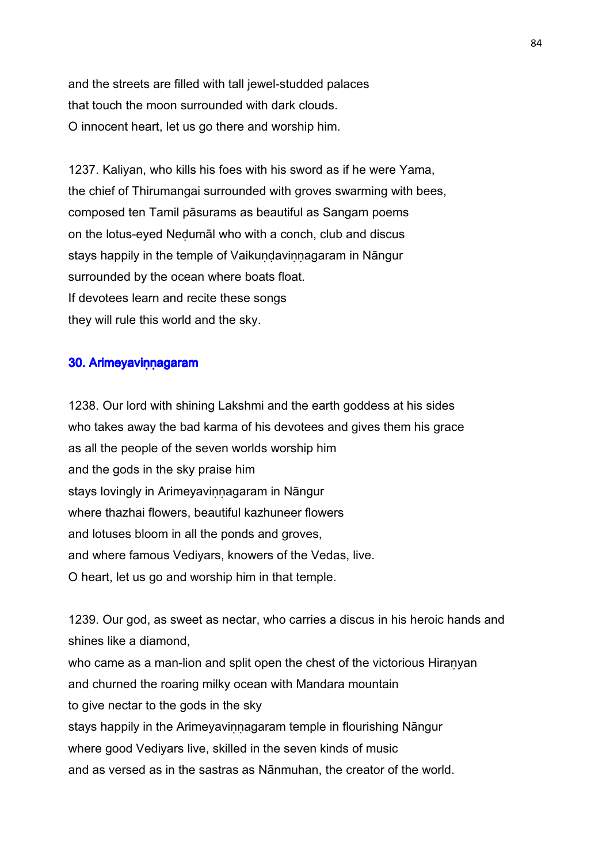and the streets are filled with tall jewel-studded palaces that touch the moon surrounded with dark clouds. O innocent heart, let us go there and worship him.

1237. Kaliyan, who kills his foes with his sword as if he were Yama, the chief of Thirumangai surrounded with groves swarming with bees, composed ten Tamil pāsurams as beautiful as Sangam poems on the lotus-eyed Neḍumāl who with a conch, club and discus stays happily in the temple of Vaikundavinnagaram in Nāngur surrounded by the ocean where boats float. If devotees learn and recite these songs they will rule this world and the sky.

## 30. Arimeyavinnagaram

1238. Our lord with shining Lakshmi and the earth goddess at his sides who takes away the bad karma of his devotees and gives them his grace as all the people of the seven worlds worship him and the gods in the sky praise him stays lovingly in Arimeyavinnagaram in Nāngur where thazhai flowers, beautiful kazhuneer flowers and lotuses bloom in all the ponds and groves, and where famous Vediyars, knowers of the Vedas, live. O heart, let us go and worship him in that temple.

1239. Our god, as sweet as nectar, who carries a discus in his heroic hands and shines like a diamond, who came as a man-lion and split open the chest of the victorious Hiranyan and churned the roaring milky ocean with Mandara mountain to give nectar to the gods in the sky stays happily in the Arimeyavinnagaram temple in flourishing Nāngur where good Vediyars live, skilled in the seven kinds of music and as versed as in the sastras as Nānmuhan, the creator of the world.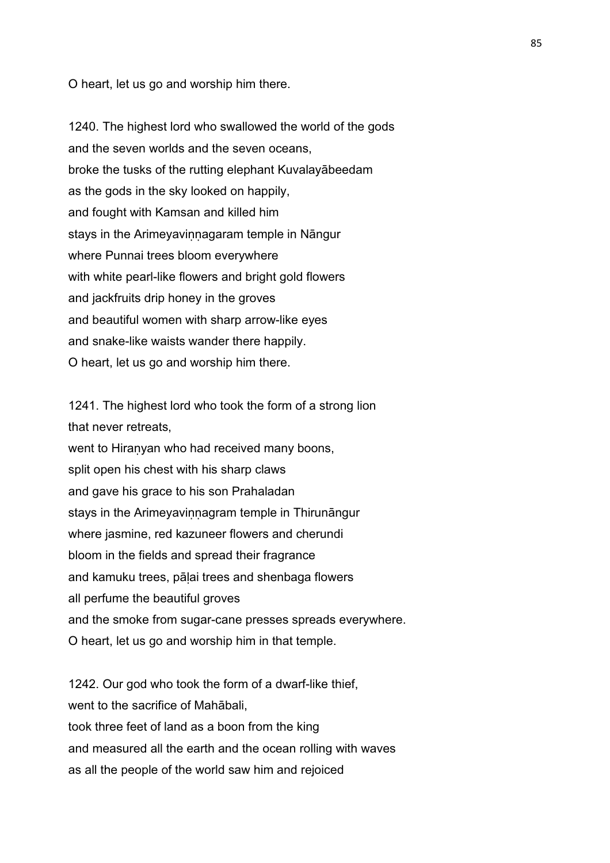O heart, let us go and worship him there.

1240. The highest lord who swallowed the world of the gods and the seven worlds and the seven oceans, broke the tusks of the rutting elephant Kuvalayābeedam as the gods in the sky looked on happily, and fought with Kamsan and killed him stays in the Arimeyavinnagaram temple in Nāngur where Punnai trees bloom everywhere with white pearl-like flowers and bright gold flowers and jackfruits drip honey in the groves and beautiful women with sharp arrow-like eyes and snake-like waists wander there happily. O heart, let us go and worship him there.

1241. The highest lord who took the form of a strong lion that never retreats, went to Hiranyan who had received many boons, split open his chest with his sharp claws and gave his grace to his son Prahaladan stays in the Arimeyavinnagram temple in Thirunāngur where jasmine, red kazuneer flowers and cherundi bloom in the fields and spread their fragrance and kamuku trees, pālai trees and shenbaga flowers all perfume the beautiful groves and the smoke from sugar-cane presses spreads everywhere. O heart, let us go and worship him in that temple.

1242. Our god who took the form of a dwarf-like thief, went to the sacrifice of Mahābali, took three feet of land as a boon from the king and measured all the earth and the ocean rolling with waves as all the people of the world saw him and rejoiced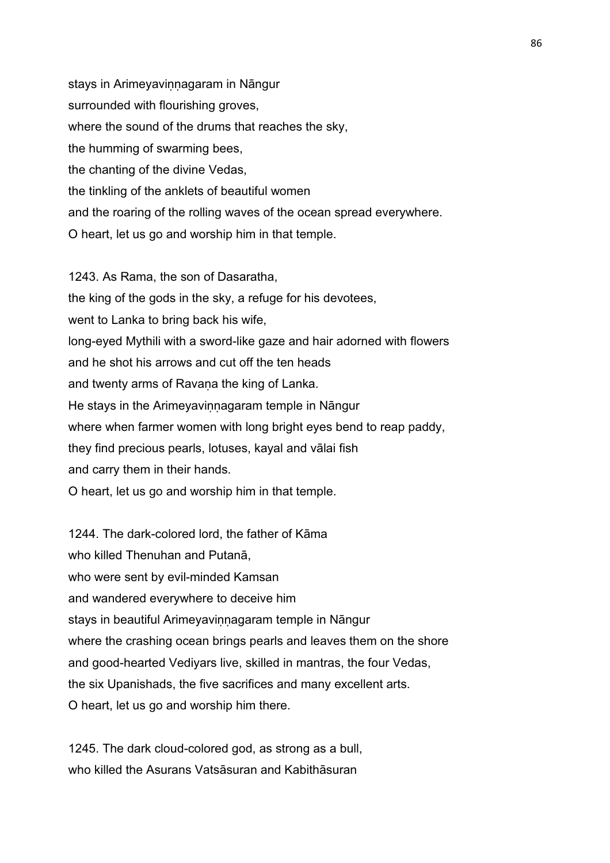stays in Arimeyavinnagaram in Nāngur surrounded with flourishing groves, where the sound of the drums that reaches the sky, the humming of swarming bees, the chanting of the divine Vedas, the tinkling of the anklets of beautiful women and the roaring of the rolling waves of the ocean spread everywhere. O heart, let us go and worship him in that temple.

1243. As Rama, the son of Dasaratha, the king of the gods in the sky, a refuge for his devotees, went to Lanka to bring back his wife, long-eyed Mythili with a sword-like gaze and hair adorned with flowers and he shot his arrows and cut off the ten heads and twenty arms of Ravaṇa the king of Lanka. He stays in the Arimeyavinnagaram temple in Nāngur where when farmer women with long bright eyes bend to reap paddy, they find precious pearls, lotuses, kayal and vālai fish and carry them in their hands. O heart, let us go and worship him in that temple.

1244. The dark-colored lord, the father of Kāma who killed Thenuhan and Putanā, who were sent by evil-minded Kamsan and wandered everywhere to deceive him stays in beautiful Arimeyavinnagaram temple in Nāngur where the crashing ocean brings pearls and leaves them on the shore and good-hearted Vediyars live, skilled in mantras, the four Vedas, the six Upanishads, the five sacrifices and many excellent arts. O heart, let us go and worship him there.

1245. The dark cloud-colored god, as strong as a bull, who killed the Asurans Vatsāsuran and Kabithāsuran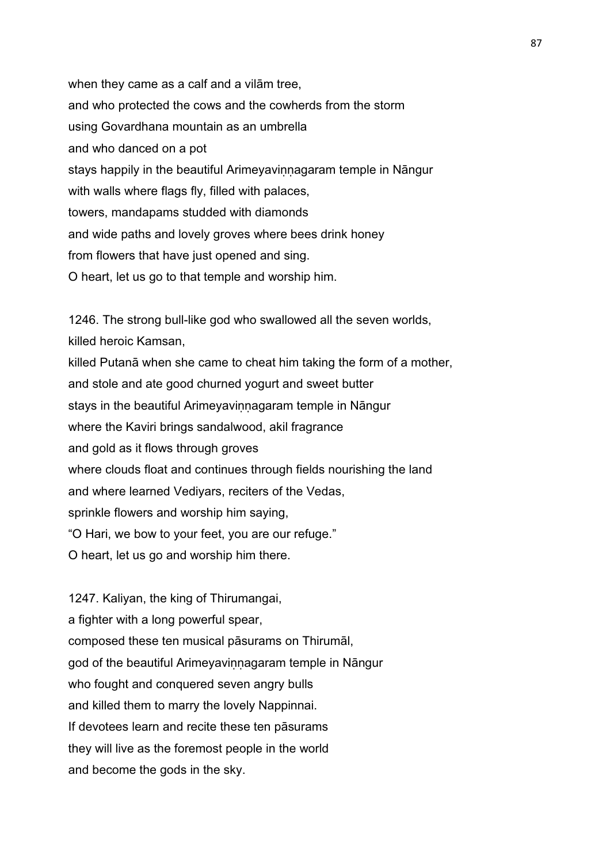when they came as a calf and a vilām tree, and who protected the cows and the cowherds from the storm using Govardhana mountain as an umbrella and who danced on a pot stays happily in the beautiful Arimeyavinnagaram temple in Nāngur with walls where flags fly, filled with palaces, towers, mandapams studded with diamonds and wide paths and lovely groves where bees drink honey from flowers that have just opened and sing. O heart, let us go to that temple and worship him.

1246. The strong bull-like god who swallowed all the seven worlds, killed heroic Kamsan, killed Putanā when she came to cheat him taking the form of a mother, and stole and ate good churned yogurt and sweet butter stays in the beautiful Arimeyavinnagaram temple in Nāngur where the Kaviri brings sandalwood, akil fragrance and gold as it flows through groves where clouds float and continues through fields nourishing the land and where learned Vediyars, reciters of the Vedas, sprinkle flowers and worship him saying, "O Hari, we bow to your feet, you are our refuge." O heart, let us go and worship him there.

1247. Kaliyan, the king of Thirumangai, a fighter with a long powerful spear, composed these ten musical pāsurams on Thirumāl, god of the beautiful Arimeyavinnagaram temple in Nāngur who fought and conquered seven angry bulls and killed them to marry the lovely Nappinnai. If devotees learn and recite these ten pāsurams they will live as the foremost people in the world and become the gods in the sky.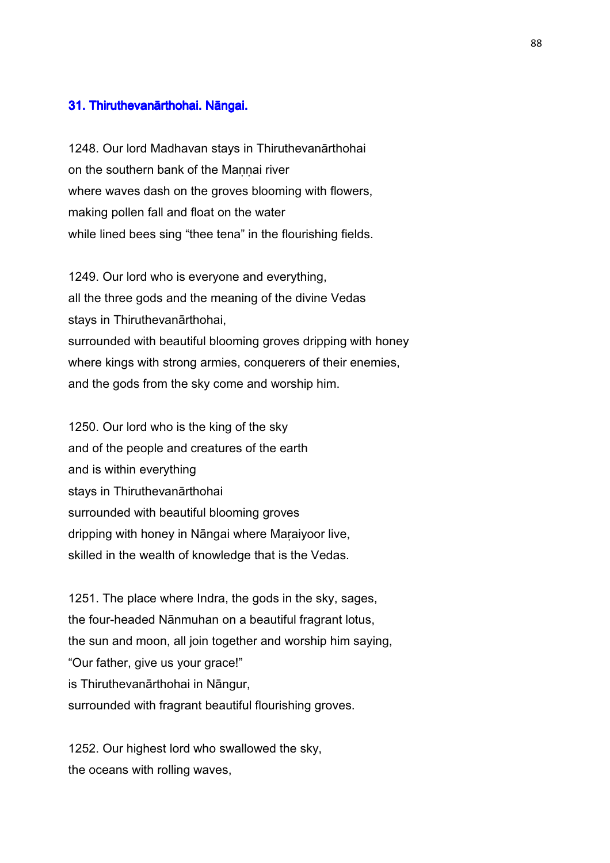## 31. Thiruthevanārthohai. Nāngai.

1248. Our lord Madhavan stays in Thiruthevanārthohai on the southern bank of the Mannai river where waves dash on the groves blooming with flowers, making pollen fall and float on the water while lined bees sing "thee tena" in the flourishing fields.

1249. Our lord who is everyone and everything, all the three gods and the meaning of the divine Vedas stays in Thiruthevanārthohai, surrounded with beautiful blooming groves dripping with honey where kings with strong armies, conquerers of their enemies, and the gods from the sky come and worship him.

1250. Our lord who is the king of the sky and of the people and creatures of the earth and is within everything stays in Thiruthevanārthohai surrounded with beautiful blooming groves dripping with honey in Nāngai where Maraiyoor live, skilled in the wealth of knowledge that is the Vedas.

1251. The place where Indra, the gods in the sky, sages, the four-headed Nānmuhan on a beautiful fragrant lotus, the sun and moon, all join together and worship him saying, "Our father, give us your grace!" is Thiruthevanārthohai in Nāngur, surrounded with fragrant beautiful flourishing groves.

1252. Our highest lord who swallowed the sky, the oceans with rolling waves,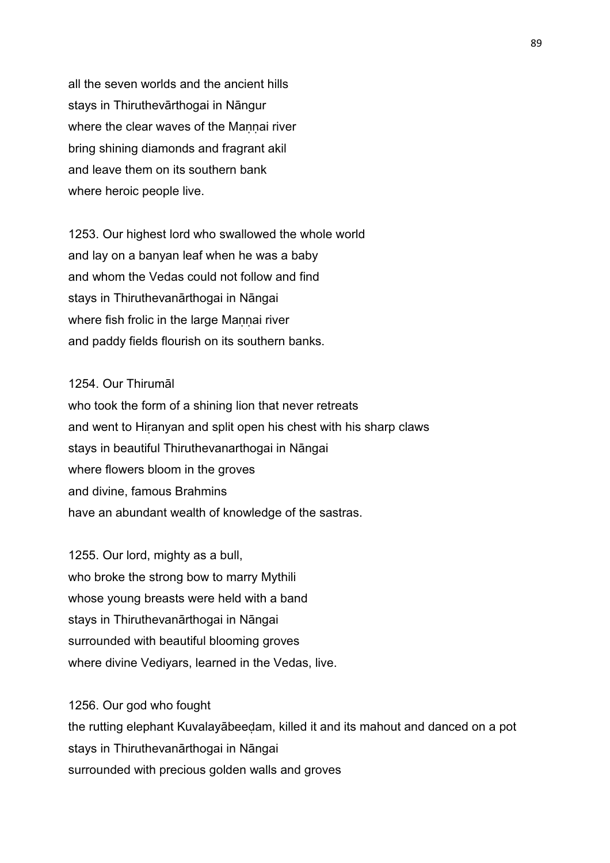all the seven worlds and the ancient hills stays in Thiruthevārthogai in Nāngur where the clear waves of the Maṇṇai river bring shining diamonds and fragrant akil and leave them on its southern bank where heroic people live.

1253. Our highest lord who swallowed the whole world and lay on a banyan leaf when he was a baby and whom the Vedas could not follow and find stays in Thiruthevanārthogai in Nāngai where fish frolic in the large Mannai river and paddy fields flourish on its southern banks.

## 1254. Our Thirumāl

who took the form of a shining lion that never retreats and went to Hiranyan and split open his chest with his sharp claws stays in beautiful Thiruthevanarthogai in Nāngai where flowers bloom in the groves and divine, famous Brahmins have an abundant wealth of knowledge of the sastras.

1255. Our lord, mighty as a bull, who broke the strong bow to marry Mythili whose young breasts were held with a band stays in Thiruthevanārthogai in Nāngai surrounded with beautiful blooming groves where divine Vediyars, learned in the Vedas, live.

1256. Our god who fought

the rutting elephant Kuvalayābeeḍam, killed it and its mahout and danced on a pot stays in Thiruthevanārthogai in Nāngai surrounded with precious golden walls and groves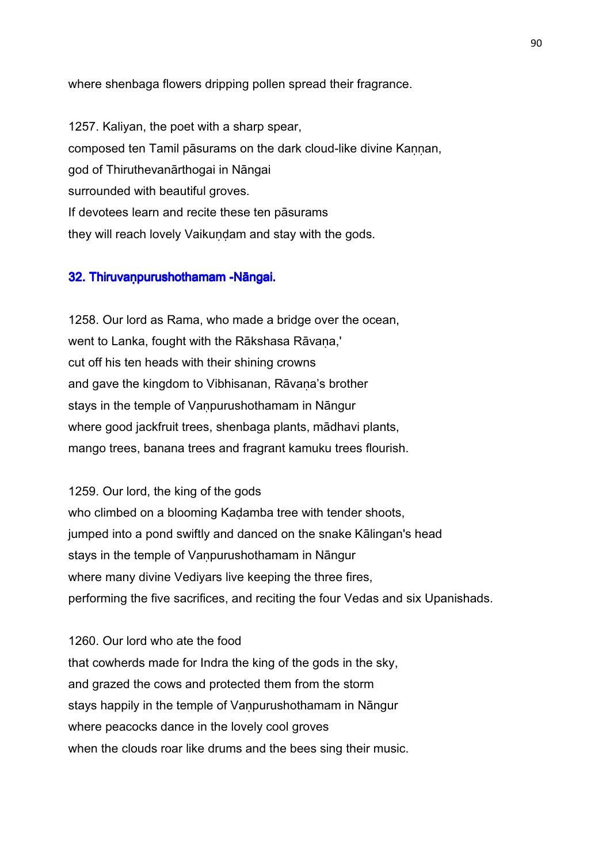where shenbaga flowers dripping pollen spread their fragrance.

1257. Kaliyan, the poet with a sharp spear, composed ten Tamil pāsurams on the dark cloud-like divine Kannan, god of Thiruthevanārthogai in Nāngai surrounded with beautiful groves. If devotees learn and recite these ten pāsurams they will reach lovely Vaikundam and stay with the gods.

## 32. Thiruvanpurushothamam -Nāngai.

1258. Our lord as Rama, who made a bridge over the ocean, went to Lanka, fought with the Rākshasa Rāvana,' cut off his ten heads with their shining crowns and gave the kingdom to Vibhisanan, Rāvana's brother stays in the temple of Vanpurushothamam in Nāngur where good jackfruit trees, shenbaga plants, mādhavi plants, mango trees, banana trees and fragrant kamuku trees flourish.

1259. Our lord, the king of the gods who climbed on a blooming Kadamba tree with tender shoots, jumped into a pond swiftly and danced on the snake Kālingan's head stays in the temple of Vanpurushothamam in Nāngur where many divine Vediyars live keeping the three fires, performing the five sacrifices, and reciting the four Vedas and six Upanishads.

1260. Our lord who ate the food that cowherds made for Indra the king of the gods in the sky, and grazed the cows and protected them from the storm stays happily in the temple of Vanpurushothamam in Nāngur where peacocks dance in the lovely cool groves when the clouds roar like drums and the bees sing their music.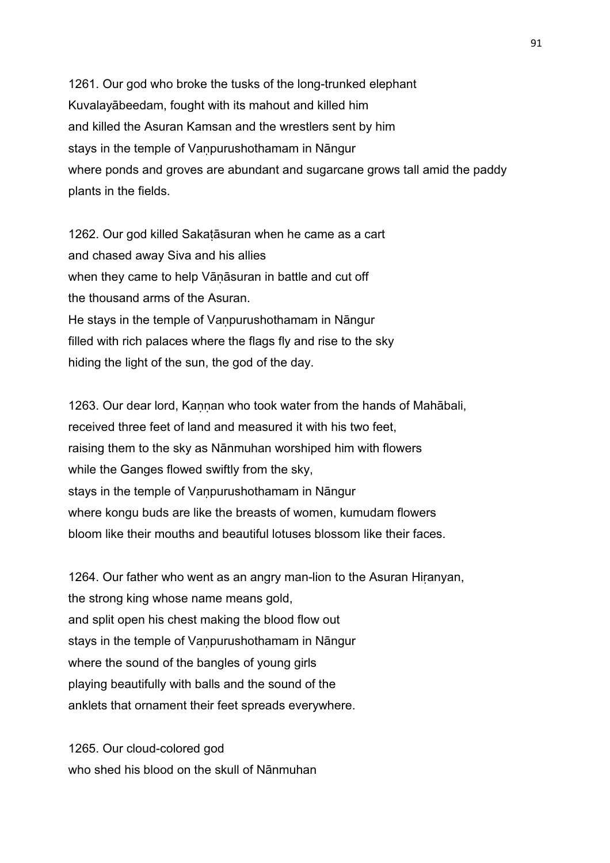1261. Our god who broke the tusks of the long-trunked elephant Kuvalayābeedam, fought with its mahout and killed him and killed the Asuran Kamsan and the wrestlers sent by him stays in the temple of Vanpurushothamam in Nāngur where ponds and groves are abundant and sugarcane grows tall amid the paddy plants in the fields.

1262. Our god killed Sakaṭāsuran when he came as a cart and chased away Siva and his allies when they came to help Vāṇāsuran in battle and cut off the thousand arms of the Asuran. He stays in the temple of Vanpurushothamam in Nāngur filled with rich palaces where the flags fly and rise to the sky hiding the light of the sun, the god of the day.

1263. Our dear lord, Kannan who took water from the hands of Mahābali, received three feet of land and measured it with his two feet, raising them to the sky as Nānmuhan worshiped him with flowers while the Ganges flowed swiftly from the sky, stays in the temple of Vanpurushothamam in Nāngur where kongu buds are like the breasts of women, kumudam flowers bloom like their mouths and beautiful lotuses blossom like their faces.

1264. Our father who went as an angry man-lion to the Asuran Hiṛanyan, the strong king whose name means gold, and split open his chest making the blood flow out stays in the temple of Vanpurushothamam in Nāngur where the sound of the bangles of young girls playing beautifully with balls and the sound of the anklets that ornament their feet spreads everywhere.

1265. Our cloud-colored god who shed his blood on the skull of Nānmuhan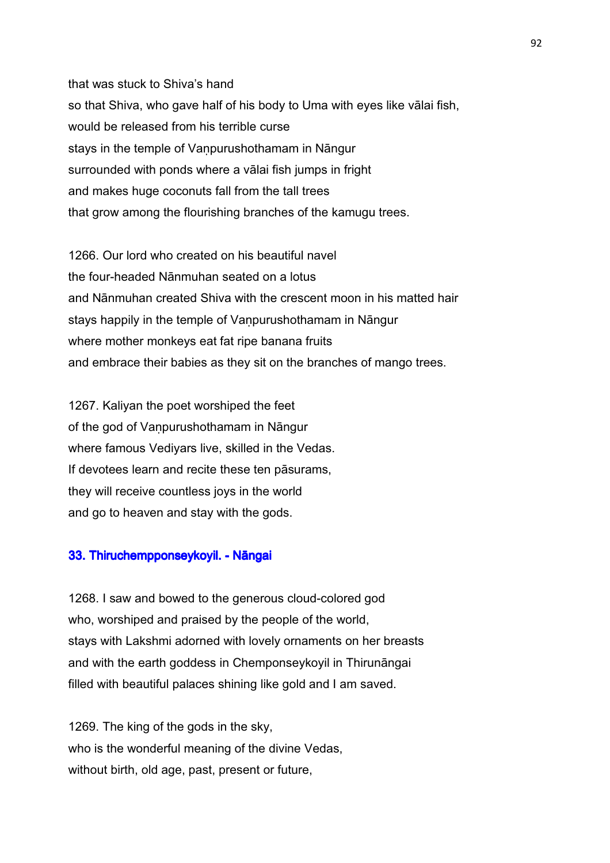that was stuck to Shiva's hand so that Shiva, who gave half of his body to Uma with eyes like vālai fish, would be released from his terrible curse stays in the temple of Vanpurushothamam in Nāngur surrounded with ponds where a vālai fish jumps in fright and makes huge coconuts fall from the tall trees that grow among the flourishing branches of the kamugu trees.

1266. Our lord who created on his beautiful navel the four-headed Nānmuhan seated on a lotus and Nānmuhan created Shiva with the crescent moon in his matted hair stays happily in the temple of Vanpurushothamam in Nāngur where mother monkeys eat fat ripe banana fruits and embrace their babies as they sit on the branches of mango trees.

1267. Kaliyan the poet worshiped the feet of the god of Vaṇpurushothamam in Nāngur where famous Vediyars live, skilled in the Vedas. If devotees learn and recite these ten pāsurams, they will receive countless joys in the world and go to heaven and stay with the gods.

## 33. Thiruchempponseykoyil. - Nāngai

1268. I saw and bowed to the generous cloud-colored god who, worshiped and praised by the people of the world, stays with Lakshmi adorned with lovely ornaments on her breasts and with the earth goddess in Chemponseykoyil in Thirunāngai filled with beautiful palaces shining like gold and I am saved.

1269. The king of the gods in the sky, who is the wonderful meaning of the divine Vedas. without birth, old age, past, present or future,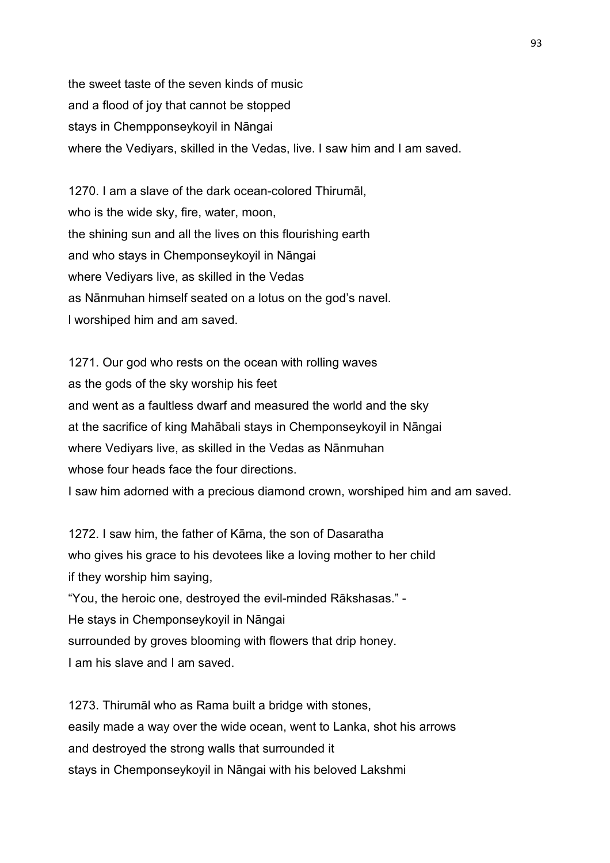the sweet taste of the seven kinds of music and a flood of joy that cannot be stopped stays in Chempponseykoyil in Nāngai where the Vediyars, skilled in the Vedas, live. I saw him and I am saved.

1270. I am a slave of the dark ocean-colored Thirumāl, who is the wide sky, fire, water, moon, the shining sun and all the lives on this flourishing earth and who stays in Chemponseykoyil in Nāngai where Vediyars live, as skilled in the Vedas as Nānmuhan himself seated on a lotus on the god's navel. l worshiped him and am saved.

1271. Our god who rests on the ocean with rolling waves as the gods of the sky worship his feet and went as a faultless dwarf and measured the world and the sky at the sacrifice of king Mahābali stays in Chemponseykoyil in Nāngai where Vediyars live, as skilled in the Vedas as Nānmuhan whose four heads face the four directions. I saw him adorned with a precious diamond crown, worshiped him and am saved.

1272. I saw him, the father of Kāma, the son of Dasaratha who gives his grace to his devotees like a loving mother to her child if they worship him saying, "You, the heroic one, destroyed the evil-minded Rākshasas." - He stays in Chemponseykoyil in Nāngai surrounded by groves blooming with flowers that drip honey. I am his slave and I am saved.

1273. Thirumāl who as Rama built a bridge with stones, easily made a way over the wide ocean, went to Lanka, shot his arrows and destroyed the strong walls that surrounded it stays in Chemponseykoyil in Nāngai with his beloved Lakshmi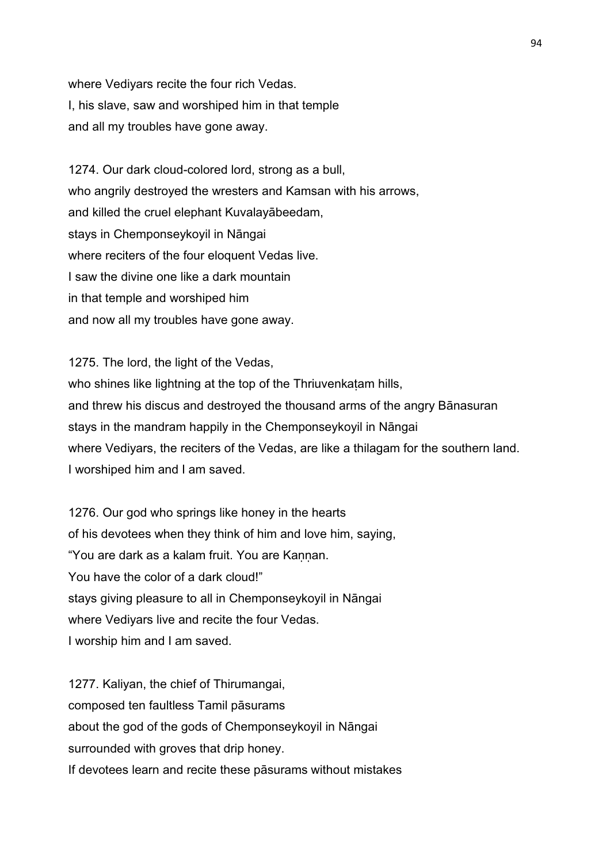where Vediyars recite the four rich Vedas. I, his slave, saw and worshiped him in that temple and all my troubles have gone away.

1274. Our dark cloud-colored lord, strong as a bull, who angrily destroyed the wresters and Kamsan with his arrows, and killed the cruel elephant Kuvalayābeedam, stays in Chemponseykoyil in Nāngai where reciters of the four eloquent Vedas live. I saw the divine one like a dark mountain in that temple and worshiped him and now all my troubles have gone away.

1275. The lord, the light of the Vedas, who shines like lightning at the top of the Thriuvenkatam hills, and threw his discus and destroyed the thousand arms of the angry Bānasuran stays in the mandram happily in the Chemponseykoyil in Nāngai where Vediyars, the reciters of the Vedas, are like a thilagam for the southern land. I worshiped him and I am saved.

1276. Our god who springs like honey in the hearts of his devotees when they think of him and love him, saying, "You are dark as a kalam fruit. You are Kannan. You have the color of a dark cloud!" stays giving pleasure to all in Chemponseykoyil in Nāngai where Vediyars live and recite the four Vedas. I worship him and I am saved.

1277. Kaliyan, the chief of Thirumangai, composed ten faultless Tamil pāsurams about the god of the gods of Chemponseykoyil in Nāngai surrounded with groves that drip honey. If devotees learn and recite these pāsurams without mistakes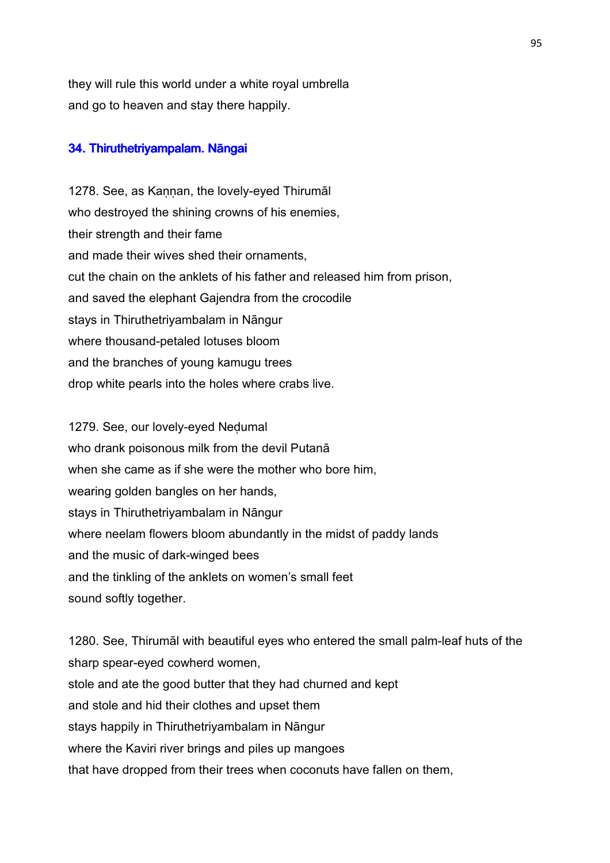they will rule this world under a white royal umbrella and go to heaven and stay there happily.

## 34. Thiruthetriyampalam. Nāngai

1278. See, as Kannan, the lovely-eyed Thirumal who destroyed the shining crowns of his enemies, their strength and their fame and made their wives shed their ornaments, cut the chain on the anklets of his father and released him from prison, and saved the elephant Gajendra from the crocodile stays in Thiruthetriyambalam in Nāngur where thousand-petaled lotuses bloom and the branches of young kamugu trees drop white pearls into the holes where crabs live.

1279. See, our lovely-eyed Neḍumal who drank poisonous milk from the devil Putanā when she came as if she were the mother who bore him, wearing golden bangles on her hands, stays in Thiruthetriyambalam in Nāngur where neelam flowers bloom abundantly in the midst of paddy lands and the music of dark-winged bees and the tinkling of the anklets on women's small feet sound softly together.

1280. See, Thirumāl with beautiful eyes who entered the small palm-leaf huts of the sharp spear-eyed cowherd women, stole and ate the good butter that they had churned and kept and stole and hid their clothes and upset them stays happily in Thiruthetriyambalam in Nāngur where the Kaviri river brings and piles up mangoes that have dropped from their trees when coconuts have fallen on them,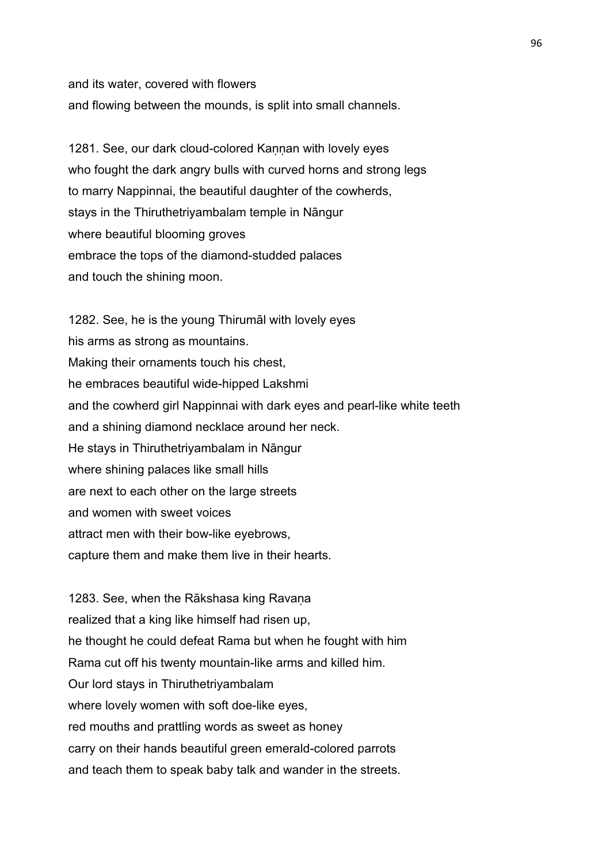and its water, covered with flowers and flowing between the mounds, is split into small channels.

1281. See, our dark cloud-colored Kannan with lovely eyes who fought the dark angry bulls with curved horns and strong legs to marry Nappinnai, the beautiful daughter of the cowherds, stays in the Thiruthetriyambalam temple in Nāngur where beautiful blooming groves embrace the tops of the diamond-studded palaces and touch the shining moon.

1282. See, he is the young Thirumāl with lovely eyes his arms as strong as mountains. Making their ornaments touch his chest, he embraces beautiful wide-hipped Lakshmi and the cowherd girl Nappinnai with dark eyes and pearl-like white teeth and a shining diamond necklace around her neck. He stays in Thiruthetriyambalam in Nāngur where shining palaces like small hills are next to each other on the large streets and women with sweet voices attract men with their bow-like eyebrows, capture them and make them live in their hearts.

1283. See, when the Rākshasa king Ravana realized that a king like himself had risen up, he thought he could defeat Rama but when he fought with him Rama cut off his twenty mountain-like arms and killed him. Our lord stays in Thiruthetriyambalam where lovely women with soft doe-like eyes, red mouths and prattling words as sweet as honey carry on their hands beautiful green emerald-colored parrots and teach them to speak baby talk and wander in the streets.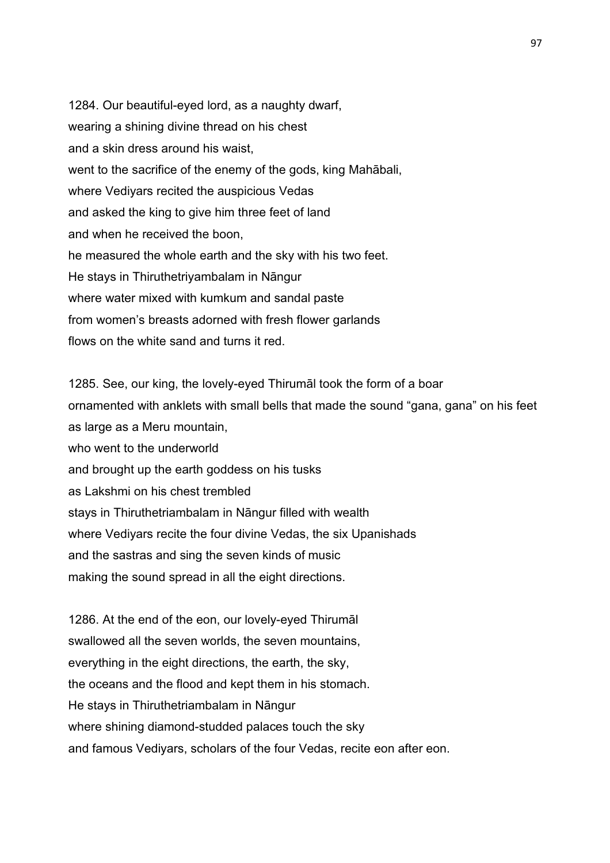1284. Our beautiful-eyed lord, as a naughty dwarf, wearing a shining divine thread on his chest and a skin dress around his waist, went to the sacrifice of the enemy of the gods, king Mahābali, where Vediyars recited the auspicious Vedas and asked the king to give him three feet of land and when he received the boon, he measured the whole earth and the sky with his two feet. He stays in Thiruthetriyambalam in Nāngur where water mixed with kumkum and sandal paste from women's breasts adorned with fresh flower garlands flows on the white sand and turns it red.

1285. See, our king, the lovely-eyed Thirumāl took the form of a boar ornamented with anklets with small bells that made the sound "gana, gana" on his feet as large as a Meru mountain, who went to the underworld and brought up the earth goddess on his tusks as Lakshmi on his chest trembled stays in Thiruthetriambalam in Nāngur filled with wealth where Vediyars recite the four divine Vedas, the six Upanishads and the sastras and sing the seven kinds of music making the sound spread in all the eight directions.

1286. At the end of the eon, our lovely-eyed Thirumāl swallowed all the seven worlds, the seven mountains, everything in the eight directions, the earth, the sky, the oceans and the flood and kept them in his stomach. He stays in Thiruthetriambalam in Nāngur where shining diamond-studded palaces touch the sky and famous Vediyars, scholars of the four Vedas, recite eon after eon.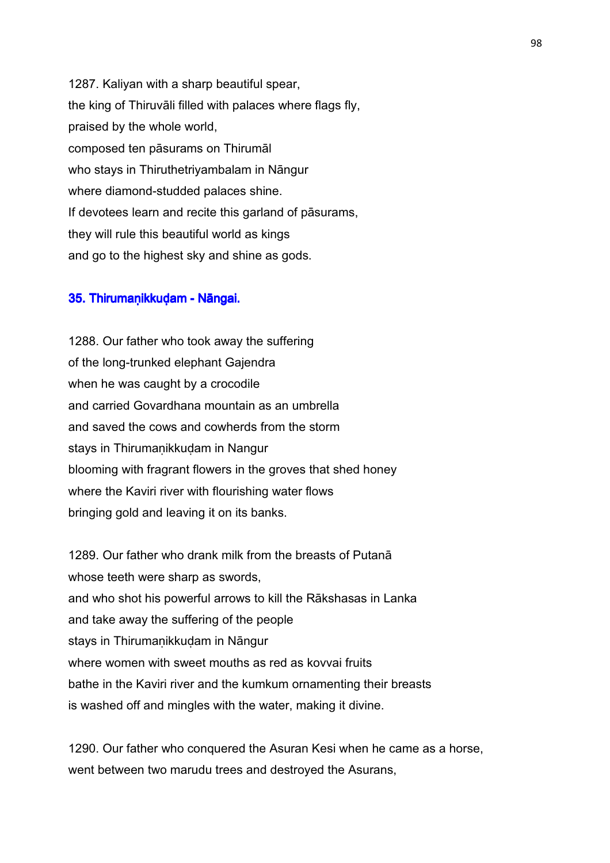1287. Kaliyan with a sharp beautiful spear, the king of Thiruvāli filled with palaces where flags fly, praised by the whole world, composed ten pāsurams on Thirumāl who stays in Thiruthetriyambalam in Nāngur where diamond-studded palaces shine. If devotees learn and recite this garland of pāsurams, they will rule this beautiful world as kings and go to the highest sky and shine as gods.

## 35. Thirumaṇikkuḍam - Nāngai.

1288. Our father who took away the suffering of the long-trunked elephant Gajendra when he was caught by a crocodile and carried Govardhana mountain as an umbrella and saved the cows and cowherds from the storm stays in Thirumanikkudam in Nangur blooming with fragrant flowers in the groves that shed honey where the Kaviri river with flourishing water flows bringing gold and leaving it on its banks.

1289. Our father who drank milk from the breasts of Putanā whose teeth were sharp as swords, and who shot his powerful arrows to kill the Rākshasas in Lanka and take away the suffering of the people stays in Thirumaṇikkuḍam in Nāngur where women with sweet mouths as red as kovvai fruits bathe in the Kaviri river and the kumkum ornamenting their breasts is washed off and mingles with the water, making it divine.

1290. Our father who conquered the Asuran Kesi when he came as a horse, went between two marudu trees and destroyed the Asurans,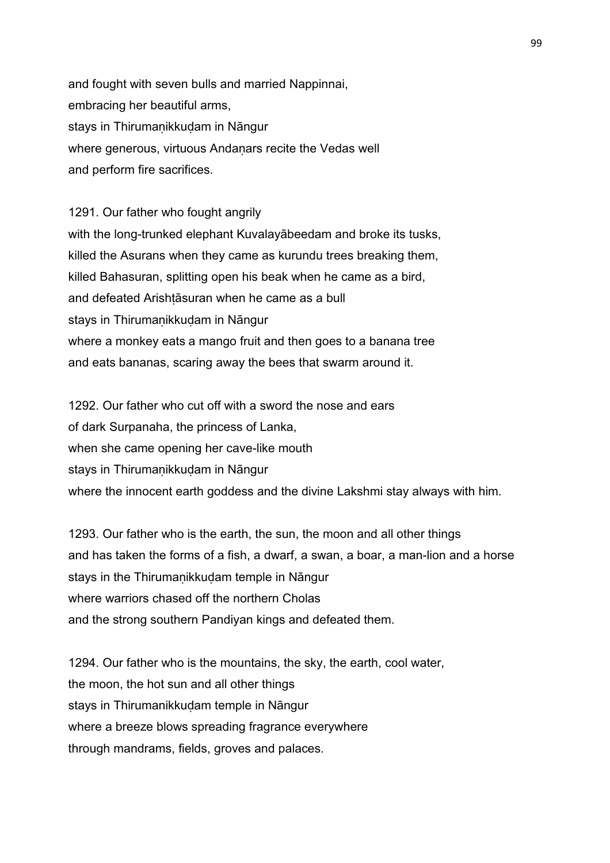and fought with seven bulls and married Nappinnai, embracing her beautiful arms, stays in Thirumaṇikkuḍam in Nāngur where generous, virtuous Andanars recite the Vedas well and perform fire sacrifices.

1291. Our father who fought angrily with the long-trunked elephant Kuvalayābeedam and broke its tusks, killed the Asurans when they came as kurundu trees breaking them, killed Bahasuran, splitting open his beak when he came as a bird, and defeated Arishtasuran when he came as a bull stays in Thirumaṇikkuḍam in Nāngur where a monkey eats a mango fruit and then goes to a banana tree and eats bananas, scaring away the bees that swarm around it.

1292. Our father who cut off with a sword the nose and ears of dark Surpanaha, the princess of Lanka, when she came opening her cave-like mouth stays in Thirumaṇikkuḍam in Nāngur where the innocent earth goddess and the divine Lakshmi stay always with him.

1293. Our father who is the earth, the sun, the moon and all other things and has taken the forms of a fish, a dwarf, a swan, a boar, a man-lion and a horse stays in the Thirumanikkudam temple in Nāngur where warriors chased off the northern Cholas and the strong southern Pandiyan kings and defeated them.

1294. Our father who is the mountains, the sky, the earth, cool water, the moon, the hot sun and all other things stays in Thirumanikkuḍam temple in Nāngur where a breeze blows spreading fragrance everywhere through mandrams, fields, groves and palaces.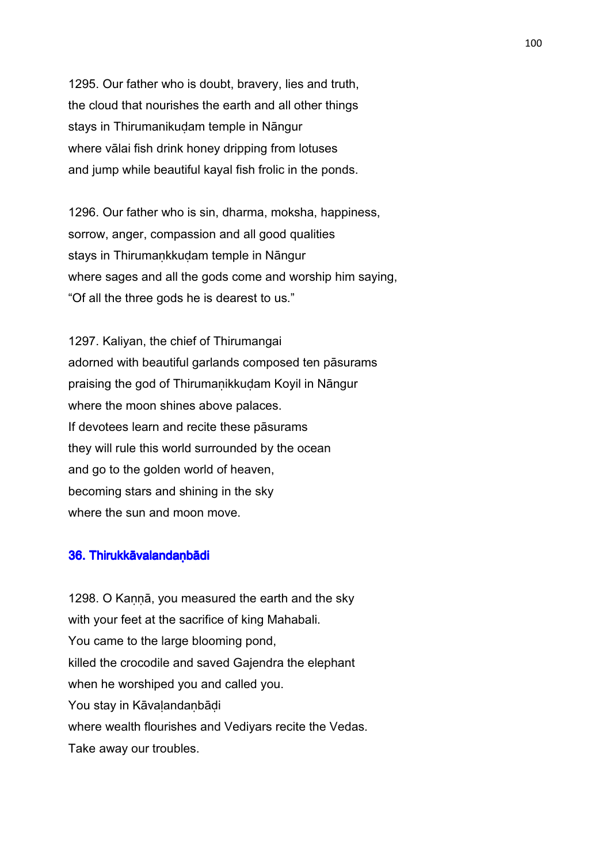1295. Our father who is doubt, bravery, lies and truth, the cloud that nourishes the earth and all other things stays in Thirumanikuḍam temple in Nāngur where vālai fish drink honey dripping from lotuses and jump while beautiful kayal fish frolic in the ponds.

1296. Our father who is sin, dharma, moksha, happiness, sorrow, anger, compassion and all good qualities stays in Thirumaṇkkuḍam temple in Nāngur where sages and all the gods come and worship him saying, "Of all the three gods he is dearest to us."

1297. Kaliyan, the chief of Thirumangai adorned with beautiful garlands composed ten pāsurams praising the god of Thirumaṇikkuḍam Koyil in Nāngur where the moon shines above palaces. If devotees learn and recite these pāsurams they will rule this world surrounded by the ocean and go to the golden world of heaven, becoming stars and shining in the sky where the sun and moon move.

## 36. Thirukkāvalandaṇ bādi

1298. O Kannā, you measured the earth and the sky with your feet at the sacrifice of king Mahabali. You came to the large blooming pond, killed the crocodile and saved Gajendra the elephant when he worshiped you and called you. You stay in Kāvalandanbādi where wealth flourishes and Vediyars recite the Vedas. Take away our troubles.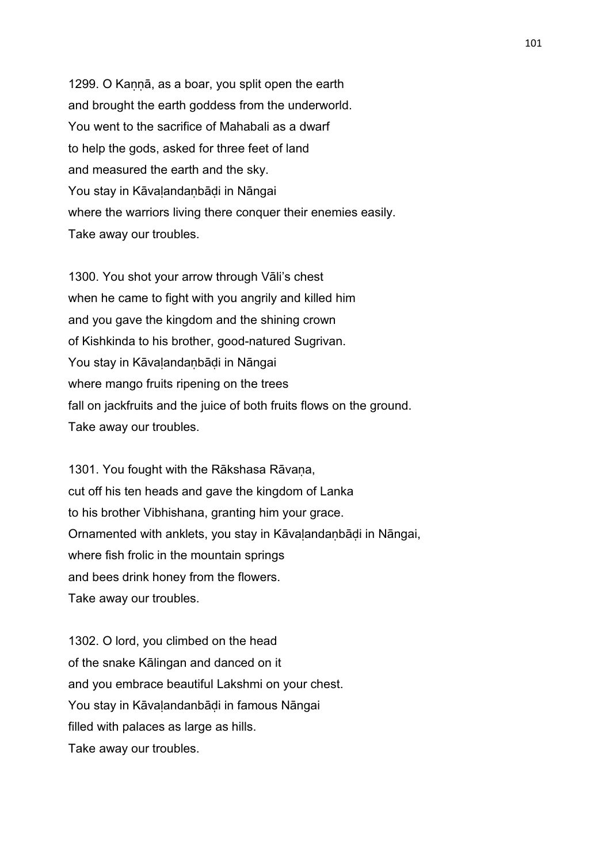1299. O Kannā, as a boar, you split open the earth and brought the earth goddess from the underworld. You went to the sacrifice of Mahabali as a dwarf to help the gods, asked for three feet of land and measured the earth and the sky. You stay in Kāvaḷandaṇbāḍi in Nāngai where the warriors living there conquer their enemies easily. Take away our troubles.

1300. You shot your arrow through Vāli's chest when he came to fight with you angrily and killed him and you gave the kingdom and the shining crown of Kishkinda to his brother, good-natured Sugrivan. You stay in Kāvaḷandaṇbāḍi in Nāngai where mango fruits ripening on the trees fall on jackfruits and the juice of both fruits flows on the ground. Take away our troubles.

1301. You fought with the Rākshasa Rāvana, cut off his ten heads and gave the kingdom of Lanka to his brother Vibhishana, granting him your grace. Ornamented with anklets, you stay in Kāvaḷandaṇbāḍi in Nāngai, where fish frolic in the mountain springs and bees drink honey from the flowers. Take away our troubles.

1302. O lord, you climbed on the head of the snake Kālingan and danced on it and you embrace beautiful Lakshmi on your chest. You stay in Kāvaḷandanbāḍi in famous Nāngai filled with palaces as large as hills. Take away our troubles.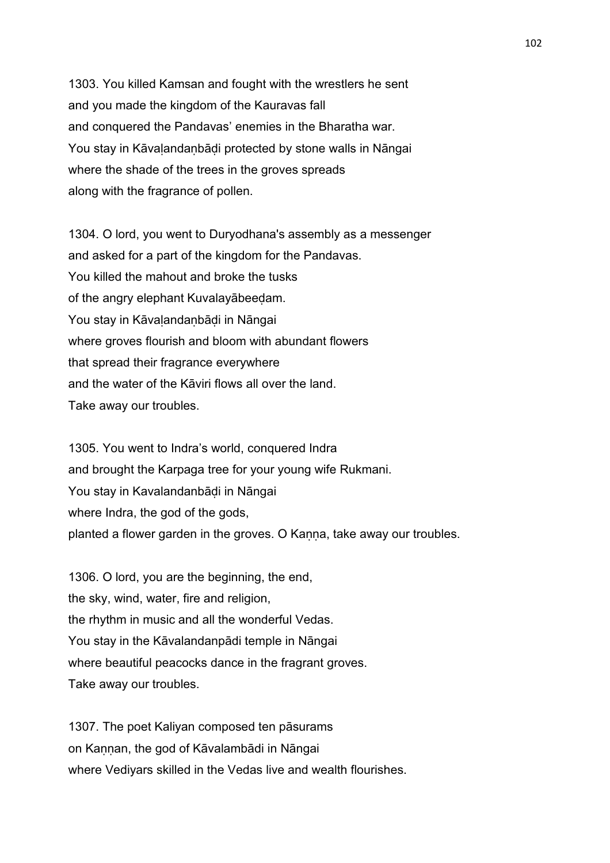1303. You killed Kamsan and fought with the wrestlers he sent and you made the kingdom of the Kauravas fall and conquered the Pandavas' enemies in the Bharatha war. You stay in Kāvaḷandaṇbāḍi protected by stone walls in Nāngai where the shade of the trees in the groves spreads along with the fragrance of pollen.

1304. O lord, you went to Duryodhana's assembly as a messenger and asked for a part of the kingdom for the Pandavas. You killed the mahout and broke the tusks of the angry elephant Kuvalayābeeḍam. You stay in Kāvaḷandaṇbāḍi in Nāngai where groves flourish and bloom with abundant flowers that spread their fragrance everywhere and the water of the Kāviri flows all over the land. Take away our troubles.

1305. You went to Indra's world, conquered Indra and brought the Karpaga tree for your young wife Rukmani. You stay in Kavalandanbāḍi in Nāngai where Indra, the god of the gods, planted a flower garden in the groves. O Kanna, take away our troubles.

1306. O lord, you are the beginning, the end, the sky, wind, water, fire and religion, the rhythm in music and all the wonderful Vedas. You stay in the Kāvalandanpādi temple in Nāngai where beautiful peacocks dance in the fragrant groves. Take away our troubles.

1307. The poet Kaliyan composed ten pāsurams on Kaṇṇan, the god of Kāvalambādi in Nāngai where Vediyars skilled in the Vedas live and wealth flourishes.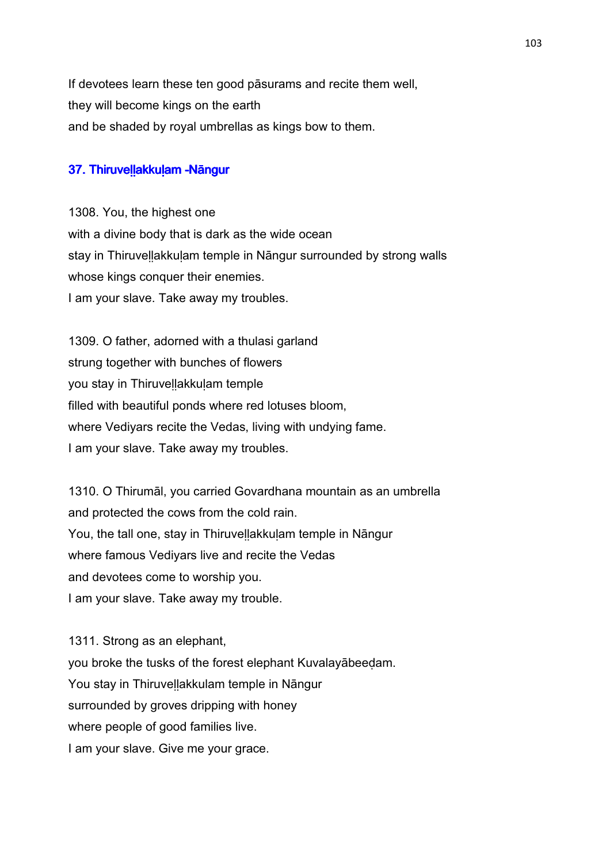If devotees learn these ten good pāsurams and recite them well, they will become kings on the earth and be shaded by royal umbrellas as kings bow to them.

## 37. Thiruvellakkulam -Nāngur

1308. You, the highest one with a divine body that is dark as the wide ocean stay in Thiruvellakkulam temple in Nāngur surrounded by strong walls whose kings conquer their enemies. I am your slave. Take away my troubles.

1309. O father, adorned with a thulasi garland strung together with bunches of flowers you stay in Thiruveḷḷakkuḷam temple filled with beautiful ponds where red lotuses bloom, where Vediyars recite the Vedas, living with undying fame. I am your slave. Take away my troubles.

1310. O Thirumāl, you carried Govardhana mountain as an umbrella and protected the cows from the cold rain. You, the tall one, stay in Thiruvellakkulam temple in Nāngur where famous Vediyars live and recite the Vedas and devotees come to worship you. I am your slave. Take away my trouble.

1311. Strong as an elephant, you broke the tusks of the forest elephant Kuvalayābeeḍam. You stay in Thiruveḷḷakkulam temple in Nāngur surrounded by groves dripping with honey where people of good families live. I am your slave. Give me your grace.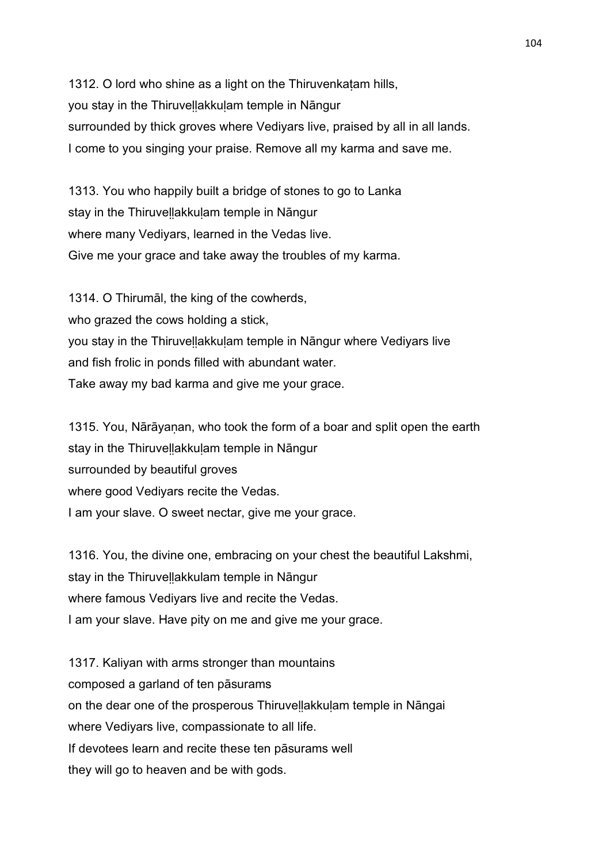1312. O lord who shine as a light on the Thiruvenkatam hills, you stay in the Thiruveḷḷakkuḷam temple in Nāngur surrounded by thick groves where Vediyars live, praised by all in all lands. I come to you singing your praise. Remove all my karma and save me.

1313. You who happily built a bridge of stones to go to Lanka stay in the Thiruvellakkulam temple in Nāngur where many Vediyars, learned in the Vedas live. Give me your grace and take away the troubles of my karma.

1314. O Thirumāl, the king of the cowherds, who grazed the cows holding a stick, you stay in the Thiruveḷḷakkuḷam temple in Nāngur where Vediyars live and fish frolic in ponds filled with abundant water. Take away my bad karma and give me your grace.

1315. You, Nārāyaṇan, who took the form of a boar and split open the earth stay in the Thiruvellakkulam temple in Nāngur surrounded by beautiful groves where good Vediyars recite the Vedas. I am your slave. O sweet nectar, give me your grace.

1316. You, the divine one, embracing on your chest the beautiful Lakshmi, stay in the Thiruvellakkulam temple in Nāngur where famous Vediyars live and recite the Vedas. I am your slave. Have pity on me and give me your grace.

1317. Kaliyan with arms stronger than mountains composed a garland of ten pāsurams on the dear one of the prosperous Thiruveḷḷakkuḷam temple in Nāngai where Vediyars live, compassionate to all life. If devotees learn and recite these ten pāsurams well they will go to heaven and be with gods.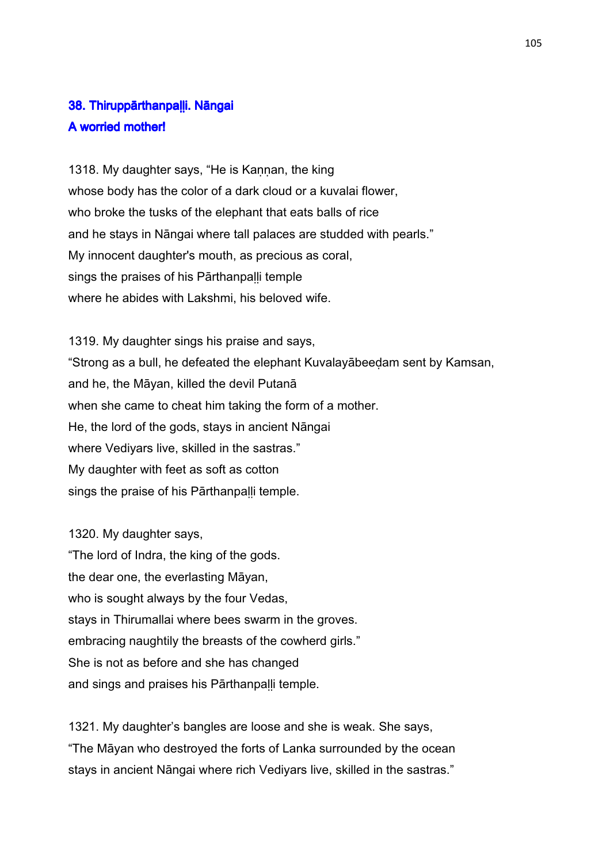# 38. Thiruppārthanpalli. Nāngai A worried mother!

1318. My daughter says, "He is Kannan, the king whose body has the color of a dark cloud or a kuvalai flower, who broke the tusks of the elephant that eats balls of rice and he stays in Nāngai where tall palaces are studded with pearls." My innocent daughter's mouth, as precious as coral, sings the praises of his Pārthanpalli temple where he abides with Lakshmi, his beloved wife.

1319. My daughter sings his praise and says, "Strong as a bull, he defeated the elephant Kuvalayābeeḍam sent by Kamsan, and he, the Māyan, killed the devil Putanā when she came to cheat him taking the form of a mother. He, the lord of the gods, stays in ancient Nāngai where Vediyars live, skilled in the sastras." My daughter with feet as soft as cotton sings the praise of his Pārthanpalli temple.

1320. My daughter says, "The lord of Indra, the king of the gods. the dear one, the everlasting Māyan, who is sought always by the four Vedas, stays in Thirumallai where bees swarm in the groves. embracing naughtily the breasts of the cowherd girls." She is not as before and she has changed and sings and praises his Pārthanpaḷḷi temple.

1321. My daughter's bangles are loose and she is weak. She says, "The Māyan who destroyed the forts of Lanka surrounded by the ocean stays in ancient Nāngai where rich Vediyars live, skilled in the sastras."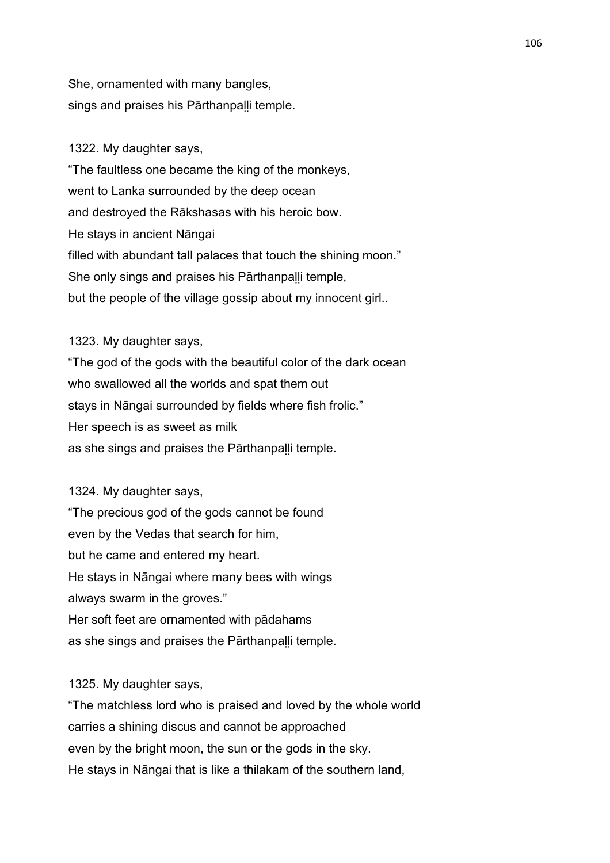She, ornamented with many bangles, sings and praises his Pārthanpalli temple.

## 1322. My daughter says,

"The faultless one became the king of the monkeys, went to Lanka surrounded by the deep ocean and destroyed the Rākshasas with his heroic bow. He stays in ancient Nāngai filled with abundant tall palaces that touch the shining moon." She only sings and praises his Pārthanpalli temple, but the people of the village gossip about my innocent girl..

1323. My daughter says, "The god of the gods with the beautiful color of the dark ocean who swallowed all the worlds and spat them out stays in Nāngai surrounded by fields where fish frolic." Her speech is as sweet as milk as she sings and praises the Pārthanpalli temple.

1324. My daughter says, "The precious god of the gods cannot be found even by the Vedas that search for him, but he came and entered my heart. He stays in Nāngai where many bees with wings always swarm in the groves." Her soft feet are ornamented with pādahams as she sings and praises the Pārthanpalli temple.

1325. My daughter says,

"The matchless lord who is praised and loved by the whole world carries a shining discus and cannot be approached even by the bright moon, the sun or the gods in the sky. He stays in Nāngai that is like a thilakam of the southern land,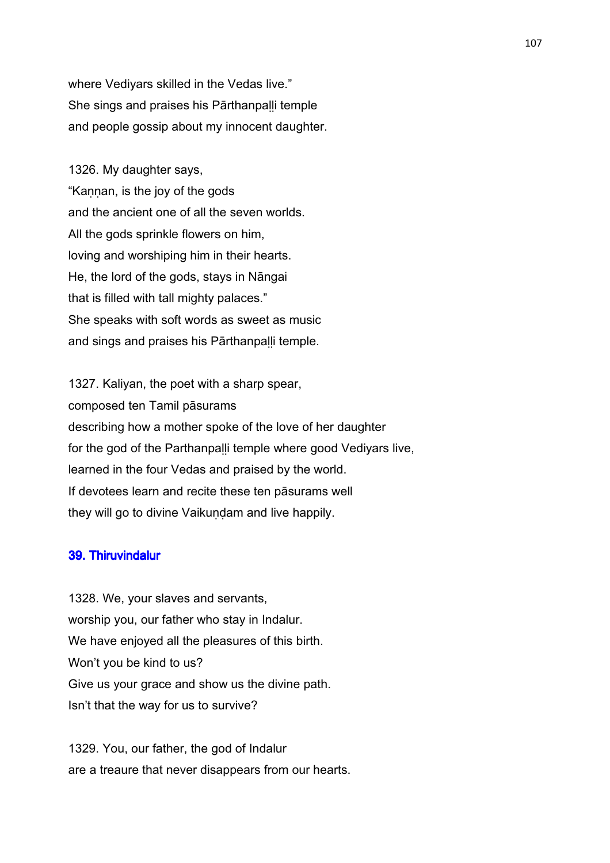where Vediyars skilled in the Vedas live." She sings and praises his Pārthanpaḷḷi temple and people gossip about my innocent daughter.

1326. My daughter says, "Kannan, is the joy of the gods and the ancient one of all the seven worlds. All the gods sprinkle flowers on him, loving and worshiping him in their hearts. He, the lord of the gods, stays in Nāngai that is filled with tall mighty palaces." She speaks with soft words as sweet as music and sings and praises his Pārthanpaḷḷi temple.

1327. Kaliyan, the poet with a sharp spear, composed ten Tamil pāsurams describing how a mother spoke of the love of her daughter for the god of the Parthanpalli temple where good Vediyars live, learned in the four Vedas and praised by the world. If devotees learn and recite these ten pāsurams well they will go to divine Vaikuṇḍam and live happily.

## 39. Thiruvindalur

1328. We, your slaves and servants, worship you, our father who stay in Indalur. We have enjoyed all the pleasures of this birth. Won't you be kind to us? Give us your grace and show us the divine path. Isn't that the way for us to survive?

1329. You, our father, the god of Indalur are a treaure that never disappears from our hearts.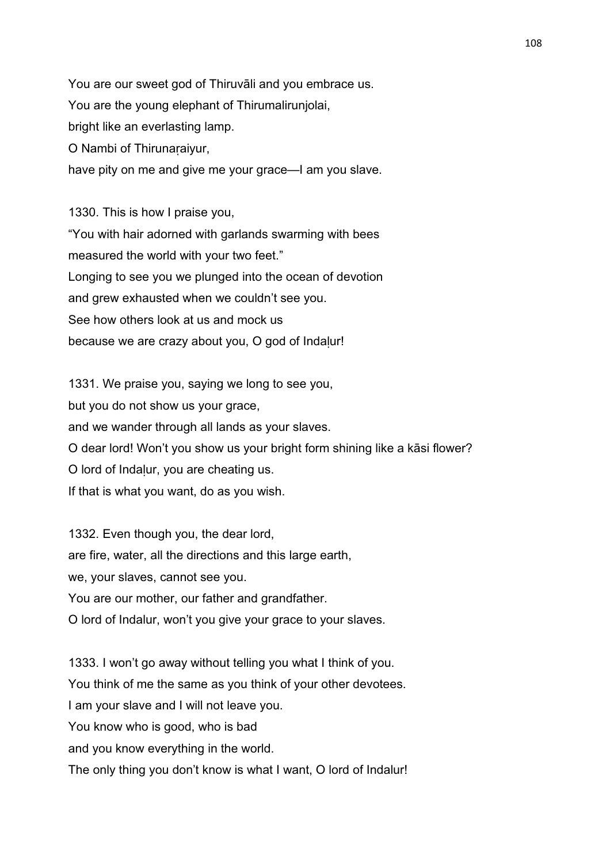You are our sweet god of Thiruvāli and you embrace us. You are the young elephant of Thirumalirunjolai, bright like an everlasting lamp. O Nambi of Thirunaṛaiyur, have pity on me and give me your grace—I am you slave.

1330. This is how I praise you, "You with hair adorned with garlands swarming with bees measured the world with your two feet." Longing to see you we plunged into the ocean of devotion and grew exhausted when we couldn't see you. See how others look at us and mock us because we are crazy about you, O god of Indalur!

1331. We praise you, saying we long to see you, but you do not show us your grace, and we wander through all lands as your slaves. O dear lord! Won't you show us your bright form shining like a kāsi flower? O lord of Indaḷur, you are cheating us. If that is what you want, do as you wish.

1332. Even though you, the dear lord, are fire, water, all the directions and this large earth, we, your slaves, cannot see you. You are our mother, our father and grandfather. O lord of Indalur, won't you give your grace to your slaves.

1333. I won't go away without telling you what I think of you. You think of me the same as you think of your other devotees. I am your slave and I will not leave you. You know who is good, who is bad and you know everything in the world. The only thing you don't know is what I want, O lord of Indalur!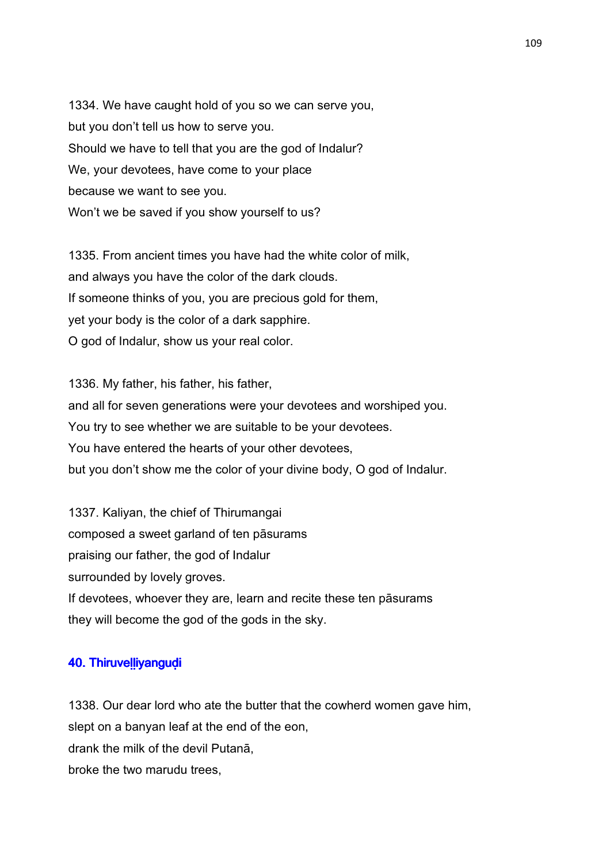1334. We have caught hold of you so we can serve you, but you don't tell us how to serve you. Should we have to tell that you are the god of Indalur? We, your devotees, have come to your place because we want to see you. Won't we be saved if you show yourself to us?

1335. From ancient times you have had the white color of milk, and always you have the color of the dark clouds. If someone thinks of you, you are precious gold for them, yet your body is the color of a dark sapphire. O god of Indalur, show us your real color.

1336. My father, his father, his father, and all for seven generations were your devotees and worshiped you. You try to see whether we are suitable to be your devotees. You have entered the hearts of your other devotees, but you don't show me the color of your divine body, O god of Indalur.

1337. Kaliyan, the chief of Thirumangai composed a sweet garland of ten pāsurams praising our father, the god of Indalur surrounded by lovely groves. If devotees, whoever they are, learn and recite these ten pāsurams they will become the god of the gods in the sky.

## 40. Thiruvelliyangudi

1338. Our dear lord who ate the butter that the cowherd women gave him, slept on a banyan leaf at the end of the eon, drank the milk of the devil Putanā, broke the two marudu trees,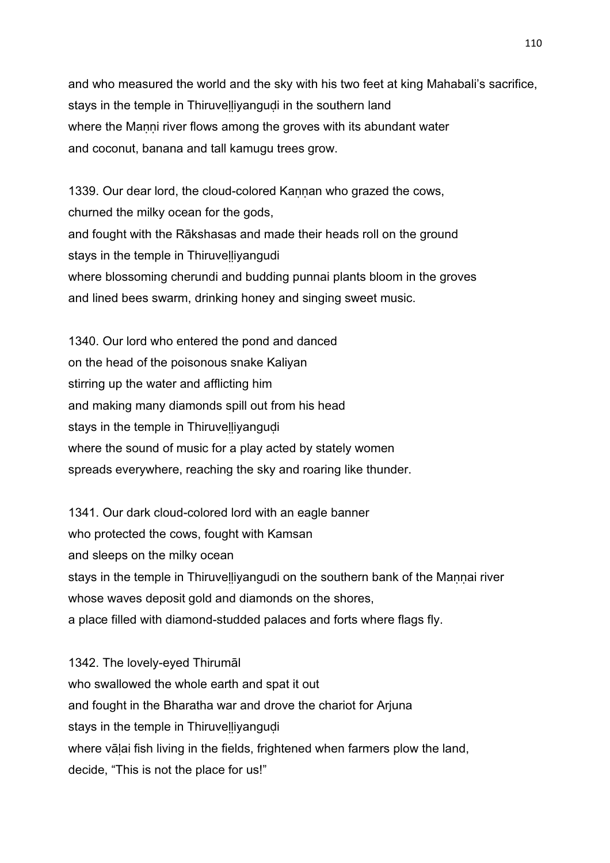and who measured the world and the sky with his two feet at king Mahabali's sacrifice, stays in the temple in Thiruvelliyangudi in the southern land where the Manni river flows among the groves with its abundant water and coconut, banana and tall kamugu trees grow.

1339. Our dear lord, the cloud-colored Kannan who grazed the cows, churned the milky ocean for the gods, and fought with the Rākshasas and made their heads roll on the ground stays in the temple in Thiruvelliyangudi where blossoming cherundi and budding punnai plants bloom in the groves and lined bees swarm, drinking honey and singing sweet music.

1340. Our lord who entered the pond and danced on the head of the poisonous snake Kaliyan stirring up the water and afflicting him and making many diamonds spill out from his head stays in the temple in Thiruvelliyangudi where the sound of music for a play acted by stately women spreads everywhere, reaching the sky and roaring like thunder.

1341. Our dark cloud-colored lord with an eagle banner who protected the cows, fought with Kamsan and sleeps on the milky ocean stays in the temple in Thiruvelliyangudi on the southern bank of the Mannai river whose waves deposit gold and diamonds on the shores, a place filled with diamond-studded palaces and forts where flags fly.

1342. The lovely-eyed Thirumāl who swallowed the whole earth and spat it out and fought in the Bharatha war and drove the chariot for Arjuna stays in the temple in Thiruvelliyangudi where vālai fish living in the fields, frightened when farmers plow the land, decide, "This is not the place for us!"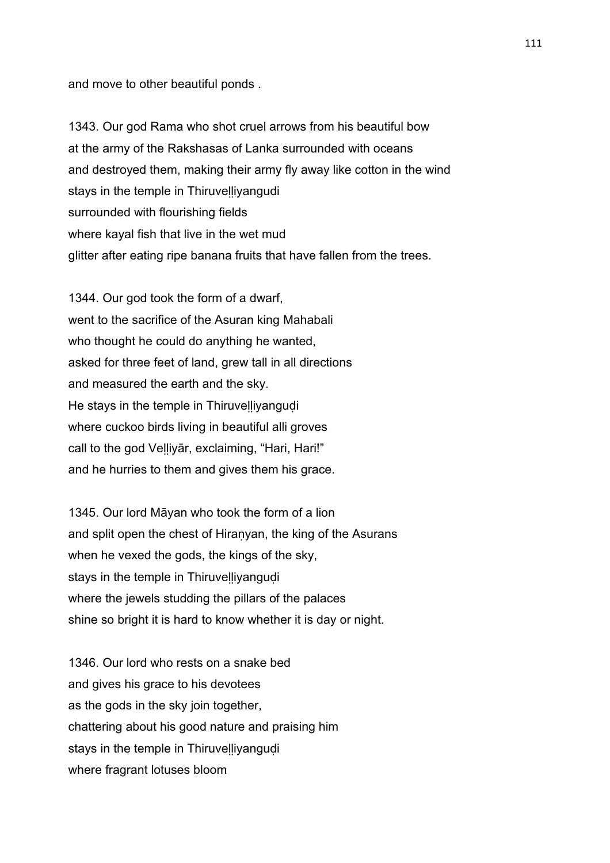and move to other beautiful ponds .

1343. Our god Rama who shot cruel arrows from his beautiful bow at the army of the Rakshasas of Lanka surrounded with oceans and destroyed them, making their army fly away like cotton in the wind stays in the temple in Thiruvelliyangudi surrounded with flourishing fields where kayal fish that live in the wet mud glitter after eating ripe banana fruits that have fallen from the trees.

1344. Our god took the form of a dwarf, went to the sacrifice of the Asuran king Mahabali who thought he could do anything he wanted, asked for three feet of land, grew tall in all directions and measured the earth and the sky. He stays in the temple in Thiruvelliyangudi where cuckoo birds living in beautiful alli groves call to the god Veḷḷiyār, exclaiming, "Hari, Hari!" and he hurries to them and gives them his grace.

1345. Our lord Māyan who took the form of a lion and split open the chest of Hiranyan, the king of the Asurans when he vexed the gods, the kings of the sky, stays in the temple in Thiruvelliyangudi where the jewels studding the pillars of the palaces shine so bright it is hard to know whether it is day or night.

1346. Our lord who rests on a snake bed and gives his grace to his devotees as the gods in the sky join together, chattering about his good nature and praising him stays in the temple in Thiruvelliyangudi where fragrant lotuses bloom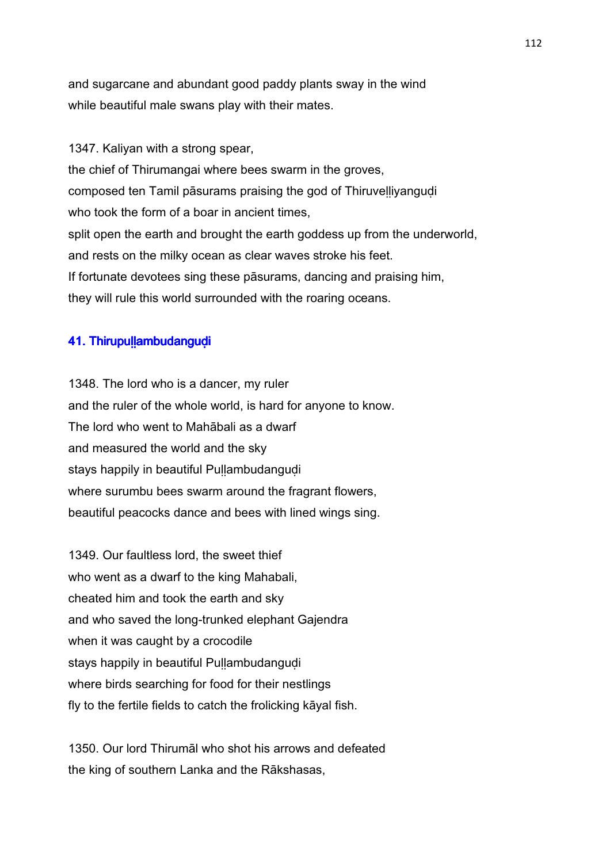and sugarcane and abundant good paddy plants sway in the wind while beautiful male swans play with their mates.

1347. Kaliyan with a strong spear, the chief of Thirumangai where bees swarm in the groves, composed ten Tamil pāsurams praising the god of Thiruveḷḷiyanguḍi who took the form of a boar in ancient times. split open the earth and brought the earth goddess up from the underworld, and rests on the milky ocean as clear waves stroke his feet. If fortunate devotees sing these pāsurams, dancing and praising him, they will rule this world surrounded with the roaring oceans.

## 41. Thirupullambudangudi

1348. The lord who is a dancer, my ruler and the ruler of the whole world, is hard for anyone to know. The lord who went to Mahābali as a dwarf and measured the world and the sky stays happily in beautiful Pullambudangudi where surumbu bees swarm around the fragrant flowers, beautiful peacocks dance and bees with lined wings sing.

1349. Our faultless lord, the sweet thief who went as a dwarf to the king Mahabali, cheated him and took the earth and sky and who saved the long-trunked elephant Gajendra when it was caught by a crocodile stays happily in beautiful Pullambudangudi where birds searching for food for their nestlings fly to the fertile fields to catch the frolicking kāyal fish.

1350. Our lord Thirumāl who shot his arrows and defeated the king of southern Lanka and the Rākshasas,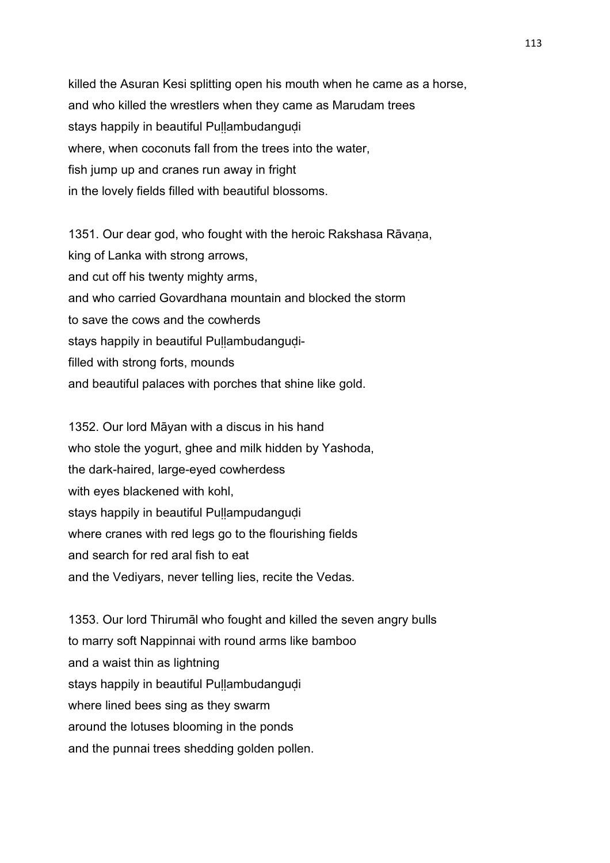killed the Asuran Kesi splitting open his mouth when he came as a horse, and who killed the wrestlers when they came as Marudam trees stays happily in beautiful Pullambudangudi where, when coconuts fall from the trees into the water, fish jump up and cranes run away in fright in the lovely fields filled with beautiful blossoms.

1351. Our dear god, who fought with the heroic Rakshasa Rāvaṇa, king of Lanka with strong arrows, and cut off his twenty mighty arms, and who carried Govardhana mountain and blocked the storm to save the cows and the cowherds stays happily in beautiful Pullambudangudifilled with strong forts, mounds and beautiful palaces with porches that shine like gold.

1352. Our lord Māyan with a discus in his hand who stole the yogurt, ghee and milk hidden by Yashoda, the dark-haired, large-eyed cowherdess with eyes blackened with kohl, stays happily in beautiful Pullampudangudi where cranes with red legs go to the flourishing fields and search for red aral fish to eat and the Vediyars, never telling lies, recite the Vedas.

1353. Our lord Thirumāl who fought and killed the seven angry bulls to marry soft Nappinnai with round arms like bamboo and a waist thin as lightning stays happily in beautiful Pullambudangudi where lined bees sing as they swarm around the lotuses blooming in the ponds and the punnai trees shedding golden pollen.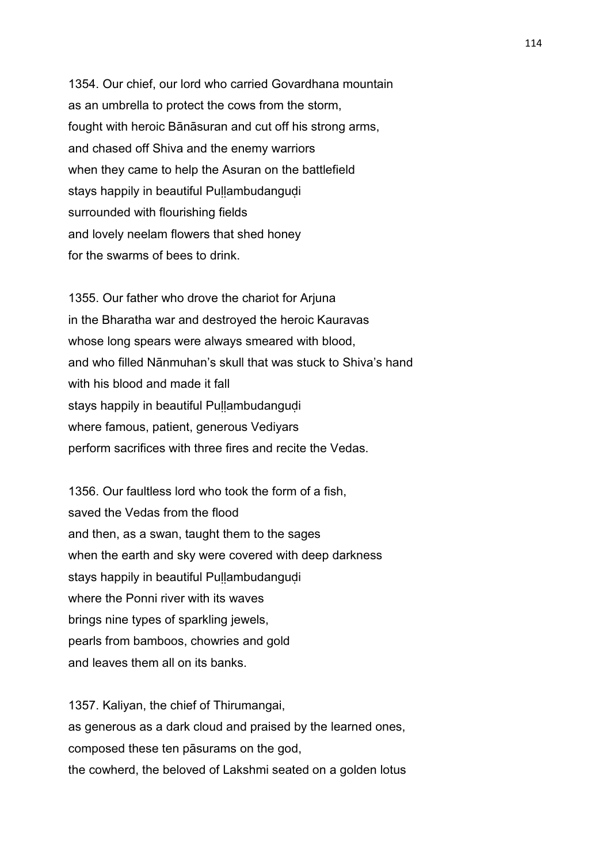1354. Our chief, our lord who carried Govardhana mountain as an umbrella to protect the cows from the storm, fought with heroic Bānāsuran and cut off his strong arms, and chased off Shiva and the enemy warriors when they came to help the Asuran on the battlefield stays happily in beautiful Pullambudangudi surrounded with flourishing fields and lovely neelam flowers that shed honey for the swarms of bees to drink.

1355. Our father who drove the chariot for Arjuna in the Bharatha war and destroyed the heroic Kauravas whose long spears were always smeared with blood, and who filled Nānmuhan's skull that was stuck to Shiva's hand with his blood and made it fall stays happily in beautiful Pullambudangudi where famous, patient, generous Vediyars perform sacrifices with three fires and recite the Vedas.

1356. Our faultless lord who took the form of a fish, saved the Vedas from the flood and then, as a swan, taught them to the sages when the earth and sky were covered with deep darkness stays happily in beautiful Pullambudangudi where the Ponni river with its waves brings nine types of sparkling jewels, pearls from bamboos, chowries and gold and leaves them all on its banks.

1357. Kaliyan, the chief of Thirumangai, as generous as a dark cloud and praised by the learned ones, composed these ten pāsurams on the god, the cowherd, the beloved of Lakshmi seated on a golden lotus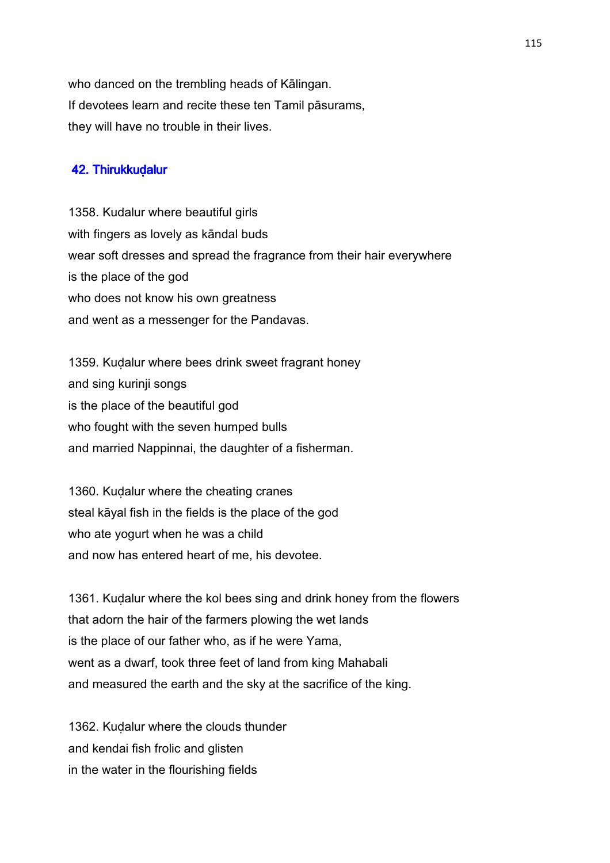who danced on the trembling heads of Kālingan. If devotees learn and recite these ten Tamil pāsurams, they will have no trouble in their lives.

#### 42. Thirukkudalur

1358. Kudalur where beautiful girls with fingers as lovely as kāndal buds wear soft dresses and spread the fragrance from their hair everywhere is the place of the god who does not know his own greatness and went as a messenger for the Pandavas.

1359. Kuḍalur where bees drink sweet fragrant honey and sing kurinji songs is the place of the beautiful god who fought with the seven humped bulls and married Nappinnai, the daughter of a fisherman.

1360. Kuḍalur where the cheating cranes steal kāyal fish in the fields is the place of the god who ate yogurt when he was a child and now has entered heart of me, his devotee.

1361. Kuḍalur where the kol bees sing and drink honey from the flowers that adorn the hair of the farmers plowing the wet lands is the place of our father who, as if he were Yama, went as a dwarf, took three feet of land from king Mahabali and measured the earth and the sky at the sacrifice of the king.

1362. Kuḍalur where the clouds thunder and kendai fish frolic and glisten in the water in the flourishing fields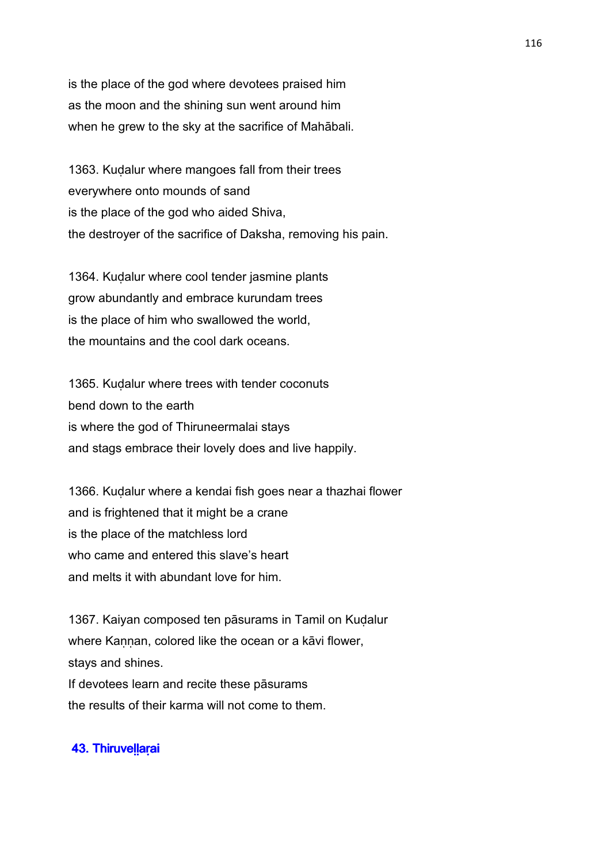is the place of the god where devotees praised him as the moon and the shining sun went around him when he grew to the sky at the sacrifice of Mahābali.

1363. Kuḍalur where mangoes fall from their trees everywhere onto mounds of sand is the place of the god who aided Shiva, the destroyer of the sacrifice of Daksha, removing his pain.

1364. Kuḍalur where cool tender jasmine plants grow abundantly and embrace kurundam trees is the place of him who swallowed the world, the mountains and the cool dark oceans.

1365. Kuḍalur where trees with tender coconuts bend down to the earth is where the god of Thiruneermalai stays and stags embrace their lovely does and live happily.

1366. Kuḍalur where a kendai fish goes near a thazhai flower and is frightened that it might be a crane is the place of the matchless lord who came and entered this slave's heart and melts it with abundant love for him.

1367. Kaiyan composed ten pāsurams in Tamil on Kudalur where Kannan, colored like the ocean or a kāvi flower, stays and shines. If devotees learn and recite these pāsurams

the results of their karma will not come to them.

# 43. Thiruvellarai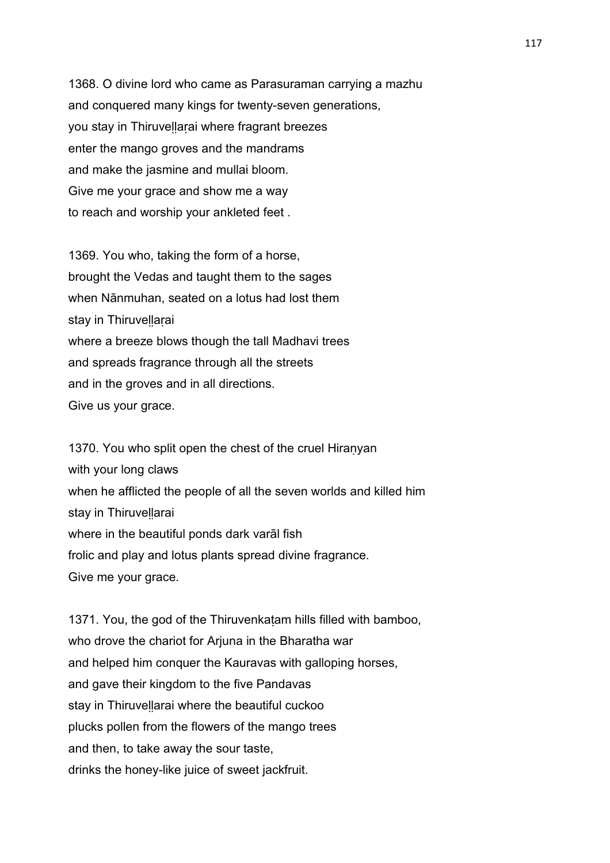1368. O divine lord who came as Parasuraman carrying a mazhu and conquered many kings for twenty-seven generations, you stay in Thiruvellarai where fragrant breezes enter the mango groves and the mandrams and make the jasmine and mullai bloom. Give me your grace and show me a way to reach and worship your ankleted feet .

1369. You who, taking the form of a horse, brought the Vedas and taught them to the sages when Nānmuhan, seated on a lotus had lost them stay in Thiruvellarai where a breeze blows though the tall Madhavi trees and spreads fragrance through all the streets and in the groves and in all directions. Give us your grace.

1370. You who split open the chest of the cruel Hiranyan with your long claws when he afflicted the people of all the seven worlds and killed him stay in Thiruvellarai where in the beautiful ponds dark varāl fish frolic and play and lotus plants spread divine fragrance. Give me your grace.

1371. You, the god of the Thiruvenkaṭam hills filled with bamboo, who drove the chariot for Arjuna in the Bharatha war and helped him conquer the Kauravas with galloping horses, and gave their kingdom to the five Pandavas stay in Thiruvellarai where the beautiful cuckoo plucks pollen from the flowers of the mango trees and then, to take away the sour taste, drinks the honey-like juice of sweet jackfruit.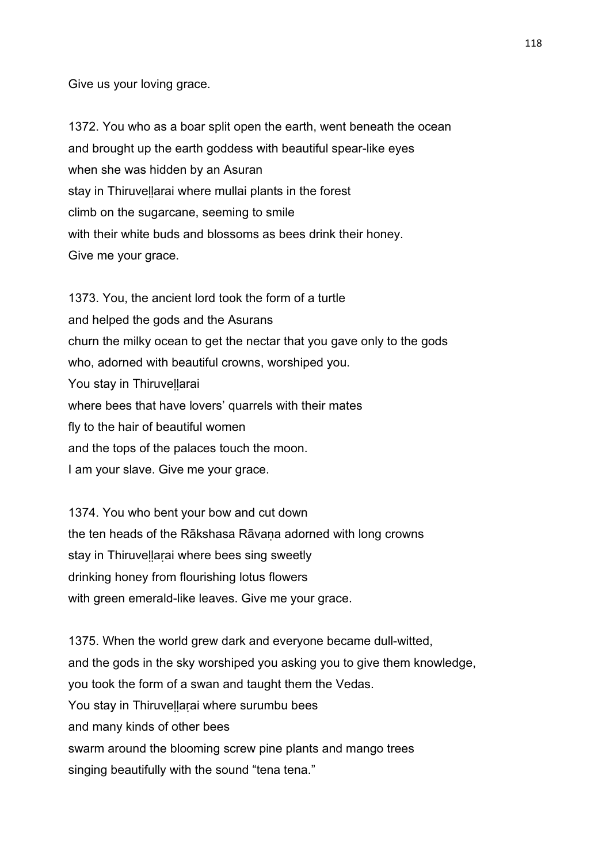Give us your loving grace.

1372. You who as a boar split open the earth, went beneath the ocean and brought up the earth goddess with beautiful spear-like eyes when she was hidden by an Asuran stay in Thiruvellarai where mullai plants in the forest climb on the sugarcane, seeming to smile with their white buds and blossoms as bees drink their honey. Give me your grace.

1373. You, the ancient lord took the form of a turtle and helped the gods and the Asurans churn the milky ocean to get the nectar that you gave only to the gods who, adorned with beautiful crowns, worshiped you. You stay in Thiruvellarai where bees that have lovers' quarrels with their mates fly to the hair of beautiful women and the tops of the palaces touch the moon. I am your slave. Give me your grace.

1374. You who bent your bow and cut down the ten heads of the Rākshasa Rāvaṇa adorned with long crowns stay in Thiruvellarai where bees sing sweetly drinking honey from flourishing lotus flowers with green emerald-like leaves. Give me your grace.

1375. When the world grew dark and everyone became dull-witted, and the gods in the sky worshiped you asking you to give them knowledge, you took the form of a swan and taught them the Vedas. You stay in Thiruvellarai where surumbu bees and many kinds of other bees swarm around the blooming screw pine plants and mango trees singing beautifully with the sound "tena tena."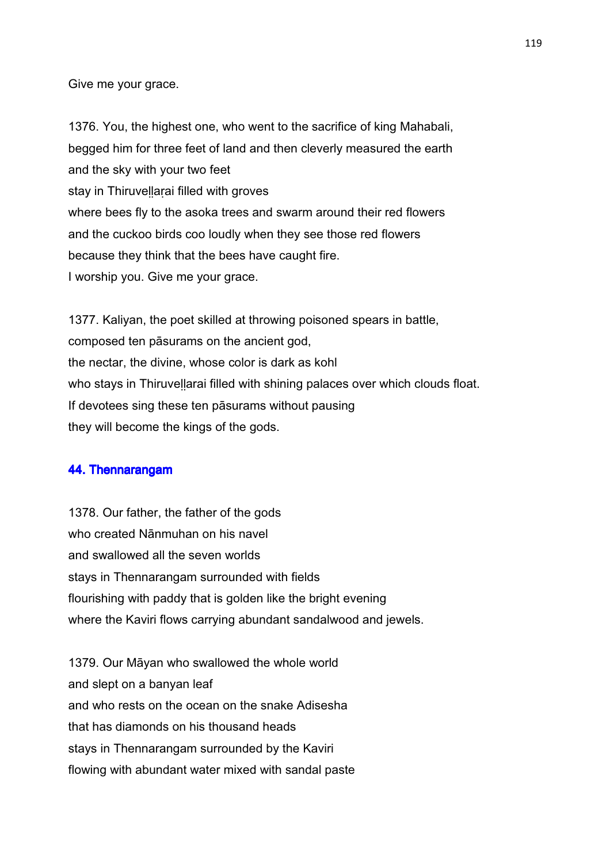Give me your grace.

1376. You, the highest one, who went to the sacrifice of king Mahabali, begged him for three feet of land and then cleverly measured the earth and the sky with your two feet stay in Thiruvellarai filled with groves where bees fly to the asoka trees and swarm around their red flowers and the cuckoo birds coo loudly when they see those red flowers because they think that the bees have caught fire. I worship you. Give me your grace.

1377. Kaliyan, the poet skilled at throwing poisoned spears in battle, composed ten pāsurams on the ancient god, the nectar, the divine, whose color is dark as kohl who stays in Thiruvellarai filled with shining palaces over which clouds float. If devotees sing these ten pāsurams without pausing they will become the kings of the gods.

### 44. Thennarangam

1378. Our father, the father of the gods who created Nānmuhan on his navel and swallowed all the seven worlds stays in Thennarangam surrounded with fields flourishing with paddy that is golden like the bright evening where the Kaviri flows carrying abundant sandalwood and jewels.

1379. Our Māyan who swallowed the whole world and slept on a banyan leaf and who rests on the ocean on the snake Adisesha that has diamonds on his thousand heads stays in Thennarangam surrounded by the Kaviri flowing with abundant water mixed with sandal paste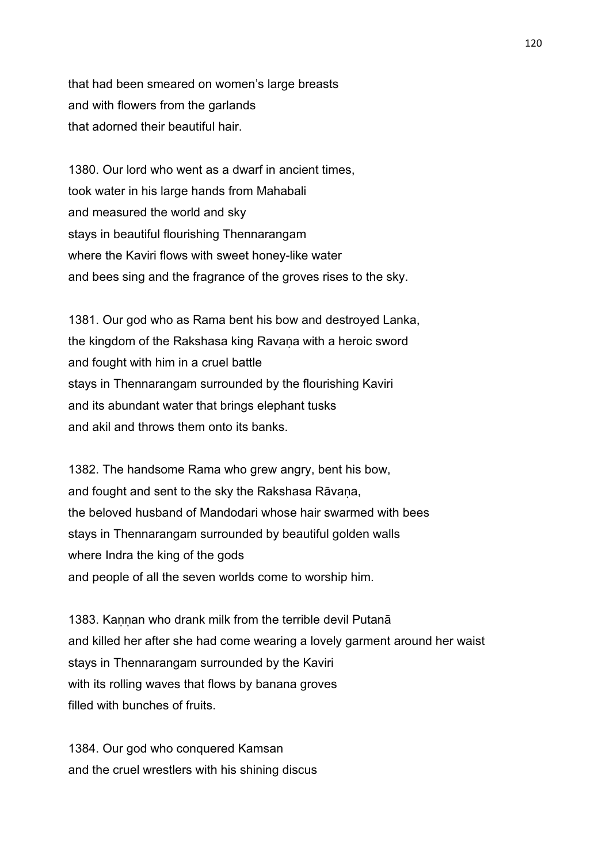that had been smeared on women's large breasts and with flowers from the garlands that adorned their beautiful hair.

1380. Our lord who went as a dwarf in ancient times, took water in his large hands from Mahabali and measured the world and sky stays in beautiful flourishing Thennarangam where the Kaviri flows with sweet honey-like water and bees sing and the fragrance of the groves rises to the sky.

1381. Our god who as Rama bent his bow and destroyed Lanka, the kingdom of the Rakshasa king Ravaṇa with a heroic sword and fought with him in a cruel battle stays in Thennarangam surrounded by the flourishing Kaviri and its abundant water that brings elephant tusks and akil and throws them onto its banks.

1382. The handsome Rama who grew angry, bent his bow, and fought and sent to the sky the Rakshasa Rāvana, the beloved husband of Mandodari whose hair swarmed with bees stays in Thennarangam surrounded by beautiful golden walls where Indra the king of the gods and people of all the seven worlds come to worship him.

1383. Kannan who drank milk from the terrible devil Putanā and killed her after she had come wearing a lovely garment around her waist stays in Thennarangam surrounded by the Kaviri with its rolling waves that flows by banana groves filled with bunches of fruits.

1384. Our god who conquered Kamsan and the cruel wrestlers with his shining discus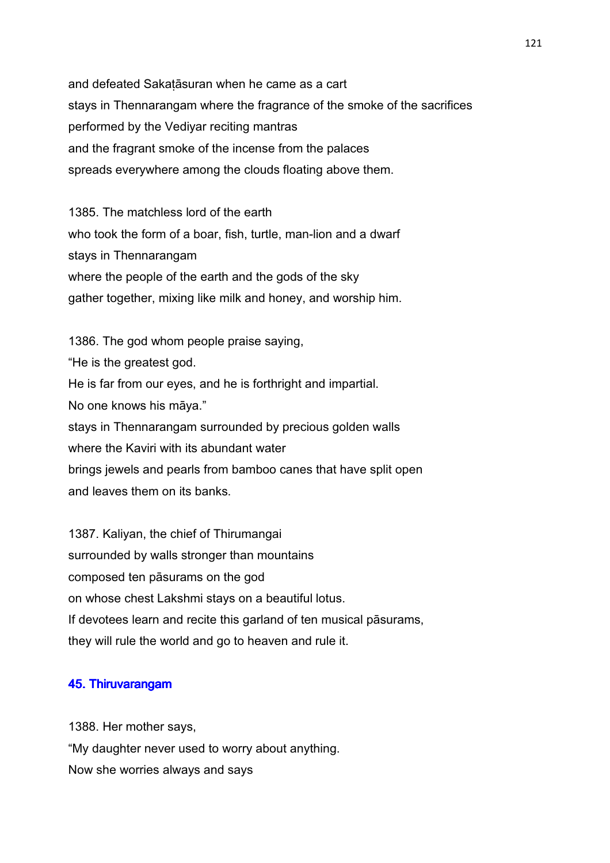and defeated Sakaṭāsuran when he came as a cart stays in Thennarangam where the fragrance of the smoke of the sacrifices performed by the Vediyar reciting mantras and the fragrant smoke of the incense from the palaces spreads everywhere among the clouds floating above them.

1385. The matchless lord of the earth who took the form of a boar, fish, turtle, man-lion and a dwarf stays in Thennarangam where the people of the earth and the gods of the sky gather together, mixing like milk and honey, and worship him.

1386. The god whom people praise saying, "He is the greatest god. He is far from our eyes, and he is forthright and impartial. No one knows his māya." stays in Thennarangam surrounded by precious golden walls where the Kaviri with its abundant water brings jewels and pearls from bamboo canes that have split open and leaves them on its banks.

1387. Kaliyan, the chief of Thirumangai surrounded by walls stronger than mountains composed ten pāsurams on the god on whose chest Lakshmi stays on a beautiful lotus. If devotees learn and recite this garland of ten musical pāsurams, they will rule the world and go to heaven and rule it.

### 45. Thiruvarangam

1388. Her mother says, "My daughter never used to worry about anything. Now she worries always and says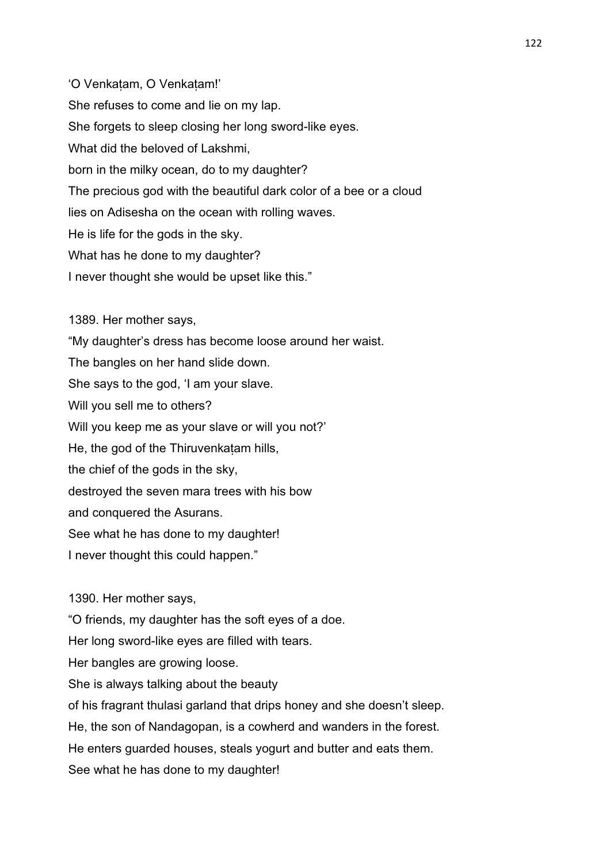'O Venkaṭam, O Venkaṭam!' She refuses to come and lie on my lap. She forgets to sleep closing her long sword-like eyes. What did the beloved of Lakshmi, born in the milky ocean, do to my daughter? The precious god with the beautiful dark color of a bee or a cloud lies on Adisesha on the ocean with rolling waves. He is life for the gods in the sky. What has he done to my daughter? I never thought she would be upset like this."

1389. Her mother says, "My daughter's dress has become loose around her waist. The bangles on her hand slide down. She says to the god, 'I am your slave. Will you sell me to others? Will you keep me as your slave or will you not?' He, the god of the Thiruvenkatam hills, the chief of the gods in the sky, destroyed the seven mara trees with his bow and conquered the Asurans. See what he has done to my daughter! I never thought this could happen."

1390. Her mother says,

"O friends, my daughter has the soft eyes of a doe.

Her long sword-like eyes are filled with tears.

Her bangles are growing loose.

She is always talking about the beauty

of his fragrant thulasi garland that drips honey and she doesn't sleep.

He, the son of Nandagopan, is a cowherd and wanders in the forest.

He enters guarded houses, steals yogurt and butter and eats them.

See what he has done to my daughter!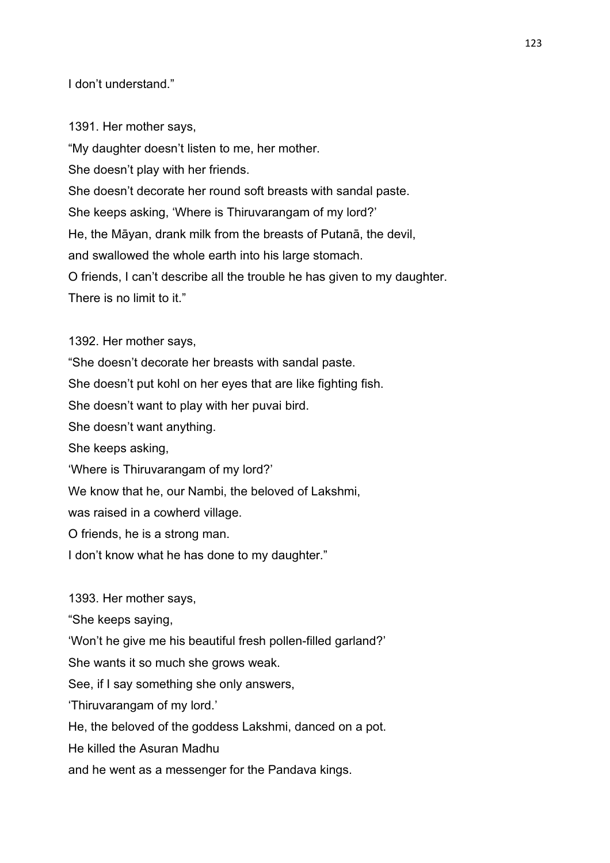I don't understand."

1391. Her mother says, "My daughter doesn't listen to me, her mother. She doesn't play with her friends. She doesn't decorate her round soft breasts with sandal paste. She keeps asking, 'Where is Thiruvarangam of my lord?' He, the Māyan, drank milk from the breasts of Putanā, the devil, and swallowed the whole earth into his large stomach. O friends, I can't describe all the trouble he has given to my daughter. There is no limit to it."

1392. Her mother says,

"She doesn't decorate her breasts with sandal paste.

She doesn't put kohl on her eyes that are like fighting fish.

She doesn't want to play with her puvai bird.

She doesn't want anything.

She keeps asking,

'Where is Thiruvarangam of my lord?'

We know that he, our Nambi, the beloved of Lakshmi,

was raised in a cowherd village.

O friends, he is a strong man.

I don't know what he has done to my daughter."

1393. Her mother says,

"She keeps saying,

'Won't he give me his beautiful fresh pollen-filled garland?'

She wants it so much she grows weak.

See, if I say something she only answers,

'Thiruvarangam of my lord.'

He, the beloved of the goddess Lakshmi, danced on a pot.

He killed the Asuran Madhu

and he went as a messenger for the Pandava kings.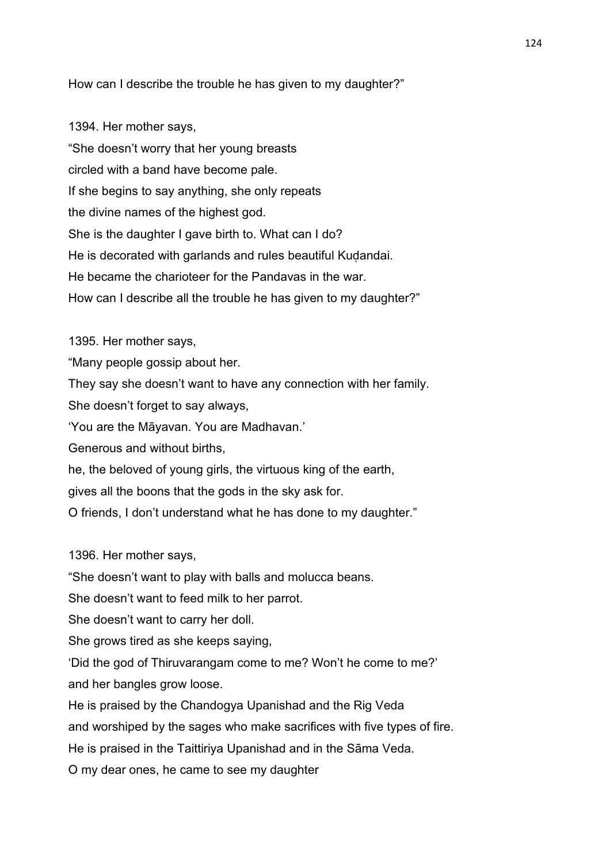How can I describe the trouble he has given to my daughter?"

1394. Her mother says, "She doesn't worry that her young breasts circled with a band have become pale. If she begins to say anything, she only repeats the divine names of the highest god. She is the daughter I gave birth to. What can I do? He is decorated with garlands and rules beautiful Kudandai. He became the charioteer for the Pandavas in the war. How can I describe all the trouble he has given to my daughter?"

1395. Her mother says,

"Many people gossip about her.

They say she doesn't want to have any connection with her family.

She doesn't forget to say always,

'You are the Māyavan. You are Madhavan.'

Generous and without births,

he, the beloved of young girls, the virtuous king of the earth,

gives all the boons that the gods in the sky ask for.

O friends, I don't understand what he has done to my daughter."

1396. Her mother says,

"She doesn't want to play with balls and molucca beans.

She doesn't want to feed milk to her parrot.

She doesn't want to carry her doll.

She grows tired as she keeps saying,

'Did the god of Thiruvarangam come to me? Won't he come to me?' and her bangles grow loose.

He is praised by the Chandogya Upanishad and the Rig Veda

and worshiped by the sages who make sacrifices with five types of fire.

He is praised in the Taittiriya Upanishad and in the Sāma Veda.

O my dear ones, he came to see my daughter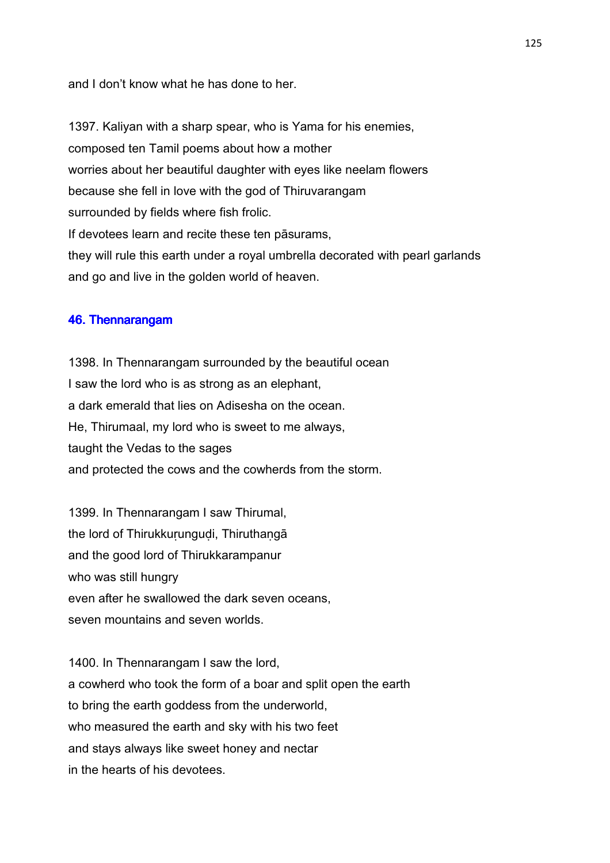and I don't know what he has done to her.

1397. Kaliyan with a sharp spear, who is Yama for his enemies, composed ten Tamil poems about how a mother worries about her beautiful daughter with eyes like neelam flowers because she fell in love with the god of Thiruvarangam surrounded by fields where fish frolic. If devotees learn and recite these ten pāsurams, they will rule this earth under a royal umbrella decorated with pearl garlands and go and live in the golden world of heaven.

#### 46. Thennarangam

1398. In Thennarangam surrounded by the beautiful ocean I saw the lord who is as strong as an elephant, a dark emerald that lies on Adisesha on the ocean. He, Thirumaal, my lord who is sweet to me always, taught the Vedas to the sages and protected the cows and the cowherds from the storm.

1399. In Thennarangam I saw Thirumal, the lord of Thirukkurungudi, Thiruthangā and the good lord of Thirukkarampanur who was still hungry even after he swallowed the dark seven oceans, seven mountains and seven worlds.

1400. In Thennarangam I saw the lord, a cowherd who took the form of a boar and split open the earth to bring the earth goddess from the underworld, who measured the earth and sky with his two feet and stays always like sweet honey and nectar in the hearts of his devotees.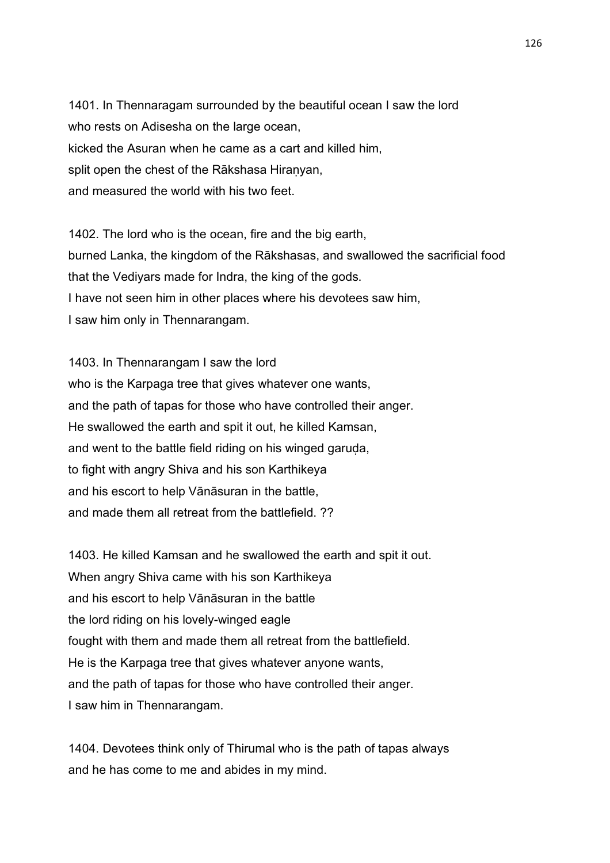1401. In Thennaragam surrounded by the beautiful ocean I saw the lord who rests on Adisesha on the large ocean, kicked the Asuran when he came as a cart and killed him, split open the chest of the Rākshasa Hiranyan, and measured the world with his two feet.

1402. The lord who is the ocean, fire and the big earth, burned Lanka, the kingdom of the Rākshasas, and swallowed the sacrificial food that the Vediyars made for Indra, the king of the gods. I have not seen him in other places where his devotees saw him, I saw him only in Thennarangam.

1403. In Thennarangam I saw the lord who is the Karpaga tree that gives whatever one wants, and the path of tapas for those who have controlled their anger. He swallowed the earth and spit it out, he killed Kamsan, and went to the battle field riding on his winged garuda, to fight with angry Shiva and his son Karthikeya and his escort to help Vānāsuran in the battle, and made them all retreat from the battlefield. ??

1403. He killed Kamsan and he swallowed the earth and spit it out. When angry Shiva came with his son Karthikeya and his escort to help Vānāsuran in the battle the lord riding on his lovely-winged eagle fought with them and made them all retreat from the battlefield. He is the Karpaga tree that gives whatever anyone wants, and the path of tapas for those who have controlled their anger. I saw him in Thennarangam.

1404. Devotees think only of Thirumal who is the path of tapas always and he has come to me and abides in my mind.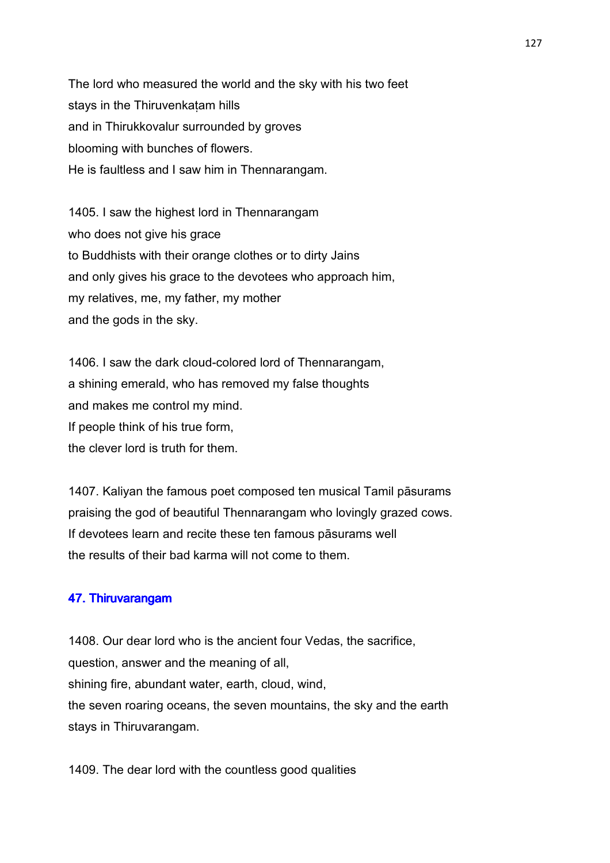The lord who measured the world and the sky with his two feet stays in the Thiruvenkaṭam hills and in Thirukkovalur surrounded by groves blooming with bunches of flowers. He is faultless and I saw him in Thennarangam.

1405. I saw the highest lord in Thennarangam who does not give his grace to Buddhists with their orange clothes or to dirty Jains and only gives his grace to the devotees who approach him, my relatives, me, my father, my mother and the gods in the sky.

1406. I saw the dark cloud-colored lord of Thennarangam, a shining emerald, who has removed my false thoughts and makes me control my mind. If people think of his true form, the clever lord is truth for them.

1407. Kaliyan the famous poet composed ten musical Tamil pāsurams praising the god of beautiful Thennarangam who lovingly grazed cows. If devotees learn and recite these ten famous pāsurams well the results of their bad karma will not come to them.

#### 47. Thiruvarangam

1408. Our dear lord who is the ancient four Vedas, the sacrifice, question, answer and the meaning of all, shining fire, abundant water, earth, cloud, wind, the seven roaring oceans, the seven mountains, the sky and the earth stays in Thiruvarangam.

1409. The dear lord with the countless good qualities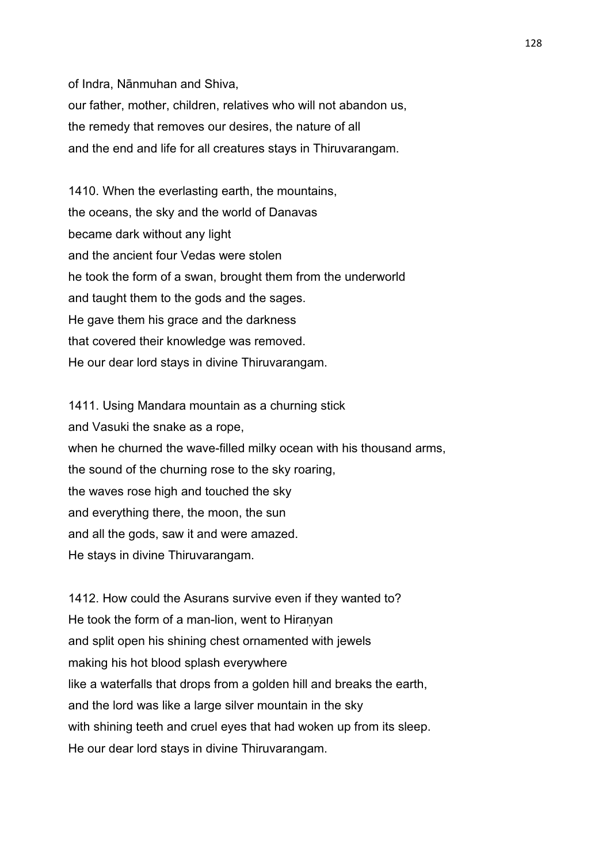of Indra, Nānmuhan and Shiva,

our father, mother, children, relatives who will not abandon us, the remedy that removes our desires, the nature of all and the end and life for all creatures stays in Thiruvarangam.

1410. When the everlasting earth, the mountains, the oceans, the sky and the world of Danavas became dark without any light and the ancient four Vedas were stolen he took the form of a swan, brought them from the underworld and taught them to the gods and the sages. He gave them his grace and the darkness that covered their knowledge was removed. He our dear lord stays in divine Thiruvarangam.

1411. Using Mandara mountain as a churning stick and Vasuki the snake as a rope, when he churned the wave-filled milky ocean with his thousand arms, the sound of the churning rose to the sky roaring, the waves rose high and touched the sky and everything there, the moon, the sun and all the gods, saw it and were amazed. He stays in divine Thiruvarangam.

1412. How could the Asurans survive even if they wanted to? He took the form of a man-lion, went to Hiranyan and split open his shining chest ornamented with jewels making his hot blood splash everywhere like a waterfalls that drops from a golden hill and breaks the earth, and the lord was like a large silver mountain in the sky with shining teeth and cruel eyes that had woken up from its sleep. He our dear lord stays in divine Thiruvarangam.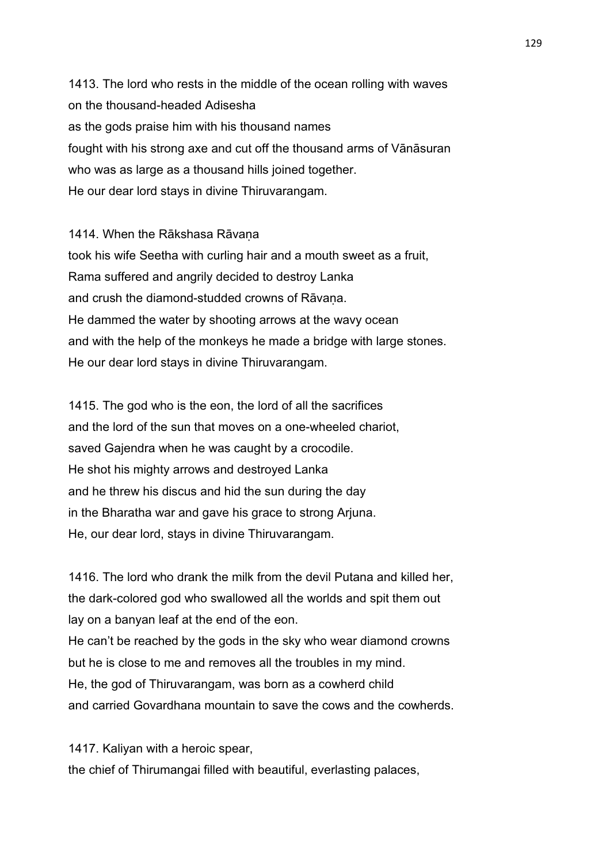1413. The lord who rests in the middle of the ocean rolling with waves on the thousand-headed Adisesha as the gods praise him with his thousand names fought with his strong axe and cut off the thousand arms of Vānāsuran who was as large as a thousand hills joined together. He our dear lord stays in divine Thiruvarangam.

1414. When the Rākshasa Rāvana

took his wife Seetha with curling hair and a mouth sweet as a fruit, Rama suffered and angrily decided to destroy Lanka and crush the diamond-studded crowns of Rāvana. He dammed the water by shooting arrows at the wavy ocean and with the help of the monkeys he made a bridge with large stones. He our dear lord stays in divine Thiruvarangam.

1415. The god who is the eon, the lord of all the sacrifices and the lord of the sun that moves on a one-wheeled chariot, saved Gajendra when he was caught by a crocodile. He shot his mighty arrows and destroyed Lanka and he threw his discus and hid the sun during the day in the Bharatha war and gave his grace to strong Arjuna. He, our dear lord, stays in divine Thiruvarangam.

1416. The lord who drank the milk from the devil Putana and killed her, the dark-colored god who swallowed all the worlds and spit them out lay on a banyan leaf at the end of the eon. He can't be reached by the gods in the sky who wear diamond crowns but he is close to me and removes all the troubles in my mind. He, the god of Thiruvarangam, was born as a cowherd child and carried Govardhana mountain to save the cows and the cowherds.

1417. Kaliyan with a heroic spear, the chief of Thirumangai filled with beautiful, everlasting palaces,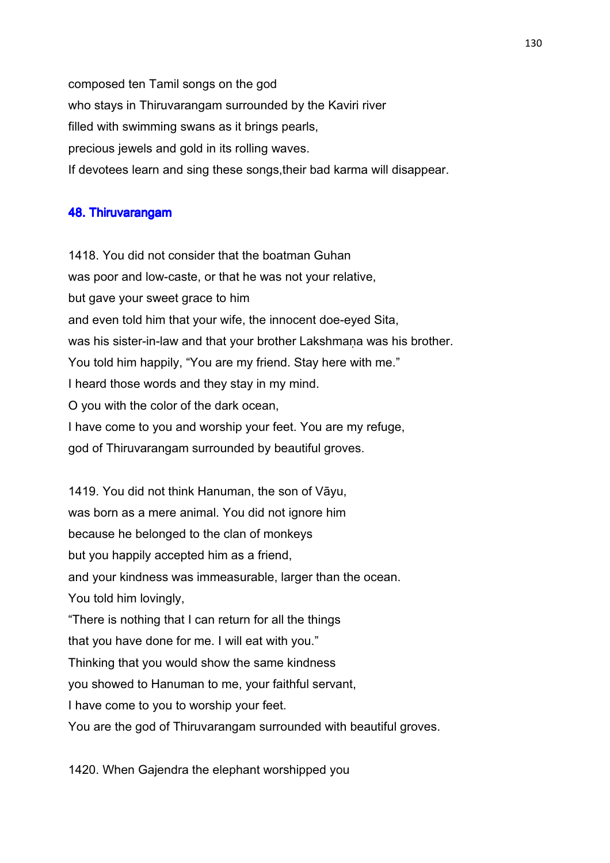composed ten Tamil songs on the god who stays in Thiruvarangam surrounded by the Kaviri river filled with swimming swans as it brings pearls, precious jewels and gold in its rolling waves. If devotees learn and sing these songs,their bad karma will disappear.

### 48. Thiruvarangam

1418. You did not consider that the boatman Guhan was poor and low-caste, or that he was not your relative, but gave your sweet grace to him and even told him that your wife, the innocent doe-eyed Sita, was his sister-in-law and that your brother Lakshmana was his brother. You told him happily, "You are my friend. Stay here with me." I heard those words and they stay in my mind. O you with the color of the dark ocean, I have come to you and worship your feet. You are my refuge, god of Thiruvarangam surrounded by beautiful groves.

1419. You did not think Hanuman, the son of Vāyu, was born as a mere animal. You did not ignore him because he belonged to the clan of monkeys but you happily accepted him as a friend, and your kindness was immeasurable, larger than the ocean. You told him lovingly, "There is nothing that I can return for all the things that you have done for me. I will eat with you." Thinking that you would show the same kindness you showed to Hanuman to me, your faithful servant, I have come to you to worship your feet. You are the god of Thiruvarangam surrounded with beautiful groves.

1420. When Gajendra the elephant worshipped you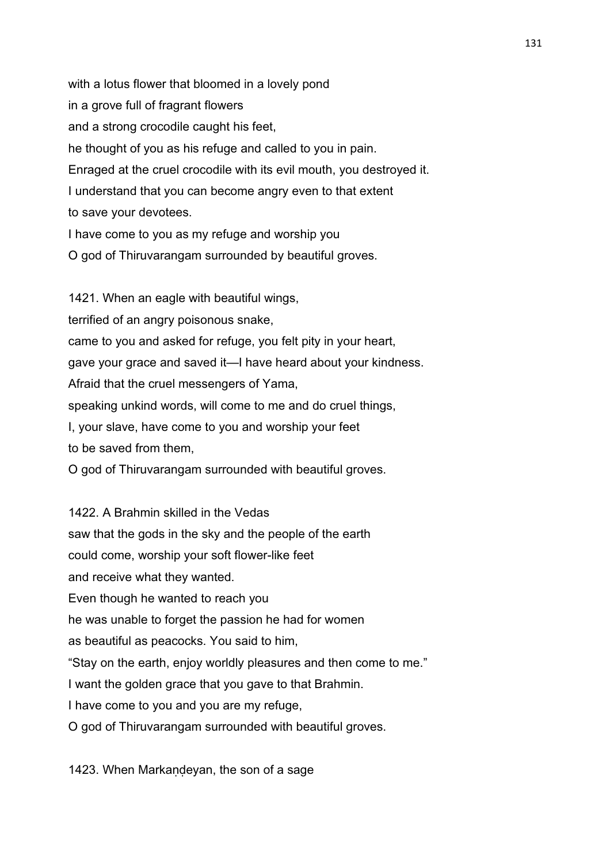with a lotus flower that bloomed in a lovely pond in a grove full of fragrant flowers and a strong crocodile caught his feet, he thought of you as his refuge and called to you in pain. Enraged at the cruel crocodile with its evil mouth, you destroyed it. I understand that you can become angry even to that extent to save your devotees. I have come to you as my refuge and worship you O god of Thiruvarangam surrounded by beautiful groves.

1421. When an eagle with beautiful wings, terrified of an angry poisonous snake, came to you and asked for refuge, you felt pity in your heart, gave your grace and saved it—I have heard about your kindness. Afraid that the cruel messengers of Yama, speaking unkind words, will come to me and do cruel things, I, your slave, have come to you and worship your feet to be saved from them, O god of Thiruvarangam surrounded with beautiful groves.

1422. A Brahmin skilled in the Vedas saw that the gods in the sky and the people of the earth could come, worship your soft flower-like feet and receive what they wanted. Even though he wanted to reach you he was unable to forget the passion he had for women as beautiful as peacocks. You said to him, "Stay on the earth, enjoy worldly pleasures and then come to me." I want the golden grace that you gave to that Brahmin. I have come to you and you are my refuge, O god of Thiruvarangam surrounded with beautiful groves.

1423. When Markaṇḍeyan, the son of a sage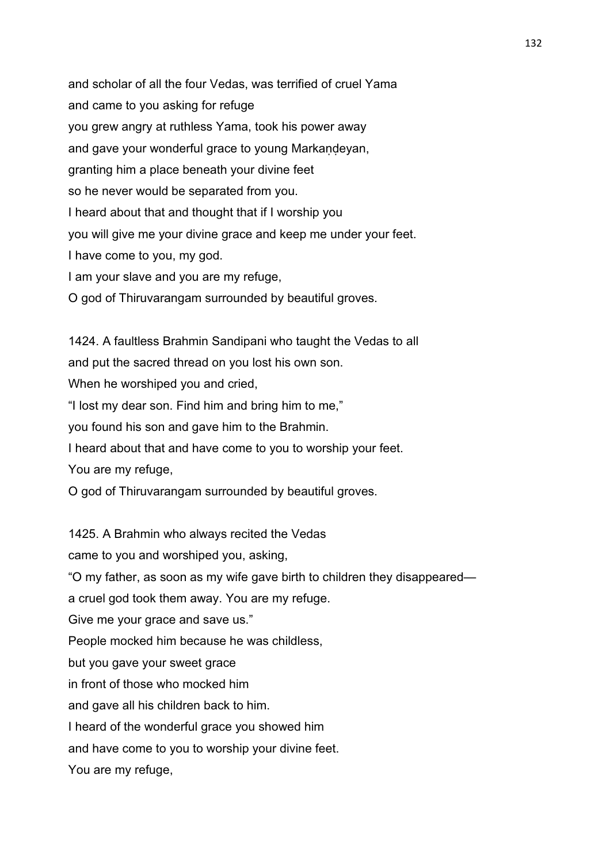and scholar of all the four Vedas, was terrified of cruel Yama and came to you asking for refuge you grew angry at ruthless Yama, took his power away and gave your wonderful grace to young Markandeyan, granting him a place beneath your divine feet so he never would be separated from you. I heard about that and thought that if I worship you you will give me your divine grace and keep me under your feet. I have come to you, my god. I am your slave and you are my refuge, O god of Thiruvarangam surrounded by beautiful groves.

1424. A faultless Brahmin Sandipani who taught the Vedas to all and put the sacred thread on you lost his own son.

When he worshiped you and cried,

"I lost my dear son. Find him and bring him to me,"

you found his son and gave him to the Brahmin.

I heard about that and have come to you to worship your feet.

You are my refuge,

You are my refuge,

O god of Thiruvarangam surrounded by beautiful groves.

1425. A Brahmin who always recited the Vedas came to you and worshiped you, asking, "O my father, as soon as my wife gave birth to children they disappeared a cruel god took them away. You are my refuge. Give me your grace and save us." People mocked him because he was childless, but you gave your sweet grace in front of those who mocked him and gave all his children back to him. I heard of the wonderful grace you showed him and have come to you to worship your divine feet.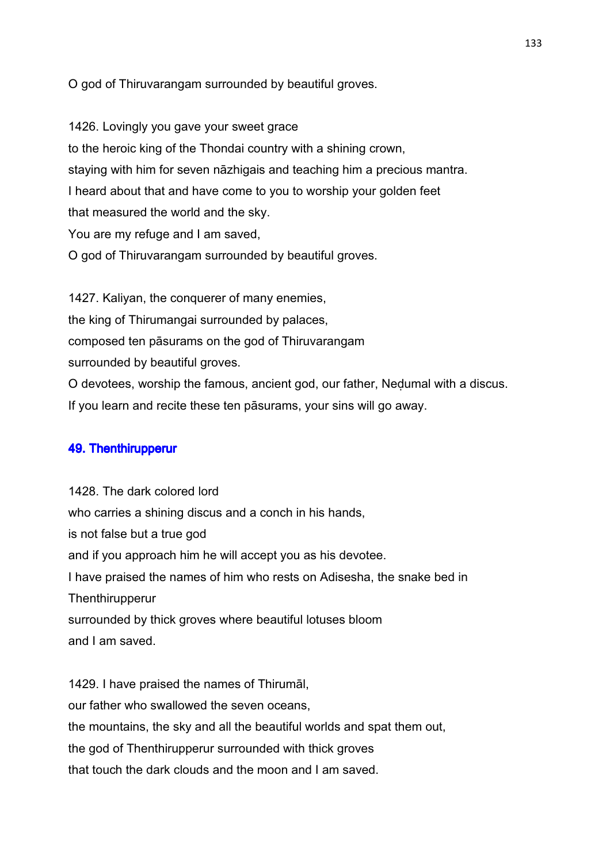O god of Thiruvarangam surrounded by beautiful groves.

1426. Lovingly you gave your sweet grace to the heroic king of the Thondai country with a shining crown, staying with him for seven nāzhigais and teaching him a precious mantra. I heard about that and have come to you to worship your golden feet that measured the world and the sky. You are my refuge and I am saved, O god of Thiruvarangam surrounded by beautiful groves.

1427. Kaliyan, the conquerer of many enemies, the king of Thirumangai surrounded by palaces, composed ten pāsurams on the god of Thiruvarangam surrounded by beautiful groves. O devotees, worship the famous, ancient god, our father, Neḍumal with a discus.

If you learn and recite these ten pāsurams, your sins will go away.

## 49. Thenthirupperur

1428. The dark colored lord who carries a shining discus and a conch in his hands, is not false but a true god and if you approach him he will accept you as his devotee. I have praised the names of him who rests on Adisesha, the snake bed in **Thenthirupperur** surrounded by thick groves where beautiful lotuses bloom and I am saved.

1429. I have praised the names of Thirumāl, our father who swallowed the seven oceans, the mountains, the sky and all the beautiful worlds and spat them out, the god of Thenthirupperur surrounded with thick groves that touch the dark clouds and the moon and I am saved.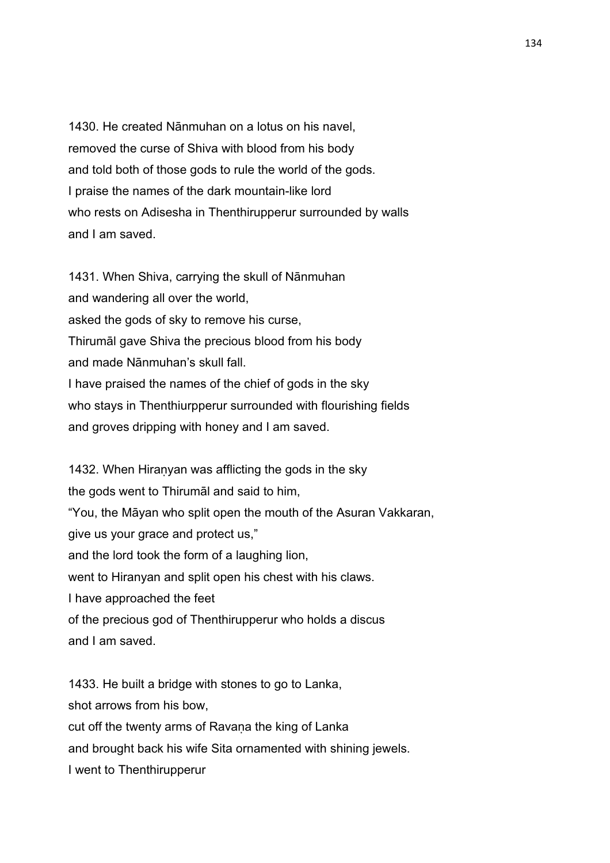1430. He created Nānmuhan on a lotus on his navel, removed the curse of Shiva with blood from his body and told both of those gods to rule the world of the gods. I praise the names of the dark mountain-like lord who rests on Adisesha in Thenthirupperur surrounded by walls and I am saved.

1431. When Shiva, carrying the skull of Nānmuhan and wandering all over the world, asked the gods of sky to remove his curse, Thirumāl gave Shiva the precious blood from his body and made Nānmuhan's skull fall. I have praised the names of the chief of gods in the sky who stays in Thenthiurpperur surrounded with flourishing fields and groves dripping with honey and I am saved.

1432. When Hiranyan was afflicting the gods in the sky the gods went to Thirumāl and said to him, "You, the Māyan who split open the mouth of the Asuran Vakkaran, give us your grace and protect us," and the lord took the form of a laughing lion, went to Hiranyan and split open his chest with his claws. I have approached the feet of the precious god of Thenthirupperur who holds a discus and I am saved.

1433. He built a bridge with stones to go to Lanka, shot arrows from his bow, cut off the twenty arms of Ravana the king of Lanka and brought back his wife Sita ornamented with shining jewels. I went to Thenthirupperur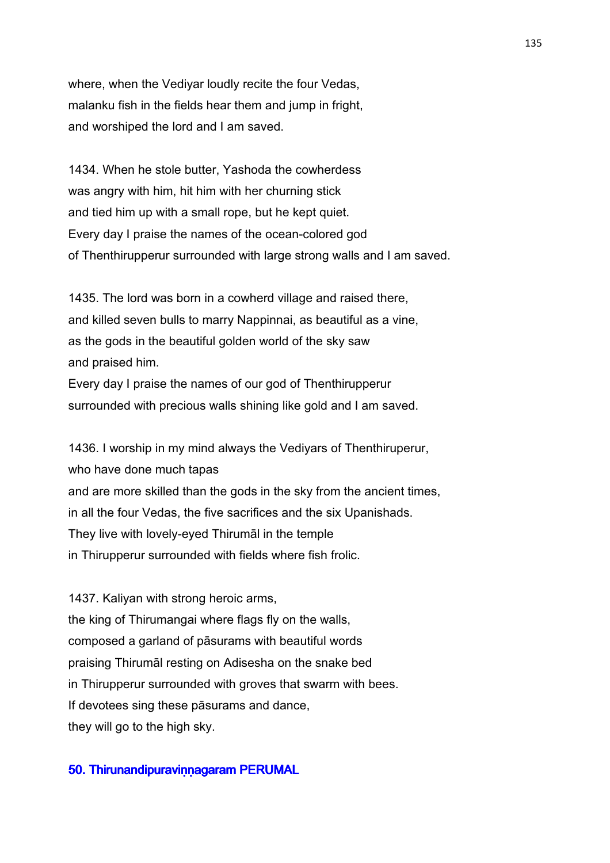where, when the Vediyar loudly recite the four Vedas, malanku fish in the fields hear them and jump in fright, and worshiped the lord and I am saved.

1434. When he stole butter, Yashoda the cowherdess was angry with him, hit him with her churning stick and tied him up with a small rope, but he kept quiet. Every day I praise the names of the ocean-colored god of Thenthirupperur surrounded with large strong walls and I am saved.

1435. The lord was born in a cowherd village and raised there, and killed seven bulls to marry Nappinnai, as beautiful as a vine, as the gods in the beautiful golden world of the sky saw and praised him.

Every day I praise the names of our god of Thenthirupperur surrounded with precious walls shining like gold and I am saved.

1436. I worship in my mind always the Vediyars of Thenthiruperur, who have done much tapas and are more skilled than the gods in the sky from the ancient times, in all the four Vedas, the five sacrifices and the six Upanishads. They live with lovely-eyed Thirumāl in the temple in Thirupperur surrounded with fields where fish frolic.

1437. Kaliyan with strong heroic arms, the king of Thirumangai where flags fly on the walls, composed a garland of pāsurams with beautiful words praising Thirumāl resting on Adisesha on the snake bed in Thirupperur surrounded with groves that swarm with bees. If devotees sing these pāsurams and dance, they will go to the high sky.

## 50. Thirunandipuravinnagaram PERUMAL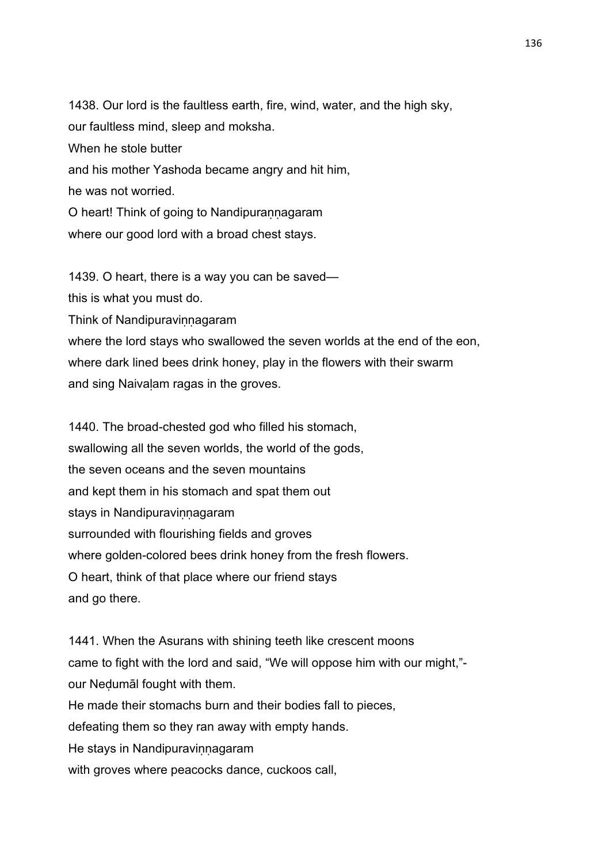1438. Our lord is the faultless earth, fire, wind, water, and the high sky, our faultless mind, sleep and moksha. When he stole butter and his mother Yashoda became angry and hit him, he was not worried. O heart! Think of going to Nandipuraṇṇagaram where our good lord with a broad chest stays.

1439. O heart, there is a way you can be saved—

this is what you must do.

Think of Nandipuravinnagaram

where the lord stays who swallowed the seven worlds at the end of the eon, where dark lined bees drink honey, play in the flowers with their swarm and sing Naivaḷam ragas in the groves.

1440. The broad-chested god who filled his stomach, swallowing all the seven worlds, the world of the gods, the seven oceans and the seven mountains and kept them in his stomach and spat them out stays in Nandipuravinnagaram surrounded with flourishing fields and groves where golden-colored bees drink honey from the fresh flowers. O heart, think of that place where our friend stays and go there.

1441. When the Asurans with shining teeth like crescent moons came to fight with the lord and said, "We will oppose him with our might," our Neḍumāl fought with them. He made their stomachs burn and their bodies fall to pieces, defeating them so they ran away with empty hands. He stays in Nandipuravinnagaram with groves where peacocks dance, cuckoos call,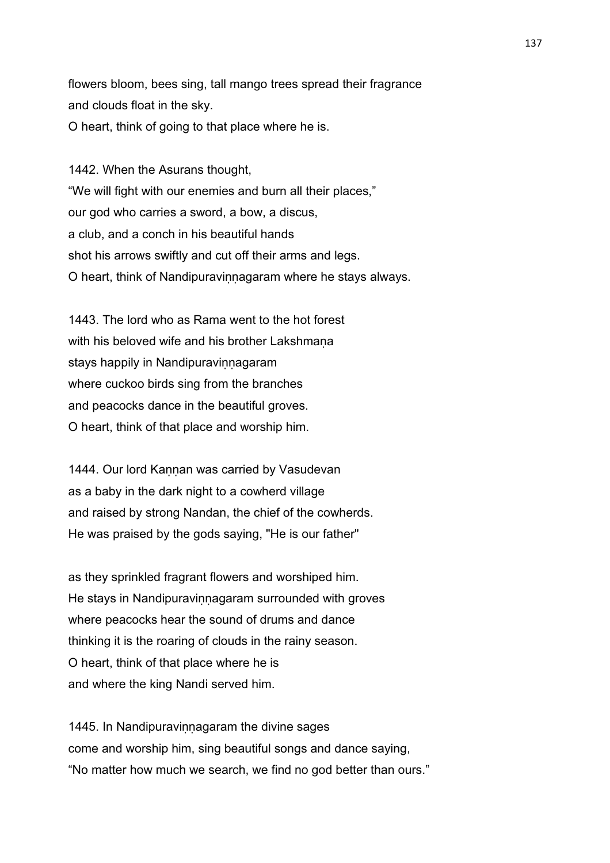flowers bloom, bees sing, tall mango trees spread their fragrance and clouds float in the sky. O heart, think of going to that place where he is.

1442. When the Asurans thought, "We will fight with our enemies and burn all their places," our god who carries a sword, a bow, a discus, a club, and a conch in his beautiful hands shot his arrows swiftly and cut off their arms and legs. O heart, think of Nandipuravinnagaram where he stays always.

1443. The lord who as Rama went to the hot forest with his beloved wife and his brother Lakshmana stays happily in Nandipuravinnagaram where cuckoo birds sing from the branches and peacocks dance in the beautiful groves. O heart, think of that place and worship him.

1444. Our lord Kannan was carried by Vasudevan as a baby in the dark night to a cowherd village and raised by strong Nandan, the chief of the cowherds. He was praised by the gods saying, "He is our father"

as they sprinkled fragrant flowers and worshiped him. He stays in Nandipuravinnagaram surrounded with groves where peacocks hear the sound of drums and dance thinking it is the roaring of clouds in the rainy season. O heart, think of that place where he is and where the king Nandi served him.

1445. In Nandipuravinnagaram the divine sages come and worship him, sing beautiful songs and dance saying, "No matter how much we search, we find no god better than ours."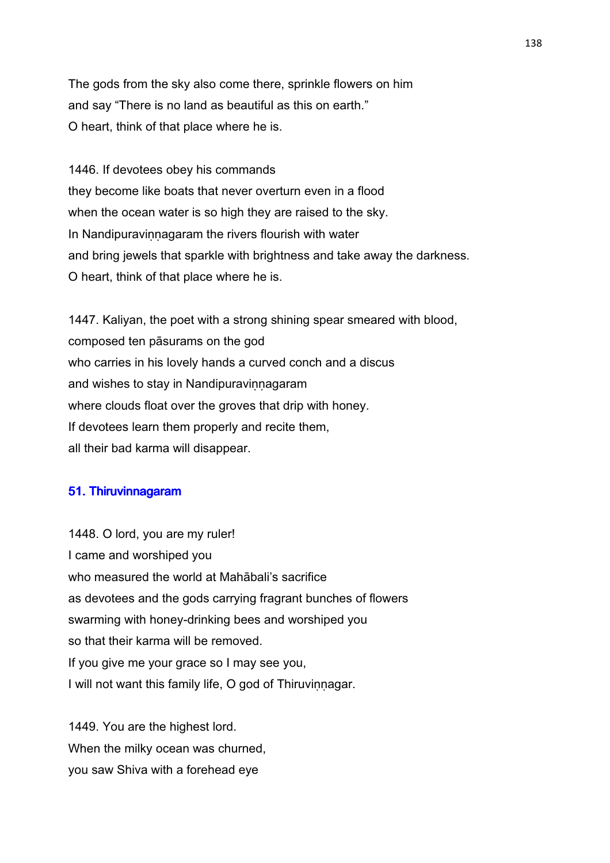The gods from the sky also come there, sprinkle flowers on him and say "There is no land as beautiful as this on earth." O heart, think of that place where he is.

1446. If devotees obey his commands they become like boats that never overturn even in a flood when the ocean water is so high they are raised to the sky. In Nandipuravinnagaram the rivers flourish with water and bring jewels that sparkle with brightness and take away the darkness. O heart, think of that place where he is.

1447. Kaliyan, the poet with a strong shining spear smeared with blood, composed ten pāsurams on the god who carries in his lovely hands a curved conch and a discus and wishes to stay in Nandipuravinnagaram where clouds float over the groves that drip with honey. If devotees learn them properly and recite them, all their bad karma will disappear.

#### 51. Thiruvinnagaram

1448. O lord, you are my ruler! I came and worshiped you who measured the world at Mahābali's sacrifice as devotees and the gods carrying fragrant bunches of flowers swarming with honey-drinking bees and worshiped you so that their karma will be removed. If you give me your grace so I may see you, I will not want this family life, O god of Thiruviṇṇagar.

1449. You are the highest lord. When the milky ocean was churned. you saw Shiva with a forehead eye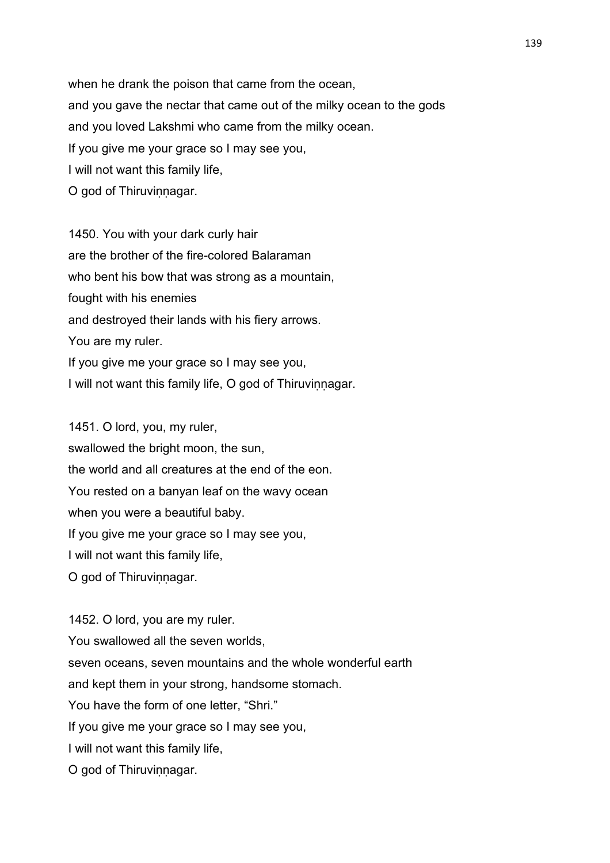when he drank the poison that came from the ocean, and you gave the nectar that came out of the milky ocean to the gods and you loved Lakshmi who came from the milky ocean. If you give me your grace so I may see you, I will not want this family life, O god of Thiruvinnagar.

1450. You with your dark curly hair are the brother of the fire-colored Balaraman who bent his bow that was strong as a mountain, fought with his enemies and destroyed their lands with his fiery arrows. You are my ruler. If you give me your grace so I may see you, I will not want this family life, O god of Thiruvinnagar.

1451. O lord, you, my ruler, swallowed the bright moon, the sun, the world and all creatures at the end of the eon. You rested on a banyan leaf on the wavy ocean when you were a beautiful baby. If you give me your grace so I may see you, I will not want this family life, O god of Thiruvinnagar.

1452. O lord, you are my ruler. You swallowed all the seven worlds, seven oceans, seven mountains and the whole wonderful earth and kept them in your strong, handsome stomach. You have the form of one letter, "Shri." If you give me your grace so I may see you, I will not want this family life, O god of Thiruvinnagar.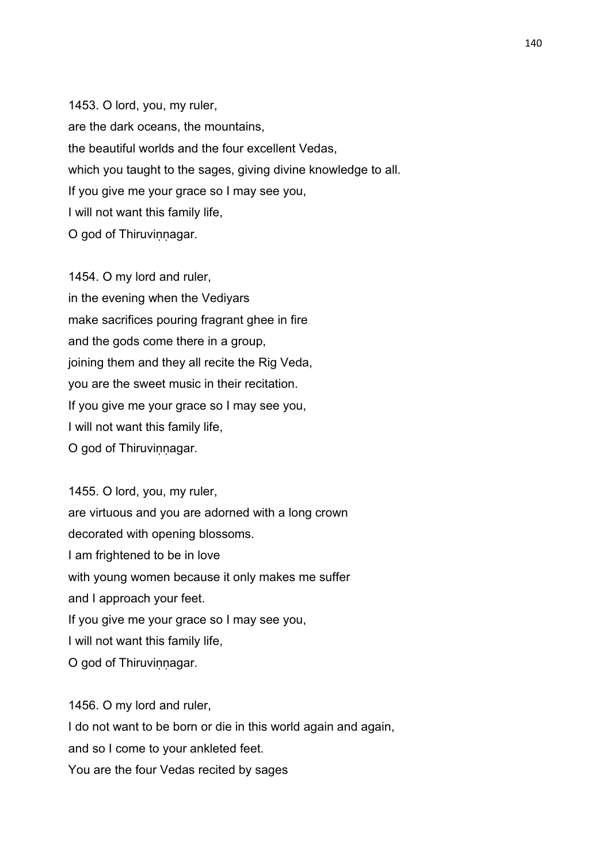1453. O lord, you, my ruler, are the dark oceans, the mountains, the beautiful worlds and the four excellent Vedas, which you taught to the sages, giving divine knowledge to all. If you give me your grace so I may see you, I will not want this family life, O god of Thiruvinnagar.

1454. O my lord and ruler, in the evening when the Vediyars make sacrifices pouring fragrant ghee in fire and the gods come there in a group, joining them and they all recite the Rig Veda, you are the sweet music in their recitation. If you give me your grace so I may see you, I will not want this family life, O god of Thiruvinnagar.

1455. O lord, you, my ruler, are virtuous and you are adorned with a long crown decorated with opening blossoms. I am frightened to be in love with young women because it only makes me suffer and I approach your feet. If you give me your grace so I may see you, I will not want this family life, O god of Thiruvinnagar.

1456. O my lord and ruler, I do not want to be born or die in this world again and again, and so I come to your ankleted feet. You are the four Vedas recited by sages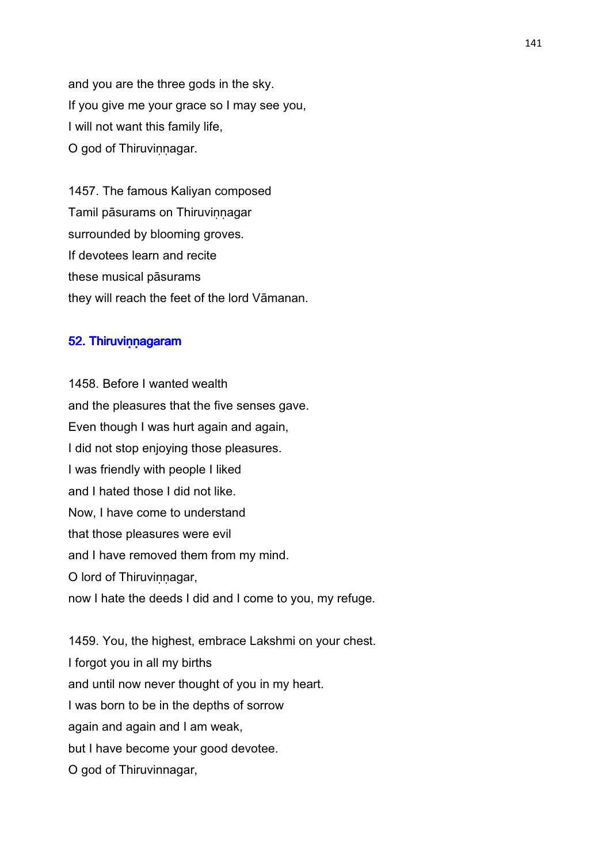and you are the three gods in the sky. If you give me your grace so I may see you, I will not want this family life, O god of Thiruvinnagar.

1457. The famous Kaliyan composed Tamil pāsurams on Thiruviṇṇagar surrounded by blooming groves. If devotees learn and recite these musical pāsurams they will reach the feet of the lord Vāmanan.

#### 52. Thiruvinnagaram

1458. Before I wanted wealth and the pleasures that the five senses gave. Even though I was hurt again and again, I did not stop enjoying those pleasures. I was friendly with people I liked and I hated those I did not like. Now, I have come to understand that those pleasures were evil and I have removed them from my mind. O lord of Thiruvinnagar, now I hate the deeds I did and I come to you, my refuge.

1459. You, the highest, embrace Lakshmi on your chest. I forgot you in all my births and until now never thought of you in my heart. I was born to be in the depths of sorrow again and again and I am weak, but I have become your good devotee. O god of Thiruvinnagar,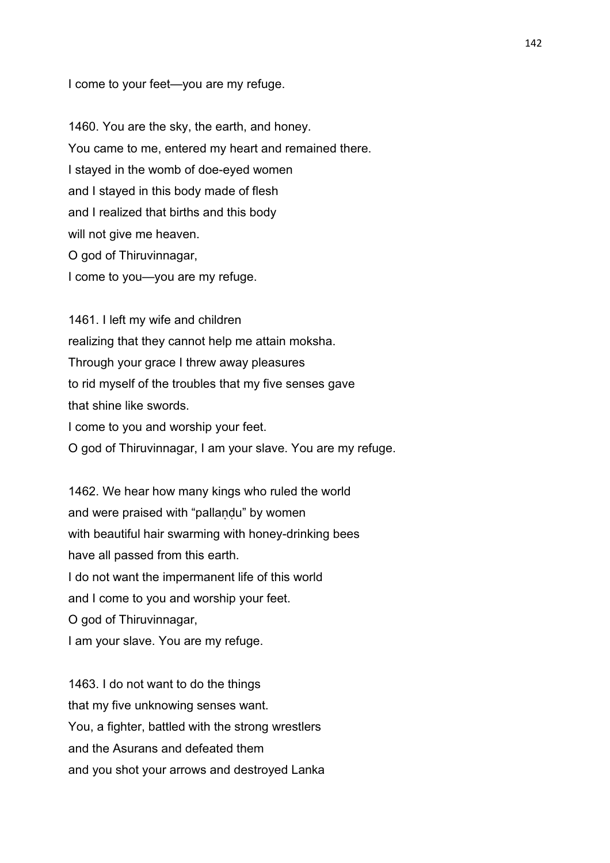I come to your feet—you are my refuge.

1460. You are the sky, the earth, and honey. You came to me, entered my heart and remained there. I stayed in the womb of doe-eyed women and I stayed in this body made of flesh and I realized that births and this body will not give me heaven. O god of Thiruvinnagar, I come to you—you are my refuge.

1461. I left my wife and children realizing that they cannot help me attain moksha. Through your grace I threw away pleasures to rid myself of the troubles that my five senses gave that shine like swords. I come to you and worship your feet. O god of Thiruvinnagar, I am your slave. You are my refuge.

1462. We hear how many kings who ruled the world and were praised with "pallandu" by women with beautiful hair swarming with honey-drinking bees have all passed from this earth. I do not want the impermanent life of this world and I come to you and worship your feet. O god of Thiruvinnagar, I am your slave. You are my refuge.

1463. I do not want to do the things that my five unknowing senses want. You, a fighter, battled with the strong wrestlers and the Asurans and defeated them and you shot your arrows and destroyed Lanka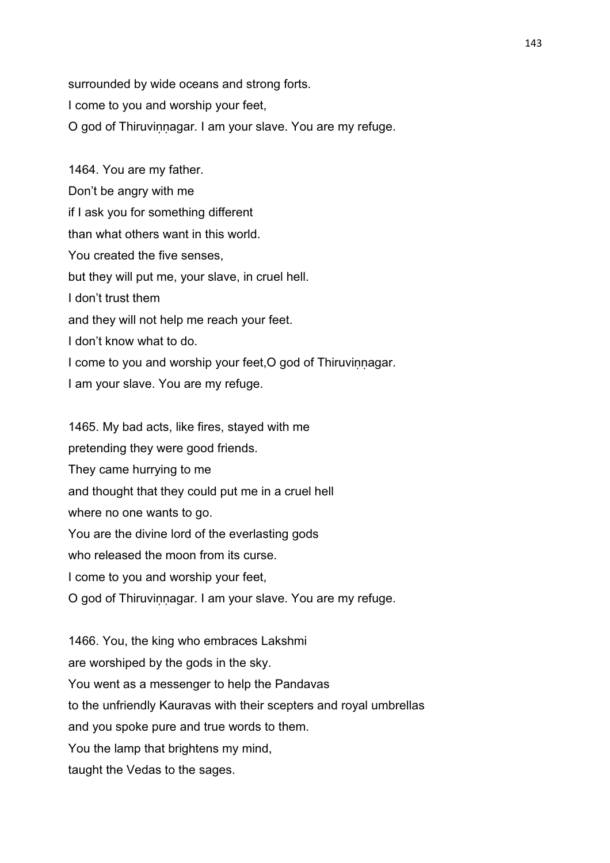surrounded by wide oceans and strong forts. I come to you and worship your feet, O god of Thiruviṇṇagar. I am your slave. You are my refuge.

1464. You are my father. Don't be angry with me if I ask you for something different than what others want in this world. You created the five senses, but they will put me, your slave, in cruel hell. I don't trust them and they will not help me reach your feet. I don't know what to do. I come to you and worship your feet, O god of Thiruvinnagar. I am your slave. You are my refuge.

1465. My bad acts, like fires, stayed with me pretending they were good friends. They came hurrying to me and thought that they could put me in a cruel hell where no one wants to go. You are the divine lord of the everlasting gods who released the moon from its curse. I come to you and worship your feet, O god of Thiruviṇṇagar. I am your slave. You are my refuge.

1466. You, the king who embraces Lakshmi are worshiped by the gods in the sky. You went as a messenger to help the Pandavas to the unfriendly Kauravas with their scepters and royal umbrellas and you spoke pure and true words to them. You the lamp that brightens my mind. taught the Vedas to the sages.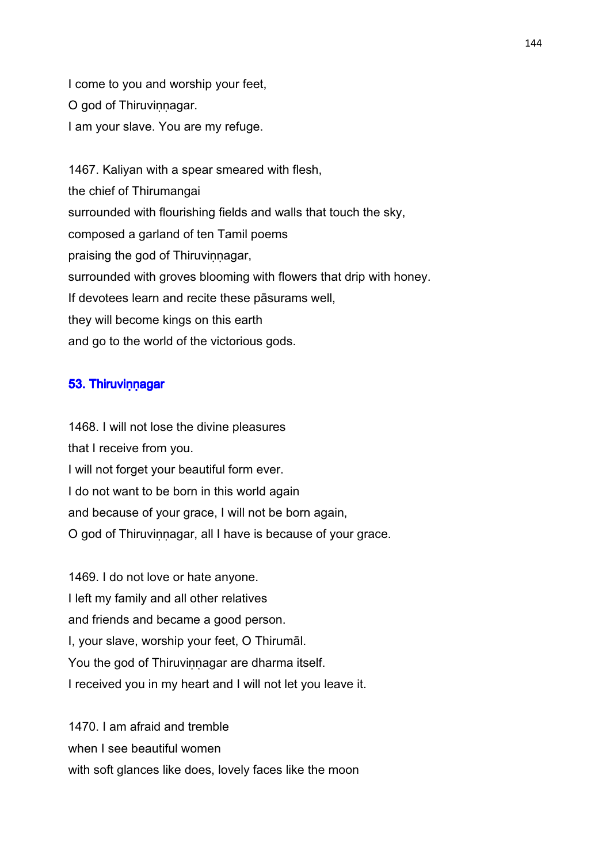I come to you and worship your feet, O god of Thiruvinnagar. I am your slave. You are my refuge.

1467. Kaliyan with a spear smeared with flesh, the chief of Thirumangai surrounded with flourishing fields and walls that touch the sky, composed a garland of ten Tamil poems praising the god of Thiruvinnagar, surrounded with groves blooming with flowers that drip with honey. If devotees learn and recite these pāsurams well, they will become kings on this earth and go to the world of the victorious gods.

### 53. Thiruvinnagar

1468. I will not lose the divine pleasures that I receive from you. I will not forget your beautiful form ever. I do not want to be born in this world again and because of your grace, I will not be born again, O god of Thiruvinnagar, all I have is because of your grace.

1469. I do not love or hate anyone. I left my family and all other relatives and friends and became a good person. I, your slave, worship your feet, O Thirumāl. You the god of Thiruvinnagar are dharma itself. I received you in my heart and I will not let you leave it.

1470. I am afraid and tremble when I see beautiful women with soft glances like does, lovely faces like the moon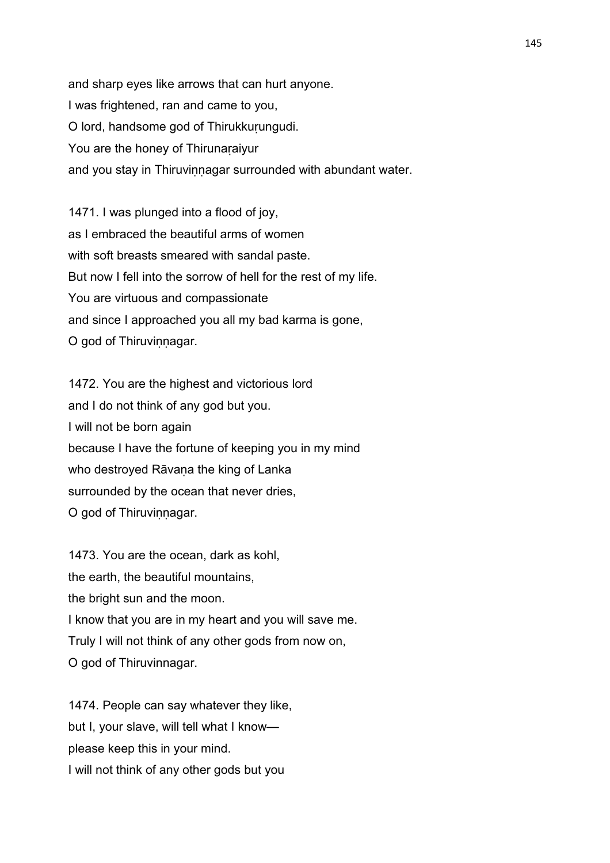and sharp eyes like arrows that can hurt anyone. I was frightened, ran and came to you, O lord, handsome god of Thirukkuṛungudi. You are the honey of Thirunaraiyur and you stay in Thiruvinnagar surrounded with abundant water.

1471. I was plunged into a flood of joy, as I embraced the beautiful arms of women with soft breasts smeared with sandal paste. But now I fell into the sorrow of hell for the rest of my life. You are virtuous and compassionate and since I approached you all my bad karma is gone, O god of Thiruvinnagar.

1472. You are the highest and victorious lord and I do not think of any god but you. I will not be born again because I have the fortune of keeping you in my mind who destroyed Rāvana the king of Lanka surrounded by the ocean that never dries, O god of Thiruvinnagar.

1473. You are the ocean, dark as kohl, the earth, the beautiful mountains, the bright sun and the moon. I know that you are in my heart and you will save me. Truly I will not think of any other gods from now on, O god of Thiruvinnagar.

1474. People can say whatever they like, but I, your slave, will tell what I know please keep this in your mind. I will not think of any other gods but you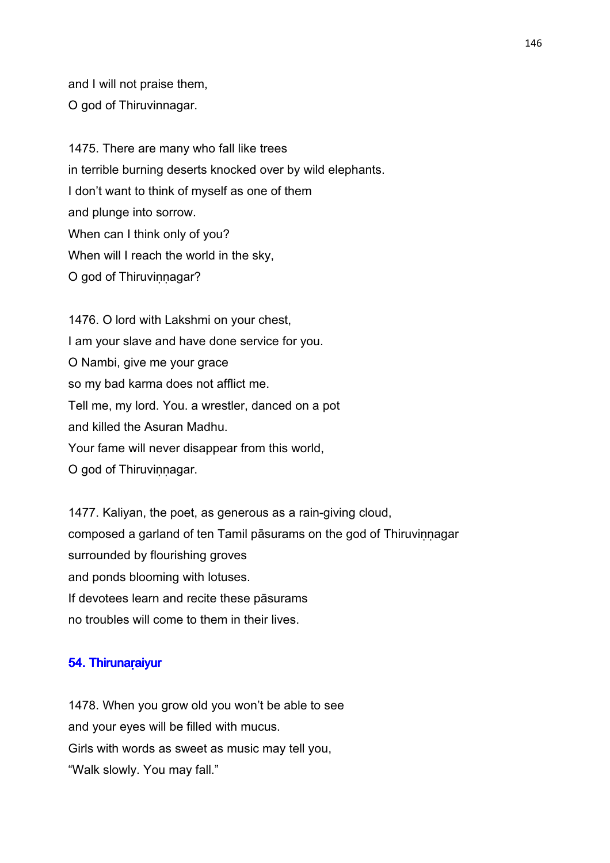and I will not praise them, O god of Thiruvinnagar.

1475. There are many who fall like trees in terrible burning deserts knocked over by wild elephants. I don't want to think of myself as one of them and plunge into sorrow. When can I think only of you? When will I reach the world in the sky, O god of Thiruvinnagar?

1476. O lord with Lakshmi on your chest, I am your slave and have done service for you. O Nambi, give me your grace so my bad karma does not afflict me. Tell me, my lord. You. a wrestler, danced on a pot and killed the Asuran Madhu. Your fame will never disappear from this world, O god of Thiruvinnagar.

1477. Kaliyan, the poet, as generous as a rain-giving cloud, composed a garland of ten Tamil pāsurams on the god of Thiruvinnagar surrounded by flourishing groves and ponds blooming with lotuses. If devotees learn and recite these pāsurams no troubles will come to them in their lives.

### 54. Thirunaraiyur

1478. When you grow old you won't be able to see and your eyes will be filled with mucus. Girls with words as sweet as music may tell you, "Walk slowly. You may fall."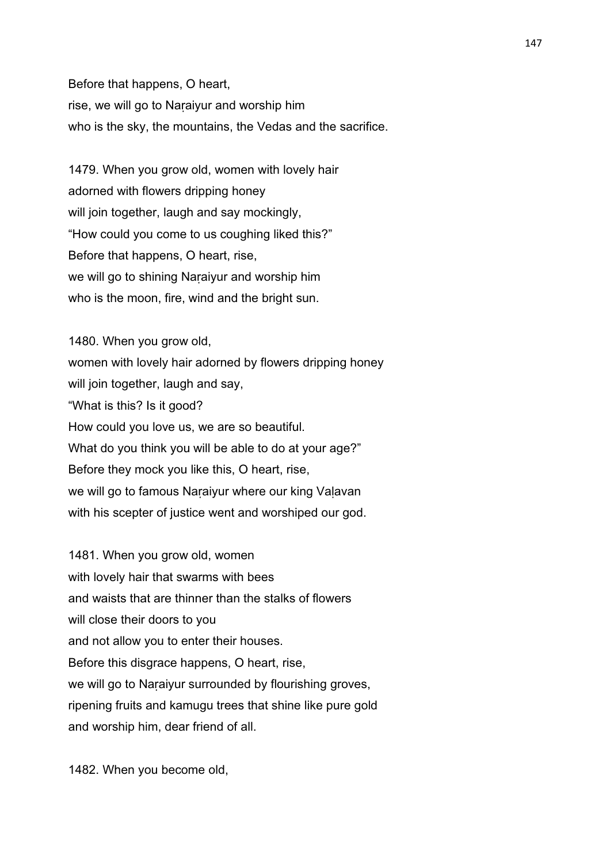Before that happens, O heart, rise, we will go to Naṛaiyur and worship him who is the sky, the mountains, the Vedas and the sacrifice.

1479. When you grow old, women with lovely hair adorned with flowers dripping honey will join together, laugh and say mockingly, "How could you come to us coughing liked this?" Before that happens, O heart, rise, we will go to shining Naṛaiyur and worship him who is the moon, fire, wind and the bright sun.

1480. When you grow old, women with lovely hair adorned by flowers dripping honey will join together, laugh and say, "What is this? Is it good? How could you love us, we are so beautiful. What do you think you will be able to do at your age?" Before they mock you like this, O heart, rise, we will go to famous Naraiyur where our king Valavan with his scepter of justice went and worshiped our god.

1481. When you grow old, women with lovely hair that swarms with bees and waists that are thinner than the stalks of flowers will close their doors to you and not allow you to enter their houses. Before this disgrace happens, O heart, rise, we will go to Naraiyur surrounded by flourishing groves, ripening fruits and kamugu trees that shine like pure gold and worship him, dear friend of all.

1482. When you become old,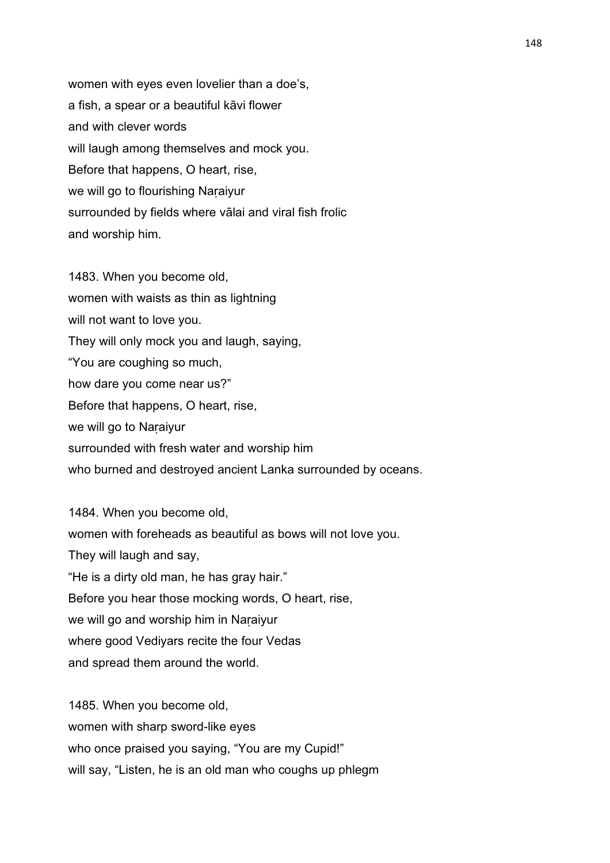women with eyes even lovelier than a doe's, a fish, a spear or a beautiful kāvi flower and with clever words will laugh among themselves and mock you. Before that happens, O heart, rise, we will go to flourishing Naraiyur surrounded by fields where vālai and viral fish frolic and worship him.

1483. When you become old, women with waists as thin as lightning will not want to love you. They will only mock you and laugh, saying, "You are coughing so much, how dare you come near us?" Before that happens, O heart, rise, we will go to Naṛaiyur surrounded with fresh water and worship him who burned and destroyed ancient Lanka surrounded by oceans.

1484. When you become old, women with foreheads as beautiful as bows will not love you. They will laugh and say, "He is a dirty old man, he has gray hair." Before you hear those mocking words, O heart, rise, we will go and worship him in Naraiyur where good Vediyars recite the four Vedas and spread them around the world.

1485. When you become old, women with sharp sword-like eyes who once praised you saying, "You are my Cupid!" will say, "Listen, he is an old man who coughs up phlegm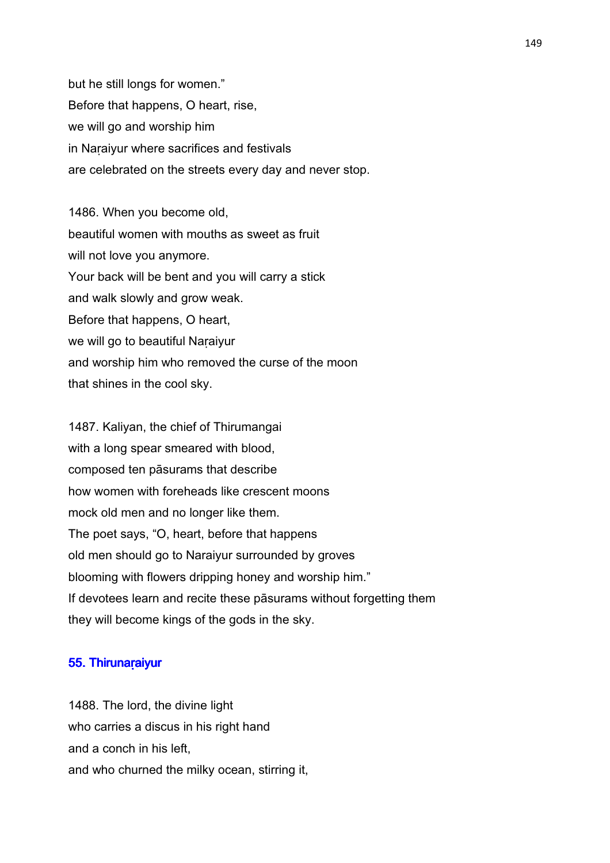but he still longs for women." Before that happens, O heart, rise, we will go and worship him in Naraiyur where sacrifices and festivals are celebrated on the streets every day and never stop.

1486. When you become old, beautiful women with mouths as sweet as fruit will not love you anymore. Your back will be bent and you will carry a stick and walk slowly and grow weak. Before that happens, O heart, we will go to beautiful Naṛaiyur and worship him who removed the curse of the moon that shines in the cool sky.

1487. Kaliyan, the chief of Thirumangai with a long spear smeared with blood, composed ten pāsurams that describe how women with foreheads like crescent moons mock old men and no longer like them. The poet says, "O, heart, before that happens old men should go to Naraiyur surrounded by groves blooming with flowers dripping honey and worship him." If devotees learn and recite these pāsurams without forgetting them they will become kings of the gods in the sky.

#### 55. Thirunaraiyur

1488. The lord, the divine light who carries a discus in his right hand and a conch in his left, and who churned the milky ocean, stirring it,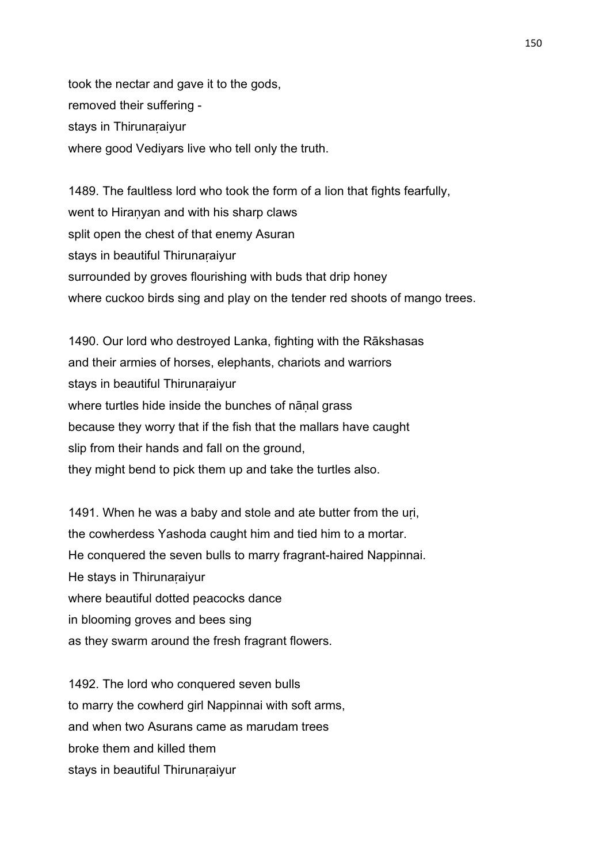took the nectar and gave it to the gods, removed their suffering stays in Thirunaṛaiyur where good Vediyars live who tell only the truth.

1489. The faultless lord who took the form of a lion that fights fearfully, went to Hiraṇyan and with his sharp claws split open the chest of that enemy Asuran stays in beautiful Thirunaraiyur surrounded by groves flourishing with buds that drip honey where cuckoo birds sing and play on the tender red shoots of mango trees.

1490. Our lord who destroyed Lanka, fighting with the Rākshasas and their armies of horses, elephants, chariots and warriors stays in beautiful Thirunaraiyur where turtles hide inside the bunches of nānal grass because they worry that if the fish that the mallars have caught slip from their hands and fall on the ground, they might bend to pick them up and take the turtles also.

1491. When he was a baby and stole and ate butter from the uri, the cowherdess Yashoda caught him and tied him to a mortar. He conquered the seven bulls to marry fragrant-haired Nappinnai. He stays in Thirunaraiyur where beautiful dotted peacocks dance in blooming groves and bees sing as they swarm around the fresh fragrant flowers.

1492. The lord who conquered seven bulls to marry the cowherd girl Nappinnai with soft arms, and when two Asurans came as marudam trees broke them and killed them stays in beautiful Thirunaraiyur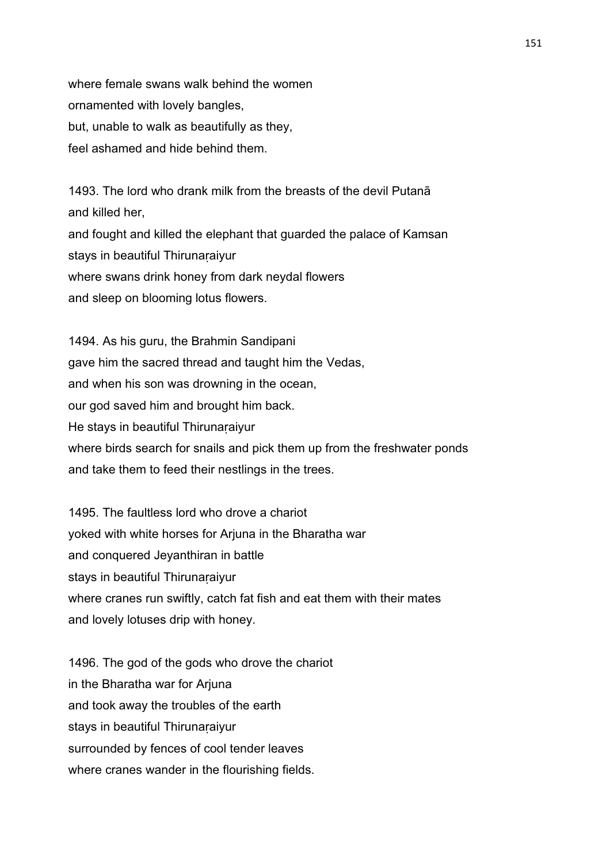where female swans walk behind the women ornamented with lovely bangles, but, unable to walk as beautifully as they, feel ashamed and hide behind them.

1493. The lord who drank milk from the breasts of the devil Putanā and killed her, and fought and killed the elephant that guarded the palace of Kamsan stays in beautiful Thirunaraiyur where swans drink honey from dark neydal flowers and sleep on blooming lotus flowers.

1494. As his guru, the Brahmin Sandipani gave him the sacred thread and taught him the Vedas, and when his son was drowning in the ocean, our god saved him and brought him back. He stays in beautiful Thirunaraiyur where birds search for snails and pick them up from the freshwater ponds and take them to feed their nestlings in the trees.

1495. The faultless lord who drove a chariot yoked with white horses for Arjuna in the Bharatha war and conquered Jeyanthiran in battle stays in beautiful Thirunaṛaiyur where cranes run swiftly, catch fat fish and eat them with their mates and lovely lotuses drip with honey.

1496. The god of the gods who drove the chariot in the Bharatha war for Arjuna and took away the troubles of the earth stays in beautiful Thirunaraiyur surrounded by fences of cool tender leaves where cranes wander in the flourishing fields.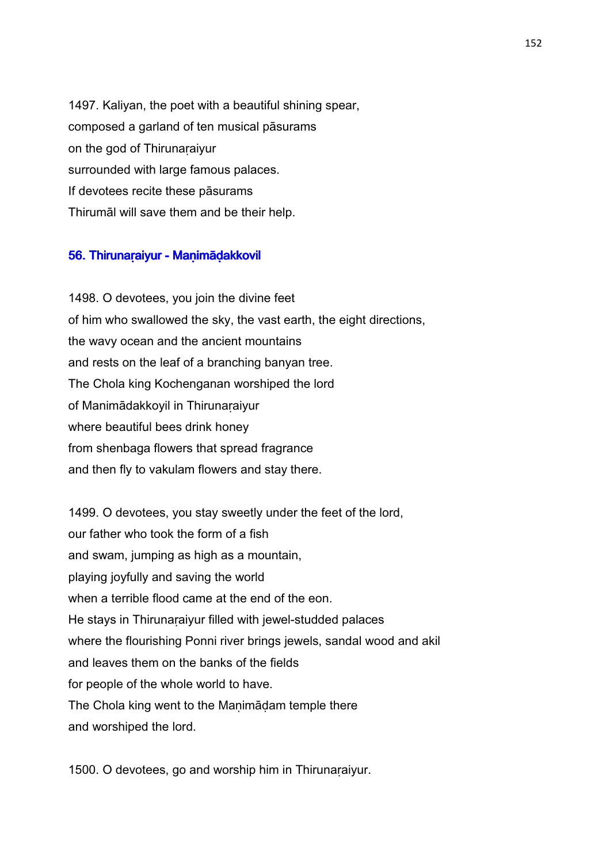1497. Kaliyan, the poet with a beautiful shining spear, composed a garland of ten musical pāsurams on the god of Thirunaṛaiyur surrounded with large famous palaces. If devotees recite these pāsurams Thirumāl will save them and be their help.

#### 56. Thirunaraiyur - Manimādakkovil

1498. O devotees, you join the divine feet of him who swallowed the sky, the vast earth, the eight directions, the wavy ocean and the ancient mountains and rests on the leaf of a branching banyan tree. The Chola king Kochenganan worshiped the lord of Manimādakkoyil in Thirunaṛaiyur where beautiful bees drink honey from shenbaga flowers that spread fragrance and then fly to vakulam flowers and stay there.

1499. O devotees, you stay sweetly under the feet of the lord, our father who took the form of a fish and swam, jumping as high as a mountain, playing joyfully and saving the world when a terrible flood came at the end of the eon. He stays in Thirunaraiyur filled with jewel-studded palaces where the flourishing Ponni river brings jewels, sandal wood and akil and leaves them on the banks of the fields for people of the whole world to have. The Chola king went to the Manimādam temple there and worshiped the lord.

1500. O devotees, go and worship him in Thirunaraiyur.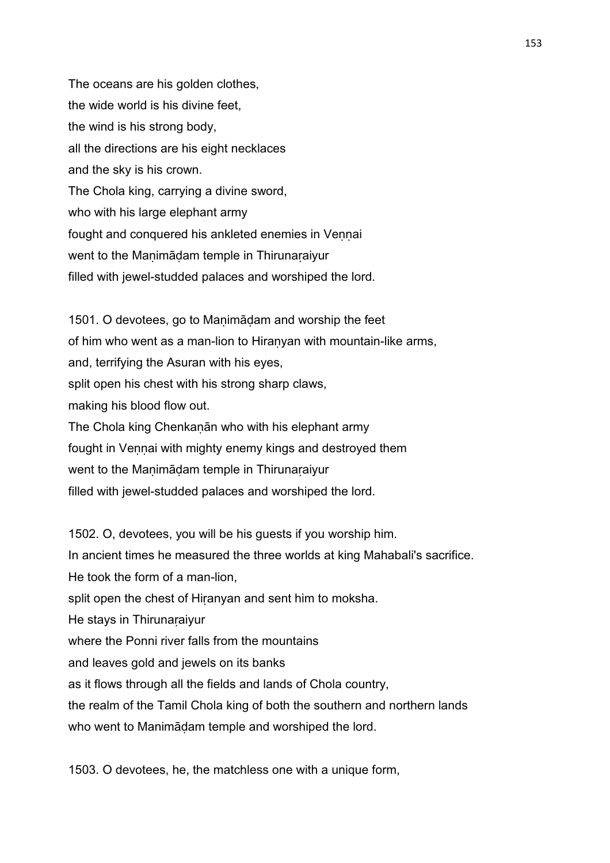The oceans are his golden clothes, the wide world is his divine feet, the wind is his strong body, all the directions are his eight necklaces and the sky is his crown. The Chola king, carrying a divine sword, who with his large elephant army fought and conquered his ankleted enemies in Veṇṇai went to the Manimādam temple in Thirunaraiyur filled with jewel-studded palaces and worshiped the lord.

1501. O devotees, go to Maṇimāḍam and worship the feet of him who went as a man-lion to Hiraṇyan with mountain-like arms, and, terrifying the Asuran with his eyes, split open his chest with his strong sharp claws, making his blood flow out. The Chola king Chenkaṇān who with his elephant army fought in Vennai with mighty enemy kings and destroyed them went to the Manimādam temple in Thirunaraiyur filled with jewel-studded palaces and worshiped the lord.

1502. O, devotees, you will be his guests if you worship him. In ancient times he measured the three worlds at king Mahabali's sacrifice. He took the form of a man-lion, split open the chest of Hiranyan and sent him to moksha. He stays in Thirunaṛaiyur where the Ponni river falls from the mountains and leaves gold and jewels on its banks as it flows through all the fields and lands of Chola country, the realm of the Tamil Chola king of both the southern and northern lands who went to Manimāḍam temple and worshiped the lord.

1503. O devotees, he, the matchless one with a unique form,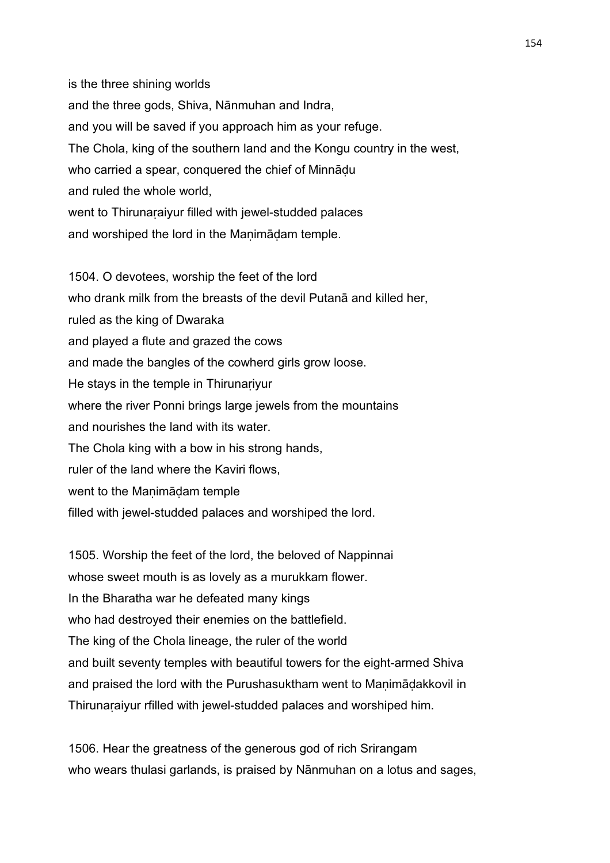is the three shining worlds and the three gods, Shiva, Nānmuhan and Indra, and you will be saved if you approach him as your refuge. The Chola, king of the southern land and the Kongu country in the west, who carried a spear, conquered the chief of Minnādu and ruled the whole world, went to Thirunaṛaiyur filled with jewel-studded palaces and worshiped the lord in the Manimādam temple.

1504. O devotees, worship the feet of the lord who drank milk from the breasts of the devil Putanā and killed her, ruled as the king of Dwaraka and played a flute and grazed the cows and made the bangles of the cowherd girls grow loose. He stays in the temple in Thirunariyur where the river Ponni brings large jewels from the mountains and nourishes the land with its water. The Chola king with a bow in his strong hands, ruler of the land where the Kaviri flows, went to the Manimādam temple filled with jewel-studded palaces and worshiped the lord.

1505. Worship the feet of the lord, the beloved of Nappinnai whose sweet mouth is as lovely as a murukkam flower. In the Bharatha war he defeated many kings who had destroyed their enemies on the battlefield. The king of the Chola lineage, the ruler of the world and built seventy temples with beautiful towers for the eight-armed Shiva and praised the lord with the Purushasuktham went to Manimādakkovil in Thirunaraiyur rfilled with jewel-studded palaces and worshiped him.

1506. Hear the greatness of the generous god of rich Srirangam who wears thulasi garlands, is praised by Nānmuhan on a lotus and sages,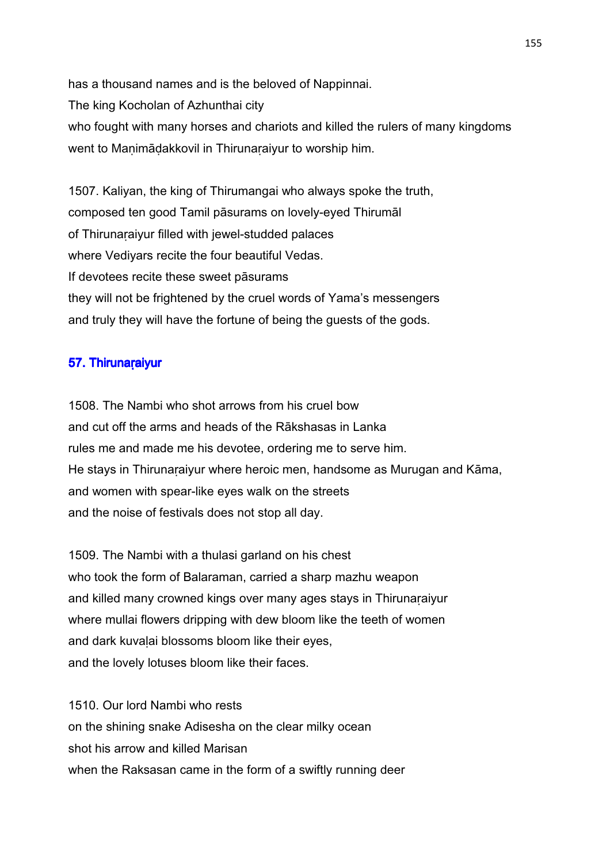has a thousand names and is the beloved of Nappinnai. The king Kocholan of Azhunthai city who fought with many horses and chariots and killed the rulers of many kingdoms went to Manimādakkovil in Thirunaraiyur to worship him.

1507. Kaliyan, the king of Thirumangai who always spoke the truth, composed ten good Tamil pāsurams on lovely-eyed Thirumāl of Thirunaṛaiyur filled with jewel-studded palaces where Vediyars recite the four beautiful Vedas. If devotees recite these sweet pāsurams they will not be frightened by the cruel words of Yama's messengers and truly they will have the fortune of being the guests of the gods.

# 57. Thirunaraiyur

1508. The Nambi who shot arrows from his cruel bow and cut off the arms and heads of the Rākshasas in Lanka rules me and made me his devotee, ordering me to serve him. He stays in Thirunaraiyur where heroic men, handsome as Murugan and Kāma, and women with spear-like eyes walk on the streets and the noise of festivals does not stop all day.

1509. The Nambi with a thulasi garland on his chest who took the form of Balaraman, carried a sharp mazhu weapon and killed many crowned kings over many ages stays in Thirunaṛaiyur where mullai flowers dripping with dew bloom like the teeth of women and dark kuvalai blossoms bloom like their eyes, and the lovely lotuses bloom like their faces.

1510. Our lord Nambi who rests on the shining snake Adisesha on the clear milky ocean shot his arrow and killed Marisan when the Raksasan came in the form of a swiftly running deer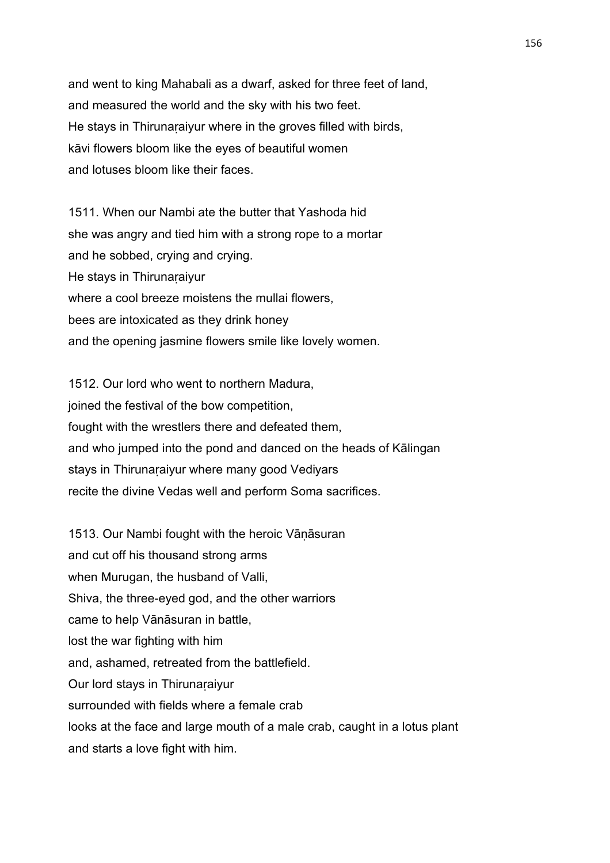and went to king Mahabali as a dwarf, asked for three feet of land, and measured the world and the sky with his two feet. He stays in Thirunaṛaiyur where in the groves filled with birds, kāvi flowers bloom like the eyes of beautiful women and lotuses bloom like their faces.

1511. When our Nambi ate the butter that Yashoda hid she was angry and tied him with a strong rope to a mortar and he sobbed, crying and crying. He stays in Thirunaṛaiyur where a cool breeze moistens the mullai flowers, bees are intoxicated as they drink honey and the opening jasmine flowers smile like lovely women.

1512. Our lord who went to northern Madura, joined the festival of the bow competition, fought with the wrestlers there and defeated them, and who jumped into the pond and danced on the heads of Kālingan stays in Thirunaraiyur where many good Vediyars recite the divine Vedas well and perform Soma sacrifices.

1513. Our Nambi fought with the heroic Vāṇāsuran and cut off his thousand strong arms when Murugan, the husband of Valli, Shiva, the three-eyed god, and the other warriors came to help Vānāsuran in battle, lost the war fighting with him and, ashamed, retreated from the battlefield. Our lord stays in Thirunaṛaiyur surrounded with fields where a female crab looks at the face and large mouth of a male crab, caught in a lotus plant and starts a love fight with him.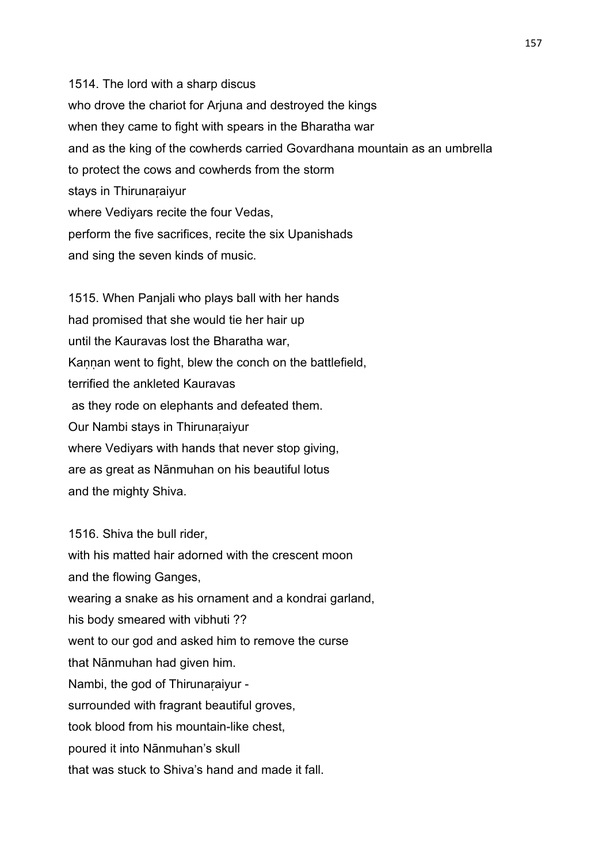1514. The lord with a sharp discus who drove the chariot for Arjuna and destroyed the kings when they came to fight with spears in the Bharatha war and as the king of the cowherds carried Govardhana mountain as an umbrella to protect the cows and cowherds from the storm stays in Thirunaraiyur where Vediyars recite the four Vedas, perform the five sacrifices, recite the six Upanishads and sing the seven kinds of music.

1515. When Panjali who plays ball with her hands had promised that she would tie her hair up until the Kauravas lost the Bharatha war, Kannan went to fight, blew the conch on the battlefield, terrified the ankleted Kauravas as they rode on elephants and defeated them. Our Nambi stays in Thirunaṛaiyur where Vediyars with hands that never stop giving, are as great as Nānmuhan on his beautiful lotus and the mighty Shiva.

1516. Shiva the bull rider, with his matted hair adorned with the crescent moon and the flowing Ganges, wearing a snake as his ornament and a kondrai garland, his body smeared with vibhuti ?? went to our god and asked him to remove the curse that Nānmuhan had given him. Nambi, the god of Thirunaraiyur surrounded with fragrant beautiful groves, took blood from his mountain-like chest, poured it into Nānmuhan's skull that was stuck to Shiva's hand and made it fall.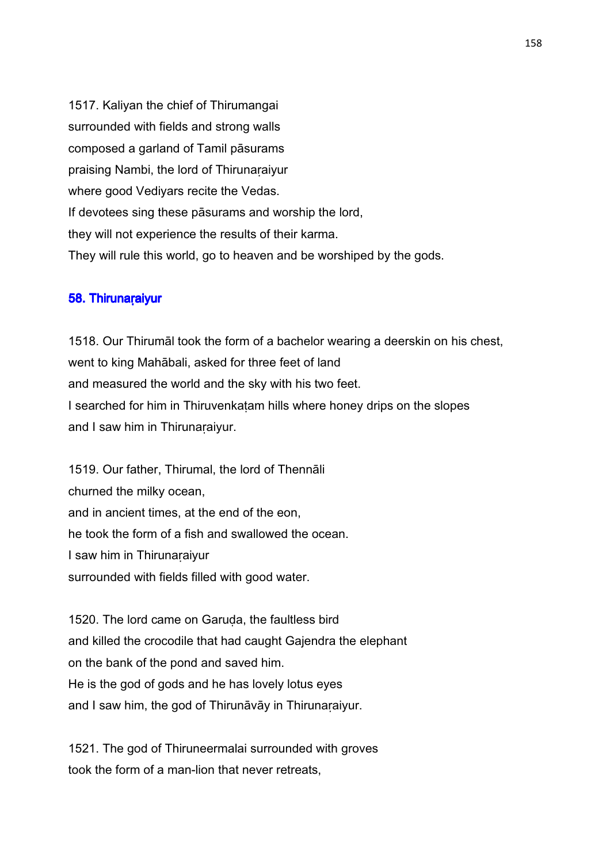1517. Kaliyan the chief of Thirumangai surrounded with fields and strong walls composed a garland of Tamil pāsurams praising Nambi, the lord of Thirunaraiyur where good Vediyars recite the Vedas. If devotees sing these pāsurams and worship the lord, they will not experience the results of their karma. They will rule this world, go to heaven and be worshiped by the gods.

#### 58. Thirunaraiyur

1518. Our Thirumāl took the form of a bachelor wearing a deerskin on his chest, went to king Mahābali, asked for three feet of land and measured the world and the sky with his two feet. I searched for him in Thiruvenkaṭam hills where honey drips on the slopes and I saw him in Thirunaraiyur.

1519. Our father, Thirumal, the lord of Thennāli churned the milky ocean, and in ancient times, at the end of the eon, he took the form of a fish and swallowed the ocean. I saw him in Thirunaṛaiyur surrounded with fields filled with good water.

1520. The lord came on Garuda, the faultless bird and killed the crocodile that had caught Gajendra the elephant on the bank of the pond and saved him. He is the god of gods and he has lovely lotus eyes and I saw him, the god of Thirunāvāy in Thirunaṛaiyur.

1521. The god of Thiruneermalai surrounded with groves took the form of a man-lion that never retreats,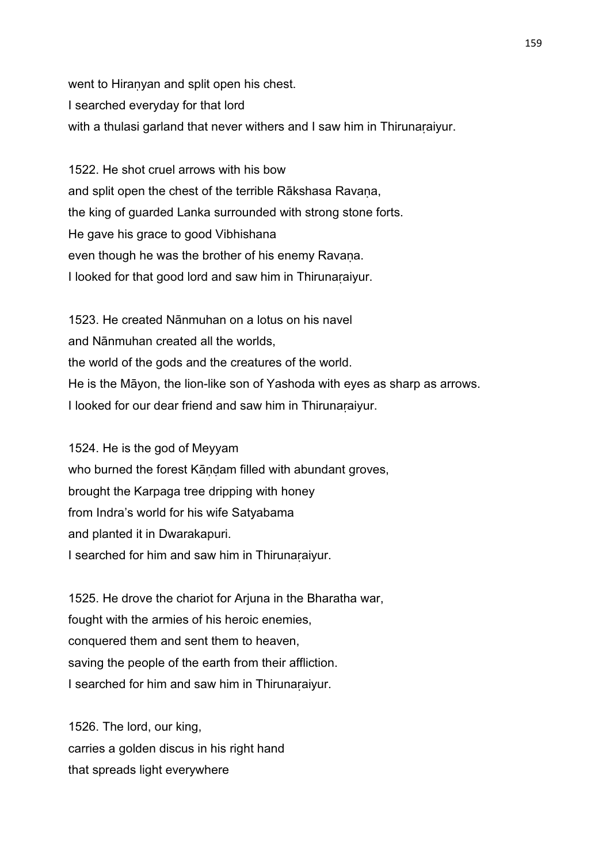went to Hiranyan and split open his chest. I searched everyday for that lord with a thulasi garland that never withers and I saw him in Thirunaṛaiyur.

1522. He shot cruel arrows with his bow and split open the chest of the terrible Rākshasa Ravana, the king of guarded Lanka surrounded with strong stone forts. He gave his grace to good Vibhishana even though he was the brother of his enemy Ravana. I looked for that good lord and saw him in Thirunaṛaiyur.

1523. He created Nānmuhan on a lotus on his navel and Nānmuhan created all the worlds, the world of the gods and the creatures of the world. He is the Māyon, the lion-like son of Yashoda with eyes as sharp as arrows. I looked for our dear friend and saw him in Thirunaṛaiyur.

1524. He is the god of Meyyam who burned the forest Kāndam filled with abundant groves, brought the Karpaga tree dripping with honey from Indra's world for his wife Satyabama and planted it in Dwarakapuri. I searched for him and saw him in Thirunaṛaiyur.

1525. He drove the chariot for Arjuna in the Bharatha war, fought with the armies of his heroic enemies, conquered them and sent them to heaven, saving the people of the earth from their affliction. I searched for him and saw him in Thirunaṛaiyur.

1526. The lord, our king, carries a golden discus in his right hand that spreads light everywhere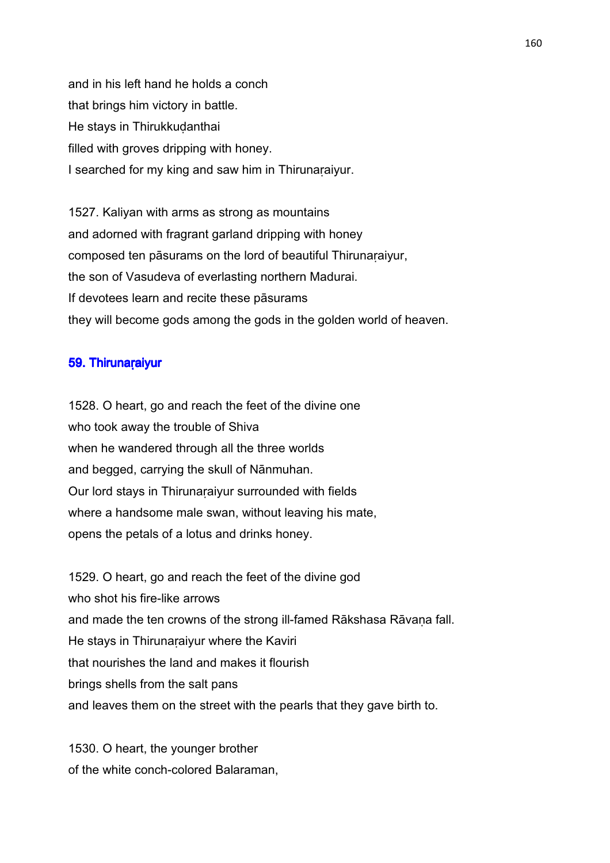and in his left hand he holds a conch that brings him victory in battle. He stays in Thirukkuḍanthai filled with groves dripping with honey. I searched for my king and saw him in Thirunaṛaiyur.

1527. Kaliyan with arms as strong as mountains and adorned with fragrant garland dripping with honey composed ten pāsurams on the lord of beautiful Thirunaraiyur, the son of Vasudeva of everlasting northern Madurai. If devotees learn and recite these pāsurams they will become gods among the gods in the golden world of heaven.

# 59. Thirunaraiyur

1528. O heart, go and reach the feet of the divine one who took away the trouble of Shiva when he wandered through all the three worlds and begged, carrying the skull of Nānmuhan. Our lord stays in Thirunaṛaiyur surrounded with fields where a handsome male swan, without leaving his mate, opens the petals of a lotus and drinks honey.

1529. O heart, go and reach the feet of the divine god who shot his fire-like arrows and made the ten crowns of the strong ill-famed Rākshasa Rāvana fall. He stays in Thirunaraiyur where the Kaviri that nourishes the land and makes it flourish brings shells from the salt pans and leaves them on the street with the pearls that they gave birth to.

1530. O heart, the younger brother of the white conch-colored Balaraman,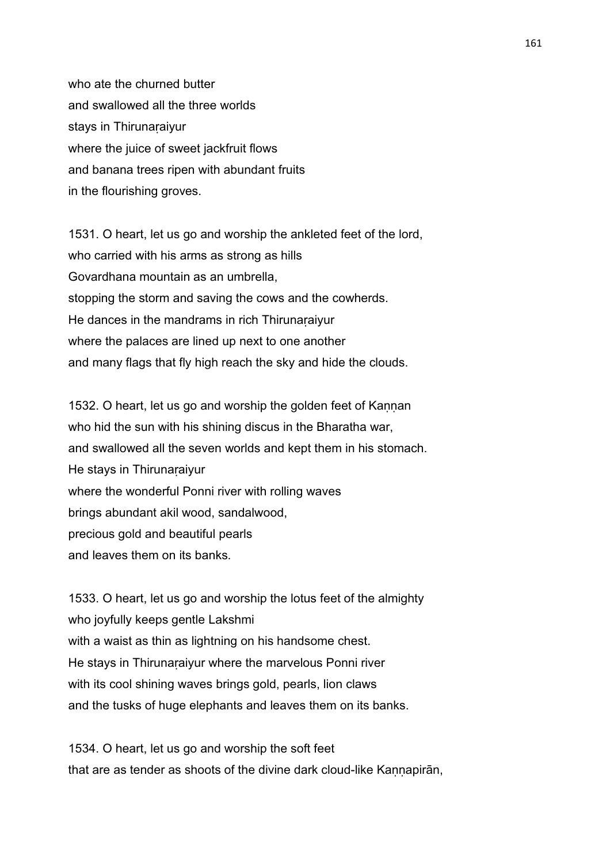who ate the churned butter and swallowed all the three worlds stays in Thirunaṛaiyur where the juice of sweet jackfruit flows and banana trees ripen with abundant fruits in the flourishing groves.

1531. O heart, let us go and worship the ankleted feet of the lord, who carried with his arms as strong as hills Govardhana mountain as an umbrella, stopping the storm and saving the cows and the cowherds. He dances in the mandrams in rich Thirunaraiyur where the palaces are lined up next to one another and many flags that fly high reach the sky and hide the clouds.

1532. O heart, let us go and worship the golden feet of Kannan who hid the sun with his shining discus in the Bharatha war, and swallowed all the seven worlds and kept them in his stomach. He stays in Thirunaṛaiyur where the wonderful Ponni river with rolling waves brings abundant akil wood, sandalwood, precious gold and beautiful pearls and leaves them on its banks.

1533. O heart, let us go and worship the lotus feet of the almighty who joyfully keeps gentle Lakshmi with a waist as thin as lightning on his handsome chest. He stays in Thirunaraiyur where the marvelous Ponni river with its cool shining waves brings gold, pearls, lion claws and the tusks of huge elephants and leaves them on its banks.

1534. O heart, let us go and worship the soft feet that are as tender as shoots of the divine dark cloud-like Kannapiran,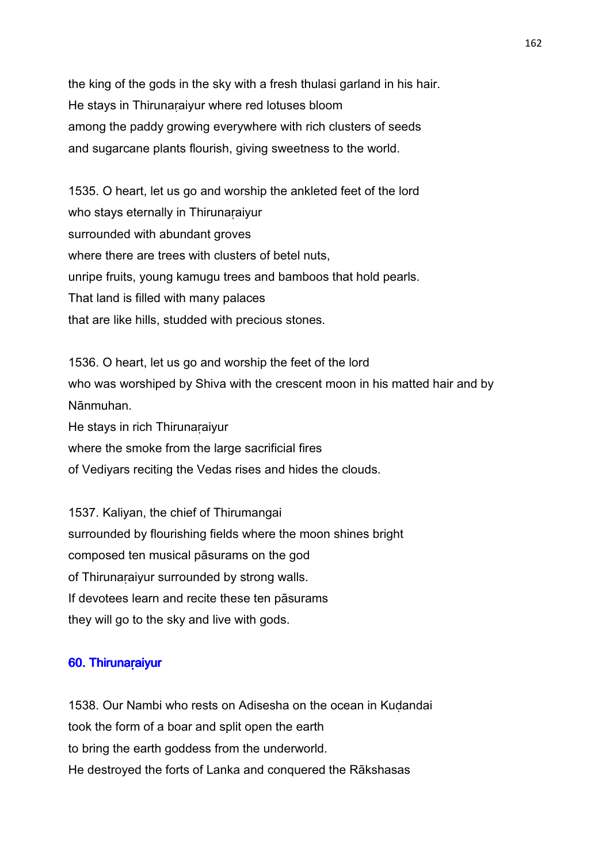the king of the gods in the sky with a fresh thulasi garland in his hair. He stays in Thirunaṛaiyur where red lotuses bloom among the paddy growing everywhere with rich clusters of seeds and sugarcane plants flourish, giving sweetness to the world.

1535. O heart, let us go and worship the ankleted feet of the lord who stays eternally in Thirunaraiyur surrounded with abundant groves where there are trees with clusters of betel nuts. unripe fruits, young kamugu trees and bamboos that hold pearls. That land is filled with many palaces that are like hills, studded with precious stones.

1536. O heart, let us go and worship the feet of the lord who was worshiped by Shiva with the crescent moon in his matted hair and by Nānmuhan. He stays in rich Thirunaraiyur where the smoke from the large sacrificial fires

of Vediyars reciting the Vedas rises and hides the clouds.

1537. Kaliyan, the chief of Thirumangai surrounded by flourishing fields where the moon shines bright composed ten musical pāsurams on the god of Thirunaraiyur surrounded by strong walls. If devotees learn and recite these ten pāsurams they will go to the sky and live with gods.

# 60. Thirunaraiyur

1538. Our Nambi who rests on Adisesha on the ocean in Kuḍandai took the form of a boar and split open the earth to bring the earth goddess from the underworld. He destroyed the forts of Lanka and conquered the Rākshasas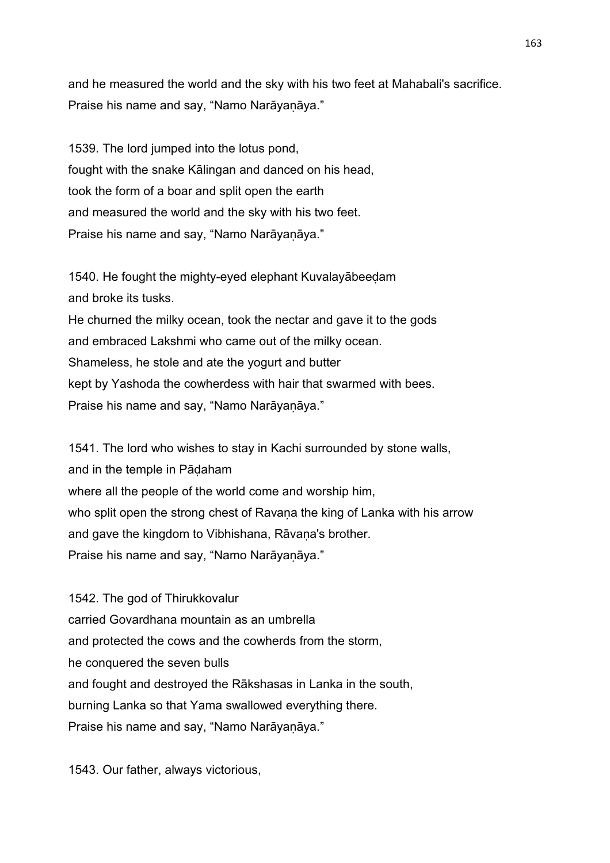and he measured the world and the sky with his two feet at Mahabali's sacrifice. Praise his name and say, "Namo Narāyaṇāya."

1539. The lord jumped into the lotus pond, fought with the snake Kālingan and danced on his head, took the form of a boar and split open the earth and measured the world and the sky with his two feet. Praise his name and say, "Namo Narāyaṇāya."

1540. He fought the mighty-eyed elephant Kuvalayābeeḍam and broke its tusks. He churned the milky ocean, took the nectar and gave it to the gods and embraced Lakshmi who came out of the milky ocean. Shameless, he stole and ate the yogurt and butter kept by Yashoda the cowherdess with hair that swarmed with bees. Praise his name and say, "Namo Narāyaṇāya."

1541. The lord who wishes to stay in Kachi surrounded by stone walls, and in the temple in Pāḍaham where all the people of the world come and worship him, who split open the strong chest of Ravana the king of Lanka with his arrow and gave the kingdom to Vibhishana, Rāvana's brother. Praise his name and say, "Namo Narāyaṇāya."

1542. The god of Thirukkovalur carried Govardhana mountain as an umbrella and protected the cows and the cowherds from the storm, he conquered the seven bulls and fought and destroyed the Rākshasas in Lanka in the south, burning Lanka so that Yama swallowed everything there. Praise his name and say, "Namo Narāyaṇāya."

1543. Our father, always victorious,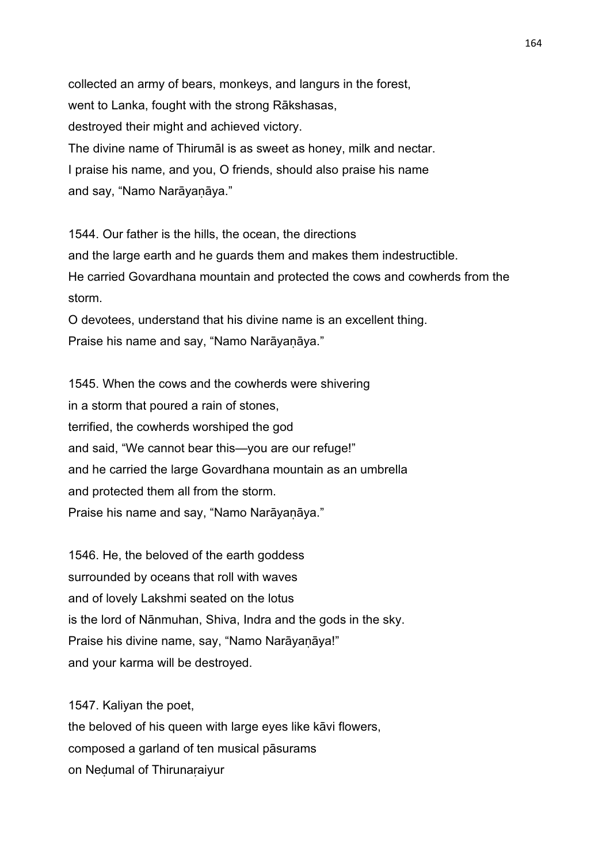collected an army of bears, monkeys, and langurs in the forest, went to Lanka, fought with the strong Rākshasas, destroyed their might and achieved victory. The divine name of Thirumāl is as sweet as honey, milk and nectar. I praise his name, and you, O friends, should also praise his name and say, "Namo Narāyaṇāya."

1544. Our father is the hills, the ocean, the directions and the large earth and he guards them and makes them indestructible. He carried Govardhana mountain and protected the cows and cowherds from the storm.

O devotees, understand that his divine name is an excellent thing. Praise his name and say, "Namo Narāyaṇāya."

1545. When the cows and the cowherds were shivering in a storm that poured a rain of stones, terrified, the cowherds worshiped the god and said, "We cannot bear this—you are our refuge!" and he carried the large Govardhana mountain as an umbrella and protected them all from the storm. Praise his name and say, "Namo Narāyaṇāya."

1546. He, the beloved of the earth goddess surrounded by oceans that roll with waves and of lovely Lakshmi seated on the lotus is the lord of Nānmuhan, Shiva, Indra and the gods in the sky. Praise his divine name, say, "Namo Narāyaṇāya!" and your karma will be destroyed.

1547. Kaliyan the poet,

the beloved of his queen with large eyes like kāvi flowers, composed a garland of ten musical pāsurams on Neḍumal of Thirunaṛaiyur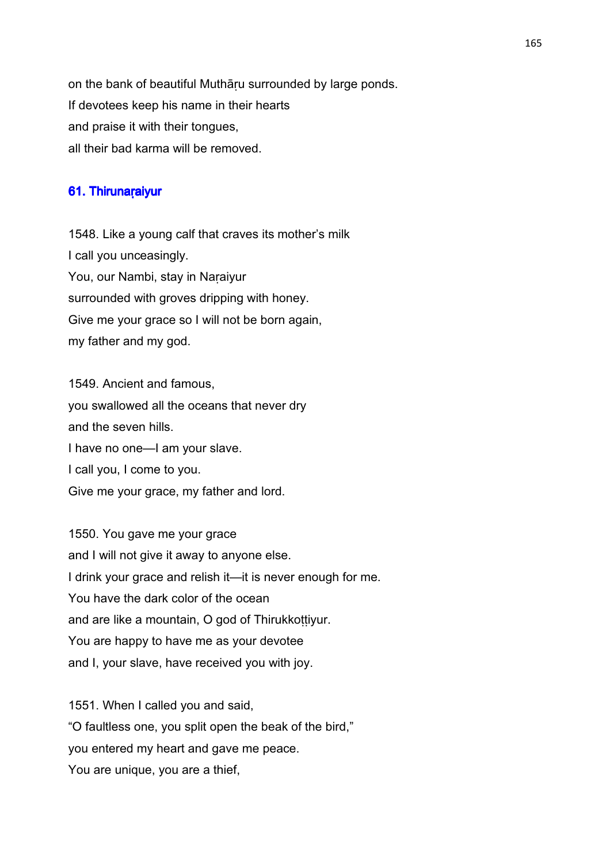on the bank of beautiful Muthāṛu surrounded by large ponds. If devotees keep his name in their hearts and praise it with their tongues, all their bad karma will be removed.

# 61. Thirunaraiyur

1548. Like a young calf that craves its mother's milk I call you unceasingly. You, our Nambi, stay in Naraiyur surrounded with groves dripping with honey. Give me your grace so I will not be born again, my father and my god.

1549. Ancient and famous, you swallowed all the oceans that never dry and the seven hills. I have no one—I am your slave. I call you, I come to you. Give me your grace, my father and lord.

1550. You gave me your grace and I will not give it away to anyone else. I drink your grace and relish it—it is never enough for me. You have the dark color of the ocean and are like a mountain, O god of Thirukkoṭṭiyur. You are happy to have me as your devotee and I, your slave, have received you with joy.

1551. When I called you and said, "O faultless one, you split open the beak of the bird," you entered my heart and gave me peace. You are unique, you are a thief,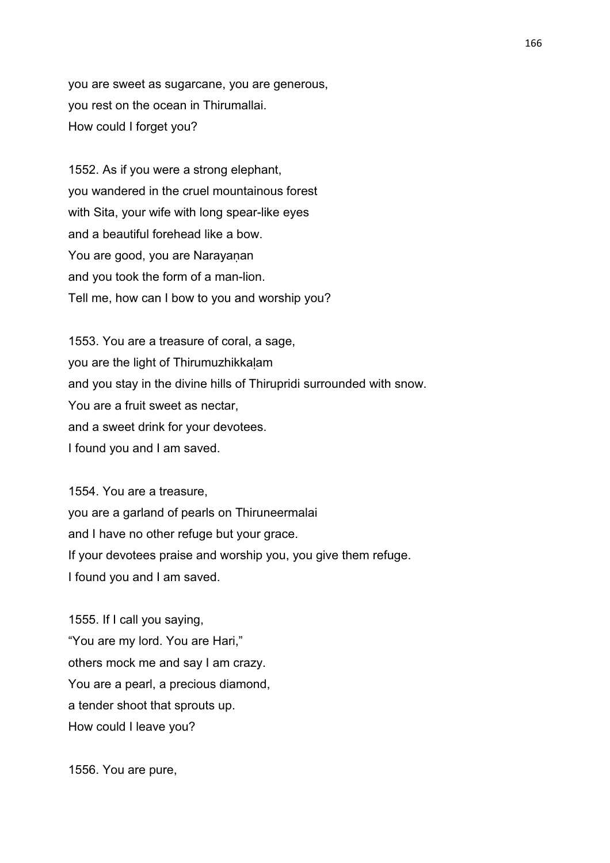you are sweet as sugarcane, you are generous, you rest on the ocean in Thirumallai. How could I forget you?

1552. As if you were a strong elephant, you wandered in the cruel mountainous forest with Sita, your wife with long spear-like eyes and a beautiful forehead like a bow. You are good, you are Narayanan and you took the form of a man-lion. Tell me, how can I bow to you and worship you?

1553. You are a treasure of coral, a sage, you are the light of Thirumuzhikkaḷam and you stay in the divine hills of Thirupridi surrounded with snow. You are a fruit sweet as nectar, and a sweet drink for your devotees. I found you and I am saved.

1554. You are a treasure, you are a garland of pearls on Thiruneermalai and I have no other refuge but your grace. If your devotees praise and worship you, you give them refuge. I found you and I am saved.

1555. If I call you saying, "You are my lord. You are Hari," others mock me and say I am crazy. You are a pearl, a precious diamond, a tender shoot that sprouts up. How could I leave you?

1556. You are pure,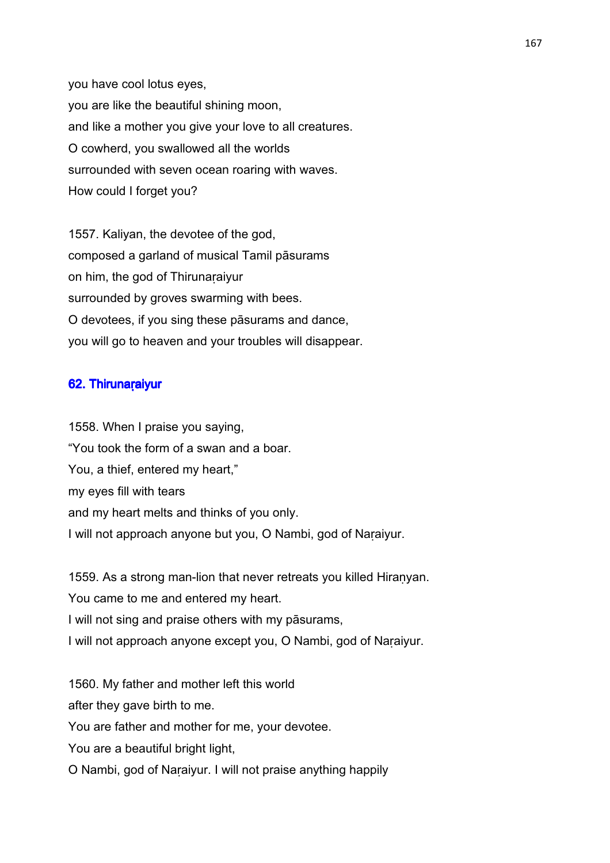you have cool lotus eyes, you are like the beautiful shining moon, and like a mother you give your love to all creatures. O cowherd, you swallowed all the worlds surrounded with seven ocean roaring with waves. How could I forget you?

1557. Kaliyan, the devotee of the god, composed a garland of musical Tamil pāsurams on him, the god of Thirunaṛaiyur surrounded by groves swarming with bees. O devotees, if you sing these pāsurams and dance, you will go to heaven and your troubles will disappear.

# 62. Thirunaraiyur

1558. When I praise you saying, "You took the form of a swan and a boar. You, a thief, entered my heart," my eyes fill with tears and my heart melts and thinks of you only. I will not approach anyone but you, O Nambi, god of Naṛaiyur.

1559. As a strong man-lion that never retreats you killed Hiranyan. You came to me and entered my heart. I will not sing and praise others with my pāsurams, I will not approach anyone except you, O Nambi, god of Naṛaiyur.

1560. My father and mother left this world after they gave birth to me. You are father and mother for me, your devotee. You are a beautiful bright light. O Nambi, god of Naṛaiyur. I will not praise anything happily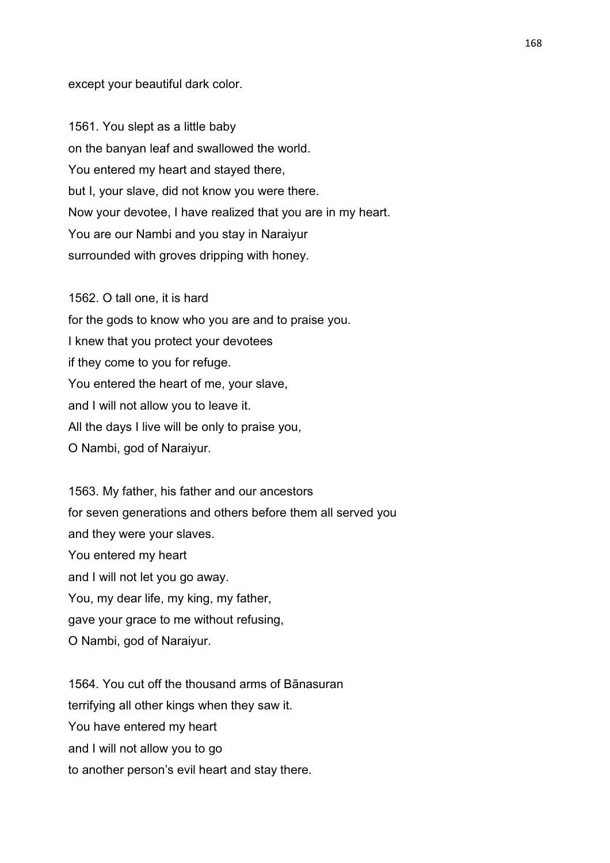except your beautiful dark color.

1561. You slept as a little baby on the banyan leaf and swallowed the world. You entered my heart and stayed there, but I, your slave, did not know you were there. Now your devotee, I have realized that you are in my heart. You are our Nambi and you stay in Naraiyur surrounded with groves dripping with honey.

1562. O tall one, it is hard for the gods to know who you are and to praise you. I knew that you protect your devotees if they come to you for refuge. You entered the heart of me, your slave, and I will not allow you to leave it. All the days I live will be only to praise you, O Nambi, god of Naraiyur.

1563. My father, his father and our ancestors for seven generations and others before them all served you and they were your slaves. You entered my heart and I will not let you go away. You, my dear life, my king, my father, gave your grace to me without refusing, O Nambi, god of Naraiyur.

1564. You cut off the thousand arms of Bānasuran terrifying all other kings when they saw it. You have entered my heart and I will not allow you to go to another person's evil heart and stay there.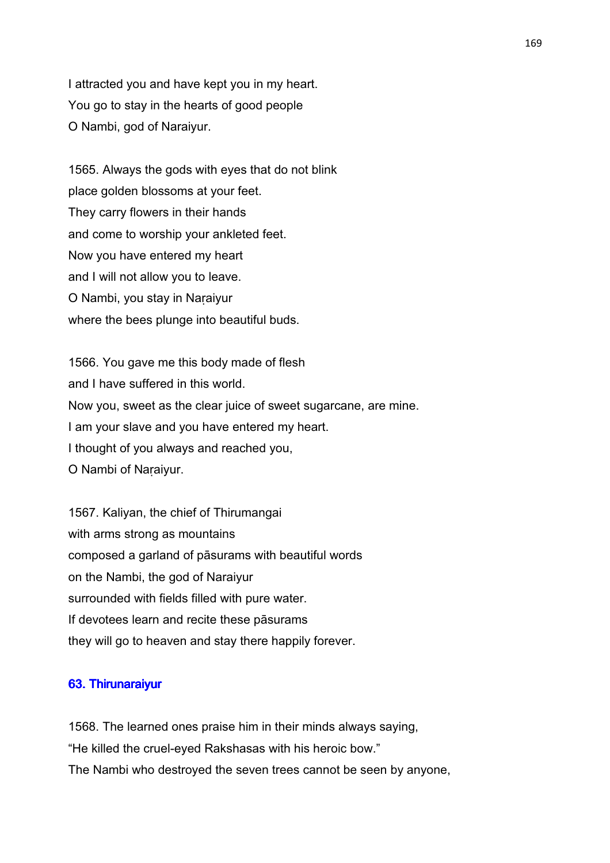I attracted you and have kept you in my heart. You go to stay in the hearts of good people O Nambi, god of Naraiyur.

1565. Always the gods with eyes that do not blink place golden blossoms at your feet. They carry flowers in their hands and come to worship your ankleted feet. Now you have entered my heart and I will not allow you to leave. O Nambi, you stay in Naṛaiyur where the bees plunge into beautiful buds.

1566. You gave me this body made of flesh and I have suffered in this world. Now you, sweet as the clear juice of sweet sugarcane, are mine. I am your slave and you have entered my heart. I thought of you always and reached you, O Nambi of Naṛaiyur.

1567. Kaliyan, the chief of Thirumangai with arms strong as mountains composed a garland of pāsurams with beautiful words on the Nambi, the god of Naraiyur surrounded with fields filled with pure water. If devotees learn and recite these pāsurams they will go to heaven and stay there happily forever.

#### 63. Thirunaraiyur

1568. The learned ones praise him in their minds always saying, "He killed the cruel-eyed Rakshasas with his heroic bow." The Nambi who destroyed the seven trees cannot be seen by anyone,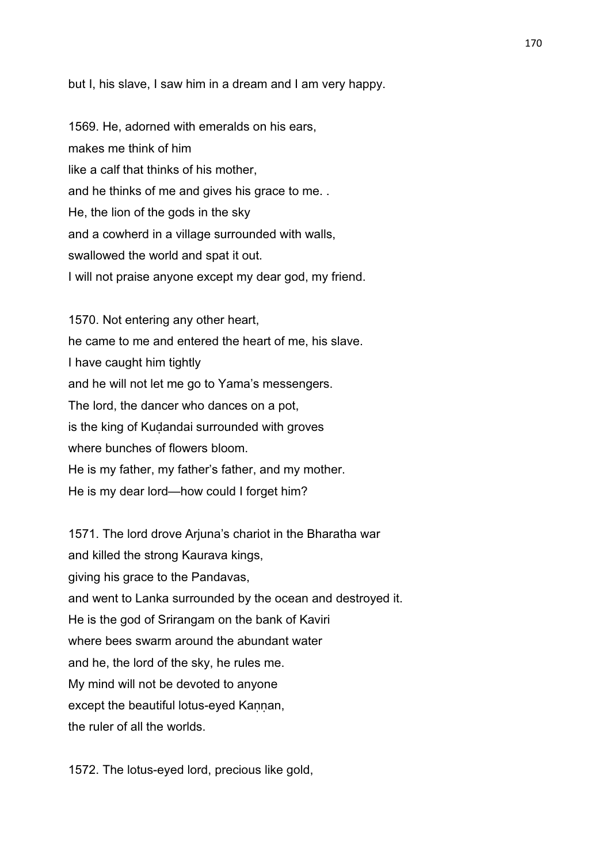but I, his slave, I saw him in a dream and I am very happy.

1569. He, adorned with emeralds on his ears, makes me think of him like a calf that thinks of his mother, and he thinks of me and gives his grace to me. . He, the lion of the gods in the sky and a cowherd in a village surrounded with walls, swallowed the world and spat it out. I will not praise anyone except my dear god, my friend.

1570. Not entering any other heart, he came to me and entered the heart of me, his slave. I have caught him tightly and he will not let me go to Yama's messengers. The lord, the dancer who dances on a pot, is the king of Kudandai surrounded with groves where bunches of flowers bloom. He is my father, my father's father, and my mother. He is my dear lord—how could I forget him?

1571. The lord drove Arjuna's chariot in the Bharatha war and killed the strong Kaurava kings, giving his grace to the Pandavas, and went to Lanka surrounded by the ocean and destroyed it. He is the god of Srirangam on the bank of Kaviri where bees swarm around the abundant water and he, the lord of the sky, he rules me. My mind will not be devoted to anyone except the beautiful lotus-eyed Kannan, the ruler of all the worlds.

1572. The lotus-eyed lord, precious like gold,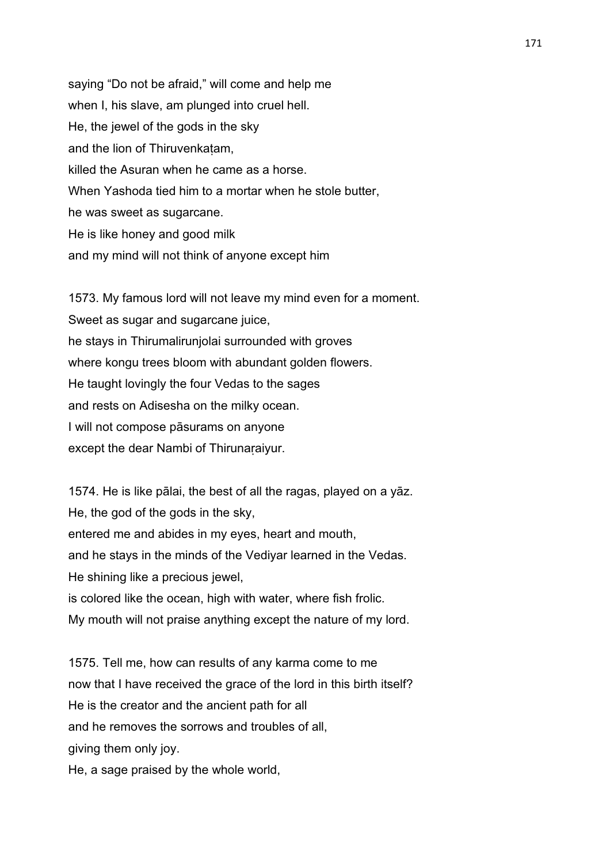saying "Do not be afraid," will come and help me when I, his slave, am plunged into cruel hell. He, the jewel of the gods in the sky and the lion of Thiruvenkaṭam, killed the Asuran when he came as a horse. When Yashoda tied him to a mortar when he stole butter, he was sweet as sugarcane. He is like honey and good milk and my mind will not think of anyone except him

1573. My famous lord will not leave my mind even for a moment. Sweet as sugar and sugarcane juice, he stays in Thirumalirunjolai surrounded with groves where kongu trees bloom with abundant golden flowers. He taught lovingly the four Vedas to the sages and rests on Adisesha on the milky ocean. I will not compose pāsurams on anyone except the dear Nambi of Thirunaraiyur.

1574. He is like pālai, the best of all the ragas, played on a yāz. He, the god of the gods in the sky, entered me and abides in my eyes, heart and mouth, and he stays in the minds of the Vediyar learned in the Vedas. He shining like a precious jewel, is colored like the ocean, high with water, where fish frolic. My mouth will not praise anything except the nature of my lord.

1575. Tell me, how can results of any karma come to me now that I have received the grace of the lord in this birth itself? He is the creator and the ancient path for all and he removes the sorrows and troubles of all, giving them only joy.

He, a sage praised by the whole world,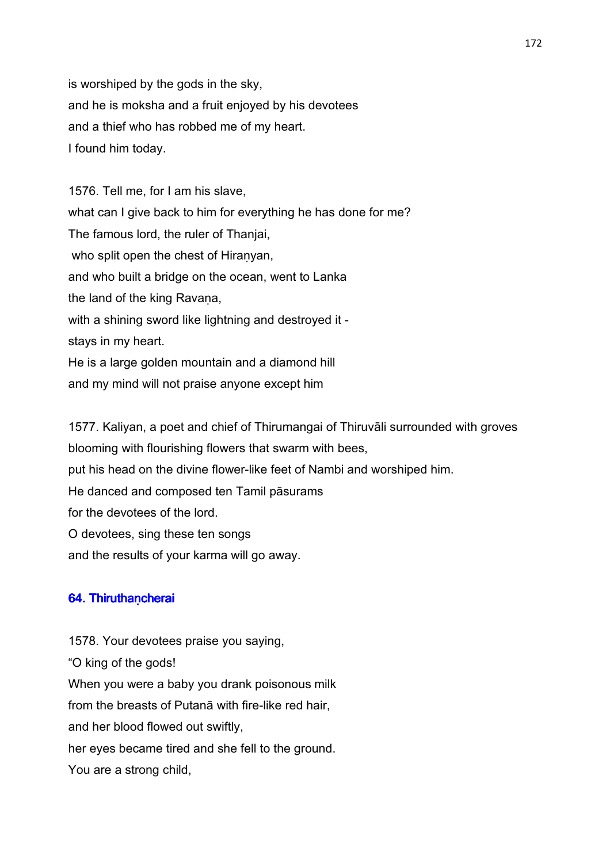is worshiped by the gods in the sky, and he is moksha and a fruit enjoyed by his devotees and a thief who has robbed me of my heart. I found him today.

1576. Tell me, for I am his slave, what can I give back to him for everything he has done for me? The famous lord, the ruler of Thanjai, who split open the chest of Hiranyan, and who built a bridge on the ocean, went to Lanka the land of the king Ravana, with a shining sword like lightning and destroyed it stays in my heart. He is a large golden mountain and a diamond hill and my mind will not praise anyone except him

1577. Kaliyan, a poet and chief of Thirumangai of Thiruvāli surrounded with groves blooming with flourishing flowers that swarm with bees, put his head on the divine flower-like feet of Nambi and worshiped him. He danced and composed ten Tamil pāsurams for the devotees of the lord. O devotees, sing these ten songs and the results of your karma will go away.

### 64. Thiruthancherai

1578. Your devotees praise you saying, "O king of the gods! When you were a baby you drank poisonous milk from the breasts of Putanā with fire-like red hair, and her blood flowed out swiftly, her eyes became tired and she fell to the ground. You are a strong child,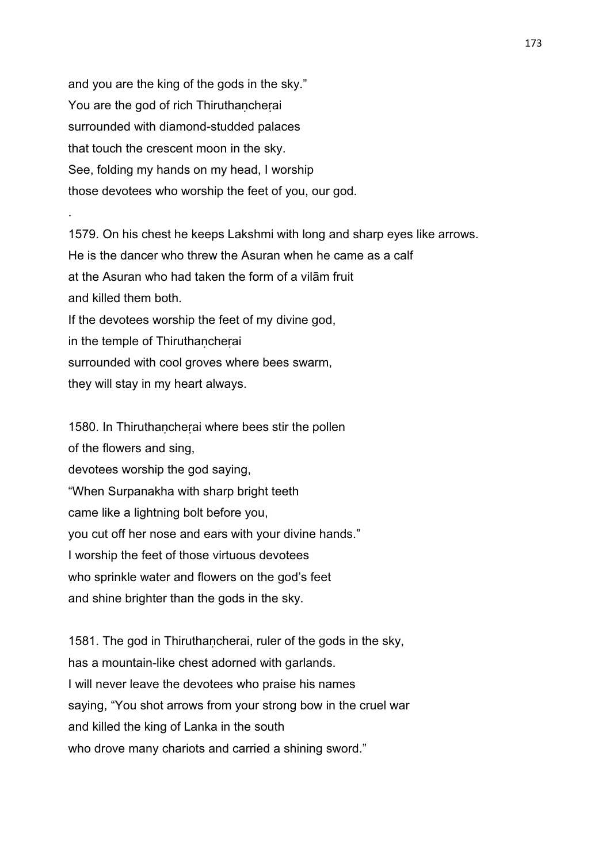and you are the king of the gods in the sky." You are the god of rich Thiruthaṇcheṛai surrounded with diamond-studded palaces that touch the crescent moon in the sky. See, folding my hands on my head, I worship those devotees who worship the feet of you, our god.

.

1579. On his chest he keeps Lakshmi with long and sharp eyes like arrows. He is the dancer who threw the Asuran when he came as a calf at the Asuran who had taken the form of a vilām fruit and killed them both. If the devotees worship the feet of my divine god, in the temple of Thiruthaṇcheṛai surrounded with cool groves where bees swarm, they will stay in my heart always.

1580. In Thiruthancherai where bees stir the pollen of the flowers and sing, devotees worship the god saying, "When Surpanakha with sharp bright teeth came like a lightning bolt before you, you cut off her nose and ears with your divine hands." I worship the feet of those virtuous devotees who sprinkle water and flowers on the god's feet and shine brighter than the gods in the sky.

1581. The god in Thiruthancherai, ruler of the gods in the sky, has a mountain-like chest adorned with garlands. I will never leave the devotees who praise his names saying, "You shot arrows from your strong bow in the cruel war and killed the king of Lanka in the south who drove many chariots and carried a shining sword."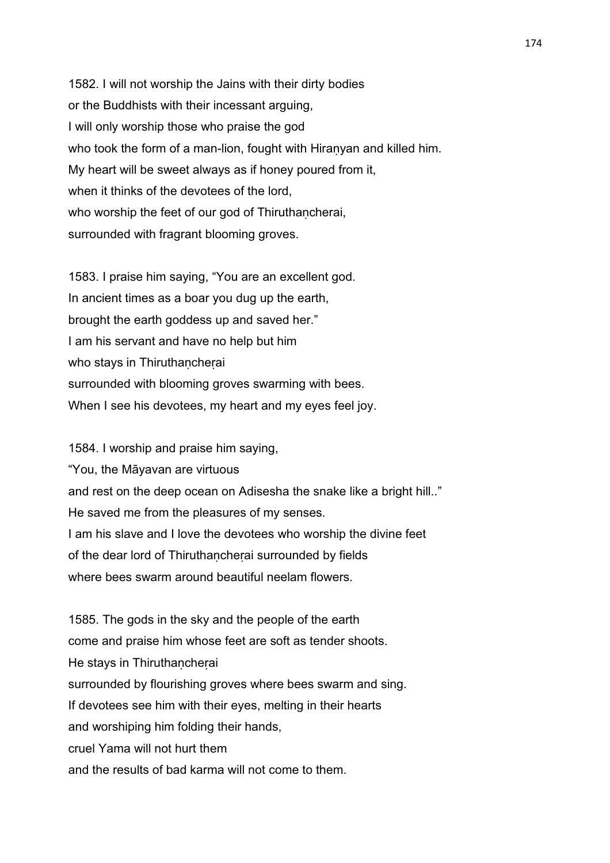1582. I will not worship the Jains with their dirty bodies or the Buddhists with their incessant arguing, I will only worship those who praise the god who took the form of a man-lion, fought with Hiranyan and killed him. My heart will be sweet always as if honey poured from it, when it thinks of the devotees of the lord, who worship the feet of our god of Thiruthancherai, surrounded with fragrant blooming groves.

1583. I praise him saying, "You are an excellent god. In ancient times as a boar you dug up the earth, brought the earth goddess up and saved her." I am his servant and have no help but him who stays in Thiruthancherai surrounded with blooming groves swarming with bees. When I see his devotees, my heart and my eyes feel joy.

1584. I worship and praise him saying, "You, the Māyavan are virtuous and rest on the deep ocean on Adisesha the snake like a bright hill.." He saved me from the pleasures of my senses. I am his slave and I love the devotees who worship the divine feet of the dear lord of Thiruthaṇcheṛai surrounded by fields where bees swarm around beautiful neelam flowers.

1585. The gods in the sky and the people of the earth come and praise him whose feet are soft as tender shoots. He stays in Thiruthancherai surrounded by flourishing groves where bees swarm and sing. If devotees see him with their eyes, melting in their hearts and worshiping him folding their hands, cruel Yama will not hurt them and the results of bad karma will not come to them.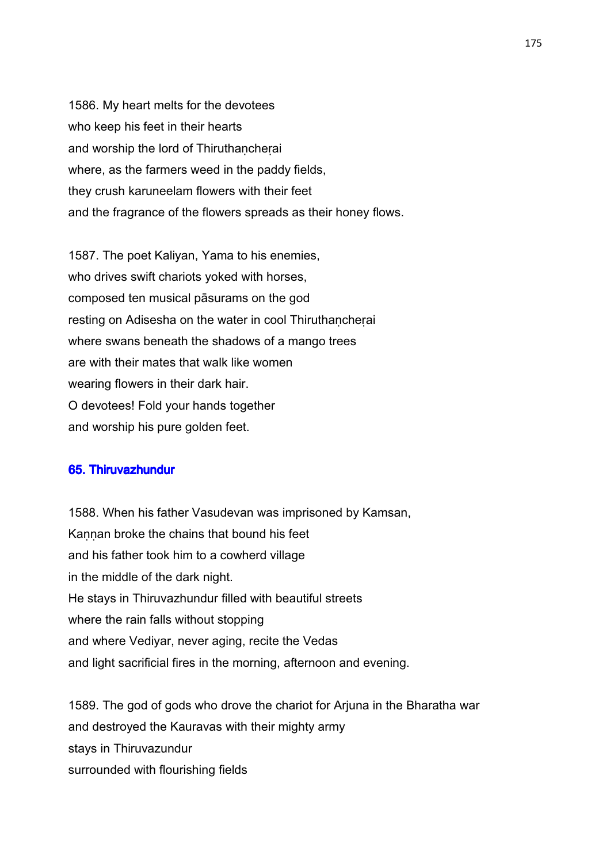1586. My heart melts for the devotees who keep his feet in their hearts and worship the lord of Thiruthancherai where, as the farmers weed in the paddy fields, they crush karuneelam flowers with their feet and the fragrance of the flowers spreads as their honey flows.

1587. The poet Kaliyan, Yama to his enemies, who drives swift chariots yoked with horses, composed ten musical pāsurams on the god resting on Adisesha on the water in cool Thiruthancherai where swans beneath the shadows of a mango trees are with their mates that walk like women wearing flowers in their dark hair. O devotees! Fold your hands together and worship his pure golden feet.

### 65. Thiruvazhundur

1588. When his father Vasudevan was imprisoned by Kamsan, Kannan broke the chains that bound his feet and his father took him to a cowherd village in the middle of the dark night. He stays in Thiruvazhundur filled with beautiful streets where the rain falls without stopping and where Vediyar, never aging, recite the Vedas and light sacrificial fires in the morning, afternoon and evening.

1589. The god of gods who drove the chariot for Arjuna in the Bharatha war and destroyed the Kauravas with their mighty army stays in Thiruvazundur surrounded with flourishing fields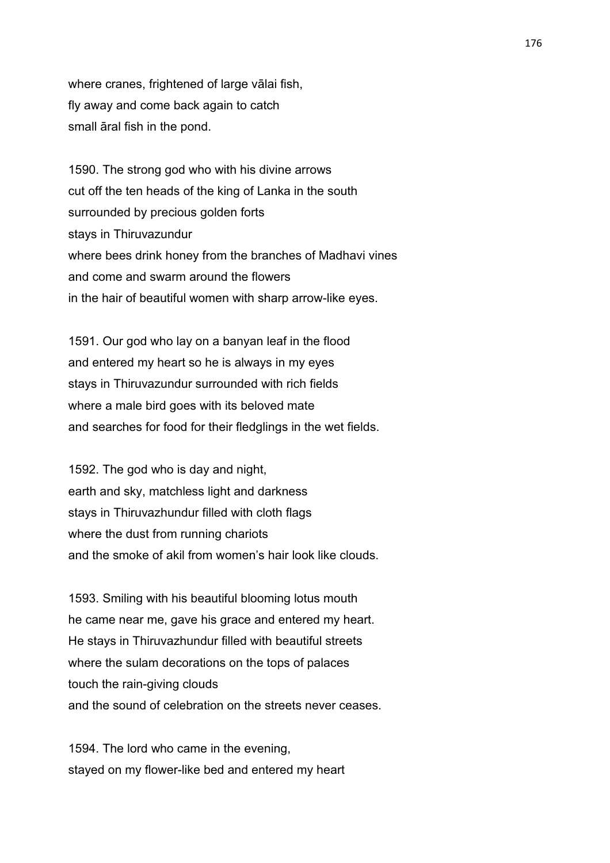where cranes, frightened of large vālai fish, fly away and come back again to catch small āral fish in the pond.

1590. The strong god who with his divine arrows cut off the ten heads of the king of Lanka in the south surrounded by precious golden forts stays in Thiruvazundur where bees drink honey from the branches of Madhavi vines and come and swarm around the flowers in the hair of beautiful women with sharp arrow-like eyes.

1591. Our god who lay on a banyan leaf in the flood and entered my heart so he is always in my eyes stays in Thiruvazundur surrounded with rich fields where a male bird goes with its beloved mate and searches for food for their fledglings in the wet fields.

1592. The god who is day and night, earth and sky, matchless light and darkness stays in Thiruvazhundur filled with cloth flags where the dust from running chariots and the smoke of akil from women's hair look like clouds.

1593. Smiling with his beautiful blooming lotus mouth he came near me, gave his grace and entered my heart. He stays in Thiruvazhundur filled with beautiful streets where the sulam decorations on the tops of palaces touch the rain-giving clouds and the sound of celebration on the streets never ceases.

1594. The lord who came in the evening, stayed on my flower-like bed and entered my heart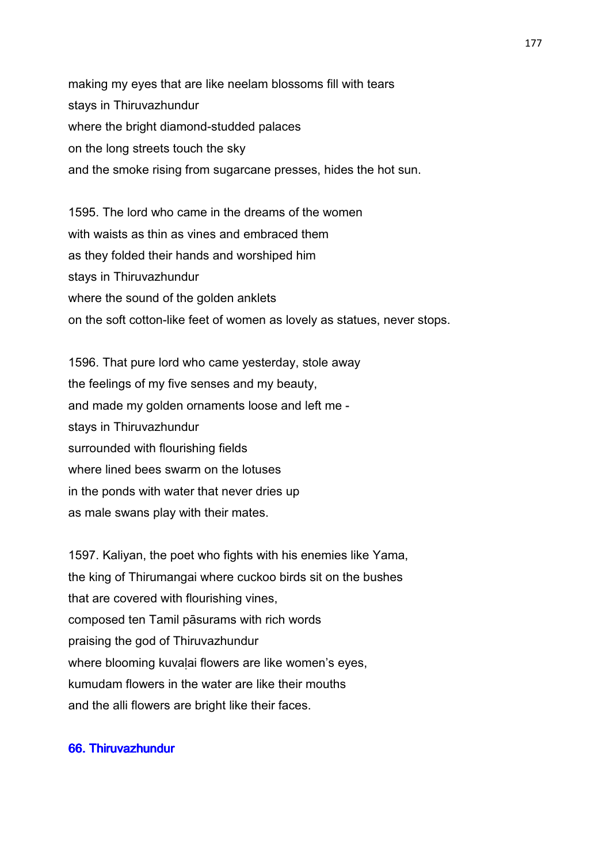making my eyes that are like neelam blossoms fill with tears stays in Thiruvazhundur where the bright diamond-studded palaces on the long streets touch the sky and the smoke rising from sugarcane presses, hides the hot sun.

1595. The lord who came in the dreams of the women with waists as thin as vines and embraced them as they folded their hands and worshiped him stays in Thiruvazhundur where the sound of the golden anklets on the soft cotton-like feet of women as lovely as statues, never stops.

1596. That pure lord who came yesterday, stole away the feelings of my five senses and my beauty, and made my golden ornaments loose and left me stays in Thiruvazhundur surrounded with flourishing fields where lined bees swarm on the lotuses in the ponds with water that never dries up as male swans play with their mates.

1597. Kaliyan, the poet who fights with his enemies like Yama, the king of Thirumangai where cuckoo birds sit on the bushes that are covered with flourishing vines, composed ten Tamil pāsurams with rich words praising the god of Thiruvazhundur where blooming kuvalai flowers are like women's eyes, kumudam flowers in the water are like their mouths and the alli flowers are bright like their faces.

# 66. Thiruvazhundur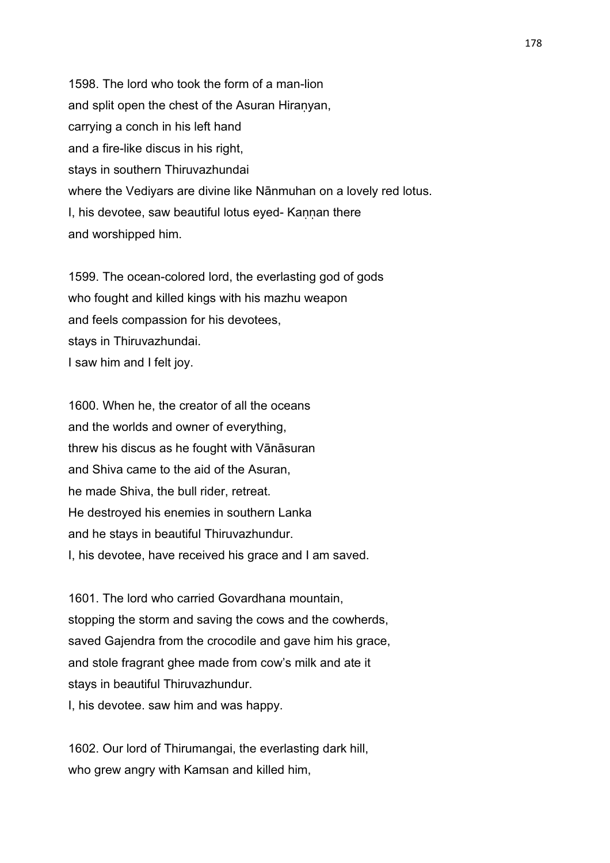1598. The lord who took the form of a man-lion and split open the chest of the Asuran Hiraṇyan, carrying a conch in his left hand and a fire-like discus in his right, stays in southern Thiruvazhundai where the Vediyars are divine like Nānmuhan on a lovely red lotus. I, his devotee, saw beautiful lotus eyed- Kannan there and worshipped him.

1599. The ocean-colored lord, the everlasting god of gods who fought and killed kings with his mazhu weapon and feels compassion for his devotees, stays in Thiruvazhundai. I saw him and I felt joy.

1600. When he, the creator of all the oceans and the worlds and owner of everything, threw his discus as he fought with Vānāsuran and Shiva came to the aid of the Asuran, he made Shiva, the bull rider, retreat. He destroyed his enemies in southern Lanka and he stays in beautiful Thiruvazhundur. I, his devotee, have received his grace and I am saved.

1601. The lord who carried Govardhana mountain, stopping the storm and saving the cows and the cowherds, saved Gajendra from the crocodile and gave him his grace, and stole fragrant ghee made from cow's milk and ate it stays in beautiful Thiruvazhundur. I, his devotee. saw him and was happy.

1602. Our lord of Thirumangai, the everlasting dark hill, who grew angry with Kamsan and killed him,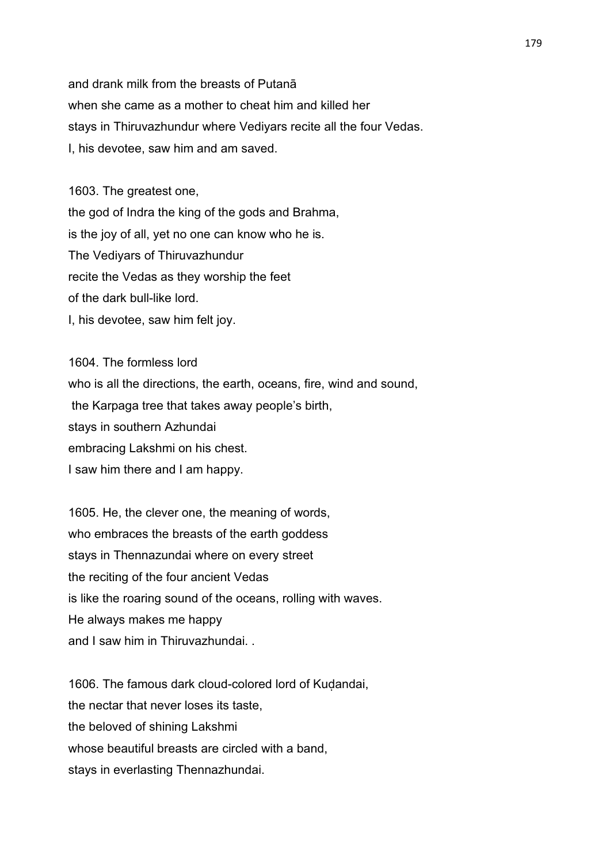and drank milk from the breasts of Putanā when she came as a mother to cheat him and killed her stays in Thiruvazhundur where Vediyars recite all the four Vedas. I, his devotee, saw him and am saved.

1603. The greatest one, the god of Indra the king of the gods and Brahma, is the joy of all, yet no one can know who he is. The Vediyars of Thiruvazhundur recite the Vedas as they worship the feet of the dark bull-like lord. I, his devotee, saw him felt joy.

1604. The formless lord who is all the directions, the earth, oceans, fire, wind and sound, the Karpaga tree that takes away people's birth, stays in southern Azhundai embracing Lakshmi on his chest. I saw him there and I am happy.

1605. He, the clever one, the meaning of words, who embraces the breasts of the earth goddess stays in Thennazundai where on every street the reciting of the four ancient Vedas is like the roaring sound of the oceans, rolling with waves. He always makes me happy and I saw him in Thiruvazhundai. .

1606. The famous dark cloud-colored lord of Kuḍandai, the nectar that never loses its taste, the beloved of shining Lakshmi whose beautiful breasts are circled with a band, stays in everlasting Thennazhundai.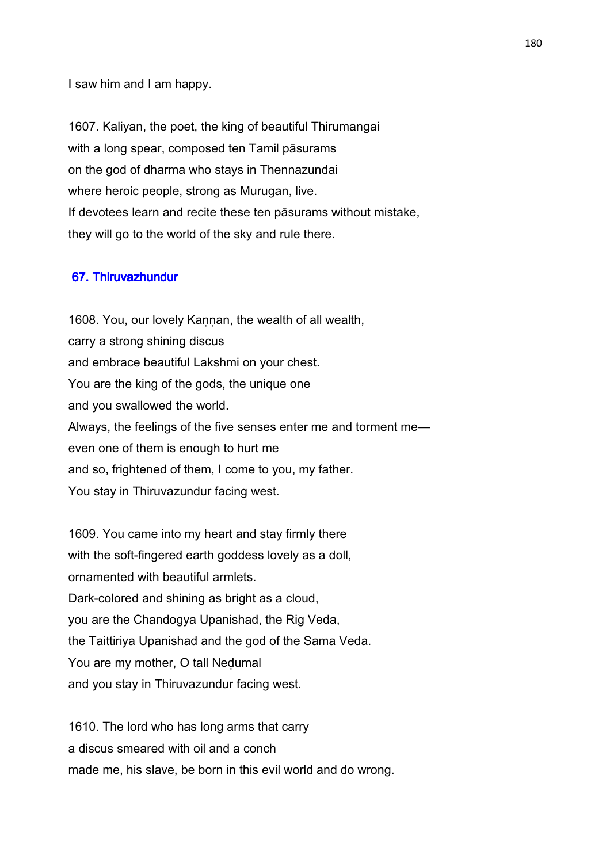I saw him and I am happy.

1607. Kaliyan, the poet, the king of beautiful Thirumangai with a long spear, composed ten Tamil pāsurams on the god of dharma who stays in Thennazundai where heroic people, strong as Murugan, live. If devotees learn and recite these ten pāsurams without mistake, they will go to the world of the sky and rule there.

### 67. Thiruvazhundur

1608. You, our lovely Kannan, the wealth of all wealth, carry a strong shining discus and embrace beautiful Lakshmi on your chest. You are the king of the gods, the unique one and you swallowed the world. Always, the feelings of the five senses enter me and torment me even one of them is enough to hurt me and so, frightened of them, I come to you, my father. You stay in Thiruvazundur facing west.

1609. You came into my heart and stay firmly there with the soft-fingered earth goddess lovely as a doll. ornamented with beautiful armlets. Dark-colored and shining as bright as a cloud, you are the Chandogya Upanishad, the Rig Veda, the Taittiriya Upanishad and the god of the Sama Veda. You are my mother, O tall Neḍumal and you stay in Thiruvazundur facing west.

1610. The lord who has long arms that carry a discus smeared with oil and a conch made me, his slave, be born in this evil world and do wrong.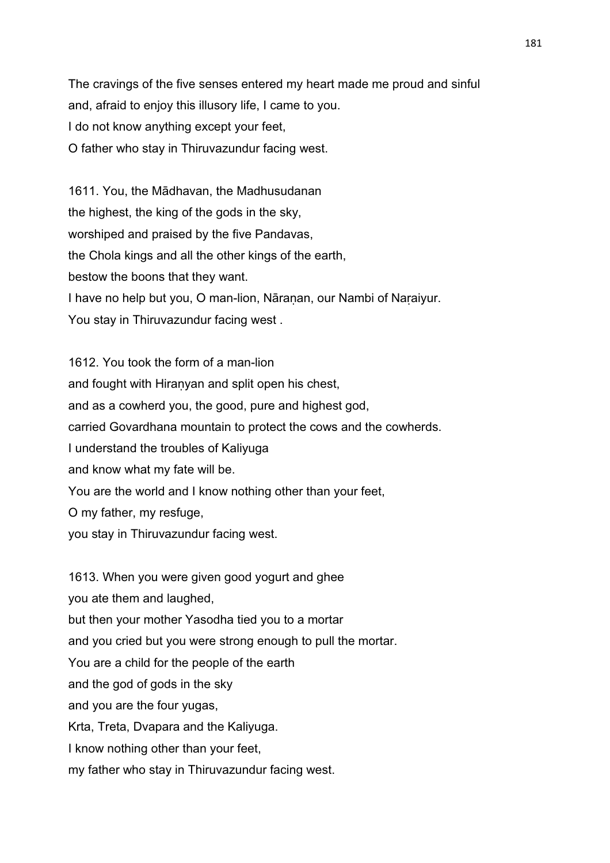The cravings of the five senses entered my heart made me proud and sinful and, afraid to enjoy this illusory life, I came to you. I do not know anything except your feet, O father who stay in Thiruvazundur facing west.

1611. You, the Mādhavan, the Madhusudanan the highest, the king of the gods in the sky, worshiped and praised by the five Pandavas, the Chola kings and all the other kings of the earth, bestow the boons that they want. I have no help but you, O man-lion, Nāraṇan, our Nambi of Naṛaiyur. You stay in Thiruvazundur facing west .

1612. You took the form of a man-lion and fought with Hiranyan and split open his chest, and as a cowherd you, the good, pure and highest god, carried Govardhana mountain to protect the cows and the cowherds. I understand the troubles of Kaliyuga and know what my fate will be. You are the world and I know nothing other than your feet, O my father, my resfuge, you stay in Thiruvazundur facing west.

1613. When you were given good yogurt and ghee you ate them and laughed, but then your mother Yasodha tied you to a mortar and you cried but you were strong enough to pull the mortar. You are a child for the people of the earth and the god of gods in the sky and you are the four yugas, Krta, Treta, Dvapara and the Kaliyuga. I know nothing other than your feet, my father who stay in Thiruvazundur facing west.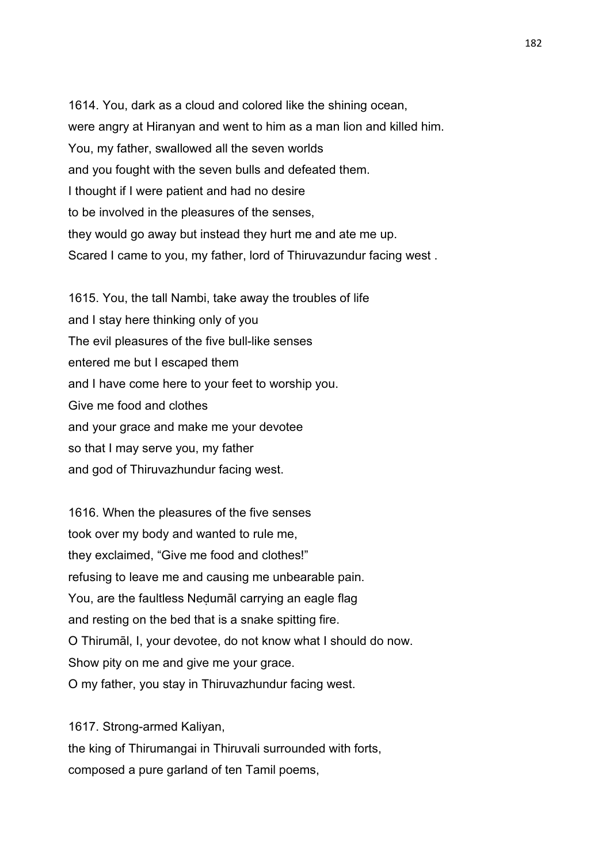1614. You, dark as a cloud and colored like the shining ocean, were angry at Hiranyan and went to him as a man lion and killed him. You, my father, swallowed all the seven worlds and you fought with the seven bulls and defeated them. I thought if I were patient and had no desire to be involved in the pleasures of the senses, they would go away but instead they hurt me and ate me up. Scared I came to you, my father, lord of Thiruvazundur facing west .

1615. You, the tall Nambi, take away the troubles of life and I stay here thinking only of you The evil pleasures of the five bull-like senses entered me but I escaped them and I have come here to your feet to worship you. Give me food and clothes and your grace and make me your devotee so that I may serve you, my father and god of Thiruvazhundur facing west.

1616. When the pleasures of the five senses took over my body and wanted to rule me, they exclaimed, "Give me food and clothes!" refusing to leave me and causing me unbearable pain. You, are the faultless Neḍumāl carrying an eagle flag and resting on the bed that is a snake spitting fire. O Thirumāl, I, your devotee, do not know what I should do now. Show pity on me and give me your grace. O my father, you stay in Thiruvazhundur facing west.

the king of Thirumangai in Thiruvali surrounded with forts, composed a pure garland of ten Tamil poems,

1617. Strong-armed Kaliyan,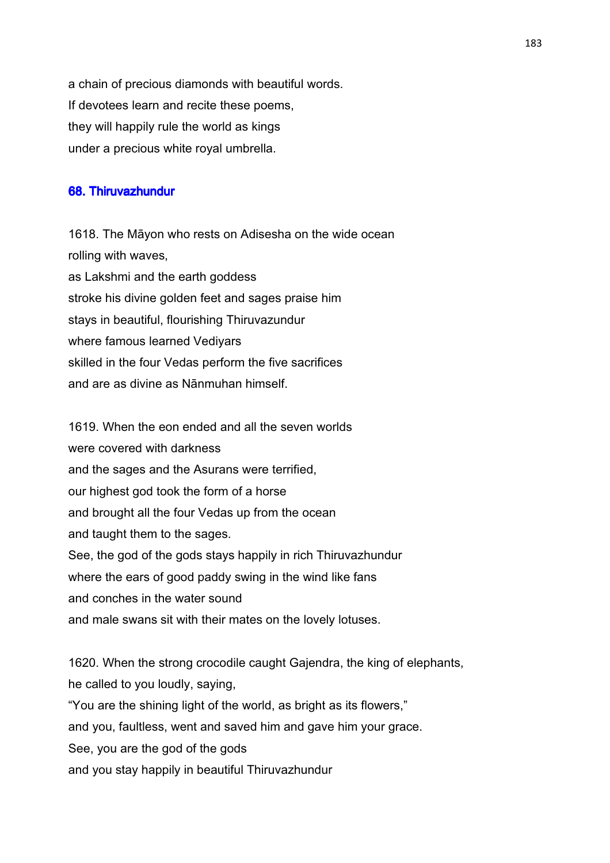a chain of precious diamonds with beautiful words. If devotees learn and recite these poems, they will happily rule the world as kings under a precious white royal umbrella.

# 68. Thiruvazhundur

1618. The Māyon who rests on Adisesha on the wide ocean rolling with waves, as Lakshmi and the earth goddess stroke his divine golden feet and sages praise him stays in beautiful, flourishing Thiruvazundur where famous learned Vediyars skilled in the four Vedas perform the five sacrifices and are as divine as Nānmuhan himself.

1619. When the eon ended and all the seven worlds were covered with darkness and the sages and the Asurans were terrified, our highest god took the form of a horse and brought all the four Vedas up from the ocean and taught them to the sages. See, the god of the gods stays happily in rich Thiruvazhundur where the ears of good paddy swing in the wind like fans and conches in the water sound and male swans sit with their mates on the lovely lotuses.

1620. When the strong crocodile caught Gajendra, the king of elephants, he called to you loudly, saying, "You are the shining light of the world, as bright as its flowers," and you, faultless, went and saved him and gave him your grace. See, you are the god of the gods and you stay happily in beautiful Thiruvazhundur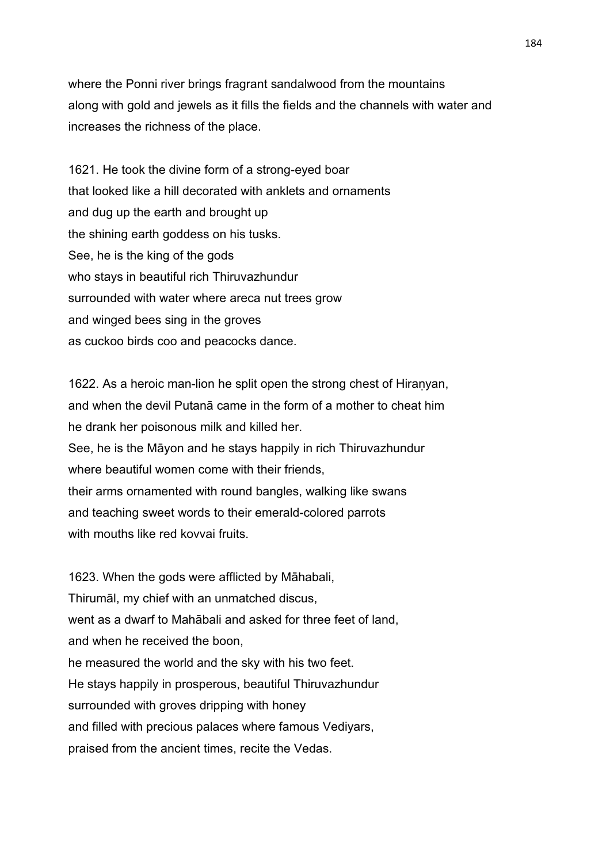where the Ponni river brings fragrant sandalwood from the mountains along with gold and jewels as it fills the fields and the channels with water and increases the richness of the place.

1621. He took the divine form of a strong-eyed boar that looked like a hill decorated with anklets and ornaments and dug up the earth and brought up the shining earth goddess on his tusks. See, he is the king of the gods who stays in beautiful rich Thiruvazhundur surrounded with water where areca nut trees grow and winged bees sing in the groves as cuckoo birds coo and peacocks dance.

1622. As a heroic man-lion he split open the strong chest of Hiranyan, and when the devil Putanā came in the form of a mother to cheat him he drank her poisonous milk and killed her. See, he is the Māyon and he stays happily in rich Thiruvazhundur where beautiful women come with their friends, their arms ornamented with round bangles, walking like swans and teaching sweet words to their emerald-colored parrots with mouths like red kovvai fruits.

1623. When the gods were afflicted by Māhabali, Thirumāl, my chief with an unmatched discus, went as a dwarf to Mahābali and asked for three feet of land, and when he received the boon, he measured the world and the sky with his two feet. He stays happily in prosperous, beautiful Thiruvazhundur surrounded with groves dripping with honey and filled with precious palaces where famous Vediyars, praised from the ancient times, recite the Vedas.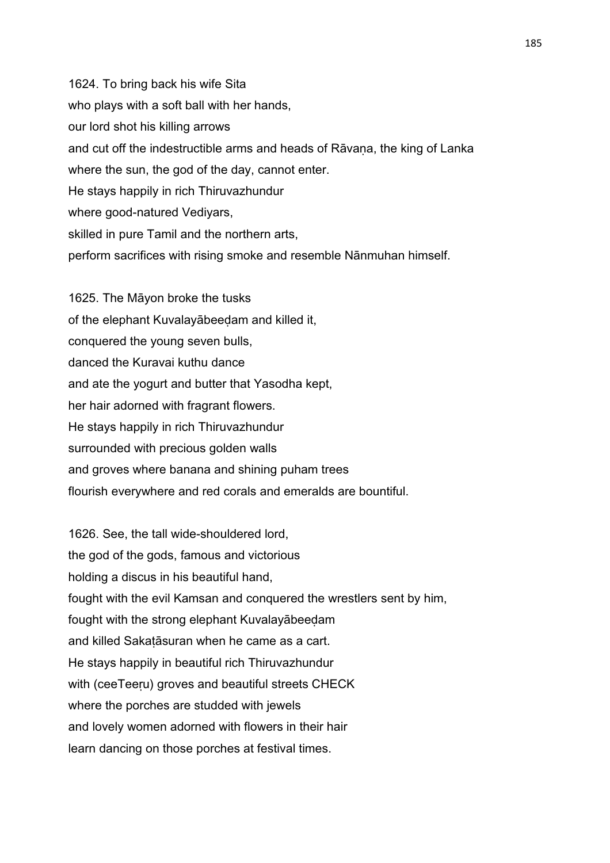1624. To bring back his wife Sita who plays with a soft ball with her hands, our lord shot his killing arrows and cut off the indestructible arms and heads of Rāvaṇa, the king of Lanka where the sun, the god of the day, cannot enter. He stays happily in rich Thiruvazhundur where good-natured Vediyars, skilled in pure Tamil and the northern arts, perform sacrifices with rising smoke and resemble Nānmuhan himself.

1625. The Māyon broke the tusks of the elephant Kuvalayābeeḍam and killed it, conquered the young seven bulls, danced the Kuravai kuthu dance and ate the yogurt and butter that Yasodha kept, her hair adorned with fragrant flowers. He stays happily in rich Thiruvazhundur surrounded with precious golden walls and groves where banana and shining puham trees flourish everywhere and red corals and emeralds are bountiful.

1626. See, the tall wide-shouldered lord, the god of the gods, famous and victorious holding a discus in his beautiful hand, fought with the evil Kamsan and conquered the wrestlers sent by him, fought with the strong elephant Kuvalayābeeḍam and killed Sakaṭāsuran when he came as a cart. He stays happily in beautiful rich Thiruvazhundur with (ceeTeeru) groves and beautiful streets CHECK where the porches are studded with jewels and lovely women adorned with flowers in their hair learn dancing on those porches at festival times.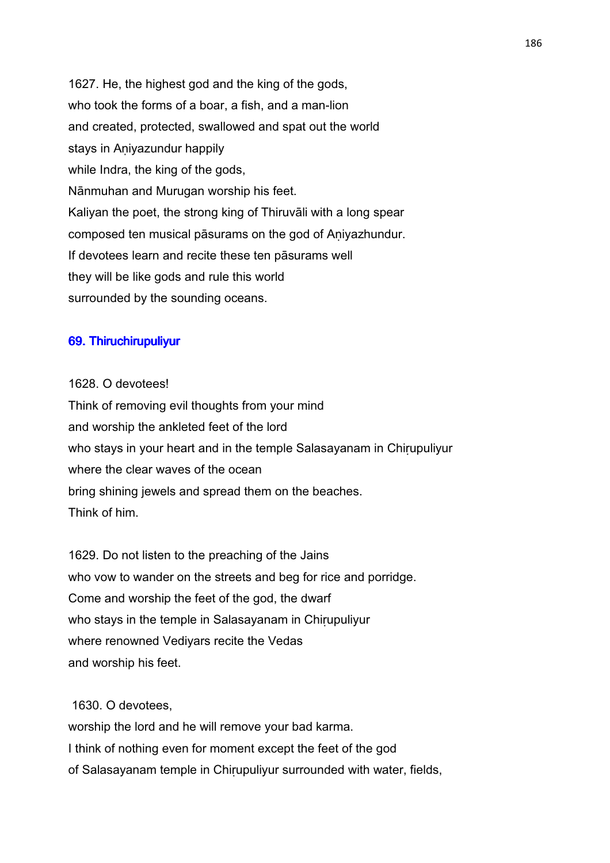1627. He, the highest god and the king of the gods, who took the forms of a boar, a fish, and a man-lion and created, protected, swallowed and spat out the world stays in Aniyazundur happily while Indra, the king of the gods, Nānmuhan and Murugan worship his feet. Kaliyan the poet, the strong king of Thiruvāli with a long spear composed ten musical pāsurams on the god of Aṇiyazhundur. If devotees learn and recite these ten pāsurams well they will be like gods and rule this world surrounded by the sounding oceans.

# 69. Thiruchirupuliyur

#### 1628. O devotees!

Think of removing evil thoughts from your mind and worship the ankleted feet of the lord who stays in your heart and in the temple Salasayanam in Chirupuliyur where the clear waves of the ocean bring shining jewels and spread them on the beaches. Think of him.

1629. Do not listen to the preaching of the Jains who vow to wander on the streets and beg for rice and porridge. Come and worship the feet of the god, the dwarf who stays in the temple in Salasayanam in Chirupuliyur where renowned Vediyars recite the Vedas and worship his feet.

## 1630. O devotees,

worship the lord and he will remove your bad karma. I think of nothing even for moment except the feet of the god of Salasayanam temple in Chiṛupuliyur surrounded with water, fields,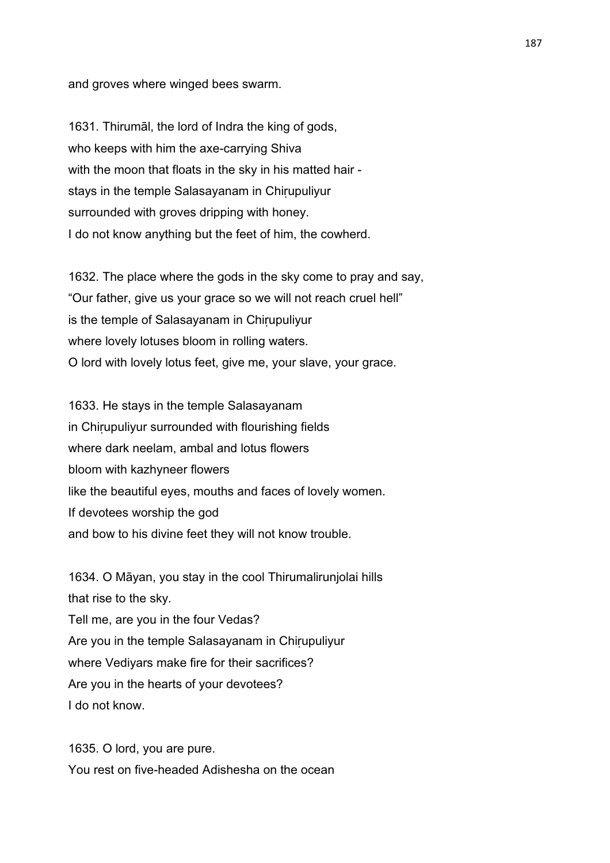and groves where winged bees swarm.

1631. Thirumāl, the lord of Indra the king of gods, who keeps with him the axe-carrying Shiva with the moon that floats in the sky in his matted hair stays in the temple Salasayanam in Chirupuliyur surrounded with groves dripping with honey. I do not know anything but the feet of him, the cowherd.

1632. The place where the gods in the sky come to pray and say, "Our father, give us your grace so we will not reach cruel hell" is the temple of Salasayanam in Chirupuliyur where lovely lotuses bloom in rolling waters. O lord with lovely lotus feet, give me, your slave, your grace.

1633. He stays in the temple Salasayanam in Chirupuliyur surrounded with flourishing fields where dark neelam, ambal and lotus flowers bloom with kazhyneer flowers like the beautiful eyes, mouths and faces of lovely women. If devotees worship the god and bow to his divine feet they will not know trouble.

1634. O Māyan, you stay in the cool Thirumalirunjolai hills that rise to the sky. Tell me, are you in the four Vedas? Are you in the temple Salasayanam in Chirupuliyur where Vediyars make fire for their sacrifices? Are you in the hearts of your devotees? I do not know.

1635. O lord, you are pure. You rest on five-headed Adishesha on the ocean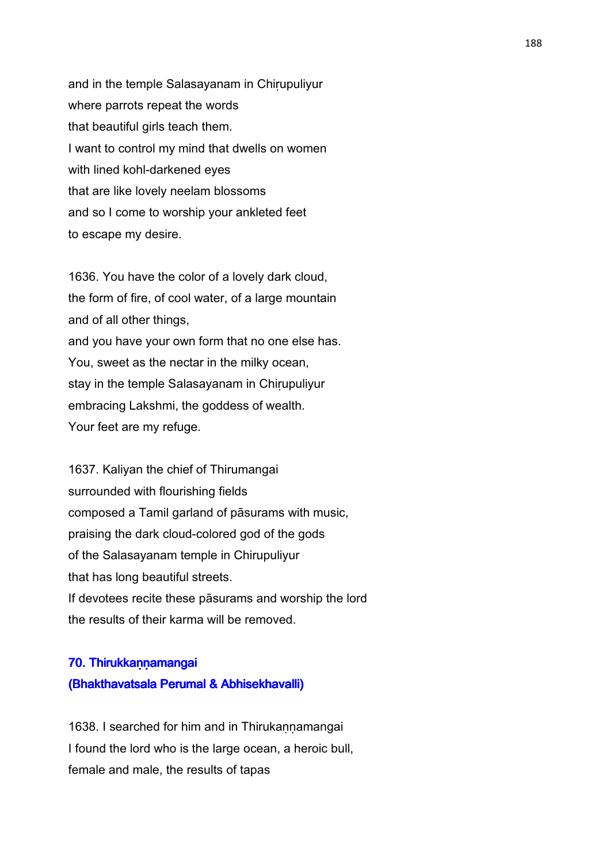and in the temple Salasayanam in Chirupuliyur where parrots repeat the words that beautiful girls teach them. I want to control my mind that dwells on women with lined kohl-darkened eyes that are like lovely neelam blossoms and so I come to worship your ankleted feet to escape my desire.

1636. You have the color of a lovely dark cloud, the form of fire, of cool water, of a large mountain and of all other things, and you have your own form that no one else has. You, sweet as the nectar in the milky ocean, stay in the temple Salasayanam in Chirupuliyur embracing Lakshmi, the goddess of wealth. Your feet are my refuge.

1637. Kaliyan the chief of Thirumangai surrounded with flourishing fields composed a Tamil garland of pāsurams with music, praising the dark cloud-colored god of the gods of the Salasayanam temple in Chirupuliyur that has long beautiful streets. If devotees recite these pāsurams and worship the lord the results of their karma will be removed.

# 70. Thirukkann amangai (Bhakthavatsala Perumal & Abhisekhavalli)

1638. I searched for him and in Thirukannamangai I found the lord who is the large ocean, a heroic bull, female and male, the results of tapas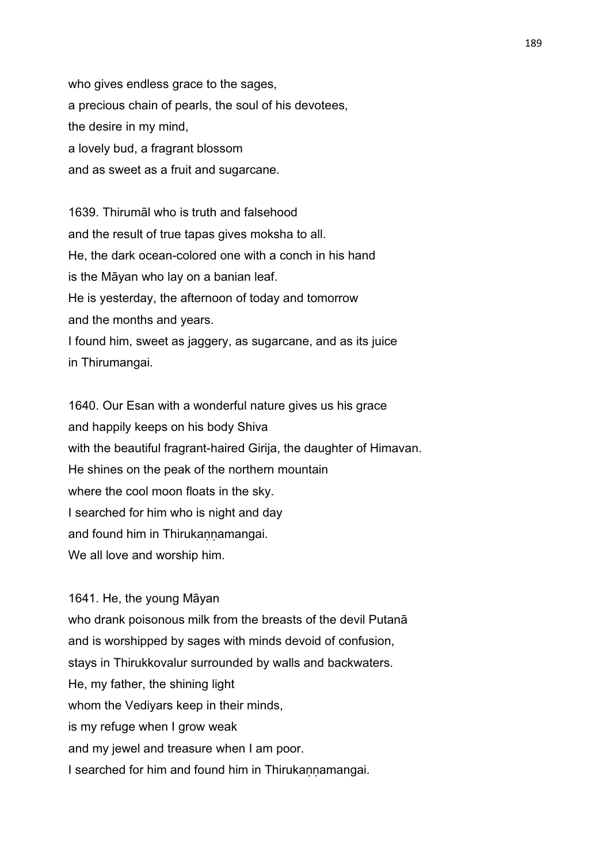who gives endless grace to the sages, a precious chain of pearls, the soul of his devotees, the desire in my mind, a lovely bud, a fragrant blossom and as sweet as a fruit and sugarcane.

1639. Thirumāl who is truth and falsehood and the result of true tapas gives moksha to all. He, the dark ocean-colored one with a conch in his hand is the Māyan who lay on a banian leaf. He is yesterday, the afternoon of today and tomorrow and the months and years. I found him, sweet as jaggery, as sugarcane, and as its juice in Thirumangai.

1640. Our Esan with a wonderful nature gives us his grace and happily keeps on his body Shiva with the beautiful fragrant-haired Girija, the daughter of Himavan. He shines on the peak of the northern mountain where the cool moon floats in the sky. I searched for him who is night and day and found him in Thirukannamangai. We all love and worship him.

1641. He, the young Māyan who drank poisonous milk from the breasts of the devil Putanā and is worshipped by sages with minds devoid of confusion, stays in Thirukkovalur surrounded by walls and backwaters. He, my father, the shining light whom the Vediyars keep in their minds, is my refuge when I grow weak and my jewel and treasure when I am poor. I searched for him and found him in Thirukannamangai.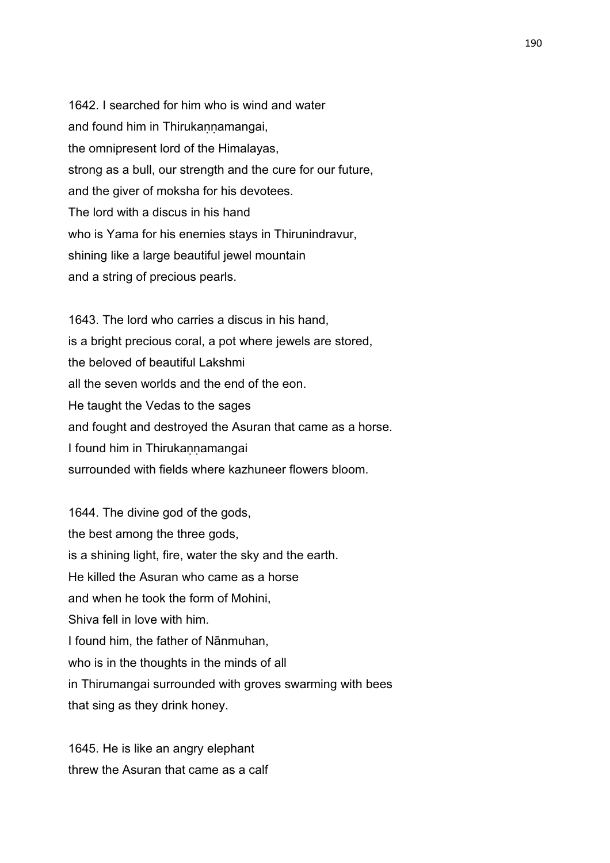1642. I searched for him who is wind and water and found him in Thirukaṇṇamangai, the omnipresent lord of the Himalayas, strong as a bull, our strength and the cure for our future, and the giver of moksha for his devotees. The lord with a discus in his hand who is Yama for his enemies stays in Thirunindravur, shining like a large beautiful jewel mountain and a string of precious pearls.

1643. The lord who carries a discus in his hand, is a bright precious coral, a pot where jewels are stored, the beloved of beautiful Lakshmi all the seven worlds and the end of the eon. He taught the Vedas to the sages and fought and destroyed the Asuran that came as a horse. I found him in Thirukannamangai surrounded with fields where kazhuneer flowers bloom.

1644. The divine god of the gods, the best among the three gods, is a shining light, fire, water the sky and the earth. He killed the Asuran who came as a horse and when he took the form of Mohini, Shiva fell in love with him. I found him, the father of Nānmuhan, who is in the thoughts in the minds of all in Thirumangai surrounded with groves swarming with bees that sing as they drink honey.

1645. He is like an angry elephant threw the Asuran that came as a calf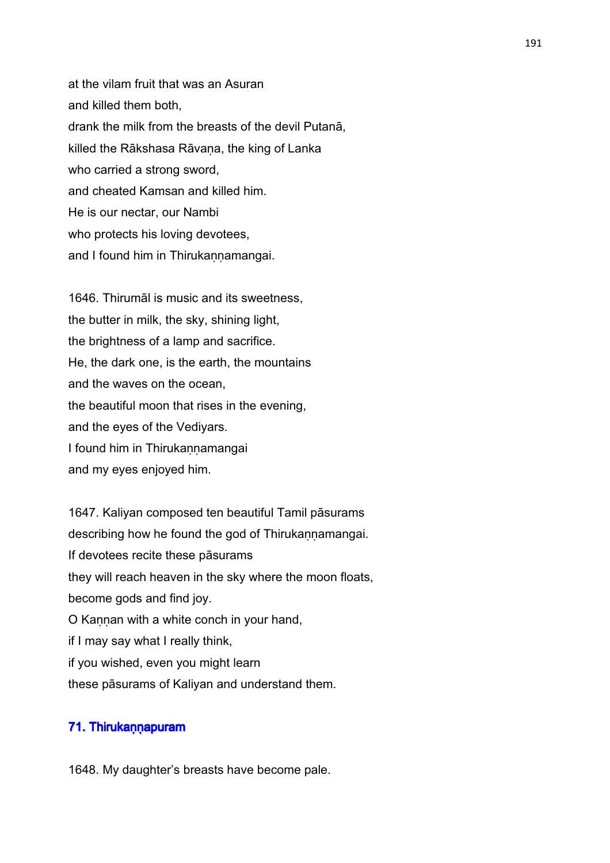at the vilam fruit that was an Asuran and killed them both, drank the milk from the breasts of the devil Putanā, killed the Rākshasa Rāvaṇa, the king of Lanka who carried a strong sword, and cheated Kamsan and killed him. He is our nectar, our Nambi who protects his loving devotees, and I found him in Thirukannamangai.

1646. Thirumāl is music and its sweetness, the butter in milk, the sky, shining light, the brightness of a lamp and sacrifice. He, the dark one, is the earth, the mountains and the waves on the ocean, the beautiful moon that rises in the evening, and the eyes of the Vediyars. I found him in Thirukannamangai and my eyes enjoyed him.

1647. Kaliyan composed ten beautiful Tamil pāsurams describing how he found the god of Thirukannamangai. If devotees recite these pāsurams they will reach heaven in the sky where the moon floats, become gods and find joy. O Kannan with a white conch in your hand, if I may say what I really think, if you wished, even you might learn these pāsurams of Kaliyan and understand them.

# 71. Thirukaṇṇapuram

1648. My daughter's breasts have become pale.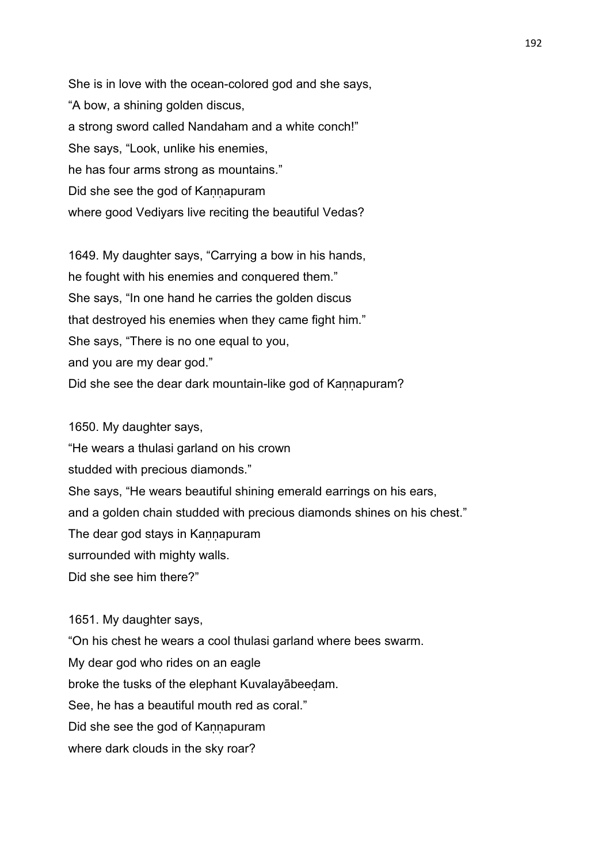She is in love with the ocean-colored god and she says, "A bow, a shining golden discus, a strong sword called Nandaham and a white conch!" She says, "Look, unlike his enemies, he has four arms strong as mountains." Did she see the god of Kannapuram where good Vediyars live reciting the beautiful Vedas?

1649. My daughter says, "Carrying a bow in his hands, he fought with his enemies and conquered them." She says, "In one hand he carries the golden discus that destroyed his enemies when they came fight him." She says, "There is no one equal to you, and you are my dear god." Did she see the dear dark mountain-like god of Kannapuram?

1650. My daughter says, "He wears a thulasi garland on his crown studded with precious diamonds." She says, "He wears beautiful shining emerald earrings on his ears, and a golden chain studded with precious diamonds shines on his chest." The dear god stays in Kannapuram surrounded with mighty walls. Did she see him there?"

1651. My daughter says,

"On his chest he wears a cool thulasi garland where bees swarm. My dear god who rides on an eagle broke the tusks of the elephant Kuvalayābeeḍam. See, he has a beautiful mouth red as coral." Did she see the god of Kannapuram where dark clouds in the sky roar?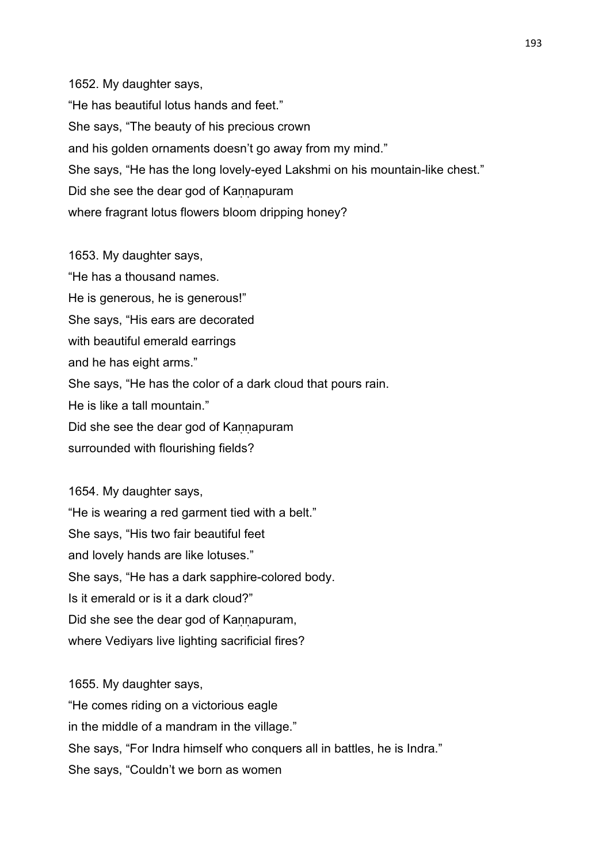1652. My daughter says, "He has beautiful lotus hands and feet." She says, "The beauty of his precious crown and his golden ornaments doesn't go away from my mind." She says, "He has the long lovely-eyed Lakshmi on his mountain-like chest." Did she see the dear god of Kannapuram where fragrant lotus flowers bloom dripping honey?

1653. My daughter says, "He has a thousand names. He is generous, he is generous!" She says, "His ears are decorated with beautiful emerald earrings and he has eight arms." She says, "He has the color of a dark cloud that pours rain. He is like a tall mountain." Did she see the dear god of Kannapuram surrounded with flourishing fields?

1654. My daughter says, "He is wearing a red garment tied with a belt." She says, "His two fair beautiful feet and lovely hands are like lotuses." She says, "He has a dark sapphire-colored body. Is it emerald or is it a dark cloud?" Did she see the dear god of Kannapuram, where Vediyars live lighting sacrificial fires?

1655. My daughter says, "He comes riding on a victorious eagle in the middle of a mandram in the village." She says, "For Indra himself who conquers all in battles, he is Indra." She says, "Couldn't we born as women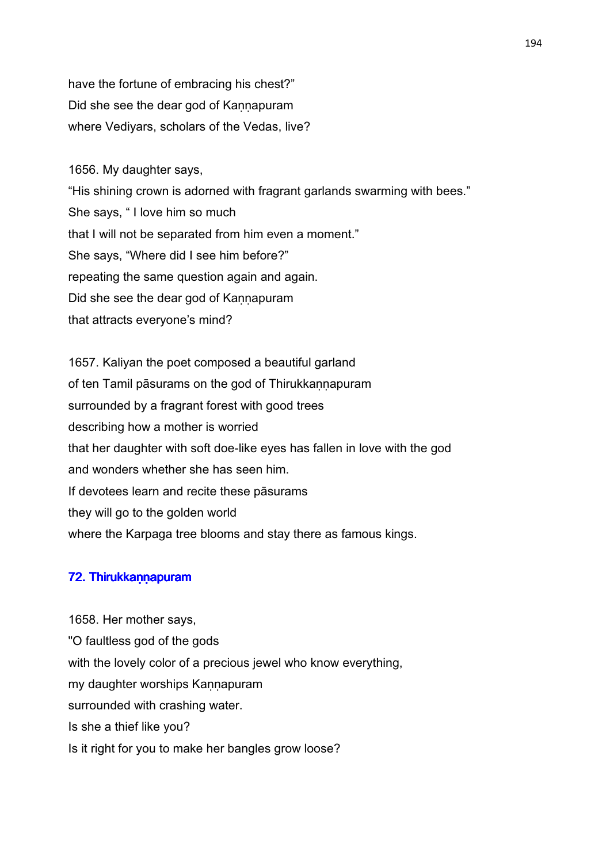have the fortune of embracing his chest?" Did she see the dear god of Kaṇṇapuram where Vediyars, scholars of the Vedas, live?

1656. My daughter says, "His shining crown is adorned with fragrant garlands swarming with bees." She says, " I love him so much that I will not be separated from him even a moment." She says, "Where did I see him before?" repeating the same question again and again. Did she see the dear god of Kannapuram that attracts everyone's mind?

1657. Kaliyan the poet composed a beautiful garland of ten Tamil pāsurams on the god of Thirukkannapuram surrounded by a fragrant forest with good trees describing how a mother is worried that her daughter with soft doe-like eyes has fallen in love with the god and wonders whether she has seen him. If devotees learn and recite these pāsurams they will go to the golden world where the Karpaga tree blooms and stay there as famous kings.

# 72. Thirukkann apuram

1658. Her mother says, "O faultless god of the gods with the lovely color of a precious jewel who know everything, my daughter worships Kannapuram surrounded with crashing water. Is she a thief like you? Is it right for you to make her bangles grow loose?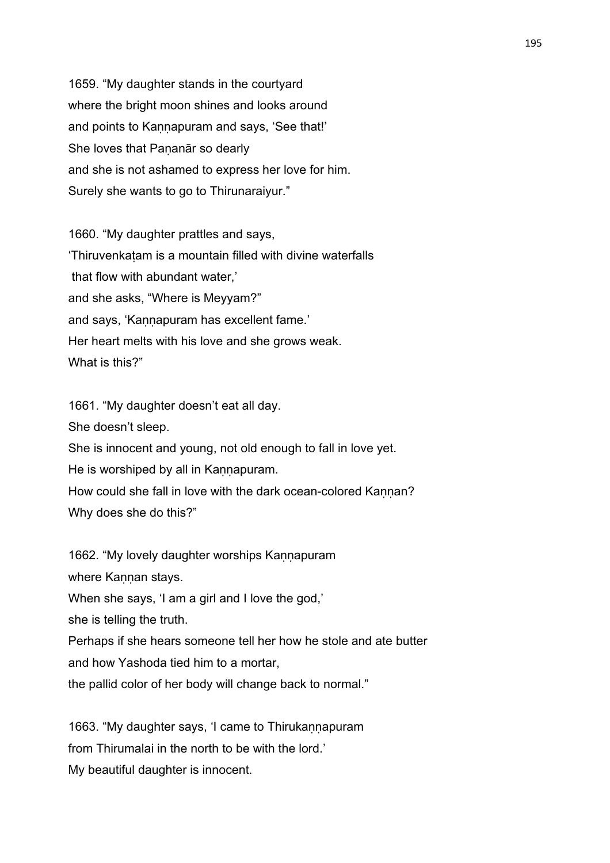1659. "My daughter stands in the courtyard where the bright moon shines and looks around and points to Kaṇṇapuram and says, 'See that!' She loves that Pananār so dearly and she is not ashamed to express her love for him. Surely she wants to go to Thirunaraiyur."

1660. "My daughter prattles and says, 'Thiruvenkaṭam is a mountain filled with divine waterfalls that flow with abundant water,' and she asks, "Where is Meyyam?" and says, 'Kannapuram has excellent fame.' Her heart melts with his love and she grows weak. What is this?"

1661. "My daughter doesn't eat all day. She doesn't sleep. She is innocent and young, not old enough to fall in love yet. He is worshiped by all in Kannapuram. How could she fall in love with the dark ocean-colored Kannan? Why does she do this?"

1662. "My lovely daughter worships Kannapuram where Kannan stays. When she says, 'I am a girl and I love the god,' she is telling the truth. Perhaps if she hears someone tell her how he stole and ate butter and how Yashoda tied him to a mortar, the pallid color of her body will change back to normal."

1663. "My daughter says, 'I came to Thirukannapuram from Thirumalai in the north to be with the lord.' My beautiful daughter is innocent.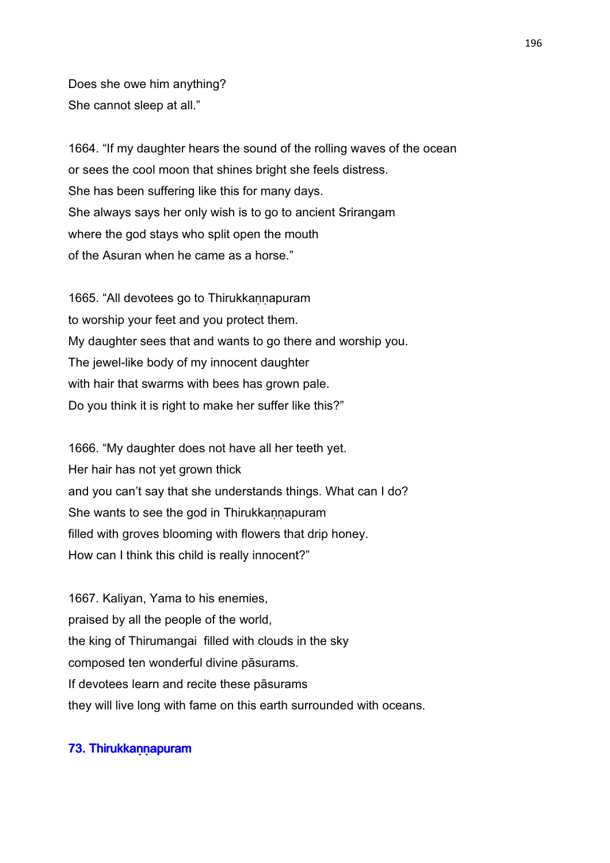Does she owe him anything? She cannot sleep at all."

1664. "If my daughter hears the sound of the rolling waves of the ocean or sees the cool moon that shines bright she feels distress. She has been suffering like this for many days. She always says her only wish is to go to ancient Srirangam where the god stays who split open the mouth of the Asuran when he came as a horse."

1665. "All devotees go to Thirukkannapuram to worship your feet and you protect them. My daughter sees that and wants to go there and worship you. The jewel-like body of my innocent daughter with hair that swarms with bees has grown pale. Do you think it is right to make her suffer like this?"

1666. "My daughter does not have all her teeth yet. Her hair has not yet grown thick and you can't say that she understands things. What can I do? She wants to see the god in Thirukkannapuram filled with groves blooming with flowers that drip honey. How can I think this child is really innocent?"

1667. Kaliyan, Yama to his enemies, praised by all the people of the world, the king of Thirumangai filled with clouds in the sky composed ten wonderful divine pāsurams. If devotees learn and recite these pāsurams they will live long with fame on this earth surrounded with oceans.

# 73. Thirukkann apuram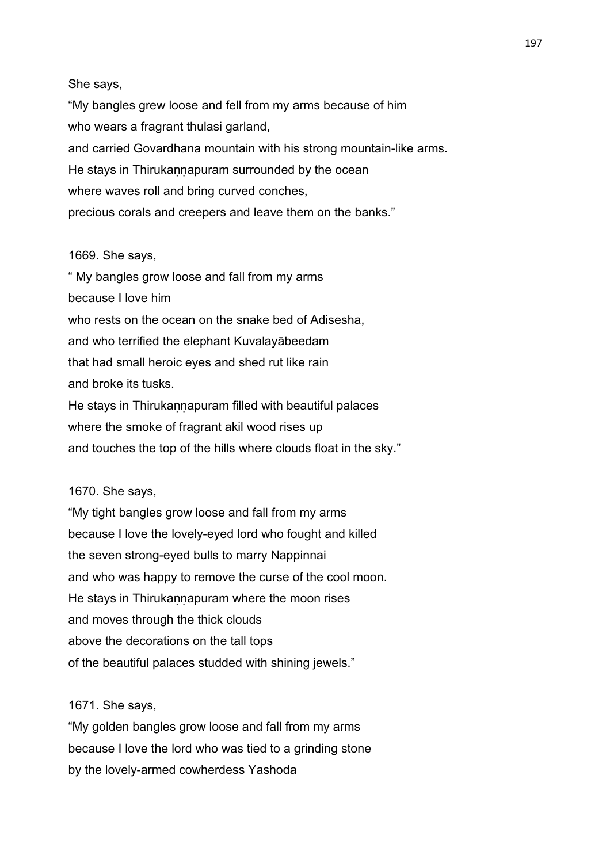# She says,

"My bangles grew loose and fell from my arms because of him who wears a fragrant thulasi garland, and carried Govardhana mountain with his strong mountain-like arms. He stays in Thirukannapuram surrounded by the ocean where waves roll and bring curved conches, precious corals and creepers and leave them on the banks."

#### 1669. She says,

" My bangles grow loose and fall from my arms because I love him who rests on the ocean on the snake bed of Adisesha, and who terrified the elephant Kuvalayābeedam that had small heroic eyes and shed rut like rain and broke its tusks. He stays in Thirukannapuram filled with beautiful palaces where the smoke of fragrant akil wood rises up and touches the top of the hills where clouds float in the sky."

#### 1670. She says,

"My tight bangles grow loose and fall from my arms because I love the lovely-eyed lord who fought and killed the seven strong-eyed bulls to marry Nappinnai and who was happy to remove the curse of the cool moon. He stays in Thirukannapuram where the moon rises and moves through the thick clouds above the decorations on the tall tops of the beautiful palaces studded with shining jewels."

## 1671. She says,

"My golden bangles grow loose and fall from my arms because I love the lord who was tied to a grinding stone by the lovely-armed cowherdess Yashoda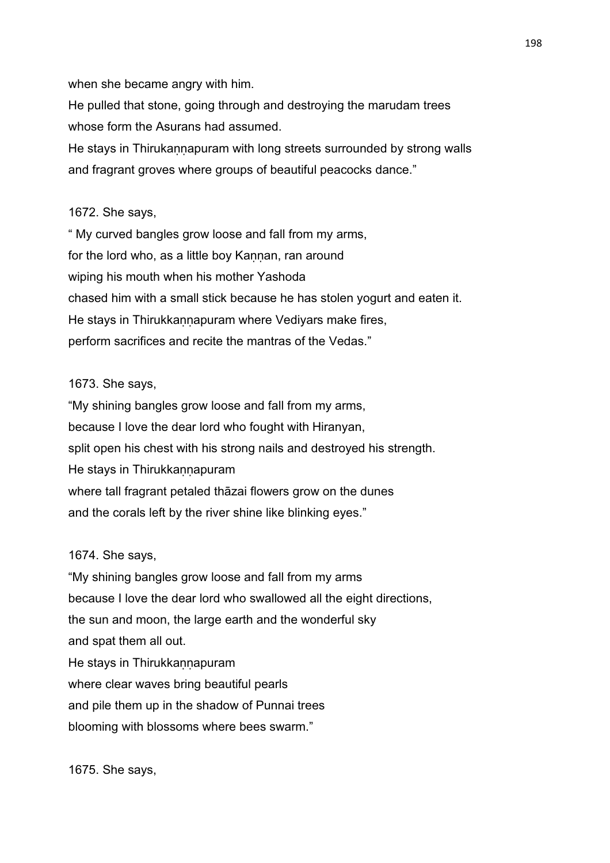when she became angry with him.

He pulled that stone, going through and destroying the marudam trees whose form the Asurans had assumed.

He stays in Thirukannapuram with long streets surrounded by strong walls and fragrant groves where groups of beautiful peacocks dance."

#### 1672. She says,

" My curved bangles grow loose and fall from my arms, for the lord who, as a little boy Kannan, ran around wiping his mouth when his mother Yashoda chased him with a small stick because he has stolen yogurt and eaten it. He stays in Thirukkannapuram where Vediyars make fires, perform sacrifices and recite the mantras of the Vedas."

# 1673. She says,

"My shining bangles grow loose and fall from my arms, because I love the dear lord who fought with Hiranyan, split open his chest with his strong nails and destroyed his strength. He stays in Thirukkannapuram where tall fragrant petaled thāzai flowers grow on the dunes and the corals left by the river shine like blinking eyes."

## 1674. She says,

"My shining bangles grow loose and fall from my arms because I love the dear lord who swallowed all the eight directions, the sun and moon, the large earth and the wonderful sky and spat them all out. He stays in Thirukkannapuram where clear waves bring beautiful pearls and pile them up in the shadow of Punnai trees blooming with blossoms where bees swarm."

1675. She says,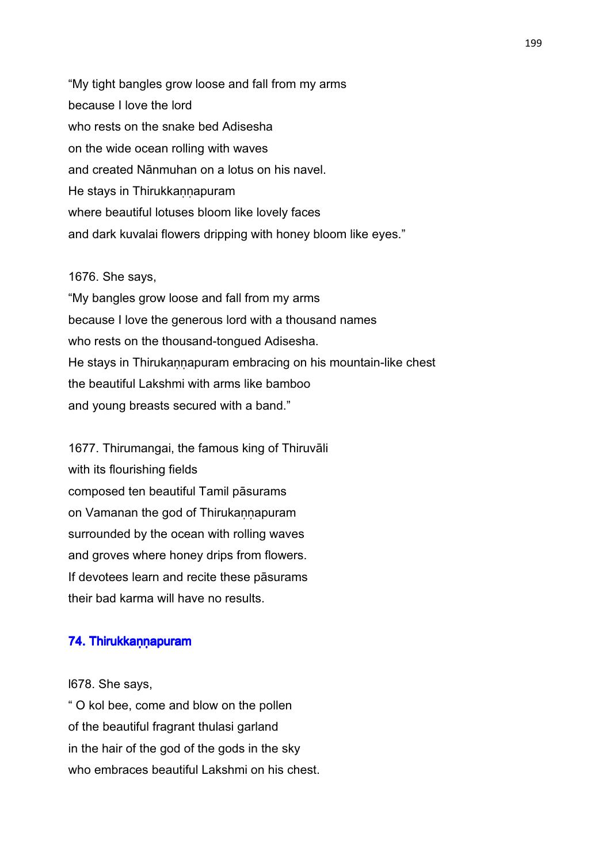"My tight bangles grow loose and fall from my arms because I love the lord who rests on the snake bed Adisesha on the wide ocean rolling with waves and created Nānmuhan on a lotus on his navel. He stays in Thirukkannapuram where beautiful lotuses bloom like lovely faces and dark kuvalai flowers dripping with honey bloom like eyes."

## 1676. She says,

"My bangles grow loose and fall from my arms because I love the generous lord with a thousand names who rests on the thousand-tongued Adisesha. He stays in Thirukannapuram embracing on his mountain-like chest the beautiful Lakshmi with arms like bamboo and young breasts secured with a band."

1677. Thirumangai, the famous king of Thiruvāli with its flourishing fields composed ten beautiful Tamil pāsurams on Vamanan the god of Thirukannapuram surrounded by the ocean with rolling waves and groves where honey drips from flowers. If devotees learn and recite these pāsurams their bad karma will have no results.

#### 74. Thirukkaṇṇapuram

l678. She says,

" O kol bee, come and blow on the pollen of the beautiful fragrant thulasi garland in the hair of the god of the gods in the sky who embraces beautiful Lakshmi on his chest.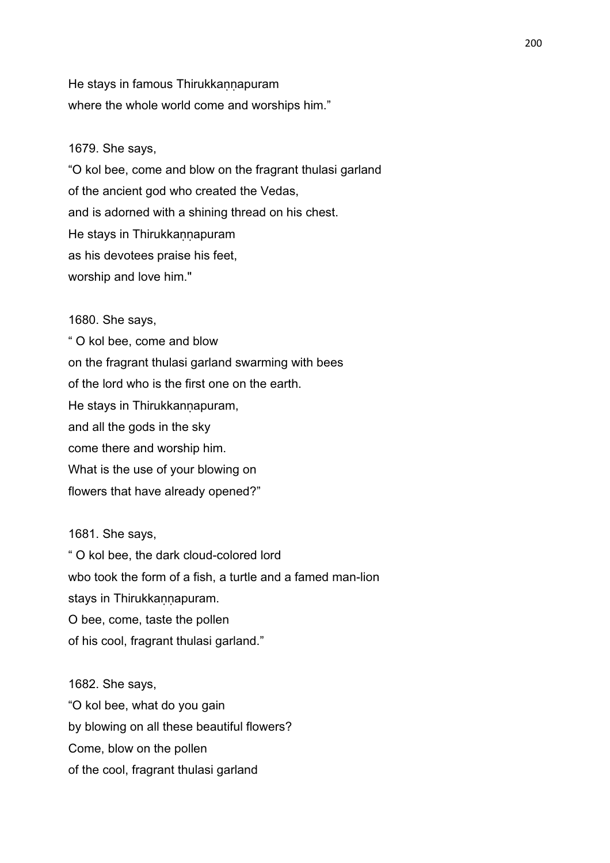He stays in famous Thirukkannapuram where the whole world come and worships him."

# 1679. She says,

"O kol bee, come and blow on the fragrant thulasi garland of the ancient god who created the Vedas, and is adorned with a shining thread on his chest. He stays in Thirukkaṇṇapuram as his devotees praise his feet, worship and love him."

# 1680. She says,

" O kol bee, come and blow on the fragrant thulasi garland swarming with bees of the lord who is the first one on the earth. He stays in Thirukkannapuram, and all the gods in the sky come there and worship him. What is the use of your blowing on flowers that have already opened?"

1681. She says,

" O kol bee, the dark cloud-colored lord wbo took the form of a fish, a turtle and a famed man-lion stays in Thirukkannapuram. O bee, come, taste the pollen of his cool, fragrant thulasi garland."

1682. She says, "O kol bee, what do you gain by blowing on all these beautiful flowers? Come, blow on the pollen of the cool, fragrant thulasi garland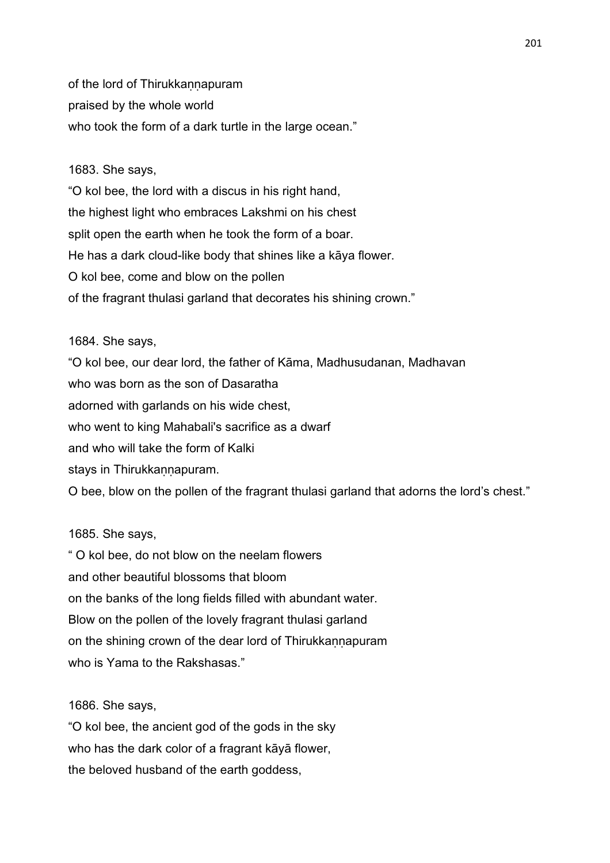of the lord of Thirukkannapuram praised by the whole world who took the form of a dark turtle in the large ocean."

## 1683. She says,

"O kol bee, the lord with a discus in his right hand, the highest light who embraces Lakshmi on his chest split open the earth when he took the form of a boar. He has a dark cloud-like body that shines like a kāya flower. O kol bee, come and blow on the pollen of the fragrant thulasi garland that decorates his shining crown."

#### 1684. She says,

"O kol bee, our dear lord, the father of Kāma, Madhusudanan, Madhavan who was born as the son of Dasaratha adorned with garlands on his wide chest, who went to king Mahabali's sacrifice as a dwarf and who will take the form of Kalki stays in Thirukkannapuram. O bee, blow on the pollen of the fragrant thulasi garland that adorns the lord's chest."

# 1685. She says,

" O kol bee, do not blow on the neelam flowers and other beautiful blossoms that bloom on the banks of the long fields filled with abundant water. Blow on the pollen of the lovely fragrant thulasi garland on the shining crown of the dear lord of Thirukkannapuram who is Yama to the Rakshasas."

#### 1686. She says,

"O kol bee, the ancient god of the gods in the sky who has the dark color of a fragrant kāyā flower, the beloved husband of the earth goddess,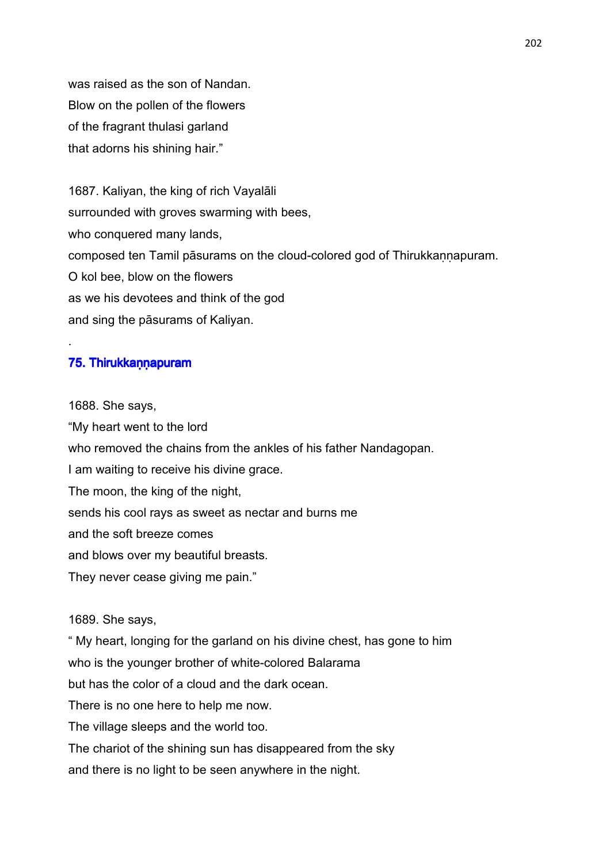was raised as the son of Nandan. Blow on the pollen of the flowers of the fragrant thulasi garland that adorns his shining hair."

1687. Kaliyan, the king of rich Vayalāli surrounded with groves swarming with bees, who conquered many lands, composed ten Tamil pāsurams on the cloud-colored god of Thirukkannapuram. O kol bee, blow on the flowers as we his devotees and think of the god and sing the pāsurams of Kaliyan.

## 75. Thirukkannapuram

.

1688. She says, "My heart went to the lord who removed the chains from the ankles of his father Nandagopan. I am waiting to receive his divine grace. The moon, the king of the night, sends his cool rays as sweet as nectar and burns me and the soft breeze comes and blows over my beautiful breasts. They never cease giving me pain."

### 1689. She says,

" My heart, longing for the garland on his divine chest, has gone to him who is the younger brother of white-colored Balarama but has the color of a cloud and the dark ocean. There is no one here to help me now. The village sleeps and the world too. The chariot of the shining sun has disappeared from the sky and there is no light to be seen anywhere in the night.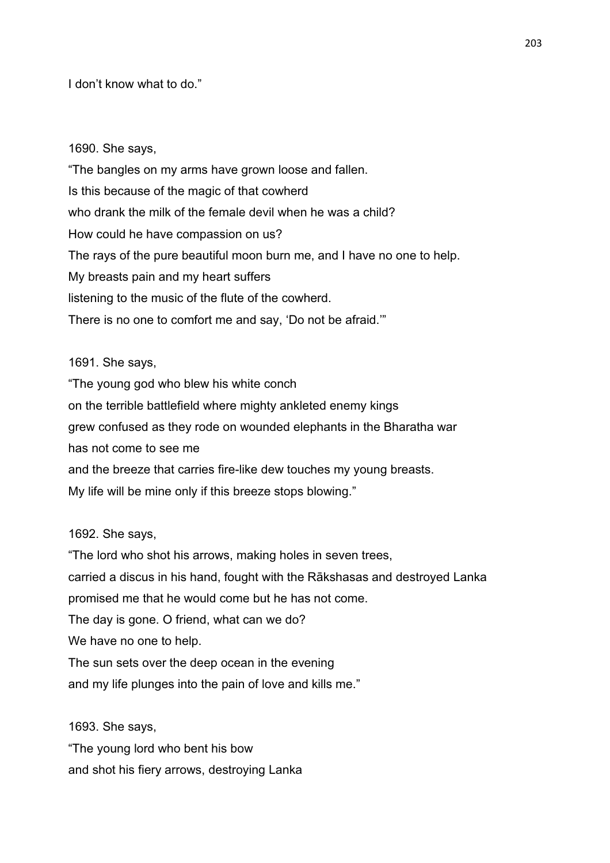# I don't know what to do."

#### 1690. She says,

"The bangles on my arms have grown loose and fallen. Is this because of the magic of that cowherd who drank the milk of the female devil when he was a child? How could he have compassion on us? The rays of the pure beautiful moon burn me, and I have no one to help. My breasts pain and my heart suffers listening to the music of the flute of the cowherd. There is no one to comfort me and say, 'Do not be afraid.'"

## 1691. She says,

"The young god who blew his white conch on the terrible battlefield where mighty ankleted enemy kings grew confused as they rode on wounded elephants in the Bharatha war has not come to see me and the breeze that carries fire-like dew touches my young breasts. My life will be mine only if this breeze stops blowing."

1692. She says,

"The lord who shot his arrows, making holes in seven trees, carried a discus in his hand, fought with the Rākshasas and destroyed Lanka promised me that he would come but he has not come. The day is gone. O friend, what can we do? We have no one to help. The sun sets over the deep ocean in the evening and my life plunges into the pain of love and kills me."

1693. She says,

"The young lord who bent his bow and shot his fiery arrows, destroying Lanka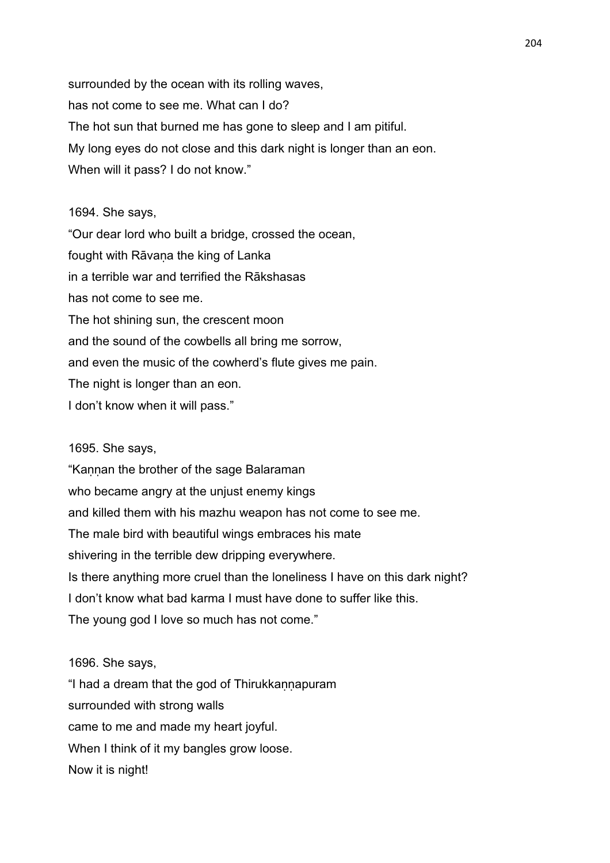surrounded by the ocean with its rolling waves, has not come to see me. What can I do? The hot sun that burned me has gone to sleep and I am pitiful. My long eyes do not close and this dark night is longer than an eon. When will it pass? I do not know."

#### 1694. She says,

"Our dear lord who built a bridge, crossed the ocean, fought with Rāvaṇa the king of Lanka in a terrible war and terrified the Rākshasas has not come to see me. The hot shining sun, the crescent moon and the sound of the cowbells all bring me sorrow, and even the music of the cowherd's flute gives me pain. The night is longer than an eon. I don't know when it will pass."

#### 1695. She says,

"Kannan the brother of the sage Balaraman who became angry at the unjust enemy kings and killed them with his mazhu weapon has not come to see me. The male bird with beautiful wings embraces his mate shivering in the terrible dew dripping everywhere. Is there anything more cruel than the loneliness I have on this dark night? I don't know what bad karma I must have done to suffer like this. The young god I love so much has not come."

#### 1696. She says,

"I had a dream that the god of Thirukkaṇṇapuram surrounded with strong walls came to me and made my heart joyful. When I think of it my bangles grow loose. Now it is night!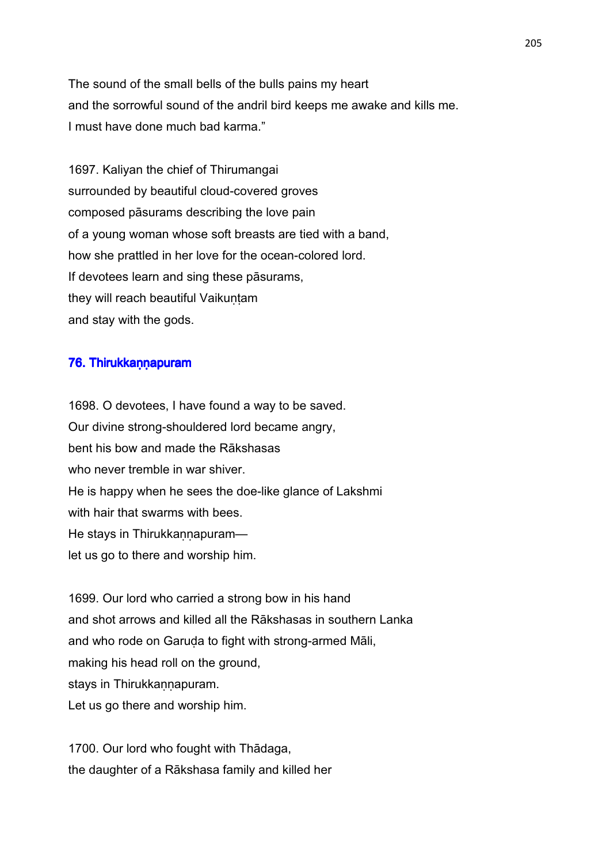The sound of the small bells of the bulls pains my heart and the sorrowful sound of the andril bird keeps me awake and kills me. I must have done much bad karma."

1697. Kaliyan the chief of Thirumangai surrounded by beautiful cloud-covered groves composed pāsurams describing the love pain of a young woman whose soft breasts are tied with a band, how she prattled in her love for the ocean-colored lord. If devotees learn and sing these pāsurams, they will reach beautiful Vaikuntam and stay with the gods.

# 76. Thirukkannapuram

1698. O devotees, I have found a way to be saved. Our divine strong-shouldered lord became angry, bent his bow and made the Rākshasas who never tremble in war shiver. He is happy when he sees the doe-like glance of Lakshmi with hair that swarms with bees. He stays in Thirukkannapuramlet us go to there and worship him.

1699. Our lord who carried a strong bow in his hand and shot arrows and killed all the Rākshasas in southern Lanka and who rode on Garuda to fight with strong-armed Māli, making his head roll on the ground, stays in Thirukkannapuram. Let us go there and worship him.

1700. Our lord who fought with Thādaga, the daughter of a Rākshasa family and killed her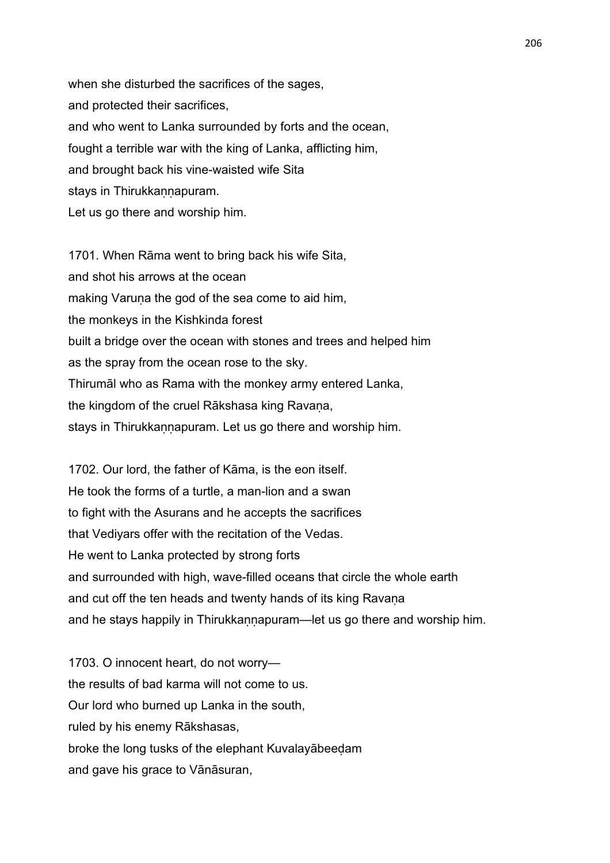when she disturbed the sacrifices of the sages, and protected their sacrifices, and who went to Lanka surrounded by forts and the ocean, fought a terrible war with the king of Lanka, afflicting him, and brought back his vine-waisted wife Sita stays in Thirukkannapuram. Let us go there and worship him.

1701. When Rāma went to bring back his wife Sita, and shot his arrows at the ocean making Varuna the god of the sea come to aid him, the monkeys in the Kishkinda forest built a bridge over the ocean with stones and trees and helped him as the spray from the ocean rose to the sky. Thirumāl who as Rama with the monkey army entered Lanka, the kingdom of the cruel Rākshasa king Ravana, stays in Thirukkannapuram. Let us go there and worship him.

1702. Our lord, the father of Kāma, is the eon itself. He took the forms of a turtle, a man-lion and a swan to fight with the Asurans and he accepts the sacrifices that Vediyars offer with the recitation of the Vedas. He went to Lanka protected by strong forts and surrounded with high, wave-filled oceans that circle the whole earth and cut off the ten heads and twenty hands of its king Ravana and he stays happily in Thirukkannapuram—let us go there and worship him.

1703. O innocent heart, do not worry the results of bad karma will not come to us. Our lord who burned up Lanka in the south, ruled by his enemy Rākshasas, broke the long tusks of the elephant Kuvalayābeeḍam and gave his grace to Vānāsuran,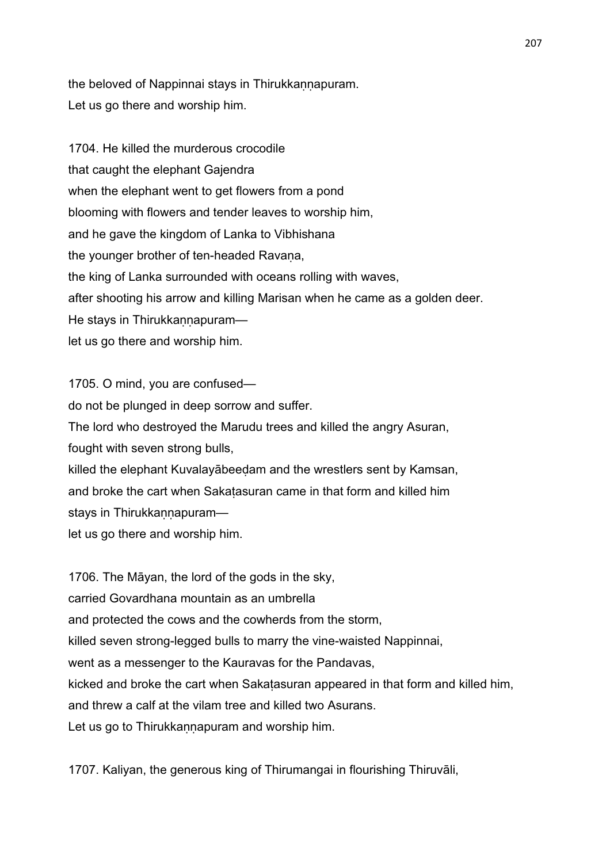the beloved of Nappinnai stays in Thirukkannapuram. Let us go there and worship him.

1704. He killed the murderous crocodile that caught the elephant Gajendra when the elephant went to get flowers from a pond blooming with flowers and tender leaves to worship him, and he gave the kingdom of Lanka to Vibhishana the younger brother of ten-headed Ravana, the king of Lanka surrounded with oceans rolling with waves, after shooting his arrow and killing Marisan when he came as a golden deer. He stays in Thirukkannapuramlet us go there and worship him.

1705. O mind, you are confused do not be plunged in deep sorrow and suffer. The lord who destroyed the Marudu trees and killed the angry Asuran, fought with seven strong bulls, killed the elephant Kuvalayābeeḍam and the wrestlers sent by Kamsan, and broke the cart when Sakaṭasuran came in that form and killed him stays in Thirukkannapuramlet us go there and worship him.

1706. The Māyan, the lord of the gods in the sky, carried Govardhana mountain as an umbrella and protected the cows and the cowherds from the storm, killed seven strong-legged bulls to marry the vine-waisted Nappinnai, went as a messenger to the Kauravas for the Pandavas, kicked and broke the cart when Sakaṭasuran appeared in that form and killed him, and threw a calf at the vilam tree and killed two Asurans. Let us go to Thirukkannapuram and worship him.

1707. Kaliyan, the generous king of Thirumangai in flourishing Thiruvāli,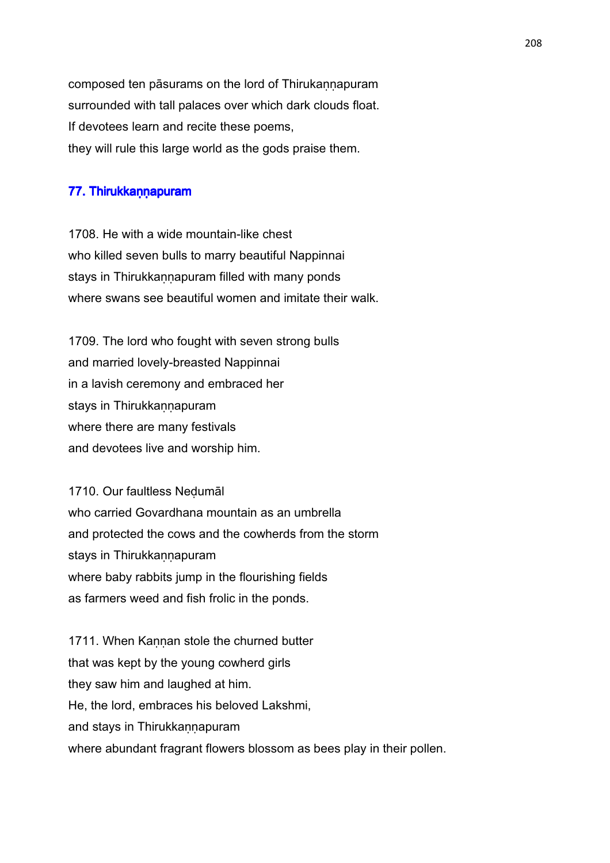composed ten pāsurams on the lord of Thirukannapuram surrounded with tall palaces over which dark clouds float. If devotees learn and recite these poems, they will rule this large world as the gods praise them.

# 77. Thirukkaṇṇapuram

1708. He with a wide mountain-like chest who killed seven bulls to marry beautiful Nappinnai stays in Thirukkannapuram filled with many ponds where swans see beautiful women and imitate their walk.

1709. The lord who fought with seven strong bulls and married lovely-breasted Nappinnai in a lavish ceremony and embraced her stays in Thirukkannapuram where there are many festivals and devotees live and worship him.

1710. Our faultless Neḍumāl who carried Govardhana mountain as an umbrella and protected the cows and the cowherds from the storm stays in Thirukkannapuram where baby rabbits jump in the flourishing fields as farmers weed and fish frolic in the ponds.

1711. When Kannan stole the churned butter that was kept by the young cowherd girls they saw him and laughed at him. He, the lord, embraces his beloved Lakshmi, and stays in Thirukkannapuram where abundant fragrant flowers blossom as bees play in their pollen.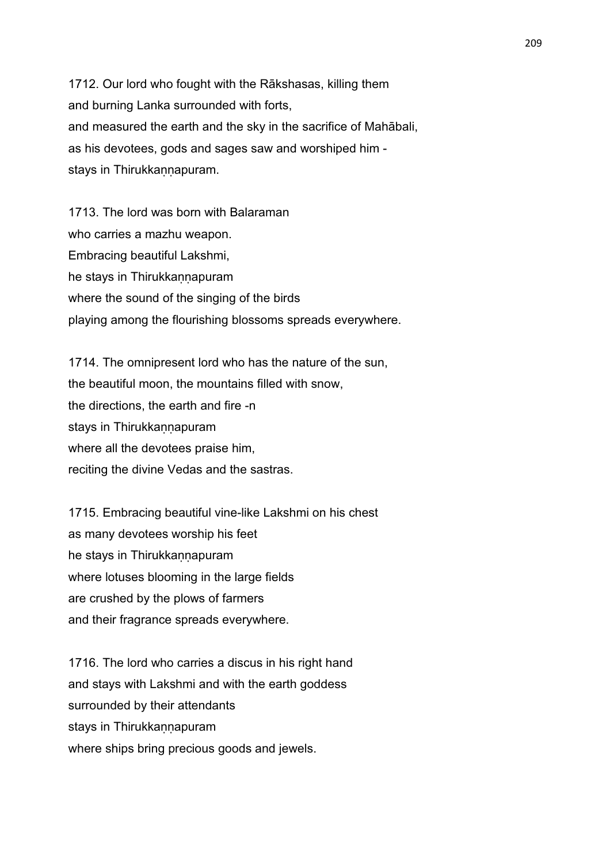1712. Our lord who fought with the Rākshasas, killing them and burning Lanka surrounded with forts, and measured the earth and the sky in the sacrifice of Mahābali, as his devotees, gods and sages saw and worshiped him stays in Thirukkannapuram.

1713. The lord was born with Balaraman who carries a mazhu weapon. Embracing beautiful Lakshmi, he stays in Thirukkannapuram where the sound of the singing of the birds playing among the flourishing blossoms spreads everywhere.

1714. The omnipresent lord who has the nature of the sun, the beautiful moon, the mountains filled with snow, the directions, the earth and fire -n stays in Thirukkannapuram where all the devotees praise him, reciting the divine Vedas and the sastras.

1715. Embracing beautiful vine-like Lakshmi on his chest as many devotees worship his feet he stays in Thirukkannapuram where lotuses blooming in the large fields are crushed by the plows of farmers and their fragrance spreads everywhere.

1716. The lord who carries a discus in his right hand and stays with Lakshmi and with the earth goddess surrounded by their attendants stays in Thirukkannapuram where ships bring precious goods and jewels.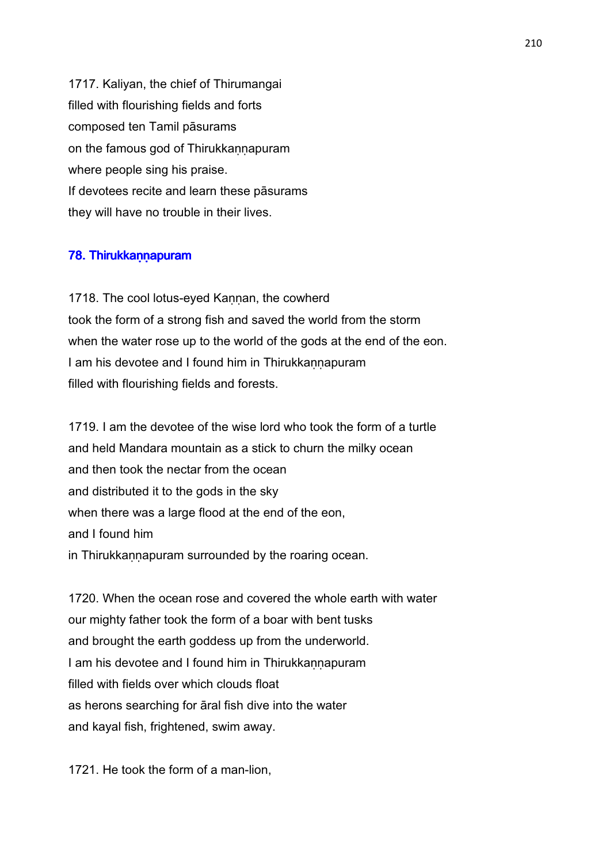1717. Kaliyan, the chief of Thirumangai filled with flourishing fields and forts composed ten Tamil pāsurams on the famous god of Thirukkannapuram where people sing his praise. If devotees recite and learn these pāsurams they will have no trouble in their lives.

# 78. Thirukkann apuram

1718. The cool lotus-eyed Kannan, the cowherd took the form of a strong fish and saved the world from the storm when the water rose up to the world of the gods at the end of the eon. I am his devotee and I found him in Thirukkannapuram filled with flourishing fields and forests.

1719. I am the devotee of the wise lord who took the form of a turtle and held Mandara mountain as a stick to churn the milky ocean and then took the nectar from the ocean and distributed it to the gods in the sky when there was a large flood at the end of the eon, and I found him in Thirukkannapuram surrounded by the roaring ocean.

1720. When the ocean rose and covered the whole earth with water our mighty father took the form of a boar with bent tusks and brought the earth goddess up from the underworld. I am his devotee and I found him in Thirukkannapuram filled with fields over which clouds float as herons searching for āral fish dive into the water and kayal fish, frightened, swim away.

1721. He took the form of a man-lion,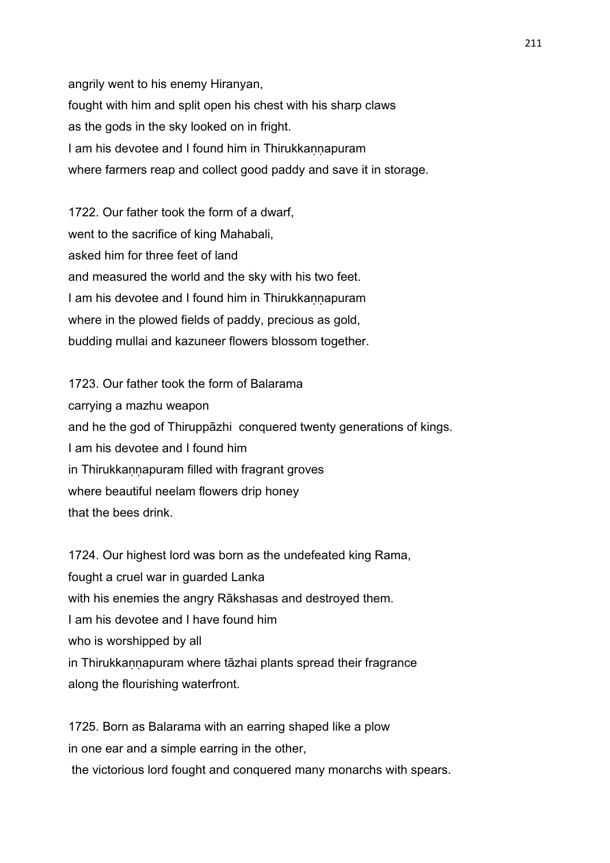angrily went to his enemy Hiranyan, fought with him and split open his chest with his sharp claws as the gods in the sky looked on in fright. I am his devotee and I found him in Thirukkannapuram where farmers reap and collect good paddy and save it in storage.

1722. Our father took the form of a dwarf, went to the sacrifice of king Mahabali, asked him for three feet of land and measured the world and the sky with his two feet. I am his devotee and I found him in Thirukkannapuram where in the plowed fields of paddy, precious as gold, budding mullai and kazuneer flowers blossom together.

1723. Our father took the form of Balarama carrying a mazhu weapon and he the god of Thiruppāzhi conquered twenty generations of kings. I am his devotee and I found him in Thirukkannapuram filled with fragrant groves where beautiful neelam flowers drip honey that the bees drink.

1724. Our highest lord was born as the undefeated king Rama, fought a cruel war in guarded Lanka with his enemies the angry Rākshasas and destroyed them. I am his devotee and I have found him who is worshipped by all in Thirukkannapuram where tāzhai plants spread their fragrance along the flourishing waterfront.

1725. Born as Balarama with an earring shaped like a plow in one ear and a simple earring in the other, the victorious lord fought and conquered many monarchs with spears.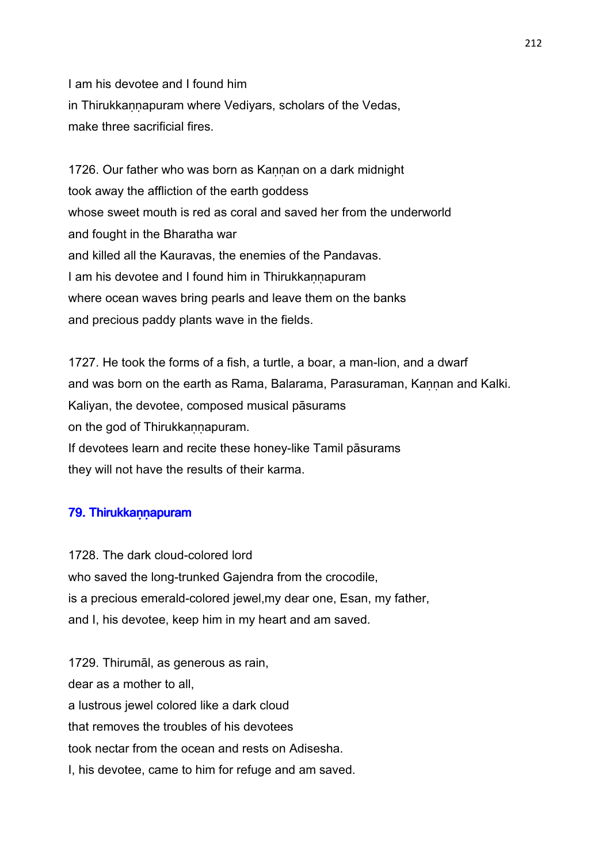I am his devotee and I found him in Thirukkaṇṇapuram where Vediyars, scholars of the Vedas, make three sacrificial fires.

1726. Our father who was born as Kannan on a dark midnight took away the affliction of the earth goddess whose sweet mouth is red as coral and saved her from the underworld and fought in the Bharatha war and killed all the Kauravas, the enemies of the Pandavas. I am his devotee and I found him in Thirukkannapuram where ocean waves bring pearls and leave them on the banks and precious paddy plants wave in the fields.

1727. He took the forms of a fish, a turtle, a boar, a man-lion, and a dwarf and was born on the earth as Rama, Balarama, Parasuraman, Kannan and Kalki. Kaliyan, the devotee, composed musical pāsurams on the god of Thirukkannapuram. If devotees learn and recite these honey-like Tamil pāsurams they will not have the results of their karma.

# 79. Thirukkann apuram

1728. The dark cloud-colored lord who saved the long-trunked Gajendra from the crocodile, is a precious emerald-colored jewel,my dear one, Esan, my father, and I, his devotee, keep him in my heart and am saved.

1729. Thirumāl, as generous as rain, dear as a mother to all, a lustrous jewel colored like a dark cloud that removes the troubles of his devotees took nectar from the ocean and rests on Adisesha. I, his devotee, came to him for refuge and am saved.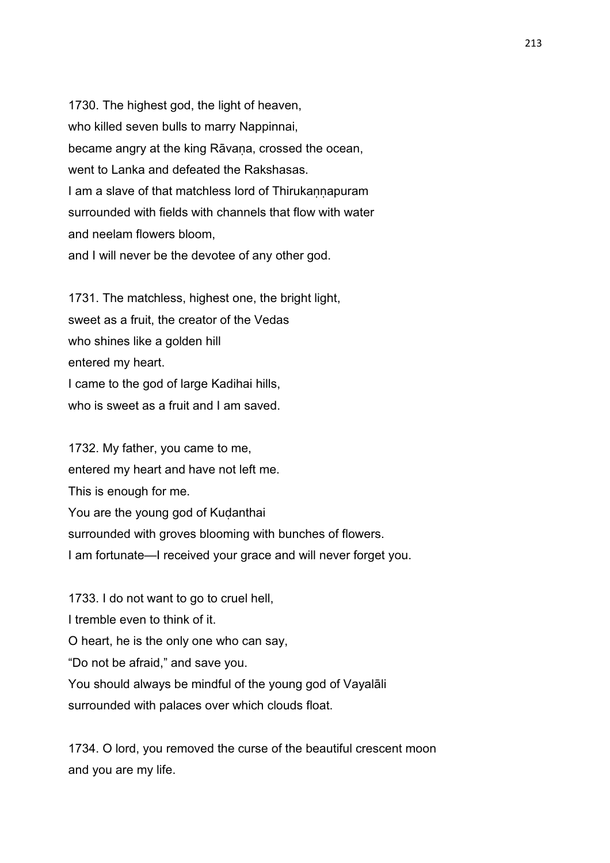1730. The highest god, the light of heaven, who killed seven bulls to marry Nappinnai, became angry at the king Rāvana, crossed the ocean, went to Lanka and defeated the Rakshasas. I am a slave of that matchless lord of Thirukannapuram surrounded with fields with channels that flow with water and neelam flowers bloom, and I will never be the devotee of any other god.

1731. The matchless, highest one, the bright light, sweet as a fruit, the creator of the Vedas who shines like a golden hill entered my heart. I came to the god of large Kadihai hills, who is sweet as a fruit and I am saved.

1732. My father, you came to me, entered my heart and have not left me. This is enough for me. You are the young god of Kuḍanthai surrounded with groves blooming with bunches of flowers. I am fortunate—I received your grace and will never forget you.

1733. I do not want to go to cruel hell, I tremble even to think of it. O heart, he is the only one who can say, "Do not be afraid," and save you. You should always be mindful of the young god of Vayalāli surrounded with palaces over which clouds float.

1734. O lord, you removed the curse of the beautiful crescent moon and you are my life.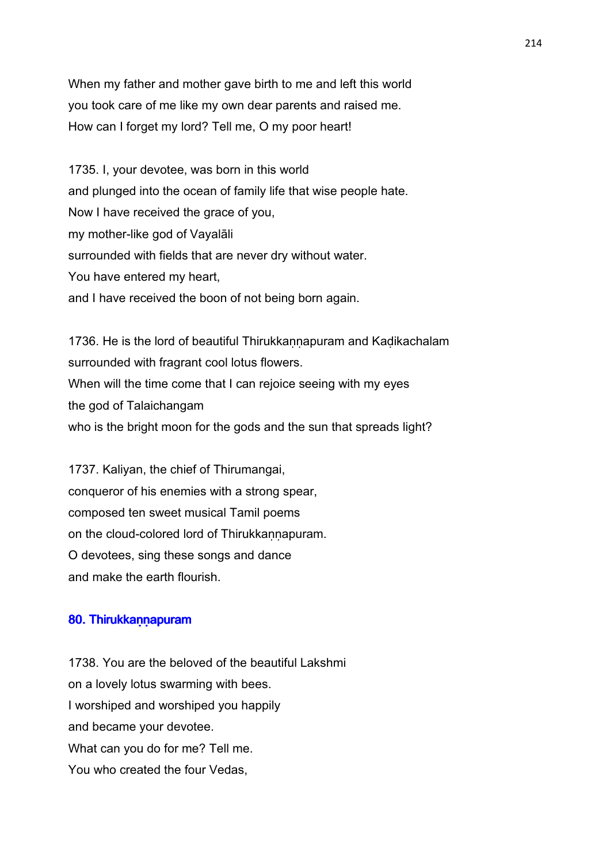When my father and mother gave birth to me and left this world you took care of me like my own dear parents and raised me. How can I forget my lord? Tell me, O my poor heart!

1735. I, your devotee, was born in this world and plunged into the ocean of family life that wise people hate. Now I have received the grace of you, my mother-like god of Vayalāli surrounded with fields that are never dry without water. You have entered my heart, and I have received the boon of not being born again.

1736. He is the lord of beautiful Thirukkannapuram and Kadikachalam surrounded with fragrant cool lotus flowers. When will the time come that I can rejoice seeing with my eyes the god of Talaichangam who is the bright moon for the gods and the sun that spreads light?

1737. Kaliyan, the chief of Thirumangai, conqueror of his enemies with a strong spear, composed ten sweet musical Tamil poems on the cloud-colored lord of Thirukkannapuram. O devotees, sing these songs and dance and make the earth flourish.

#### 80. Thirukkann apuram

1738. You are the beloved of the beautiful Lakshmi on a lovely lotus swarming with bees. I worshiped and worshiped you happily and became your devotee. What can you do for me? Tell me. You who created the four Vedas,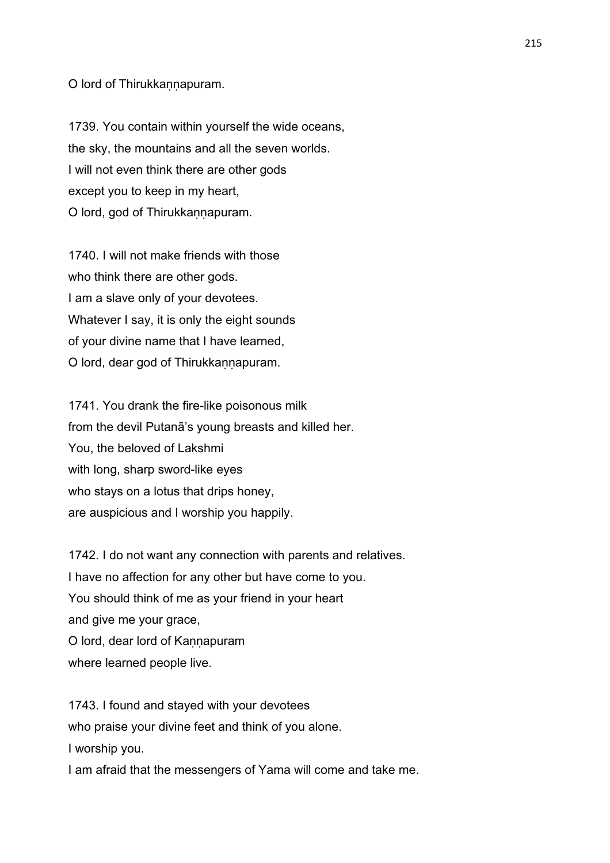O lord of Thirukkannapuram.

1739. You contain within yourself the wide oceans, the sky, the mountains and all the seven worlds. I will not even think there are other gods except you to keep in my heart, O lord, god of Thirukkaṇṇapuram.

1740. I will not make friends with those who think there are other gods. I am a slave only of your devotees. Whatever I say, it is only the eight sounds of your divine name that I have learned, O lord, dear god of Thirukkannapuram.

1741. You drank the fire-like poisonous milk from the devil Putanā's young breasts and killed her. You, the beloved of Lakshmi with long, sharp sword-like eyes who stays on a lotus that drips honey, are auspicious and I worship you happily.

1742. I do not want any connection with parents and relatives. I have no affection for any other but have come to you. You should think of me as your friend in your heart and give me your grace, O lord, dear lord of Kannapuram where learned people live.

1743. I found and stayed with your devotees who praise your divine feet and think of you alone. I worship you.

I am afraid that the messengers of Yama will come and take me.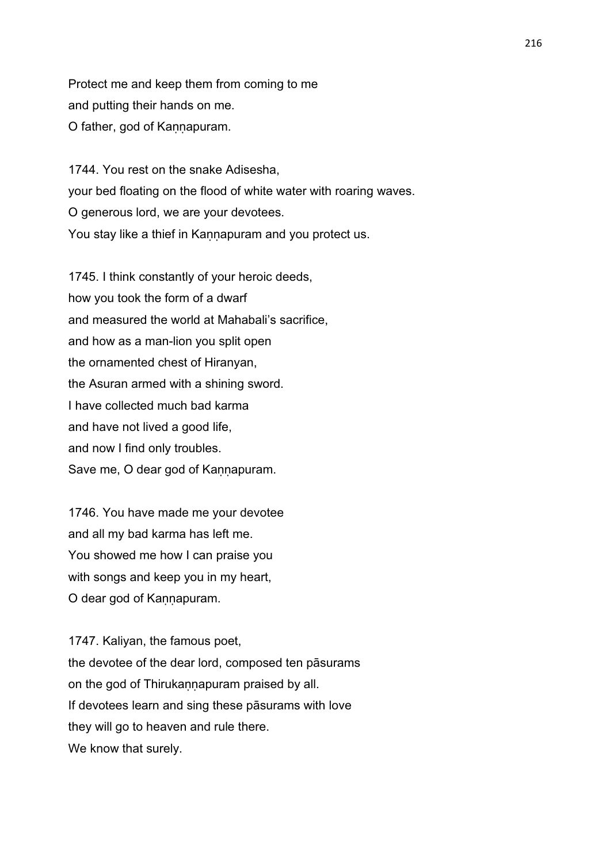Protect me and keep them from coming to me and putting their hands on me. O father, god of Kaṇṇapuram.

1744. You rest on the snake Adisesha, your bed floating on the flood of white water with roaring waves. O generous lord, we are your devotees. You stay like a thief in Kannapuram and you protect us.

1745. I think constantly of your heroic deeds, how you took the form of a dwarf and measured the world at Mahabali's sacrifice, and how as a man-lion you split open the ornamented chest of Hiranyan, the Asuran armed with a shining sword. I have collected much bad karma and have not lived a good life, and now I find only troubles. Save me, O dear god of Kannapuram.

1746. You have made me your devotee and all my bad karma has left me. You showed me how I can praise you with songs and keep you in my heart, O dear god of Kannapuram.

1747. Kaliyan, the famous poet, the devotee of the dear lord, composed ten pāsurams on the god of Thirukaṇṇapuram praised by all. If devotees learn and sing these pāsurams with love they will go to heaven and rule there. We know that surely.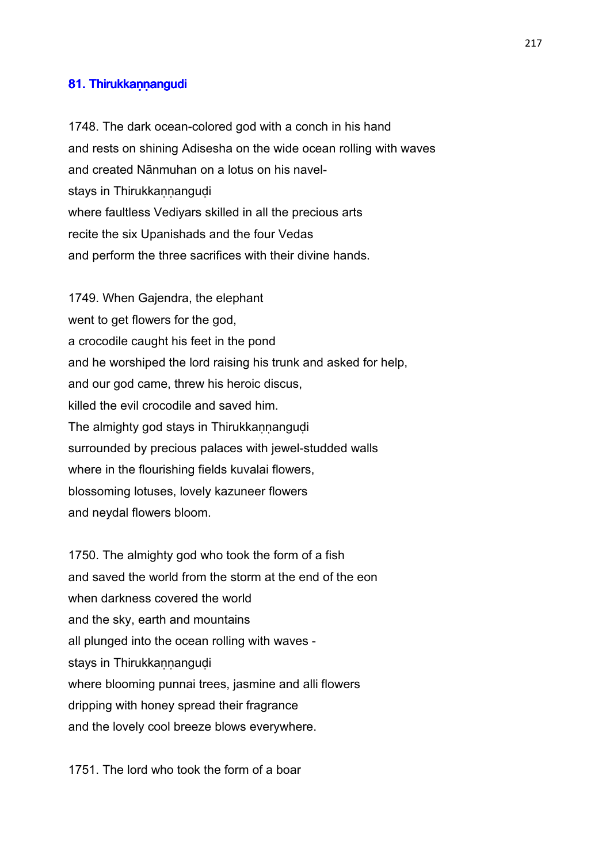# 81. Thirukkannangudi

1748. The dark ocean-colored god with a conch in his hand and rests on shining Adisesha on the wide ocean rolling with waves and created Nānmuhan on a lotus on his navelstays in Thirukkannangudi where faultless Vediyars skilled in all the precious arts recite the six Upanishads and the four Vedas and perform the three sacrifices with their divine hands.

1749. When Gajendra, the elephant went to get flowers for the god, a crocodile caught his feet in the pond and he worshiped the lord raising his trunk and asked for help, and our god came, threw his heroic discus, killed the evil crocodile and saved him. The almighty god stays in Thirukkannangudi surrounded by precious palaces with jewel-studded walls where in the flourishing fields kuvalai flowers, blossoming lotuses, lovely kazuneer flowers and neydal flowers bloom.

1750. The almighty god who took the form of a fish and saved the world from the storm at the end of the eon when darkness covered the world and the sky, earth and mountains all plunged into the ocean rolling with waves stays in Thirukkannangudi where blooming punnai trees, jasmine and alli flowers dripping with honey spread their fragrance and the lovely cool breeze blows everywhere.

1751. The lord who took the form of a boar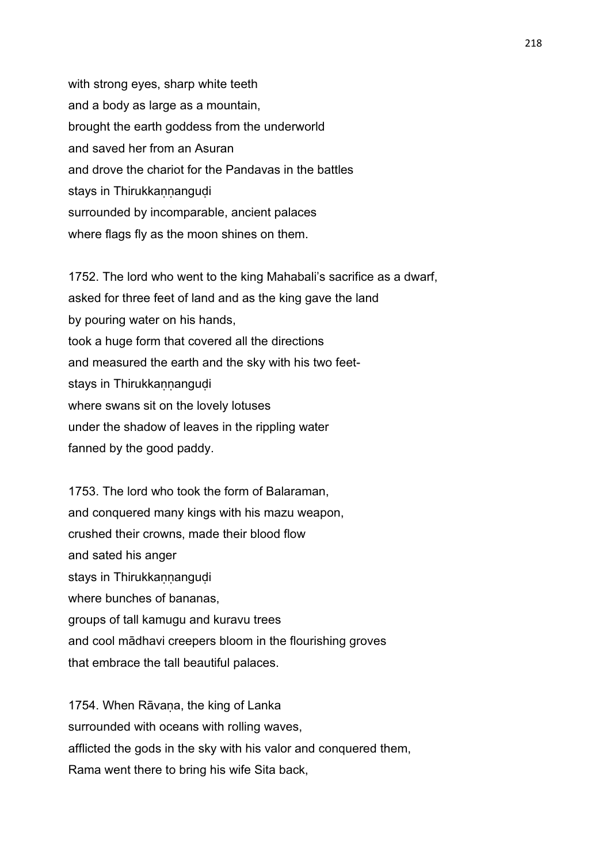with strong eyes, sharp white teeth and a body as large as a mountain, brought the earth goddess from the underworld and saved her from an Asuran and drove the chariot for the Pandavas in the battles stays in Thirukkannangudi surrounded by incomparable, ancient palaces where flags fly as the moon shines on them.

1752. The lord who went to the king Mahabali's sacrifice as a dwarf, asked for three feet of land and as the king gave the land by pouring water on his hands, took a huge form that covered all the directions and measured the earth and the sky with his two feetstays in Thirukkannangudi where swans sit on the lovely lotuses under the shadow of leaves in the rippling water fanned by the good paddy.

1753. The lord who took the form of Balaraman, and conquered many kings with his mazu weapon, crushed their crowns, made their blood flow and sated his anger stays in Thirukkannangudi where bunches of bananas, groups of tall kamugu and kuravu trees and cool mādhavi creepers bloom in the flourishing groves that embrace the tall beautiful palaces.

1754. When Rāvana, the king of Lanka surrounded with oceans with rolling waves, afflicted the gods in the sky with his valor and conquered them, Rama went there to bring his wife Sita back,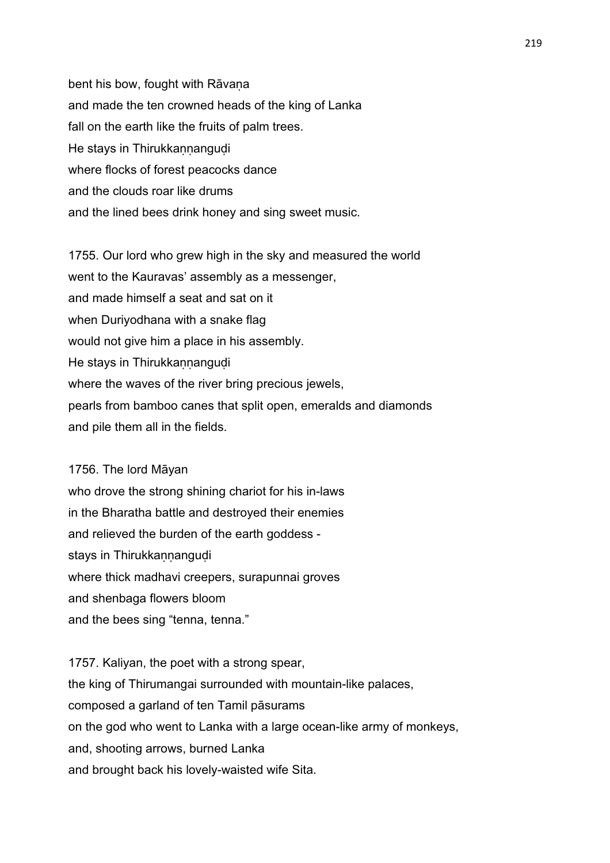bent his bow, fought with Rāvana and made the ten crowned heads of the king of Lanka fall on the earth like the fruits of palm trees. He stays in Thirukkannangudi where flocks of forest peacocks dance and the clouds roar like drums and the lined bees drink honey and sing sweet music.

1755. Our lord who grew high in the sky and measured the world went to the Kauravas' assembly as a messenger, and made himself a seat and sat on it when Duriyodhana with a snake flag would not give him a place in his assembly. He stays in Thirukkannangudi where the waves of the river bring precious jewels, pearls from bamboo canes that split open, emeralds and diamonds and pile them all in the fields.

- 1756. The lord Māyan who drove the strong shining chariot for his in-laws in the Bharatha battle and destroyed their enemies
- and relieved the burden of the earth goddess -
- stays in Thirukkannangudi
- where thick madhavi creepers, surapunnai groves
- and shenbaga flowers bloom
- and the bees sing "tenna, tenna."

1757. Kaliyan, the poet with a strong spear, the king of Thirumangai surrounded with mountain-like palaces, composed a garland of ten Tamil pāsurams on the god who went to Lanka with a large ocean-like army of monkeys, and, shooting arrows, burned Lanka and brought back his lovely-waisted wife Sita.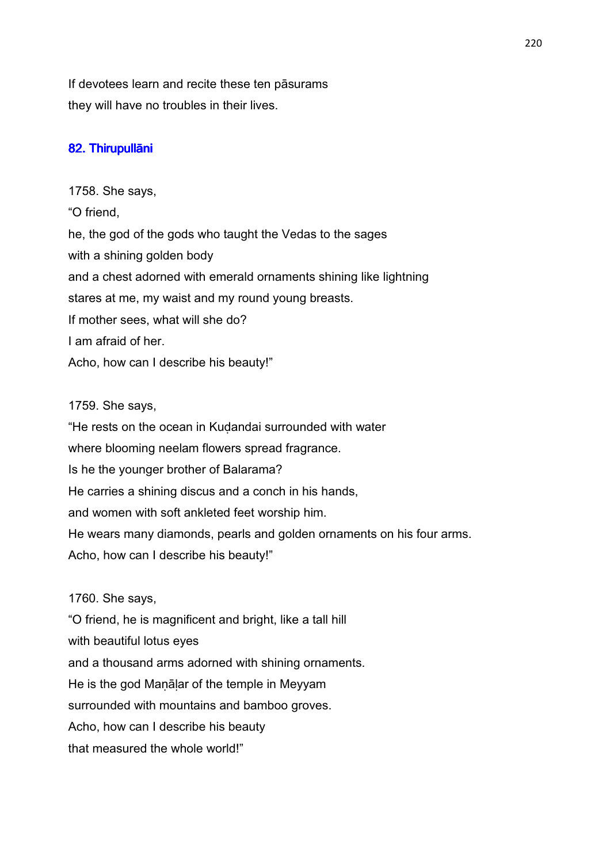If devotees learn and recite these ten pāsurams they will have no troubles in their lives.

# 82. Thirupullāni

1758. She says, "O friend, he, the god of the gods who taught the Vedas to the sages with a shining golden body and a chest adorned with emerald ornaments shining like lightning stares at me, my waist and my round young breasts. If mother sees, what will she do? I am afraid of her. Acho, how can I describe his beauty!"

# 1759. She says,

"He rests on the ocean in Kuḍandai surrounded with water where blooming neelam flowers spread fragrance. Is he the younger brother of Balarama? He carries a shining discus and a conch in his hands, and women with soft ankleted feet worship him. He wears many diamonds, pearls and golden ornaments on his four arms. Acho, how can I describe his beauty!"

# 1760. She says,

"O friend, he is magnificent and bright, like a tall hill with beautiful lotus eyes and a thousand arms adorned with shining ornaments. He is the god Maṇāḷar of the temple in Meyyam surrounded with mountains and bamboo groves. Acho, how can I describe his beauty that measured the whole world!"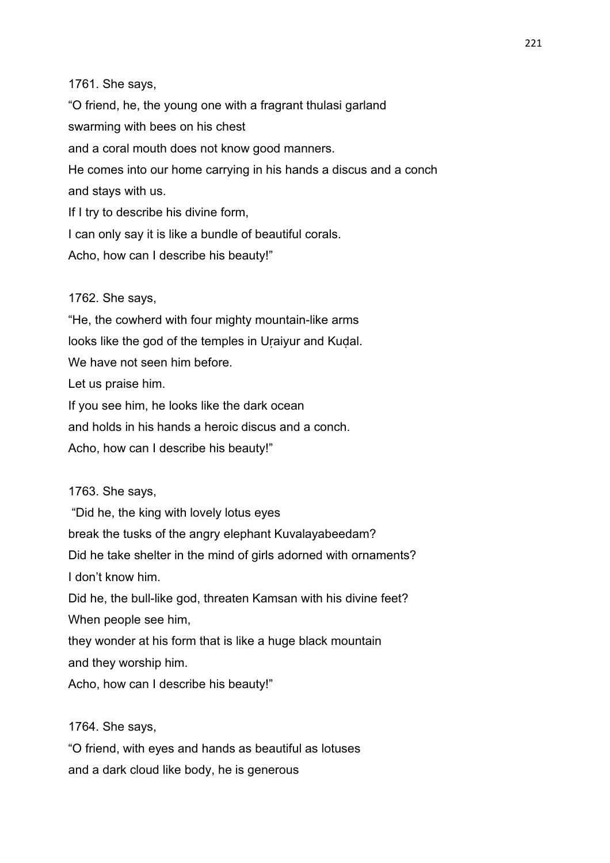1761. She says,

"O friend, he, the young one with a fragrant thulasi garland swarming with bees on his chest and a coral mouth does not know good manners. He comes into our home carrying in his hands a discus and a conch and stays with us. If I try to describe his divine form, I can only say it is like a bundle of beautiful corals.

Acho, how can I describe his beauty!"

1762. She says,

"He, the cowherd with four mighty mountain-like arms looks like the god of the temples in Uṛaiyur and Kuḍal. We have not seen him before. Let us praise him. If you see him, he looks like the dark ocean and holds in his hands a heroic discus and a conch. Acho, how can I describe his beauty!"

1763. She says,

 "Did he, the king with lovely lotus eyes break the tusks of the angry elephant Kuvalayabeedam? Did he take shelter in the mind of girls adorned with ornaments? I don't know him. Did he, the bull-like god, threaten Kamsan with his divine feet? When people see him, they wonder at his form that is like a huge black mountain and they worship him.

Acho, how can I describe his beauty!"

1764. She says,

"O friend, with eyes and hands as beautiful as lotuses and a dark cloud like body, he is generous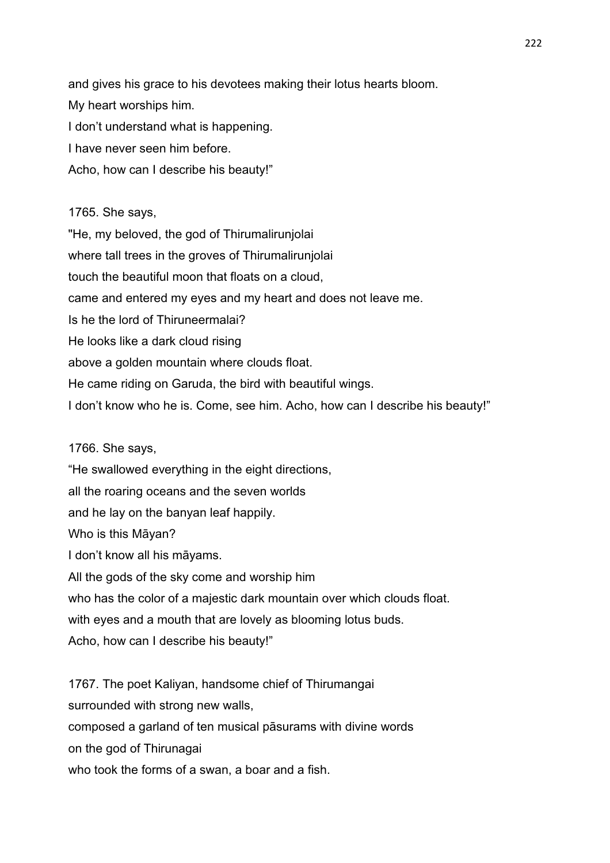and gives his grace to his devotees making their lotus hearts bloom. My heart worships him. I don't understand what is happening. I have never seen him before. Acho, how can I describe his beauty!"

# 1765. She says,

"He, my beloved, the god of Thirumalirunjolai where tall trees in the groves of Thirumalirunjolai touch the beautiful moon that floats on a cloud, came and entered my eyes and my heart and does not leave me. Is he the lord of Thiruneermalai? He looks like a dark cloud rising above a golden mountain where clouds float. He came riding on Garuda, the bird with beautiful wings. I don't know who he is. Come, see him. Acho, how can I describe his beauty!"

# 1766. She says,

"He swallowed everything in the eight directions, all the roaring oceans and the seven worlds and he lay on the banyan leaf happily. Who is this Māyan? I don't know all his māyams. All the gods of the sky come and worship him who has the color of a majestic dark mountain over which clouds float. with eyes and a mouth that are lovely as blooming lotus buds. Acho, how can I describe his beauty!"

1767. The poet Kaliyan, handsome chief of Thirumangai surrounded with strong new walls, composed a garland of ten musical pāsurams with divine words on the god of Thirunagai who took the forms of a swan, a boar and a fish.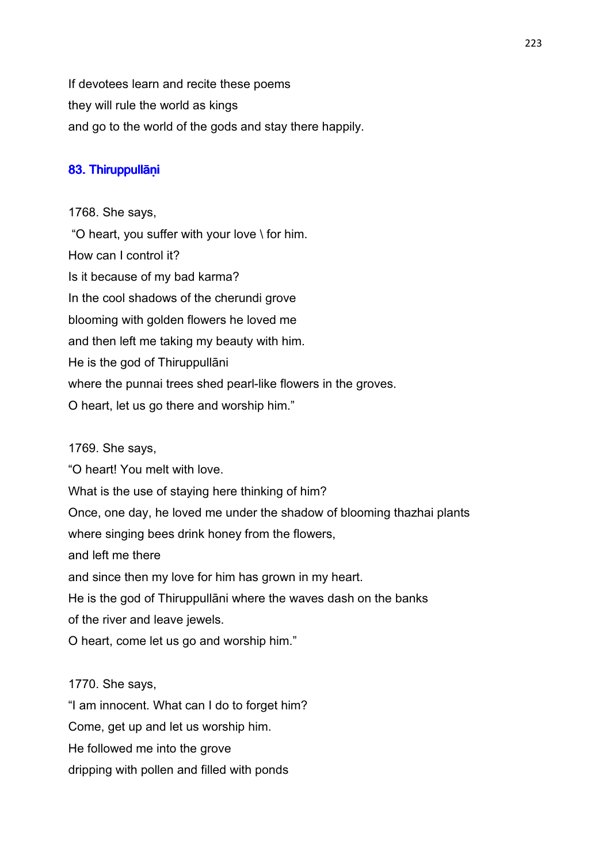If devotees learn and recite these poems they will rule the world as kings and go to the world of the gods and stay there happily.

# 83. Thiruppullāṇi

1768. She says, "O heart, you suffer with your love \ for him. How can I control it? Is it because of my bad karma? In the cool shadows of the cherundi grove blooming with golden flowers he loved me and then left me taking my beauty with him. He is the god of Thiruppullāni where the punnai trees shed pearl-like flowers in the groves. O heart, let us go there and worship him."

1769. She says,

"O heart! You melt with love.

What is the use of staying here thinking of him?

Once, one day, he loved me under the shadow of blooming thazhai plants

where singing bees drink honey from the flowers,

and left me there

and since then my love for him has grown in my heart.

He is the god of Thiruppullāni where the waves dash on the banks of the river and leave jewels.

O heart, come let us go and worship him."

# 1770. She says,

"I am innocent. What can I do to forget him?

Come, get up and let us worship him.

He followed me into the grove

dripping with pollen and filled with ponds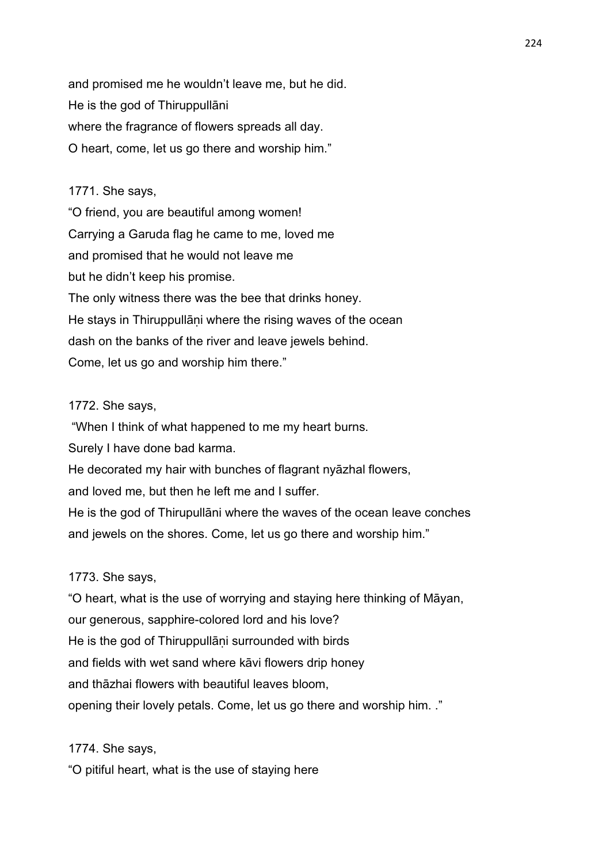and promised me he wouldn't leave me, but he did. He is the god of Thiruppullāni where the fragrance of flowers spreads all day. O heart, come, let us go there and worship him."

# 1771. She says,

"O friend, you are beautiful among women! Carrying a Garuda flag he came to me, loved me and promised that he would not leave me but he didn't keep his promise. The only witness there was the bee that drinks honey. He stays in Thiruppullani where the rising waves of the ocean dash on the banks of the river and leave jewels behind. Come, let us go and worship him there."

#### 1772. She says,

"When I think of what happened to me my heart burns.

Surely I have done bad karma.

He decorated my hair with bunches of flagrant nyāzhal flowers,

and loved me, but then he left me and I suffer.

He is the god of Thirupullāni where the waves of the ocean leave conches and jewels on the shores. Come, let us go there and worship him."

# 1773. She says,

"O heart, what is the use of worrying and staying here thinking of Māyan, our generous, sapphire-colored lord and his love? He is the god of Thiruppullani surrounded with birds and fields with wet sand where kāvi flowers drip honey and thāzhai flowers with beautiful leaves bloom, opening their lovely petals. Come, let us go there and worship him. ."

1774. She says,

"O pitiful heart, what is the use of staying here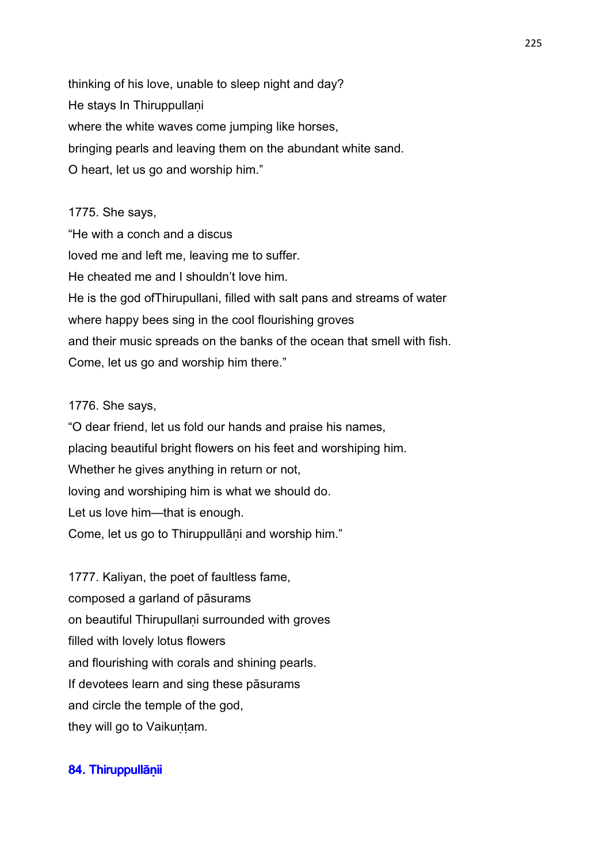thinking of his love, unable to sleep night and day? He stays In Thiruppullani where the white waves come jumping like horses, bringing pearls and leaving them on the abundant white sand. O heart, let us go and worship him."

# 1775. She says, "He with a conch and a discus loved me and left me, leaving me to suffer. He cheated me and I shouldn't love him. He is the god ofThirupullani, filled with salt pans and streams of water where happy bees sing in the cool flourishing groves and their music spreads on the banks of the ocean that smell with fish. Come, let us go and worship him there."

# 1776. She says,

"O dear friend, let us fold our hands and praise his names, placing beautiful bright flowers on his feet and worshiping him. Whether he gives anything in return or not, loving and worshiping him is what we should do. Let us love him—that is enough. Come, let us go to Thiruppullāni and worship him."

1777. Kaliyan, the poet of faultless fame, composed a garland of pāsurams on beautiful Thirupullani surrounded with groves filled with lovely lotus flowers and flourishing with corals and shining pearls. If devotees learn and sing these pāsurams and circle the temple of the god, they will go to Vaikuntam.

# 84. Thiruppullānii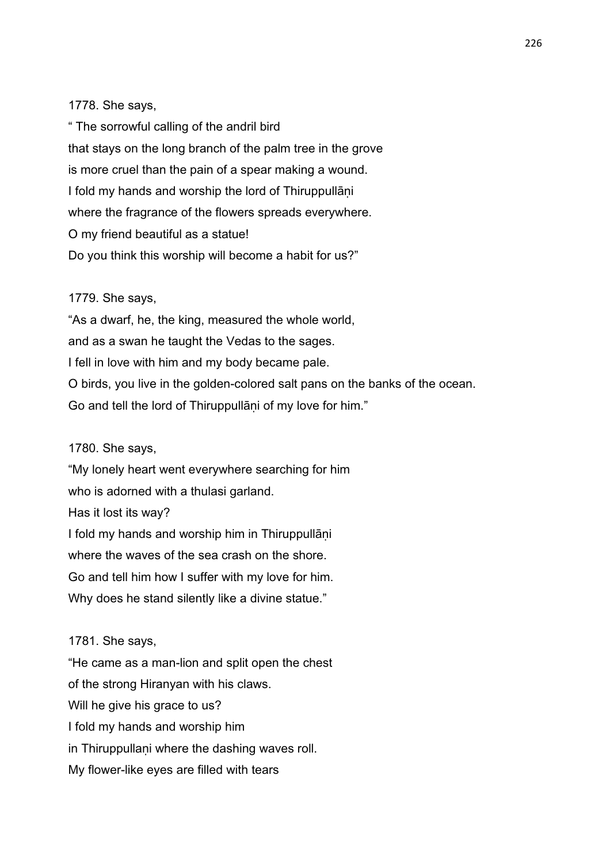## 1778. She says,

" The sorrowful calling of the andril bird that stays on the long branch of the palm tree in the grove is more cruel than the pain of a spear making a wound. I fold my hands and worship the lord of Thiruppullani where the fragrance of the flowers spreads everywhere. O my friend beautiful as a statue! Do you think this worship will become a habit for us?"

# 1779. She says,

"As a dwarf, he, the king, measured the whole world, and as a swan he taught the Vedas to the sages. I fell in love with him and my body became pale. O birds, you live in the golden-colored salt pans on the banks of the ocean. Go and tell the lord of Thiruppullani of my love for him."

#### 1780. She says,

"My lonely heart went everywhere searching for him who is adorned with a thulasi garland. Has it lost its way? I fold my hands and worship him in Thiruppullāni where the waves of the sea crash on the shore. Go and tell him how I suffer with my love for him. Why does he stand silently like a divine statue."

# 1781. She says,

"He came as a man-lion and split open the chest of the strong Hiranyan with his claws. Will he give his grace to us? I fold my hands and worship him in Thiruppullani where the dashing waves roll. My flower-like eyes are filled with tears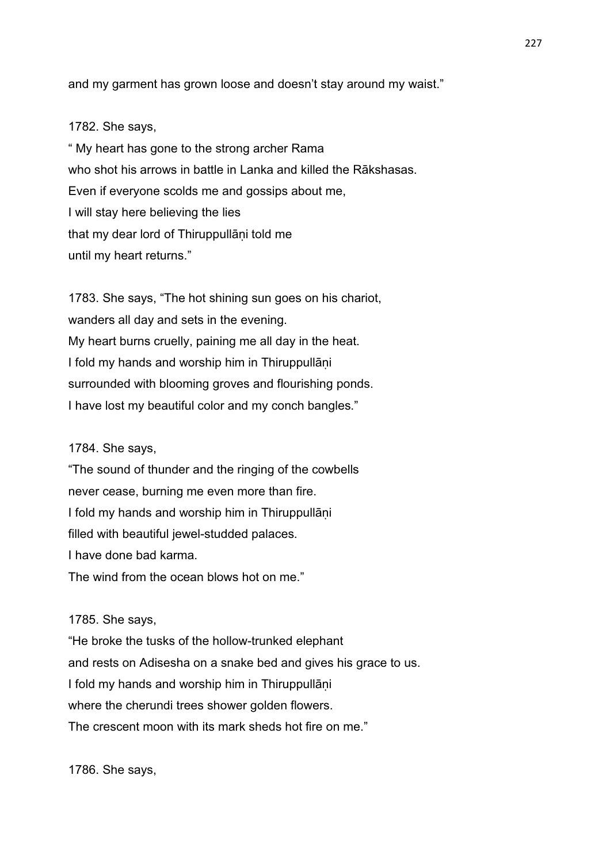and my garment has grown loose and doesn't stay around my waist."

#### 1782. She says,

" My heart has gone to the strong archer Rama who shot his arrows in battle in Lanka and killed the Rākshasas. Even if everyone scolds me and gossips about me, I will stay here believing the lies that my dear lord of Thiruppullāṇi told me until my heart returns."

1783. She says, "The hot shining sun goes on his chariot, wanders all day and sets in the evening. My heart burns cruelly, paining me all day in the heat. I fold my hands and worship him in Thiruppullāṇi surrounded with blooming groves and flourishing ponds. I have lost my beautiful color and my conch bangles."

## 1784. She says,

"The sound of thunder and the ringing of the cowbells never cease, burning me even more than fire. I fold my hands and worship him in Thiruppullāni filled with beautiful jewel-studded palaces. I have done bad karma. The wind from the ocean blows hot on me."

#### 1785. She says,

"He broke the tusks of the hollow-trunked elephant and rests on Adisesha on a snake bed and gives his grace to us. I fold my hands and worship him in Thiruppullāni where the cherundi trees shower golden flowers. The crescent moon with its mark sheds hot fire on me."

1786. She says,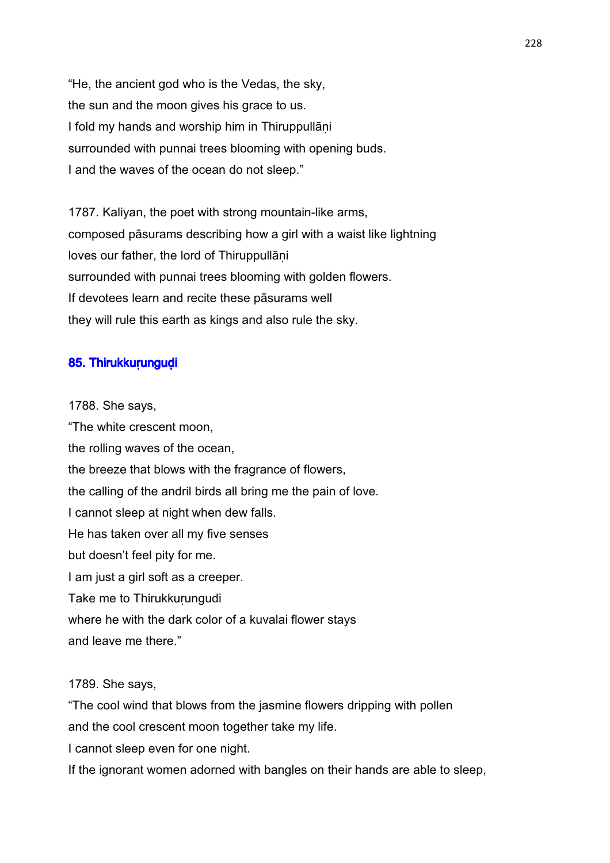"He, the ancient god who is the Vedas, the sky, the sun and the moon gives his grace to us. I fold my hands and worship him in Thiruppullāṇi surrounded with punnai trees blooming with opening buds. I and the waves of the ocean do not sleep."

1787. Kaliyan, the poet with strong mountain-like arms, composed pāsurams describing how a girl with a waist like lightning loves our father, the lord of Thiruppullāṇi surrounded with punnai trees blooming with golden flowers. If devotees learn and recite these pāsurams well they will rule this earth as kings and also rule the sky.

# 85. Thirukkurunguḍi

1788. She says, "The white crescent moon, the rolling waves of the ocean, the breeze that blows with the fragrance of flowers, the calling of the andril birds all bring me the pain of love. I cannot sleep at night when dew falls. He has taken over all my five senses but doesn't feel pity for me. I am just a girl soft as a creeper. Take me to Thirukkurungudi where he with the dark color of a kuvalai flower stays and leave me there."

# 1789. She says,

"The cool wind that blows from the jasmine flowers dripping with pollen

and the cool crescent moon together take my life.

I cannot sleep even for one night.

If the ignorant women adorned with bangles on their hands are able to sleep,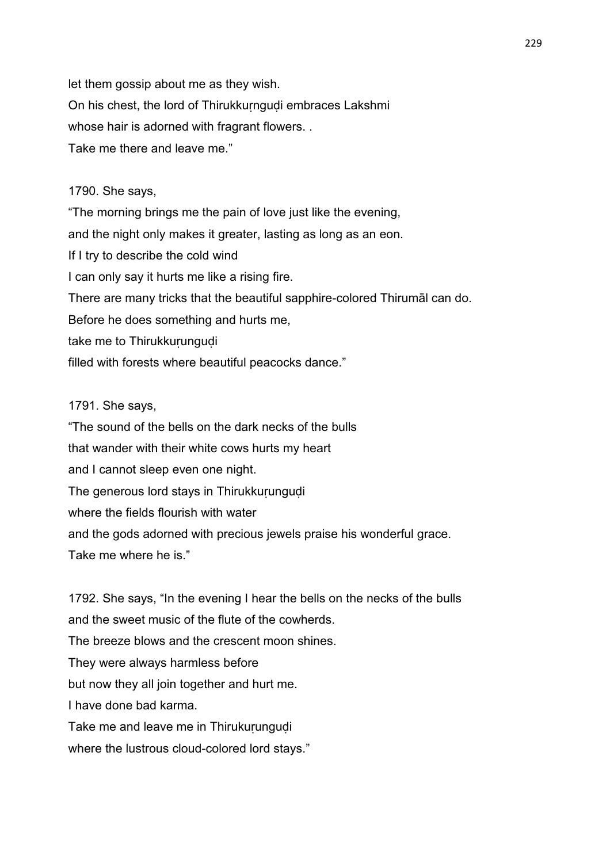let them gossip about me as they wish. On his chest, the lord of Thirukkuṛnguḍi embraces Lakshmi whose hair is adorned with fragrant flowers. . Take me there and leave me."

# 1790. She says,

"The morning brings me the pain of love just like the evening, and the night only makes it greater, lasting as long as an eon. If I try to describe the cold wind I can only say it hurts me like a rising fire. There are many tricks that the beautiful sapphire-colored Thirumāl can do. Before he does something and hurts me, take me to Thirukkuṛunguḍi filled with forests where beautiful peacocks dance."

#### 1791. She says,

"The sound of the bells on the dark necks of the bulls that wander with their white cows hurts my heart and I cannot sleep even one night. The generous lord stays in Thirukkurungudi where the fields flourish with water and the gods adorned with precious jewels praise his wonderful grace. Take me where he is."

1792. She says, "In the evening I hear the bells on the necks of the bulls and the sweet music of the flute of the cowherds. The breeze blows and the crescent moon shines. They were always harmless before but now they all join together and hurt me. I have done bad karma. Take me and leave me in Thirukuṛunguḍi where the lustrous cloud-colored lord stays."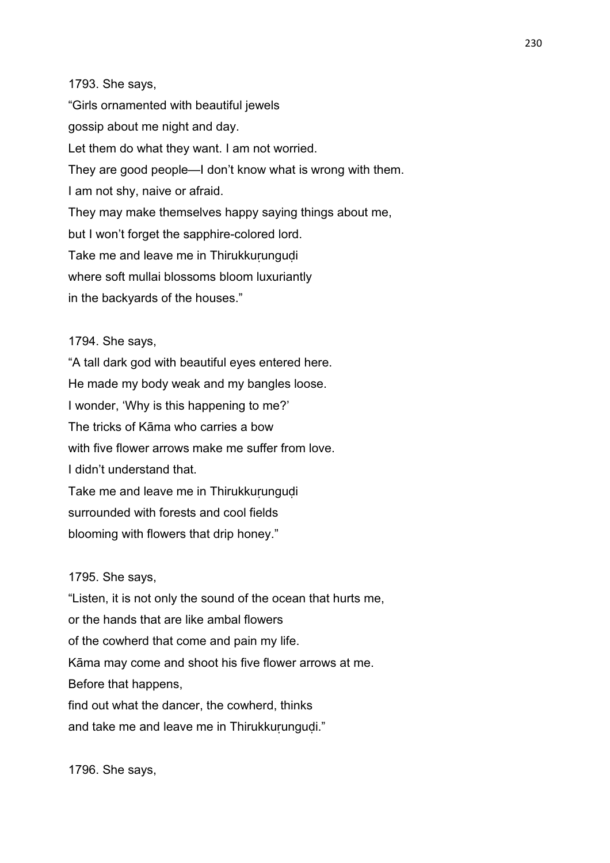1793. She says,

"Girls ornamented with beautiful jewels gossip about me night and day. Let them do what they want. I am not worried. They are good people—I don't know what is wrong with them. I am not shy, naive or afraid. They may make themselves happy saying things about me, but I won't forget the sapphire-colored lord. Take me and leave me in Thirukkurungudi where soft mullai blossoms bloom luxuriantly in the backyards of the houses."

1794. She says,

"A tall dark god with beautiful eyes entered here. He made my body weak and my bangles loose. I wonder, 'Why is this happening to me?' The tricks of Kāma who carries a bow with five flower arrows make me suffer from love. I didn't understand that. Take me and leave me in Thirukkurungudi surrounded with forests and cool fields blooming with flowers that drip honey."

1795. She says,

"Listen, it is not only the sound of the ocean that hurts me, or the hands that are like ambal flowers of the cowherd that come and pain my life. Kāma may come and shoot his five flower arrows at me. Before that happens, find out what the dancer, the cowherd, thinks and take me and leave me in Thirukkurungudi."

1796. She says,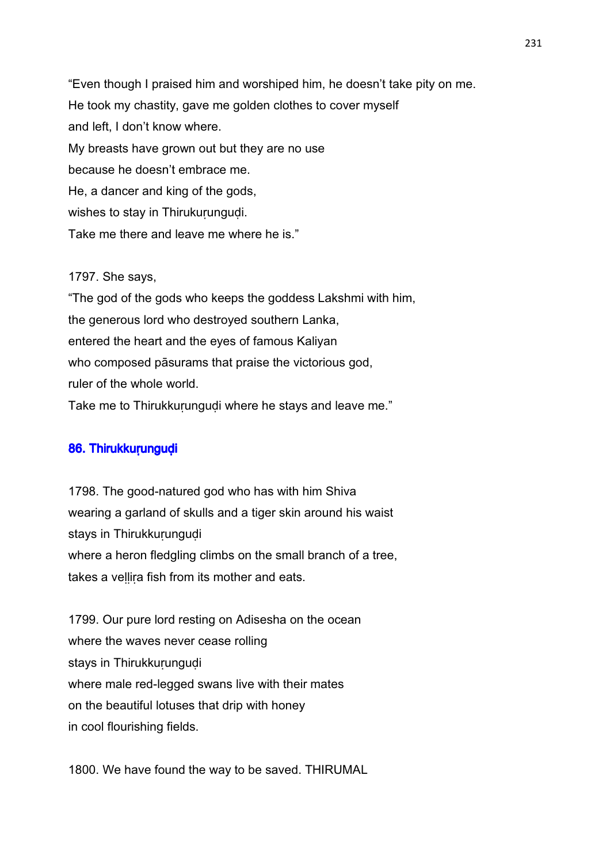"Even though I praised him and worshiped him, he doesn't take pity on me. He took my chastity, gave me golden clothes to cover myself and left, I don't know where. My breasts have grown out but they are no use because he doesn't embrace me. He, a dancer and king of the gods, wishes to stay in Thirukurunguḍi. Take me there and leave me where he is."

# 1797. She says,

"The god of the gods who keeps the goddess Lakshmi with him, the generous lord who destroyed southern Lanka, entered the heart and the eyes of famous Kaliyan who composed pāsurams that praise the victorious god, ruler of the whole world. Take me to Thirukkurungudi where he stays and leave me."

#### 86. Thirukkurungudi

1798. The good-natured god who has with him Shiva wearing a garland of skulls and a tiger skin around his waist stays in Thirukkurungudi where a heron fledgling climbs on the small branch of a tree, takes a vellira fish from its mother and eats.

1799. Our pure lord resting on Adisesha on the ocean where the waves never cease rolling stays in Thirukkurungudi where male red-legged swans live with their mates on the beautiful lotuses that drip with honey in cool flourishing fields.

1800. We have found the way to be saved. THIRUMAL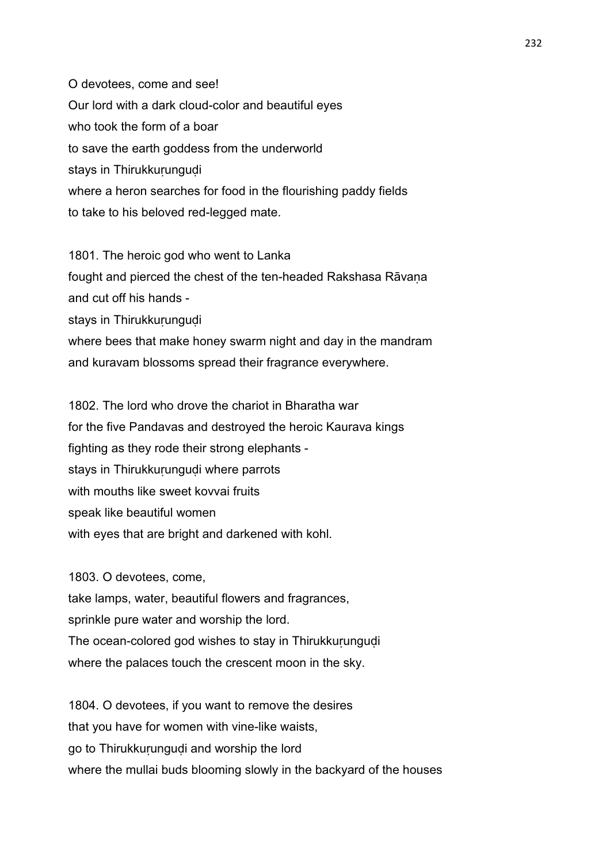O devotees, come and see! Our lord with a dark cloud-color and beautiful eyes who took the form of a boar to save the earth goddess from the underworld stays in Thirukkurungudi where a heron searches for food in the flourishing paddy fields to take to his beloved red-legged mate.

1801. The heroic god who went to Lanka fought and pierced the chest of the ten-headed Rakshasa Rāvaṇa and cut off his hands stays in Thirukkurungudi where bees that make honey swarm night and day in the mandram

and kuravam blossoms spread their fragrance everywhere.

1802. The lord who drove the chariot in Bharatha war for the five Pandavas and destroyed the heroic Kaurava kings fighting as they rode their strong elephants stays in Thirukkurungudi where parrots with mouths like sweet kovvai fruits speak like beautiful women with eyes that are bright and darkened with kohl.

1803. O devotees, come, take lamps, water, beautiful flowers and fragrances, sprinkle pure water and worship the lord. The ocean-colored god wishes to stay in Thirukkurungudi where the palaces touch the crescent moon in the sky.

1804. O devotees, if you want to remove the desires that you have for women with vine-like waists, go to Thirukkuṛunguḍi and worship the lord where the mullai buds blooming slowly in the backyard of the houses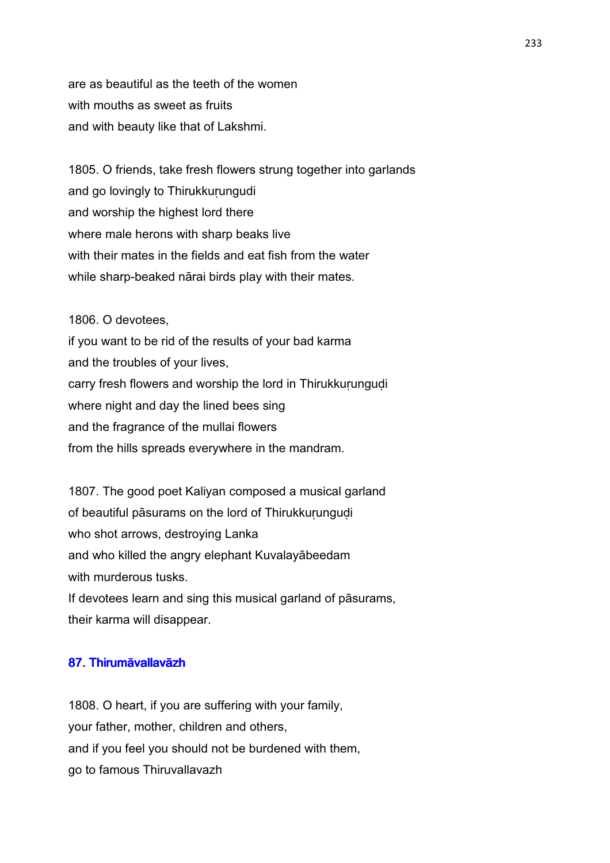are as beautiful as the teeth of the women with mouths as sweet as fruits and with beauty like that of Lakshmi.

1805. O friends, take fresh flowers strung together into garlands and go lovingly to Thirukkuṛungudi and worship the highest lord there where male herons with sharp beaks live with their mates in the fields and eat fish from the water while sharp-beaked nārai birds play with their mates.

1806. O devotees, if you want to be rid of the results of your bad karma and the troubles of your lives, carry fresh flowers and worship the lord in Thirukkurungudi where night and day the lined bees sing and the fragrance of the mullai flowers from the hills spreads everywhere in the mandram.

1807. The good poet Kaliyan composed a musical garland of beautiful pāsurams on the lord of Thirukkuṛunguḍi who shot arrows, destroying Lanka and who killed the angry elephant Kuvalayābeedam with murderous tusks. If devotees learn and sing this musical garland of pāsurams, their karma will disappear.

# 87. Thirumāvallavāzh

1808. O heart, if you are suffering with your family, your father, mother, children and others, and if you feel you should not be burdened with them, go to famous Thiruvallavazh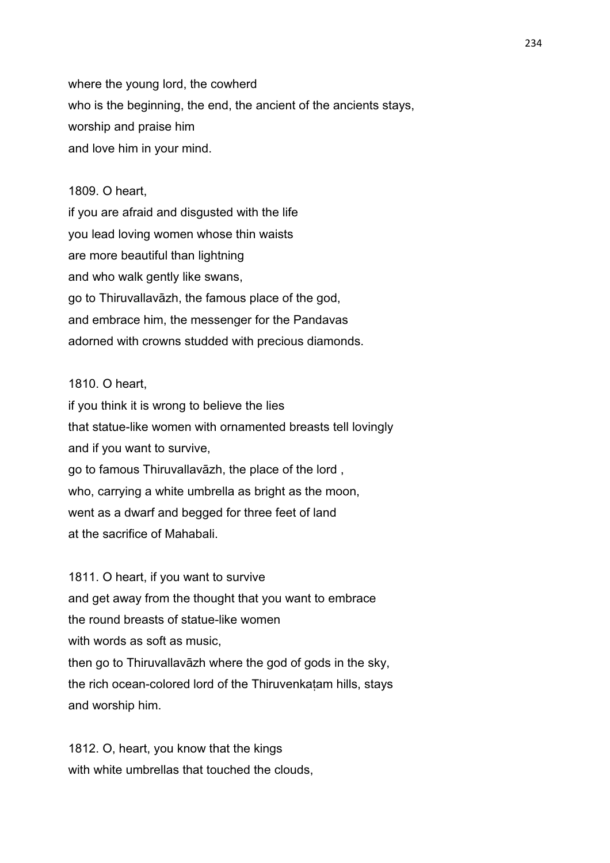where the young lord, the cowherd who is the beginning, the end, the ancient of the ancients stays, worship and praise him and love him in your mind.

#### 1809. O heart,

if you are afraid and disgusted with the life you lead loving women whose thin waists are more beautiful than lightning and who walk gently like swans, go to Thiruvallavāzh, the famous place of the god, and embrace him, the messenger for the Pandavas adorned with crowns studded with precious diamonds.

# 1810. O heart,

if you think it is wrong to believe the lies that statue-like women with ornamented breasts tell lovingly and if you want to survive, go to famous Thiruvallavāzh, the place of the lord , who, carrying a white umbrella as bright as the moon, went as a dwarf and begged for three feet of land at the sacrifice of Mahabali.

1811. O heart, if you want to survive and get away from the thought that you want to embrace the round breasts of statue-like women with words as soft as music. then go to Thiruvallavāzh where the god of gods in the sky, the rich ocean-colored lord of the Thiruvenkaṭam hills, stays and worship him.

1812. O, heart, you know that the kings with white umbrellas that touched the clouds.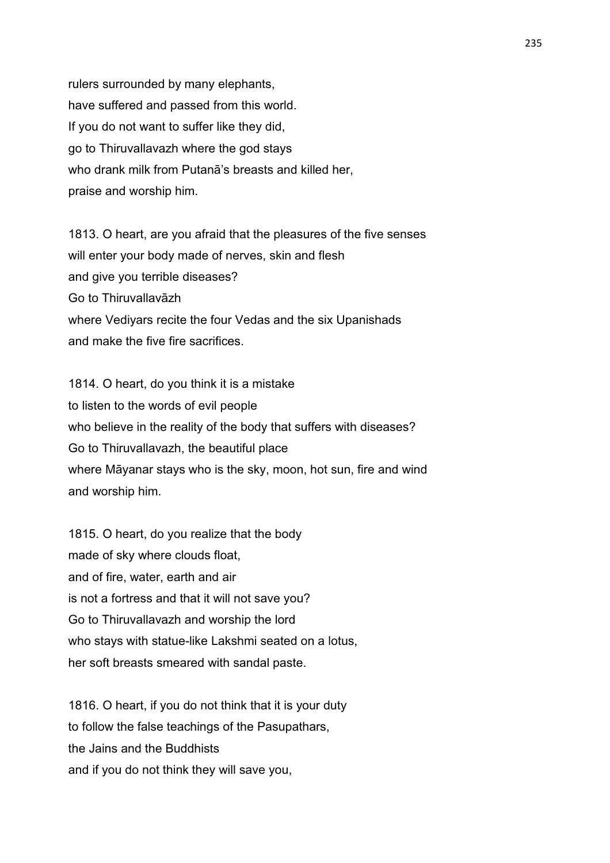rulers surrounded by many elephants, have suffered and passed from this world. If you do not want to suffer like they did, go to Thiruvallavazh where the god stays who drank milk from Putanā's breasts and killed her, praise and worship him.

1813. O heart, are you afraid that the pleasures of the five senses will enter your body made of nerves, skin and flesh and give you terrible diseases? Go to Thiruvallavāzh where Vediyars recite the four Vedas and the six Upanishads and make the five fire sacrifices.

1814. O heart, do you think it is a mistake to listen to the words of evil people who believe in the reality of the body that suffers with diseases? Go to Thiruvallavazh, the beautiful place where Māyanar stays who is the sky, moon, hot sun, fire and wind and worship him.

1815. O heart, do you realize that the body made of sky where clouds float, and of fire, water, earth and air is not a fortress and that it will not save you? Go to Thiruvallavazh and worship the lord who stays with statue-like Lakshmi seated on a lotus, her soft breasts smeared with sandal paste.

1816. O heart, if you do not think that it is your duty to follow the false teachings of the Pasupathars, the Jains and the Buddhists and if you do not think they will save you,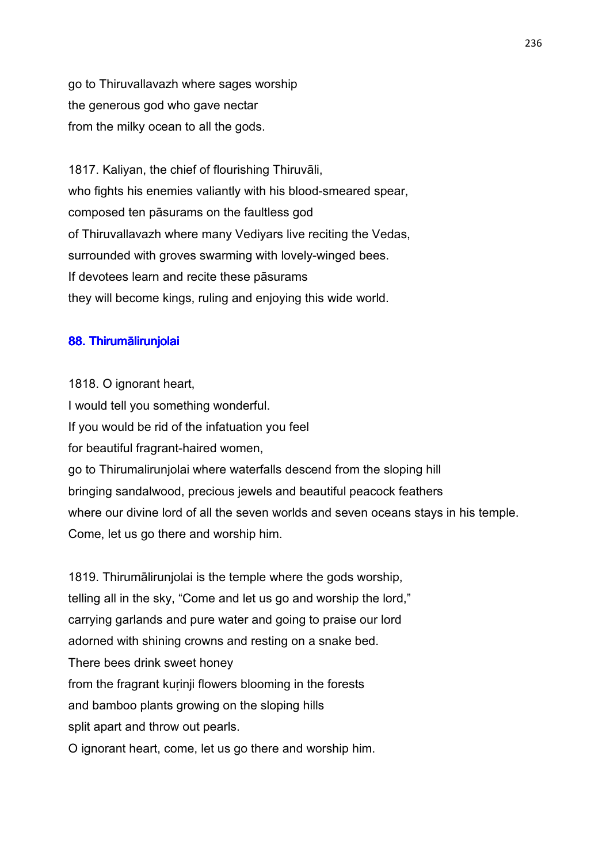go to Thiruvallavazh where sages worship the generous god who gave nectar from the milky ocean to all the gods.

1817. Kaliyan, the chief of flourishing Thiruvāli, who fights his enemies valiantly with his blood-smeared spear, composed ten pāsurams on the faultless god of Thiruvallavazh where many Vediyars live reciting the Vedas, surrounded with groves swarming with lovely-winged bees. If devotees learn and recite these pāsurams they will become kings, ruling and enjoying this wide world.

# 88. Thirumālirunjolai

1818. O ignorant heart, I would tell you something wonderful. If you would be rid of the infatuation you feel for beautiful fragrant-haired women, go to Thirumalirunjolai where waterfalls descend from the sloping hill bringing sandalwood, precious jewels and beautiful peacock feathers where our divine lord of all the seven worlds and seven oceans stays in his temple. Come, let us go there and worship him.

1819. Thirumālirunjolai is the temple where the gods worship, telling all in the sky, "Come and let us go and worship the lord," carrying garlands and pure water and going to praise our lord adorned with shining crowns and resting on a snake bed. There bees drink sweet honey from the fragrant kurinji flowers blooming in the forests and bamboo plants growing on the sloping hills split apart and throw out pearls. O ignorant heart, come, let us go there and worship him.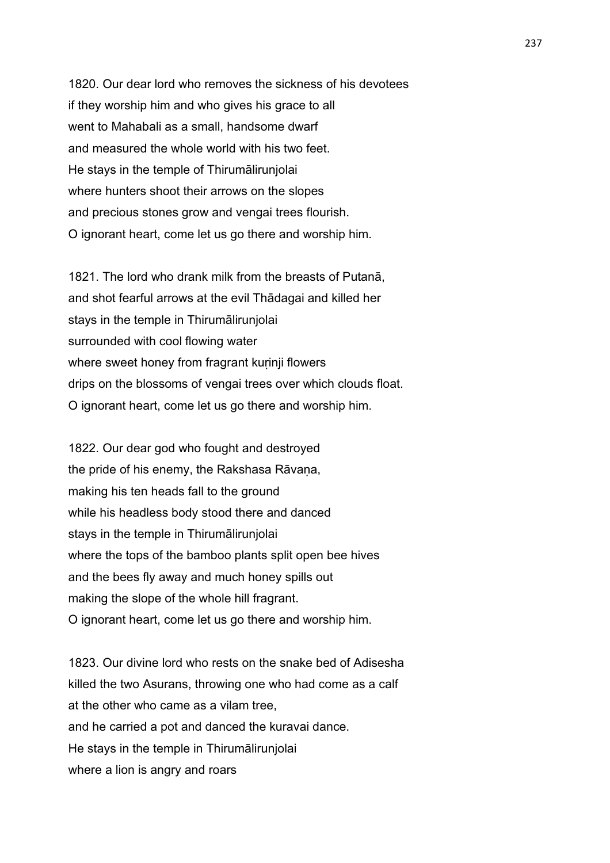1820. Our dear lord who removes the sickness of his devotees if they worship him and who gives his grace to all went to Mahabali as a small, handsome dwarf and measured the whole world with his two feet. He stays in the temple of Thirumālirunjolai where hunters shoot their arrows on the slopes and precious stones grow and vengai trees flourish. O ignorant heart, come let us go there and worship him.

1821. The lord who drank milk from the breasts of Putanā, and shot fearful arrows at the evil Thādagai and killed her stays in the temple in Thirumālirunjolai surrounded with cool flowing water where sweet honey from fragrant kurinji flowers drips on the blossoms of vengai trees over which clouds float. O ignorant heart, come let us go there and worship him.

1822. Our dear god who fought and destroyed the pride of his enemy, the Rakshasa Rāvana, making his ten heads fall to the ground while his headless body stood there and danced stays in the temple in Thirumālirunjolai where the tops of the bamboo plants split open bee hives and the bees fly away and much honey spills out making the slope of the whole hill fragrant. O ignorant heart, come let us go there and worship him.

1823. Our divine lord who rests on the snake bed of Adisesha killed the two Asurans, throwing one who had come as a calf at the other who came as a vilam tree, and he carried a pot and danced the kuravai dance. He stays in the temple in Thirumālirunjolai where a lion is angry and roars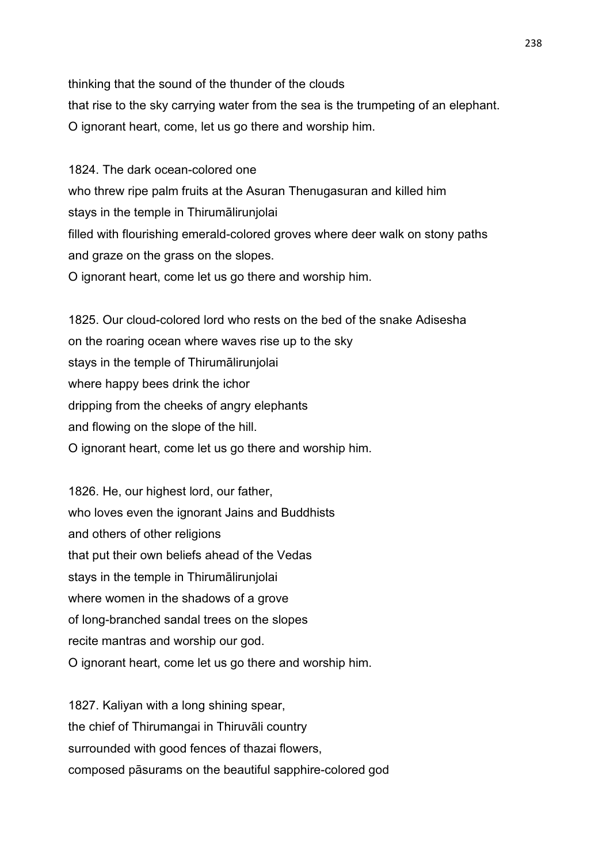thinking that the sound of the thunder of the clouds that rise to the sky carrying water from the sea is the trumpeting of an elephant. O ignorant heart, come, let us go there and worship him.

1824. The dark ocean-colored one who threw ripe palm fruits at the Asuran Thenugasuran and killed him stays in the temple in Thirumālirunjolai filled with flourishing emerald-colored groves where deer walk on stony paths and graze on the grass on the slopes. O ignorant heart, come let us go there and worship him.

1825. Our cloud-colored lord who rests on the bed of the snake Adisesha on the roaring ocean where waves rise up to the sky stays in the temple of Thirumālirunjolai where happy bees drink the ichor dripping from the cheeks of angry elephants and flowing on the slope of the hill. O ignorant heart, come let us go there and worship him.

1826. He, our highest lord, our father, who loves even the ignorant Jains and Buddhists and others of other religions that put their own beliefs ahead of the Vedas stays in the temple in Thirumālirunjolai where women in the shadows of a grove of long-branched sandal trees on the slopes recite mantras and worship our god. O ignorant heart, come let us go there and worship him.

1827. Kaliyan with a long shining spear, the chief of Thirumangai in Thiruvāli country surrounded with good fences of thazai flowers, composed pāsurams on the beautiful sapphire-colored god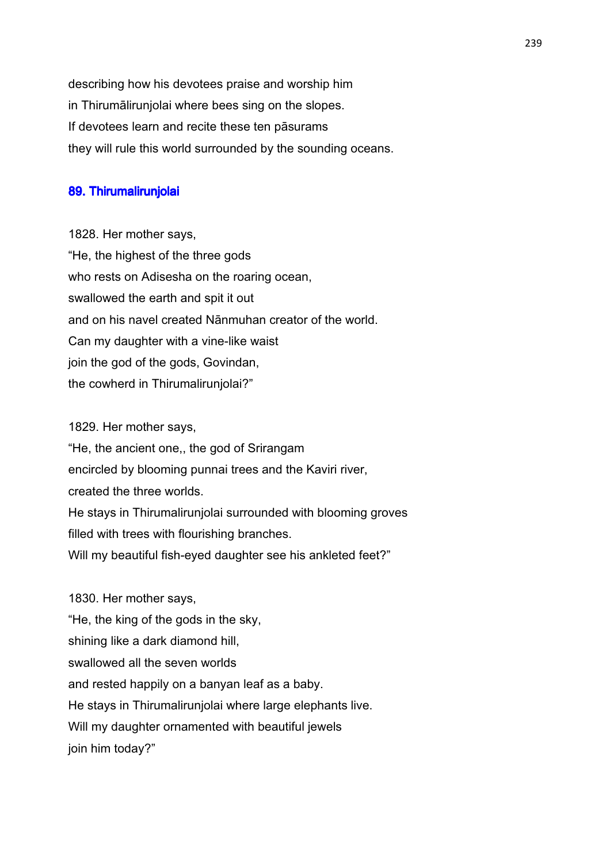describing how his devotees praise and worship him in Thirumālirunjolai where bees sing on the slopes. If devotees learn and recite these ten pāsurams they will rule this world surrounded by the sounding oceans.

#### 89. Thirumalirunjolai

1828. Her mother says, "He, the highest of the three gods who rests on Adisesha on the roaring ocean, swallowed the earth and spit it out and on his navel created Nānmuhan creator of the world. Can my daughter with a vine-like waist join the god of the gods, Govindan, the cowherd in Thirumalirunjolai?"

1829. Her mother says, "He, the ancient one,, the god of Srirangam encircled by blooming punnai trees and the Kaviri river, created the three worlds. He stays in Thirumalirunjolai surrounded with blooming groves filled with trees with flourishing branches. Will my beautiful fish-eyed daughter see his ankleted feet?"

1830. Her mother says, "He, the king of the gods in the sky, shining like a dark diamond hill, swallowed all the seven worlds and rested happily on a banyan leaf as a baby. He stays in Thirumalirunjolai where large elephants live. Will my daughter ornamented with beautiful jewels join him today?"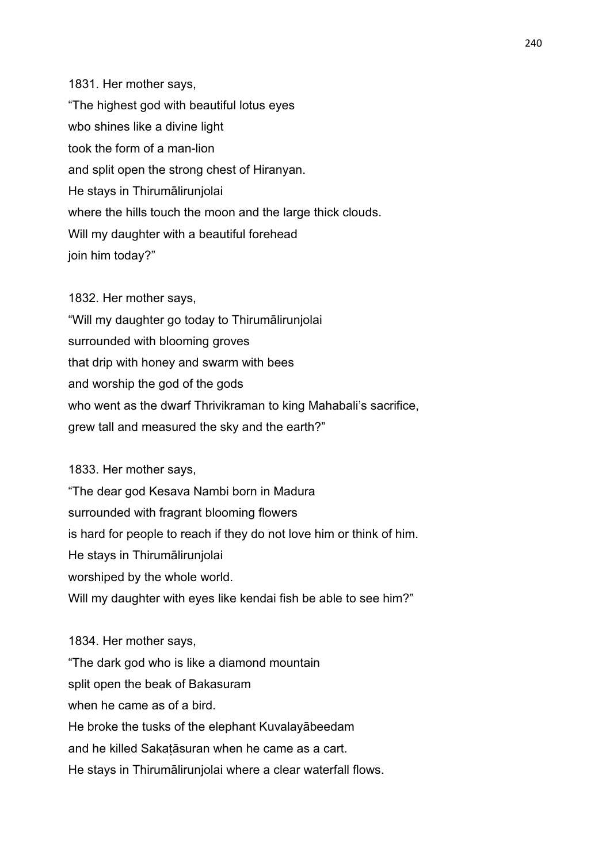1831. Her mother says, "The highest god with beautiful lotus eyes wbo shines like a divine light took the form of a man-lion and split open the strong chest of Hiranyan. He stays in Thirumālirunjolai where the hills touch the moon and the large thick clouds. Will my daughter with a beautiful forehead join him today?"

1832. Her mother says, "Will my daughter go today to Thirumālirunjolai surrounded with blooming groves that drip with honey and swarm with bees and worship the god of the gods who went as the dwarf Thrivikraman to king Mahabali's sacrifice, grew tall and measured the sky and the earth?"

1833. Her mother says,

"The dear god Kesava Nambi born in Madura surrounded with fragrant blooming flowers is hard for people to reach if they do not love him or think of him. He stays in Thirumālirunjolai worshiped by the whole world. Will my daughter with eyes like kendai fish be able to see him?"

1834. Her mother says, "The dark god who is like a diamond mountain split open the beak of Bakasuram when he came as of a bird. He broke the tusks of the elephant Kuvalayābeedam and he killed Sakaṭāsuran when he came as a cart. He stays in Thirumālirunjolai where a clear waterfall flows.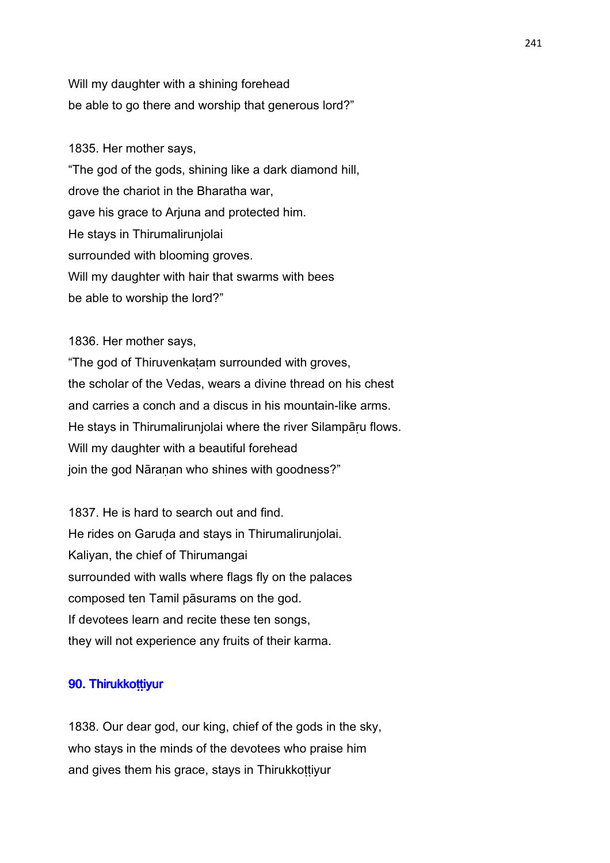Will my daughter with a shining forehead be able to go there and worship that generous lord?"

1835. Her mother says, "The god of the gods, shining like a dark diamond hill, drove the chariot in the Bharatha war, gave his grace to Arjuna and protected him. He stays in Thirumalirunjolai surrounded with blooming groves. Will my daughter with hair that swarms with bees be able to worship the lord?"

1836. Her mother says, "The god of Thiruvenkaṭam surrounded with groves, the scholar of the Vedas, wears a divine thread on his chest and carries a conch and a discus in his mountain-like arms. He stays in Thirumalirunjolai where the river Silampāru flows. Will my daughter with a beautiful forehead join the god Nāranan who shines with goodness?"

1837. He is hard to search out and find. He rides on Garuḍa and stays in Thirumalirunjolai. Kaliyan, the chief of Thirumangai surrounded with walls where flags fly on the palaces composed ten Tamil pāsurams on the god. If devotees learn and recite these ten songs, they will not experience any fruits of their karma.

# 90. Thirukkoṭṭiyur

1838. Our dear god, our king, chief of the gods in the sky, who stays in the minds of the devotees who praise him and gives them his grace, stays in Thirukkottiyur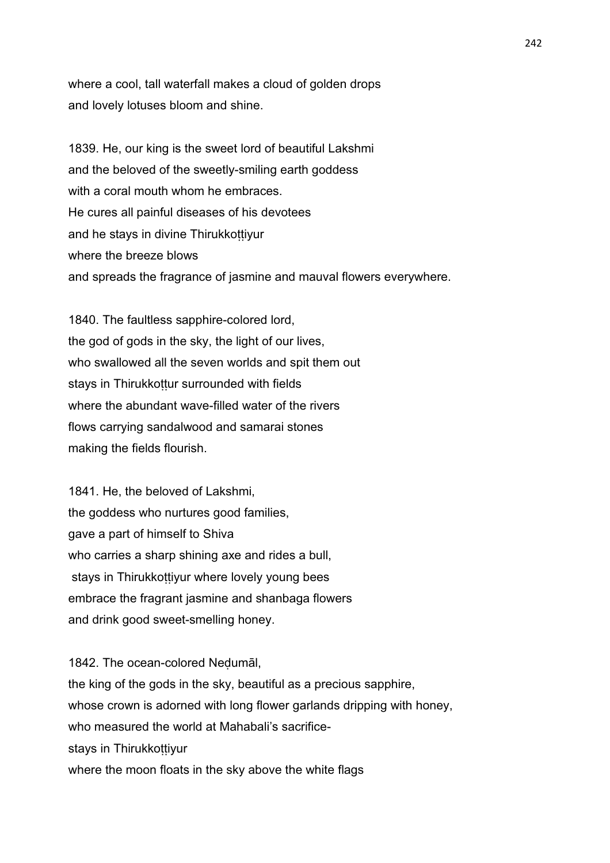where a cool, tall waterfall makes a cloud of golden drops and lovely lotuses bloom and shine.

1839. He, our king is the sweet lord of beautiful Lakshmi and the beloved of the sweetly-smiling earth goddess with a coral mouth whom he embraces. He cures all painful diseases of his devotees and he stays in divine Thirukkoṭṭiyur where the breeze blows and spreads the fragrance of jasmine and mauval flowers everywhere.

1840. The faultless sapphire-colored lord, the god of gods in the sky, the light of our lives, who swallowed all the seven worlds and spit them out stays in Thirukkottur surrounded with fields where the abundant wave-filled water of the rivers flows carrying sandalwood and samarai stones making the fields flourish.

1841. He, the beloved of Lakshmi, the goddess who nurtures good families, gave a part of himself to Shiva who carries a sharp shining axe and rides a bull. stays in Thirukkottiyur where lovely young bees embrace the fragrant jasmine and shanbaga flowers and drink good sweet-smelling honey.

1842. The ocean-colored Neḍumāl, the king of the gods in the sky, beautiful as a precious sapphire, whose crown is adorned with long flower garlands dripping with honey, who measured the world at Mahabali's sacrificestays in Thirukkottiyur where the moon floats in the sky above the white flags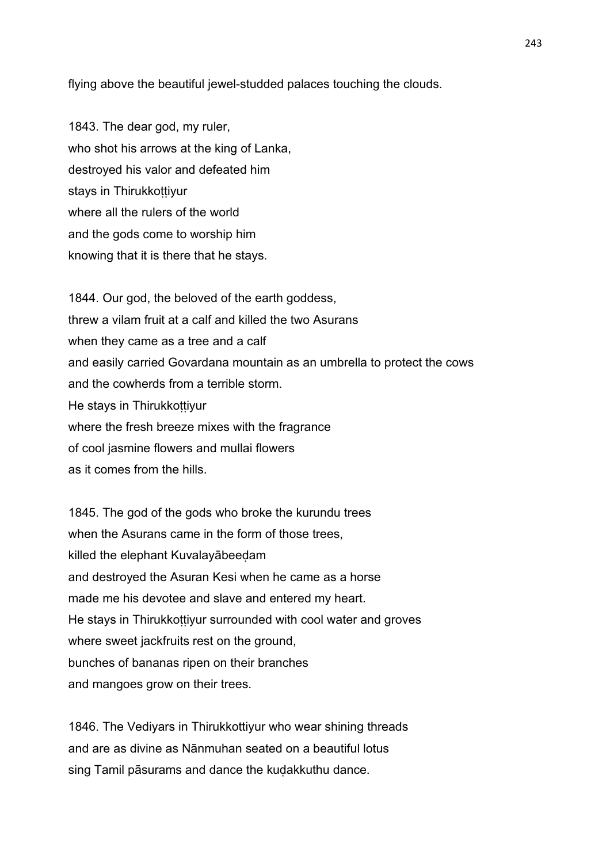flying above the beautiful jewel-studded palaces touching the clouds.

1843. The dear god, my ruler, who shot his arrows at the king of Lanka, destroyed his valor and defeated him stays in Thirukkottiyur where all the rulers of the world and the gods come to worship him knowing that it is there that he stays.

1844. Our god, the beloved of the earth goddess, threw a vilam fruit at a calf and killed the two Asurans when they came as a tree and a calf and easily carried Govardana mountain as an umbrella to protect the cows and the cowherds from a terrible storm. He stays in Thirukkottiyur where the fresh breeze mixes with the fragrance of cool jasmine flowers and mullai flowers as it comes from the hills.

1845. The god of the gods who broke the kurundu trees when the Asurans came in the form of those trees. killed the elephant Kuvalayābeeḍam and destroyed the Asuran Kesi when he came as a horse made me his devotee and slave and entered my heart. He stays in Thirukkottiyur surrounded with cool water and groves where sweet jackfruits rest on the ground, bunches of bananas ripen on their branches and mangoes grow on their trees.

1846. The Vediyars in Thirukkottiyur who wear shining threads and are as divine as Nānmuhan seated on a beautiful lotus sing Tamil pāsurams and dance the kudakkuthu dance.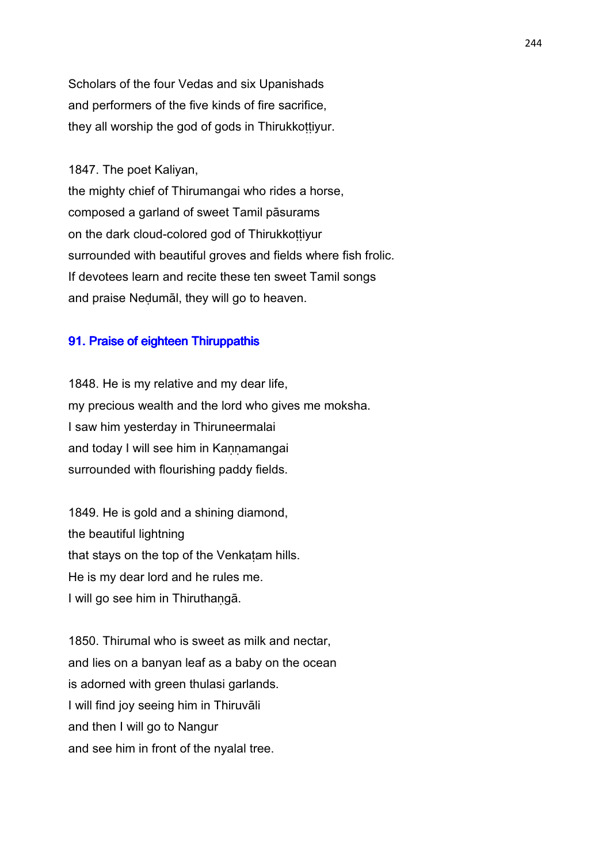Scholars of the four Vedas and six Upanishads and performers of the five kinds of fire sacrifice, they all worship the god of gods in Thirukkoṭṭiyur.

1847. The poet Kaliyan,

the mighty chief of Thirumangai who rides a horse, composed a garland of sweet Tamil pāsurams on the dark cloud-colored god of Thirukkoṭṭiyur surrounded with beautiful groves and fields where fish frolic. If devotees learn and recite these ten sweet Tamil songs and praise Neḍumāl, they will go to heaven.

# 91. Praise of eighteen Thiruppathis

1848. He is my relative and my dear life, my precious wealth and the lord who gives me moksha. I saw him yesterday in Thiruneermalai and today I will see him in Kannamangai surrounded with flourishing paddy fields.

1849. He is gold and a shining diamond, the beautiful lightning that stays on the top of the Venkatam hills. He is my dear lord and he rules me. I will go see him in Thiruthaṇgā.

1850. Thirumal who is sweet as milk and nectar, and lies on a banyan leaf as a baby on the ocean is adorned with green thulasi garlands. I will find joy seeing him in Thiruvāli and then I will go to Nangur and see him in front of the nyalal tree.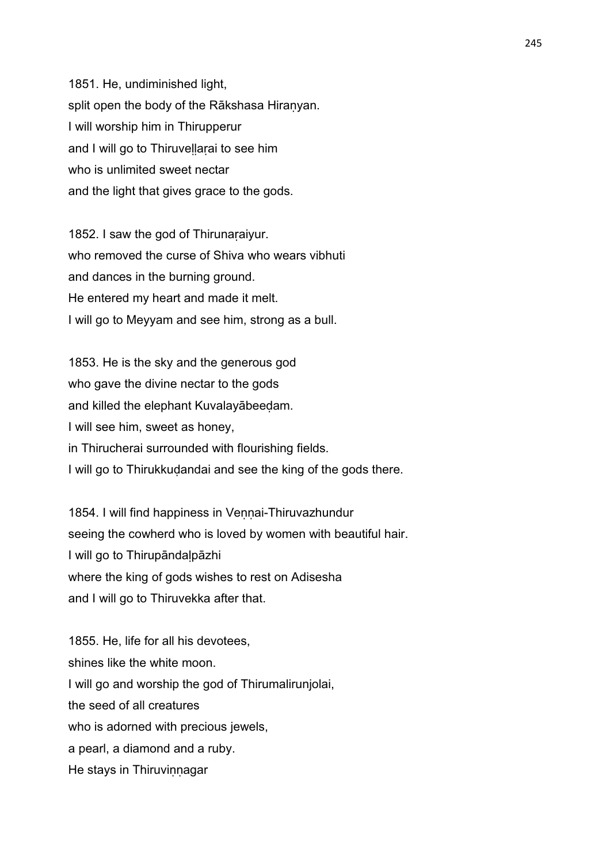1851. He, undiminished light, split open the body of the Rākshasa Hiraṇyan. I will worship him in Thirupperur and I will go to Thiruvellarai to see him who is unlimited sweet nectar and the light that gives grace to the gods.

1852. I saw the god of Thirunaraiyur. who removed the curse of Shiva who wears vibhuti and dances in the burning ground. He entered my heart and made it melt. I will go to Meyyam and see him, strong as a bull.

1853. He is the sky and the generous god who gave the divine nectar to the gods and killed the elephant Kuvalayābeeḍam. I will see him, sweet as honey, in Thirucherai surrounded with flourishing fields. I will go to Thirukkudandai and see the king of the gods there.

1854. I will find happiness in Vennai-Thiruvazhundur seeing the cowherd who is loved by women with beautiful hair. I will go to Thirupāndaḷpāzhi where the king of gods wishes to rest on Adisesha and I will go to Thiruvekka after that.

1855. He, life for all his devotees, shines like the white moon. I will go and worship the god of Thirumalirunjolai, the seed of all creatures who is adorned with precious jewels. a pearl, a diamond and a ruby. He stays in Thiruvinnagar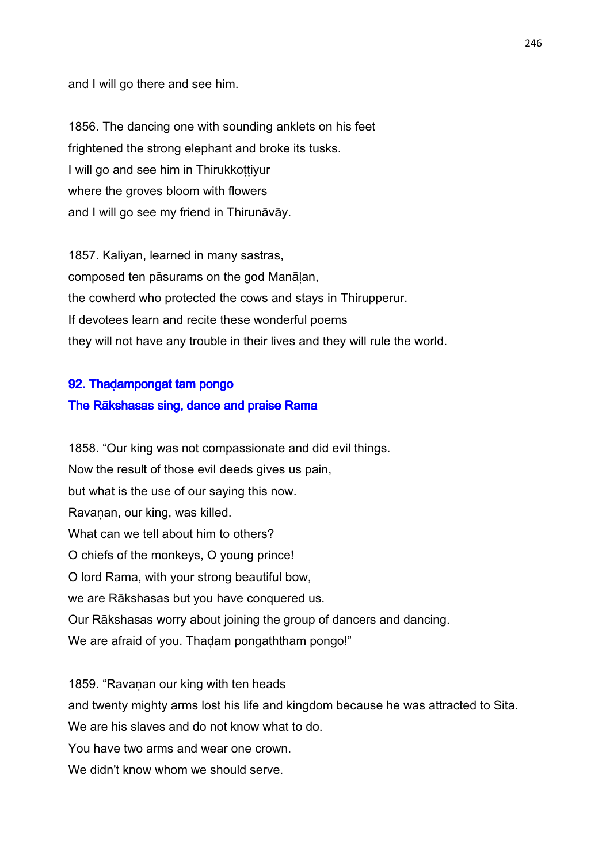and I will go there and see him.

1856. The dancing one with sounding anklets on his feet frightened the strong elephant and broke its tusks. I will go and see him in Thirukkottiyur where the groves bloom with flowers and I will go see my friend in Thirunāvāy.

1857. Kaliyan, learned in many sastras, composed ten pāsurams on the god Manāḷan, the cowherd who protected the cows and stays in Thirupperur. If devotees learn and recite these wonderful poems they will not have any trouble in their lives and they will rule the world.

# 92. Thaḍampongat tam pongo

# The Rākshasas sing, dance and praise Rama

1858. "Our king was not compassionate and did evil things. Now the result of those evil deeds gives us pain, but what is the use of our saying this now. Ravaṇan, our king, was killed. What can we tell about him to others? O chiefs of the monkeys, O young prince! O lord Rama, with your strong beautiful bow, we are Rākshasas but you have conquered us. Our Rākshasas worry about joining the group of dancers and dancing. We are afraid of you. Thadam pongaththam pongo!"

1859. "Ravaṇan our king with ten heads and twenty mighty arms lost his life and kingdom because he was attracted to Sita. We are his slaves and do not know what to do. You have two arms and wear one crown. We didn't know whom we should serve.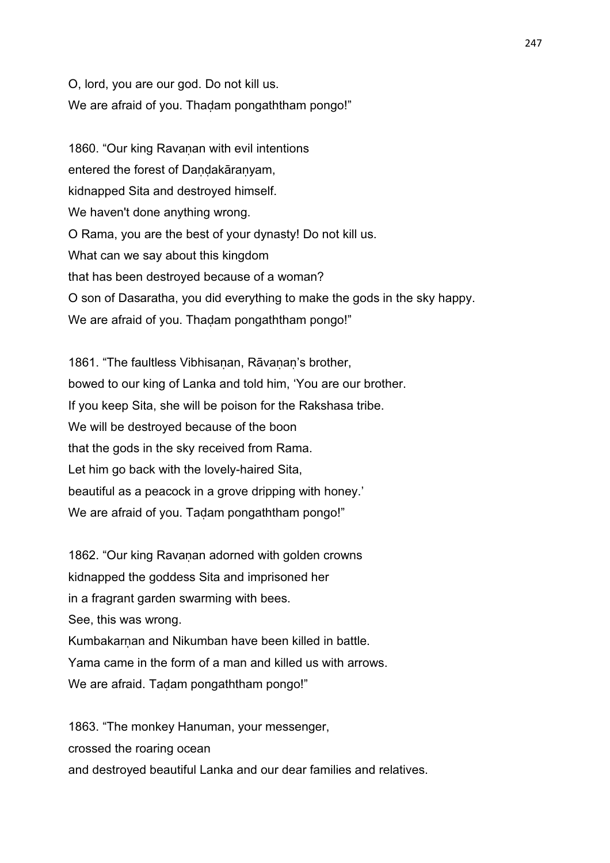O, lord, you are our god. Do not kill us. We are afraid of you. Thaḍam pongaththam pongo!"

1860. "Our king Ravanan with evil intentions entered the forest of Dandakāranyam, kidnapped Sita and destroyed himself. We haven't done anything wrong. O Rama, you are the best of your dynasty! Do not kill us. What can we say about this kingdom that has been destroyed because of a woman? O son of Dasaratha, you did everything to make the gods in the sky happy. We are afraid of you. Thadam pongaththam pongo!"

1861. "The faultless Vibhisanan, Rāvanan's brother, bowed to our king of Lanka and told him, 'You are our brother. If you keep Sita, she will be poison for the Rakshasa tribe. We will be destroyed because of the boon that the gods in the sky received from Rama. Let him go back with the lovely-haired Sita, beautiful as a peacock in a grove dripping with honey.' We are afraid of you. Taḍam pongaththam pongo!"

1862. "Our king Ravanan adorned with golden crowns kidnapped the goddess Sita and imprisoned her in a fragrant garden swarming with bees. See, this was wrong. Kumbakarnan and Nikumban have been killed in battle. Yama came in the form of a man and killed us with arrows. We are afraid. Taḍam pongaththam pongo!"

1863. "The monkey Hanuman, your messenger, crossed the roaring ocean and destroyed beautiful Lanka and our dear families and relatives.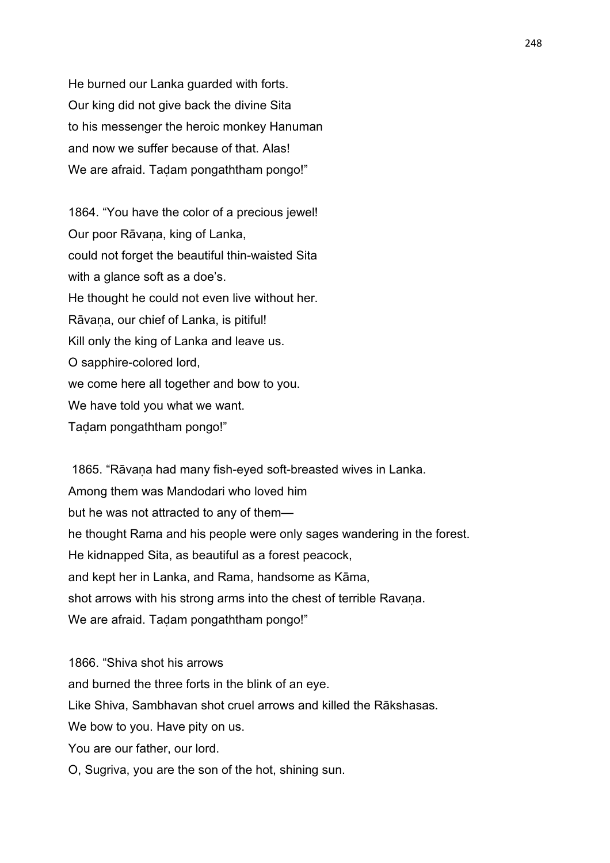He burned our Lanka guarded with forts. Our king did not give back the divine Sita to his messenger the heroic monkey Hanuman and now we suffer because of that. Alas! We are afraid. Tadam pongaththam pongo!"

1864. "You have the color of a precious jewel! Our poor Rāvaṇa, king of Lanka, could not forget the beautiful thin-waisted Sita with a glance soft as a doe's. He thought he could not even live without her. Rāvaṇa, our chief of Lanka, is pitiful! Kill only the king of Lanka and leave us. O sapphire-colored lord, we come here all together and bow to you. We have told you what we want. Taḍam pongaththam pongo!"

1865. "Rāvana had many fish-eyed soft-breasted wives in Lanka. Among them was Mandodari who loved him but he was not attracted to any of them he thought Rama and his people were only sages wandering in the forest. He kidnapped Sita, as beautiful as a forest peacock, and kept her in Lanka, and Rama, handsome as Kāma, shot arrows with his strong arms into the chest of terrible Ravana. We are afraid. Tadam pongaththam pongo!"

1866. "Shiva shot his arrows and burned the three forts in the blink of an eye. Like Shiva, Sambhavan shot cruel arrows and killed the Rākshasas. We bow to you. Have pity on us. You are our father, our lord. O, Sugriva, you are the son of the hot, shining sun.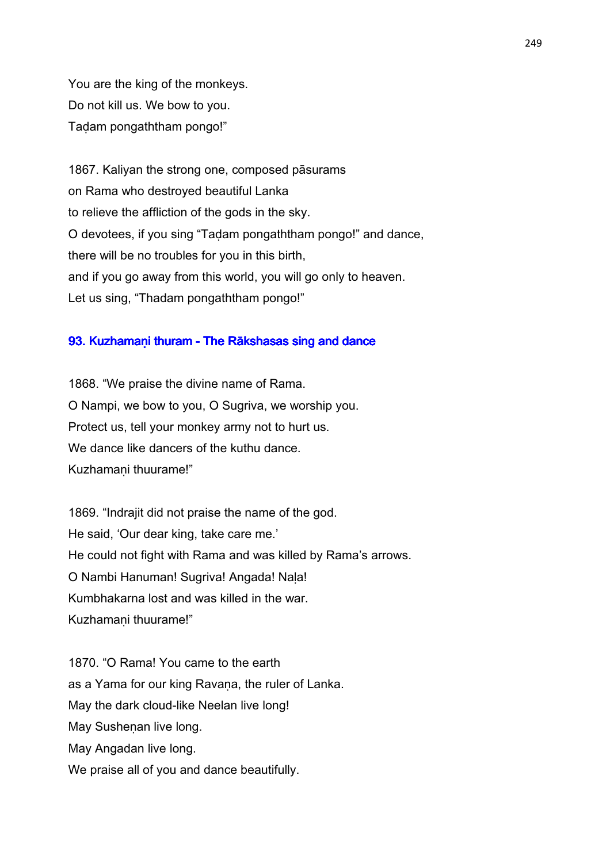You are the king of the monkeys. Do not kill us. We bow to you. Taḍam pongaththam pongo!"

1867. Kaliyan the strong one, composed pāsurams on Rama who destroyed beautiful Lanka to relieve the affliction of the gods in the sky. O devotees, if you sing "Taḍam pongaththam pongo!" and dance, there will be no troubles for you in this birth, and if you go away from this world, you will go only to heaven. Let us sing, "Thadam pongaththam pongo!"

# 93. Kuzhamaṇi thuram - The Rākshasas sing and dance

1868. "We praise the divine name of Rama. O Nampi, we bow to you, O Sugriva, we worship you. Protect us, tell your monkey army not to hurt us. We dance like dancers of the kuthu dance. Kuzhamaṇi thuurame!"

1869. "Indrajit did not praise the name of the god. He said, 'Our dear king, take care me.' He could not fight with Rama and was killed by Rama's arrows. O Nambi Hanuman! Sugriva! Angada! Nala! Kumbhakarna lost and was killed in the war. Kuzhamaṇi thuurame!"

1870. "O Rama! You came to the earth as a Yama for our king Ravana, the ruler of Lanka. May the dark cloud-like Neelan live long! May Sushenan live long. May Angadan live long. We praise all of you and dance beautifully.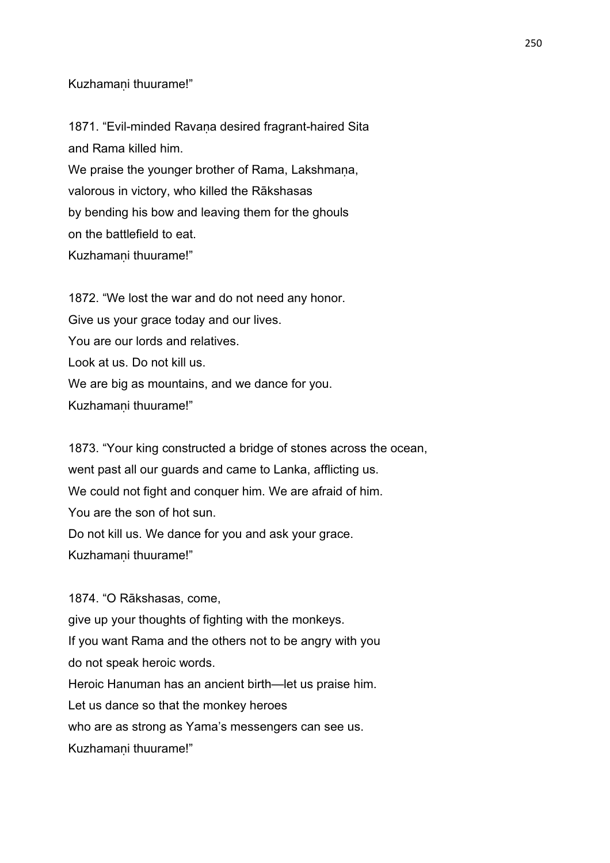Kuzhamaṇi thuurame!"

1871. "Evil-minded Ravaṇa desired fragrant-haired Sita and Rama killed him. We praise the younger brother of Rama, Lakshmana, valorous in victory, who killed the Rākshasas by bending his bow and leaving them for the ghouls on the battlefield to eat. Kuzhamaṇi thuurame!"

1872. "We lost the war and do not need any honor. Give us your grace today and our lives. You are our lords and relatives. Look at us. Do not kill us. We are big as mountains, and we dance for you. Kuzhamaṇi thuurame!"

1873. "Your king constructed a bridge of stones across the ocean, went past all our guards and came to Lanka, afflicting us. We could not fight and conquer him. We are afraid of him. You are the son of hot sun. Do not kill us. We dance for you and ask your grace. Kuzhamaṇi thuurame!"

1874. "O Rākshasas, come, give up your thoughts of fighting with the monkeys. If you want Rama and the others not to be angry with you do not speak heroic words. Heroic Hanuman has an ancient birth—let us praise him. Let us dance so that the monkey heroes who are as strong as Yama's messengers can see us. Kuzhamaṇi thuurame!"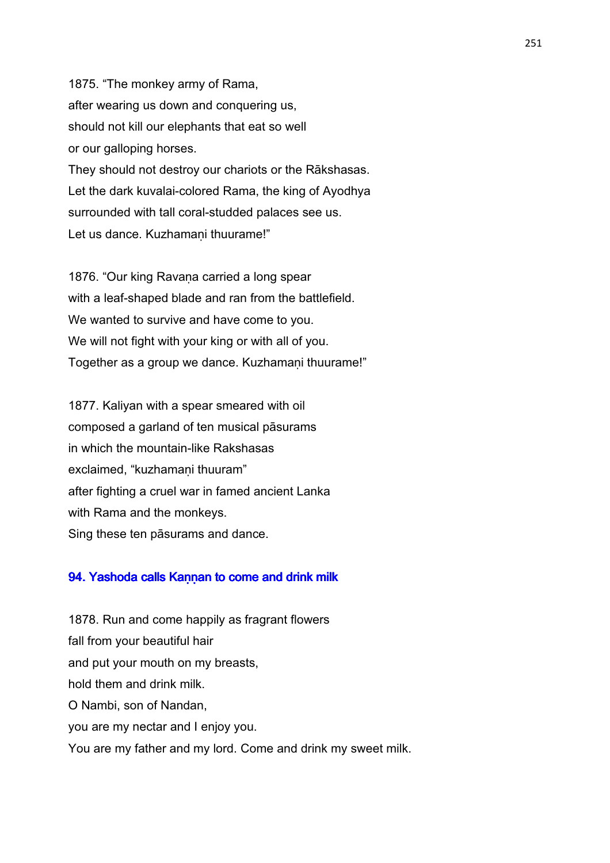1875. "The monkey army of Rama, after wearing us down and conquering us, should not kill our elephants that eat so well or our galloping horses. They should not destroy our chariots or the Rākshasas. Let the dark kuvalai-colored Rama, the king of Ayodhya surrounded with tall coral-studded palaces see us. Let us dance. Kuzhamani thuurame!"

1876. "Our king Ravana carried a long spear with a leaf-shaped blade and ran from the battlefield. We wanted to survive and have come to you. We will not fight with your king or with all of you. Together as a group we dance. Kuzhamani thuurame!"

1877. Kaliyan with a spear smeared with oil composed a garland of ten musical pāsurams in which the mountain-like Rakshasas exclaimed, "kuzhamani thuuram" after fighting a cruel war in famed ancient Lanka with Rama and the monkeys. Sing these ten pāsurams and dance.

# 94. Yashoda calls Kannan to come and drink milk

1878. Run and come happily as fragrant flowers fall from your beautiful hair and put your mouth on my breasts, hold them and drink milk. O Nambi, son of Nandan, you are my nectar and I enjoy you. You are my father and my lord. Come and drink my sweet milk.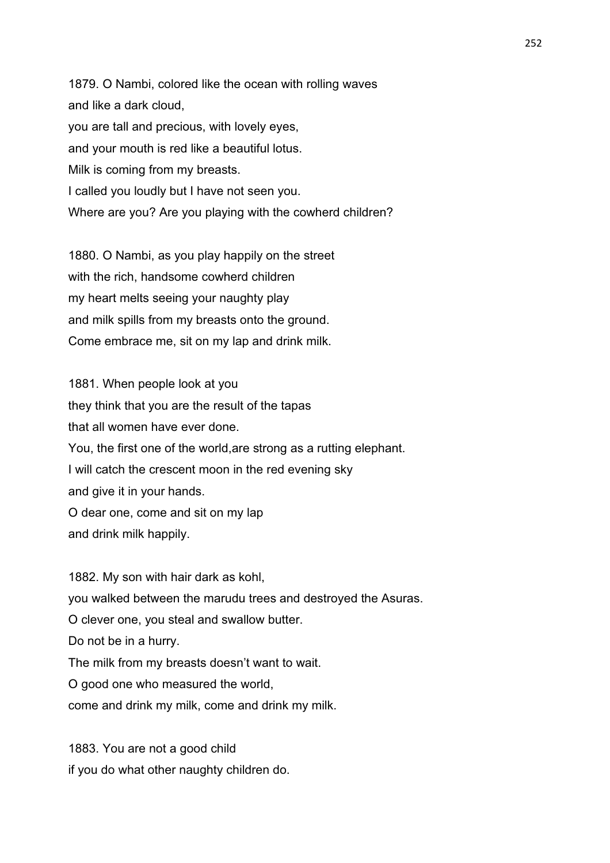1879. O Nambi, colored like the ocean with rolling waves and like a dark cloud, you are tall and precious, with lovely eyes, and your mouth is red like a beautiful lotus. Milk is coming from my breasts. I called you loudly but I have not seen you. Where are you? Are you playing with the cowherd children?

1880. O Nambi, as you play happily on the street with the rich, handsome cowherd children my heart melts seeing your naughty play and milk spills from my breasts onto the ground. Come embrace me, sit on my lap and drink milk.

1881. When people look at you they think that you are the result of the tapas that all women have ever done. You, the first one of the world,are strong as a rutting elephant. I will catch the crescent moon in the red evening sky and give it in your hands. O dear one, come and sit on my lap and drink milk happily.

1882. My son with hair dark as kohl, you walked between the marudu trees and destroyed the Asuras. O clever one, you steal and swallow butter. Do not be in a hurry. The milk from my breasts doesn't want to wait. O good one who measured the world, come and drink my milk, come and drink my milk.

1883. You are not a good child if you do what other naughty children do.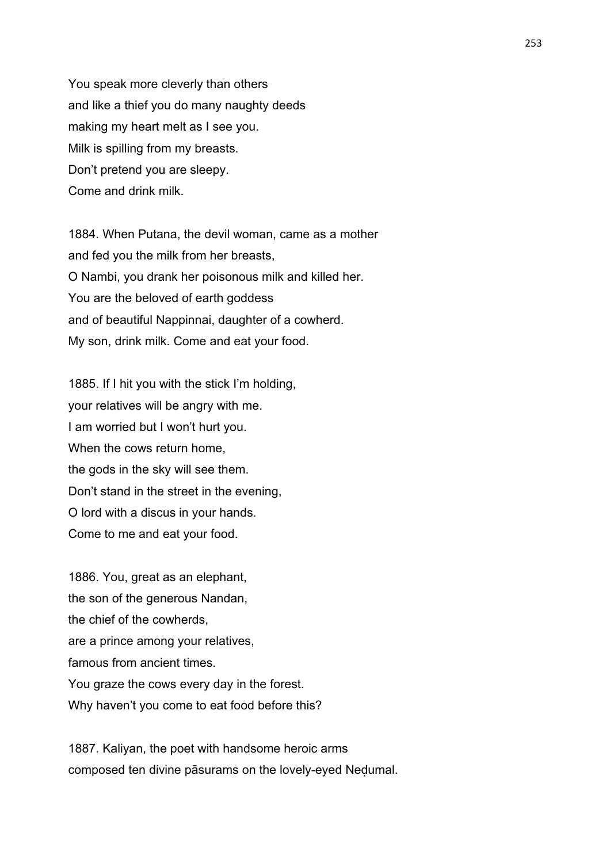You speak more cleverly than others and like a thief you do many naughty deeds making my heart melt as I see you. Milk is spilling from my breasts. Don't pretend you are sleepy. Come and drink milk.

1884. When Putana, the devil woman, came as a mother and fed you the milk from her breasts, O Nambi, you drank her poisonous milk and killed her. You are the beloved of earth goddess and of beautiful Nappinnai, daughter of a cowherd. My son, drink milk. Come and eat your food.

1885. If I hit you with the stick I'm holding, your relatives will be angry with me. I am worried but I won't hurt you. When the cows return home, the gods in the sky will see them. Don't stand in the street in the evening, O lord with a discus in your hands. Come to me and eat your food.

1886. You, great as an elephant, the son of the generous Nandan, the chief of the cowherds, are a prince among your relatives, famous from ancient times. You graze the cows every day in the forest. Why haven't you come to eat food before this?

1887. Kaliyan, the poet with handsome heroic arms composed ten divine pāsurams on the lovely-eyed Neḍumal.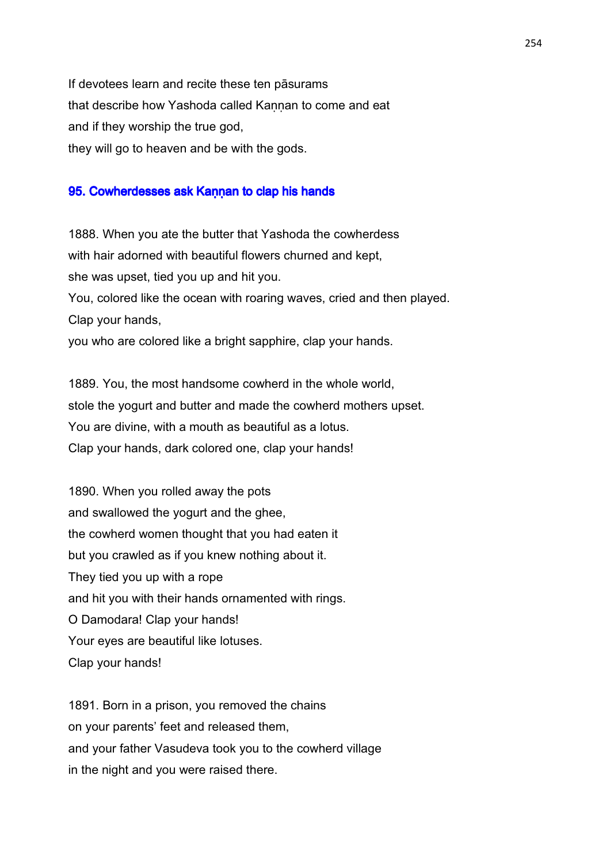If devotees learn and recite these ten pāsurams that describe how Yashoda called Kaṇṇan to come and eat and if they worship the true god, they will go to heaven and be with the gods.

### 95. Cowherdesses ask Kannan to clap his hands

1888. When you ate the butter that Yashoda the cowherdess with hair adorned with beautiful flowers churned and kept, she was upset, tied you up and hit you. You, colored like the ocean with roaring waves, cried and then played. Clap your hands, you who are colored like a bright sapphire, clap your hands.

1889. You, the most handsome cowherd in the whole world, stole the yogurt and butter and made the cowherd mothers upset. You are divine, with a mouth as beautiful as a lotus. Clap your hands, dark colored one, clap your hands!

1890. When you rolled away the pots and swallowed the yogurt and the ghee, the cowherd women thought that you had eaten it but you crawled as if you knew nothing about it. They tied you up with a rope and hit you with their hands ornamented with rings. O Damodara! Clap your hands! Your eyes are beautiful like lotuses. Clap your hands!

1891. Born in a prison, you removed the chains on your parents' feet and released them, and your father Vasudeva took you to the cowherd village in the night and you were raised there.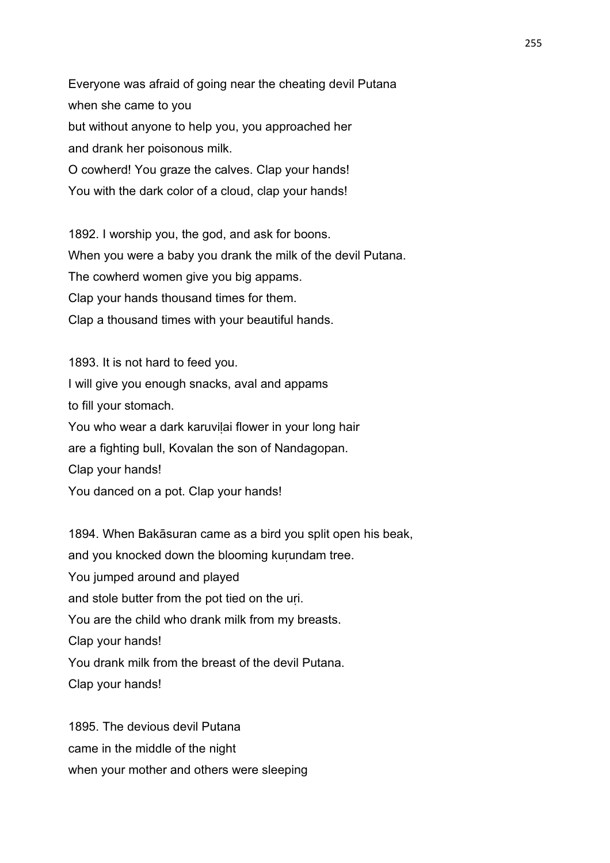Everyone was afraid of going near the cheating devil Putana when she came to you but without anyone to help you, you approached her and drank her poisonous milk. O cowherd! You graze the calves. Clap your hands! You with the dark color of a cloud, clap your hands!

1892. I worship you, the god, and ask for boons. When you were a baby you drank the milk of the devil Putana. The cowherd women give you big appams. Clap your hands thousand times for them. Clap a thousand times with your beautiful hands.

1893. It is not hard to feed you. I will give you enough snacks, aval and appams to fill your stomach. You who wear a dark karuvilai flower in your long hair are a fighting bull, Kovalan the son of Nandagopan. Clap your hands! You danced on a pot. Clap your hands!

1894. When Bakāsuran came as a bird you split open his beak, and you knocked down the blooming kurundam tree. You jumped around and played and stole butter from the pot tied on the uri. You are the child who drank milk from my breasts. Clap your hands! You drank milk from the breast of the devil Putana. Clap your hands!

1895. The devious devil Putana came in the middle of the night when your mother and others were sleeping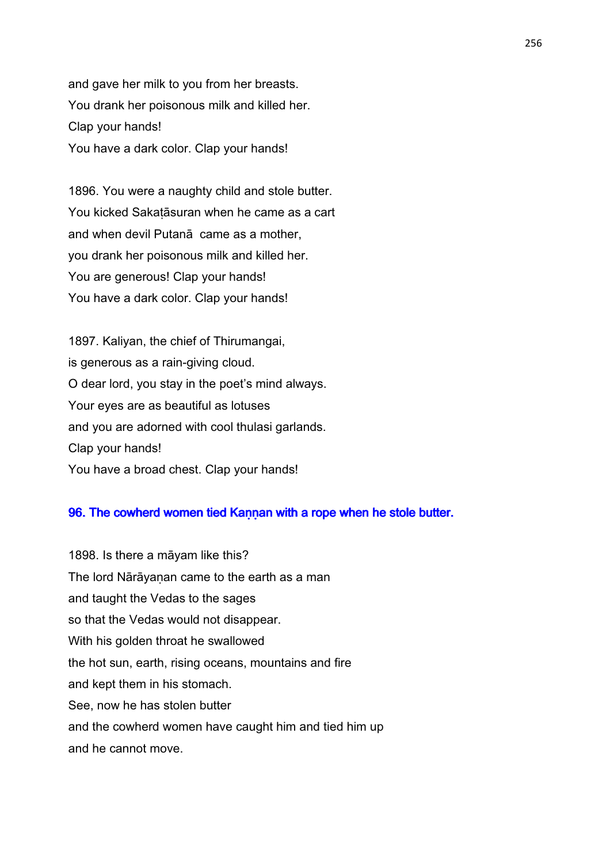and gave her milk to you from her breasts. You drank her poisonous milk and killed her. Clap your hands! You have a dark color. Clap your hands!

1896. You were a naughty child and stole butter. You kicked Sakaṭāsuran when he came as a cart and when devil Putanā came as a mother, you drank her poisonous milk and killed her. You are generous! Clap your hands! You have a dark color. Clap your hands!

1897. Kaliyan, the chief of Thirumangai, is generous as a rain-giving cloud. O dear lord, you stay in the poet's mind always. Your eyes are as beautiful as lotuses and you are adorned with cool thulasi garlands. Clap your hands! You have a broad chest. Clap your hands!

## 96. The cowherd women tied Kaṇṇan with a rope when he stole butter.

1898. Is there a māyam like this? The lord Nārāyanan came to the earth as a man and taught the Vedas to the sages so that the Vedas would not disappear. With his golden throat he swallowed the hot sun, earth, rising oceans, mountains and fire and kept them in his stomach. See, now he has stolen butter and the cowherd women have caught him and tied him up and he cannot move.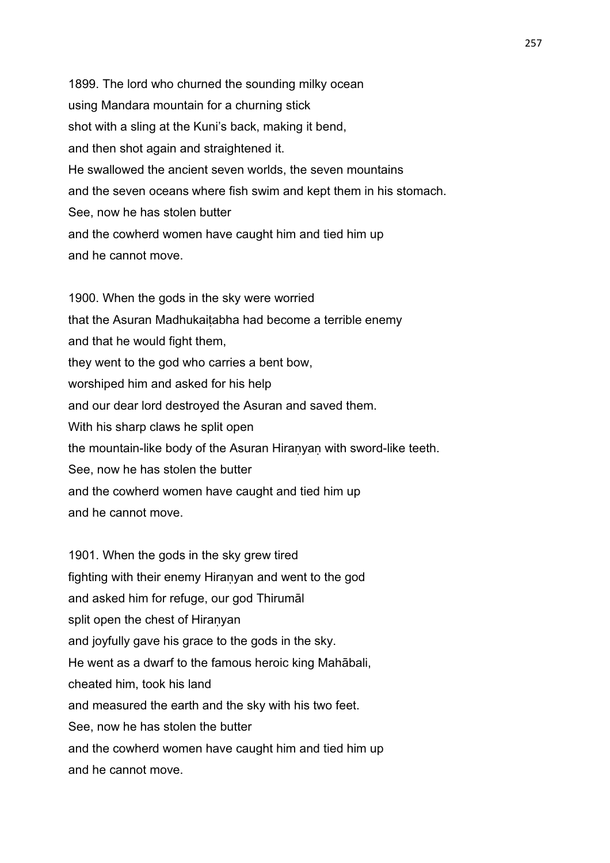1899. The lord who churned the sounding milky ocean using Mandara mountain for a churning stick shot with a sling at the Kuni's back, making it bend, and then shot again and straightened it. He swallowed the ancient seven worlds, the seven mountains and the seven oceans where fish swim and kept them in his stomach. See, now he has stolen butter and the cowherd women have caught him and tied him up and he cannot move.

1900. When the gods in the sky were worried that the Asuran Madhukaiṭabha had become a terrible enemy and that he would fight them, they went to the god who carries a bent bow, worshiped him and asked for his help and our dear lord destroyed the Asuran and saved them. With his sharp claws he split open the mountain-like body of the Asuran Hiranyan with sword-like teeth. See, now he has stolen the butter and the cowherd women have caught and tied him up and he cannot move.

1901. When the gods in the sky grew tired fighting with their enemy Hiranyan and went to the god and asked him for refuge, our god Thirumāl split open the chest of Hiranyan and joyfully gave his grace to the gods in the sky. He went as a dwarf to the famous heroic king Mahābali, cheated him, took his land and measured the earth and the sky with his two feet. See, now he has stolen the butter and the cowherd women have caught him and tied him up and he cannot move.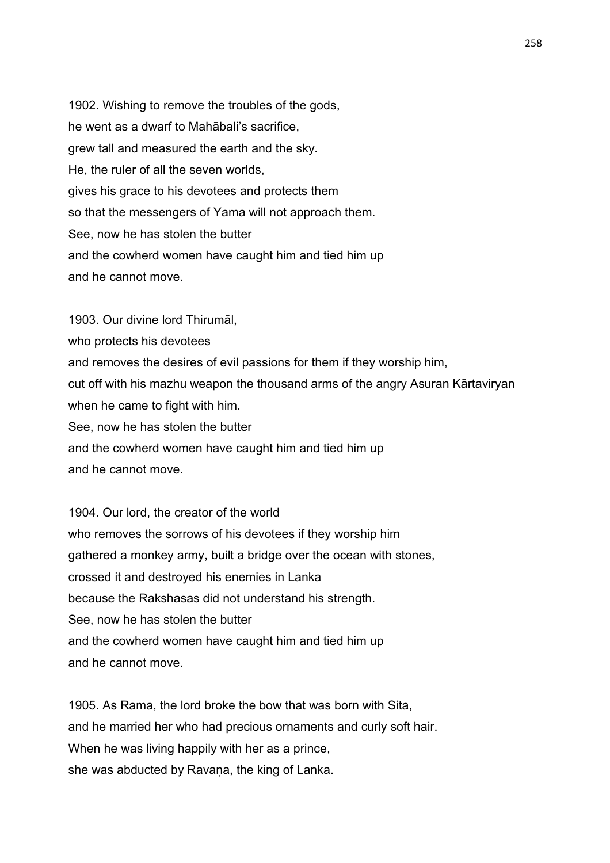1902. Wishing to remove the troubles of the gods, he went as a dwarf to Mahābali's sacrifice, grew tall and measured the earth and the sky. He, the ruler of all the seven worlds, gives his grace to his devotees and protects them so that the messengers of Yama will not approach them. See, now he has stolen the butter and the cowherd women have caught him and tied him up and he cannot move.

1903. Our divine lord Thirumāl, who protects his devotees and removes the desires of evil passions for them if they worship him, cut off with his mazhu weapon the thousand arms of the angry Asuran Kārtaviryan when he came to fight with him. See, now he has stolen the butter and the cowherd women have caught him and tied him up and he cannot move.

1904. Our lord, the creator of the world who removes the sorrows of his devotees if they worship him gathered a monkey army, built a bridge over the ocean with stones, crossed it and destroyed his enemies in Lanka because the Rakshasas did not understand his strength. See, now he has stolen the butter and the cowherd women have caught him and tied him up and he cannot move.

1905. As Rama, the lord broke the bow that was born with Sita, and he married her who had precious ornaments and curly soft hair. When he was living happily with her as a prince, she was abducted by Ravana, the king of Lanka.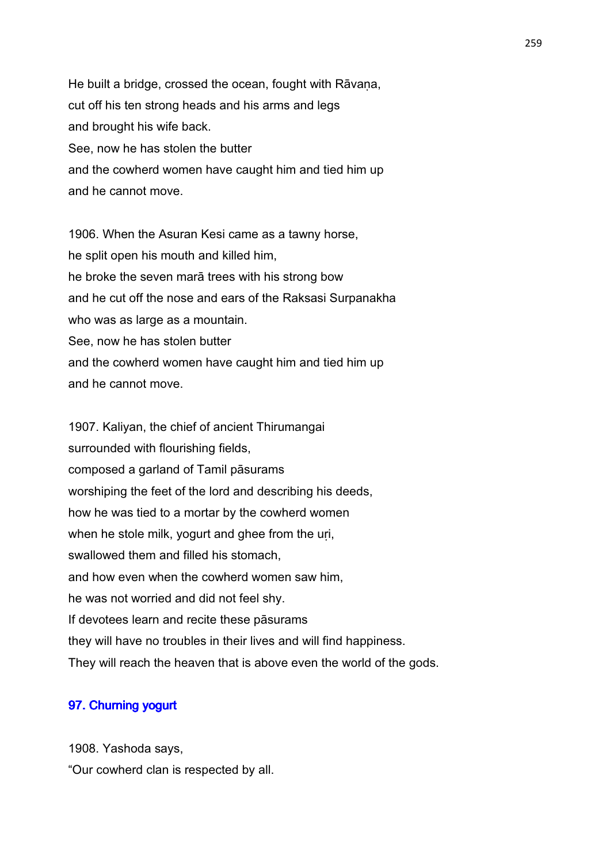He built a bridge, crossed the ocean, fought with Rāvana, cut off his ten strong heads and his arms and legs and brought his wife back. See, now he has stolen the butter and the cowherd women have caught him and tied him up and he cannot move.

1906. When the Asuran Kesi came as a tawny horse, he split open his mouth and killed him, he broke the seven marā trees with his strong bow and he cut off the nose and ears of the Raksasi Surpanakha who was as large as a mountain. See, now he has stolen butter and the cowherd women have caught him and tied him up and he cannot move.

1907. Kaliyan, the chief of ancient Thirumangai surrounded with flourishing fields, composed a garland of Tamil pāsurams worshiping the feet of the lord and describing his deeds, how he was tied to a mortar by the cowherd women when he stole milk, yogurt and ghee from the uri, swallowed them and filled his stomach, and how even when the cowherd women saw him, he was not worried and did not feel shy. If devotees learn and recite these pāsurams they will have no troubles in their lives and will find happiness. They will reach the heaven that is above even the world of the gods.

# 97. Churning yogurt

1908. Yashoda says, "Our cowherd clan is respected by all.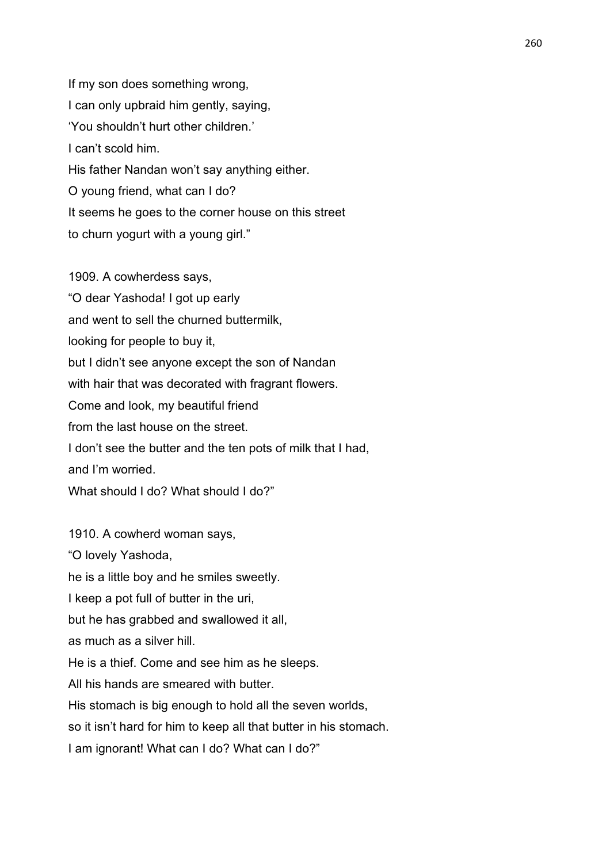If my son does something wrong, I can only upbraid him gently, saying, 'You shouldn't hurt other children.' I can't scold him. His father Nandan won't say anything either. O young friend, what can I do? It seems he goes to the corner house on this street to churn yogurt with a young girl."

1909. A cowherdess says, "O dear Yashoda! I got up early and went to sell the churned buttermilk, looking for people to buy it, but I didn't see anyone except the son of Nandan with hair that was decorated with fragrant flowers. Come and look, my beautiful friend from the last house on the street. I don't see the butter and the ten pots of milk that I had, and I'm worried. What should I do? What should I do?"

1910. A cowherd woman says, "O lovely Yashoda, he is a little boy and he smiles sweetly. I keep a pot full of butter in the uri, but he has grabbed and swallowed it all, as much as a silver hill. He is a thief. Come and see him as he sleeps. All his hands are smeared with butter. His stomach is big enough to hold all the seven worlds, so it isn't hard for him to keep all that butter in his stomach. I am ignorant! What can I do? What can I do?"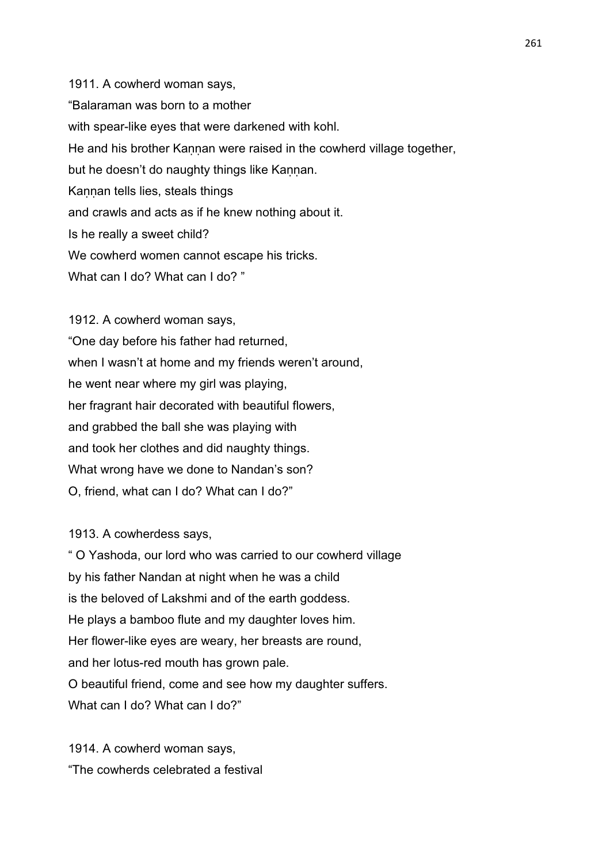1911. A cowherd woman says, "Balaraman was born to a mother with spear-like eyes that were darkened with kohl. He and his brother Kannan were raised in the cowherd village together, but he doesn't do naughty things like Kannan. Kannan tells lies, steals things and crawls and acts as if he knew nothing about it. Is he really a sweet child? We cowherd women cannot escape his tricks. What can I do? What can I do? "

1912. A cowherd woman says, "One day before his father had returned, when I wasn't at home and my friends weren't around, he went near where my girl was playing, her fragrant hair decorated with beautiful flowers, and grabbed the ball she was playing with and took her clothes and did naughty things. What wrong have we done to Nandan's son? O, friend, what can I do? What can I do?"

1913. A cowherdess says,

" O Yashoda, our lord who was carried to our cowherd village by his father Nandan at night when he was a child is the beloved of Lakshmi and of the earth goddess. He plays a bamboo flute and my daughter loves him. Her flower-like eyes are weary, her breasts are round, and her lotus-red mouth has grown pale. O beautiful friend, come and see how my daughter suffers. What can I do? What can I do?"

1914. A cowherd woman says, "The cowherds celebrated a festival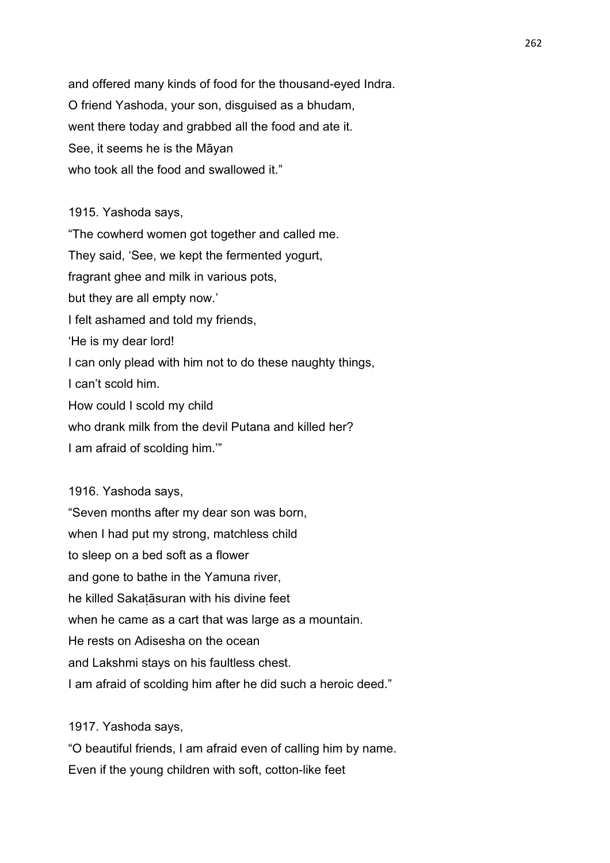and offered many kinds of food for the thousand-eyed Indra. O friend Yashoda, your son, disguised as a bhudam, went there today and grabbed all the food and ate it. See, it seems he is the Māyan who took all the food and swallowed it."

1915. Yashoda says,

"The cowherd women got together and called me. They said, 'See, we kept the fermented yogurt, fragrant ghee and milk in various pots, but they are all empty now.' I felt ashamed and told my friends, 'He is my dear lord! I can only plead with him not to do these naughty things, I can't scold him. How could I scold my child who drank milk from the devil Putana and killed her?

I am afraid of scolding him.'"

1916. Yashoda says,

"Seven months after my dear son was born, when I had put my strong, matchless child to sleep on a bed soft as a flower and gone to bathe in the Yamuna river, he killed Sakaṭāsuran with his divine feet when he came as a cart that was large as a mountain. He rests on Adisesha on the ocean and Lakshmi stays on his faultless chest. I am afraid of scolding him after he did such a heroic deed."

1917. Yashoda says,

"O beautiful friends, I am afraid even of calling him by name. Even if the young children with soft, cotton-like feet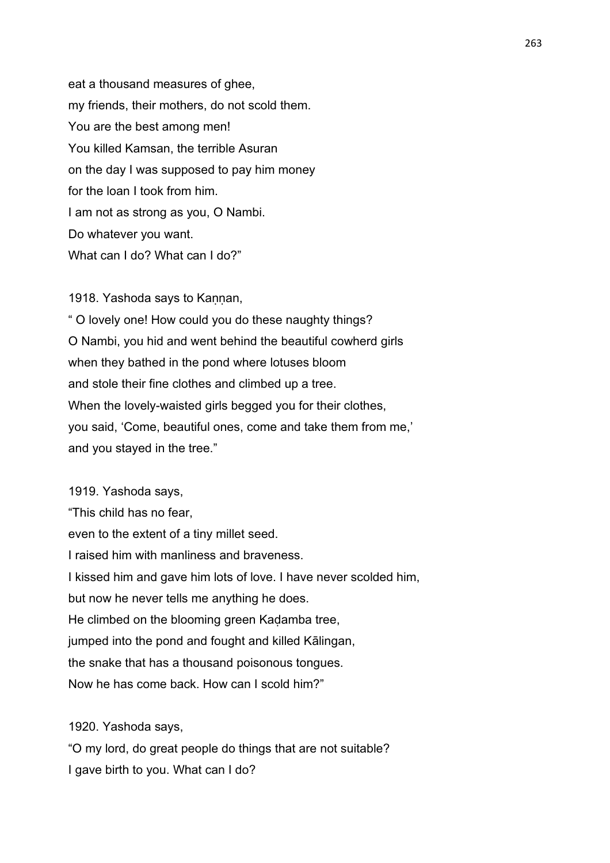eat a thousand measures of ghee, my friends, their mothers, do not scold them. You are the best among men! You killed Kamsan, the terrible Asuran on the day I was supposed to pay him money for the loan I took from him. I am not as strong as you, O Nambi. Do whatever you want. What can I do? What can I do?"

1918. Yashoda says to Kannan,

" O lovely one! How could you do these naughty things? O Nambi, you hid and went behind the beautiful cowherd girls when they bathed in the pond where lotuses bloom and stole their fine clothes and climbed up a tree. When the lovely-waisted girls begged you for their clothes, you said, 'Come, beautiful ones, come and take them from me,' and you stayed in the tree."

1919. Yashoda says, "This child has no fear, even to the extent of a tiny millet seed. I raised him with manliness and braveness. I kissed him and gave him lots of love. I have never scolded him, but now he never tells me anything he does. He climbed on the blooming green Kadamba tree, jumped into the pond and fought and killed Kālingan, the snake that has a thousand poisonous tongues. Now he has come back. How can I scold him?"

1920. Yashoda says,

"O my lord, do great people do things that are not suitable? I gave birth to you. What can I do?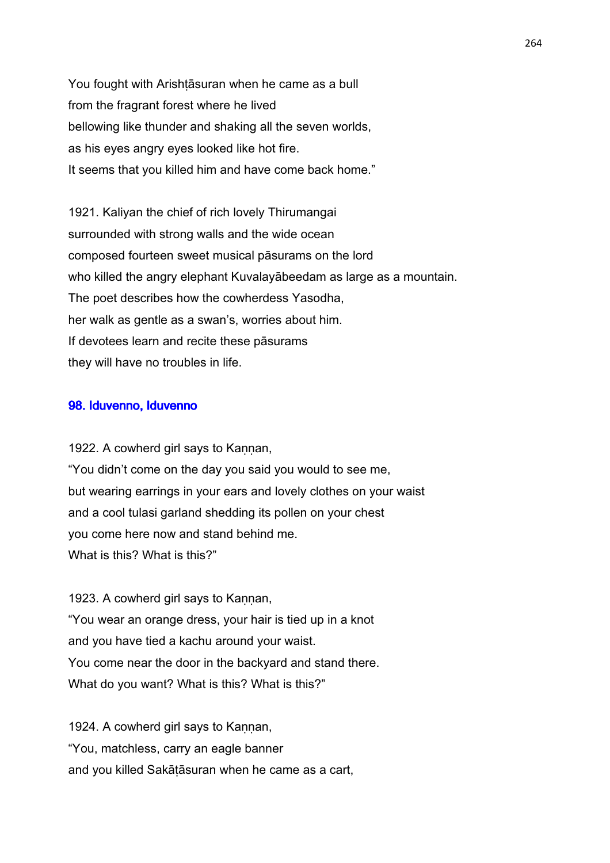You fought with Arishtasuran when he came as a bull from the fragrant forest where he lived bellowing like thunder and shaking all the seven worlds, as his eyes angry eyes looked like hot fire. It seems that you killed him and have come back home."

1921. Kaliyan the chief of rich lovely Thirumangai surrounded with strong walls and the wide ocean composed fourteen sweet musical pāsurams on the lord who killed the angry elephant Kuvalayābeedam as large as a mountain. The poet describes how the cowherdess Yasodha, her walk as gentle as a swan's, worries about him. If devotees learn and recite these pāsurams they will have no troubles in life.

#### 98. Iduvenno, Iduvenno

1922. A cowherd girl says to Kannan, "You didn't come on the day you said you would to see me, but wearing earrings in your ears and lovely clothes on your waist and a cool tulasi garland shedding its pollen on your chest you come here now and stand behind me. What is this? What is this?"

1923. A cowherd girl says to Kannan, "You wear an orange dress, your hair is tied up in a knot and you have tied a kachu around your waist. You come near the door in the backyard and stand there. What do you want? What is this? What is this?"

1924. A cowherd girl says to Kannan, "You, matchless, carry an eagle banner and you killed Sakāṭāsuran when he came as a cart,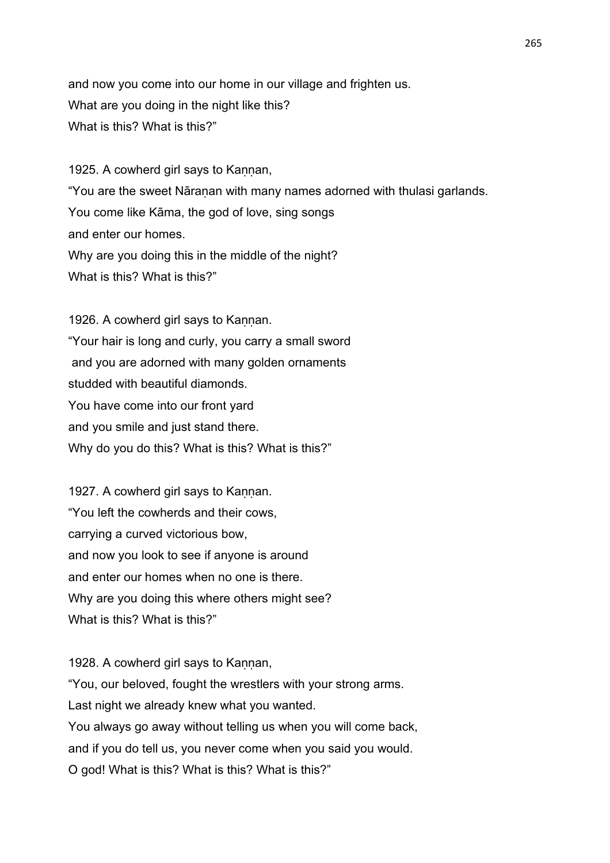and now you come into our home in our village and frighten us. What are you doing in the night like this? What is this? What is this?"

1925. A cowherd girl says to Kannan, "You are the sweet Nāraṇan with many names adorned with thulasi garlands. You come like Kāma, the god of love, sing songs and enter our homes. Why are you doing this in the middle of the night? What is this? What is this?"

1926. A cowherd girl says to Kannan. "Your hair is long and curly, you carry a small sword and you are adorned with many golden ornaments studded with beautiful diamonds. You have come into our front yard and you smile and just stand there. Why do you do this? What is this? What is this?"

1927. A cowherd girl says to Kannan. "You left the cowherds and their cows, carrying a curved victorious bow, and now you look to see if anyone is around and enter our homes when no one is there. Why are you doing this where others might see? What is this? What is this?"

1928. A cowherd girl says to Kannan, "You, our beloved, fought the wrestlers with your strong arms. Last night we already knew what you wanted. You always go away without telling us when you will come back, and if you do tell us, you never come when you said you would. O god! What is this? What is this? What is this?"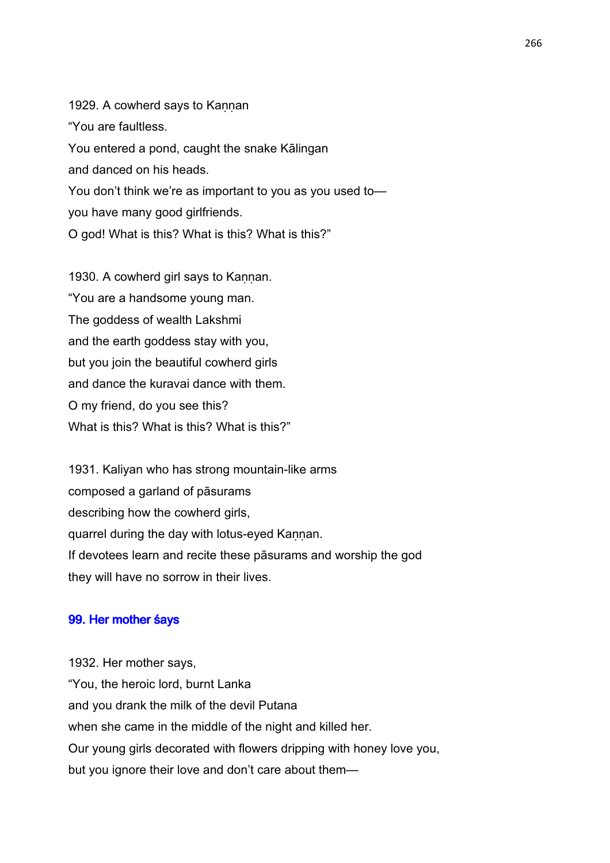1929. A cowherd says to Kannan "You are faultless. You entered a pond, caught the snake Kālingan and danced on his heads. You don't think we're as important to you as you used to you have many good girlfriends. O god! What is this? What is this? What is this?"

1930. A cowherd girl says to Kannan. "You are a handsome young man. The goddess of wealth Lakshmi and the earth goddess stay with you, but you join the beautiful cowherd girls and dance the kuravai dance with them. O my friend, do you see this? What is this? What is this? What is this?"

1931. Kaliyan who has strong mountain-like arms composed a garland of pāsurams describing how the cowherd girls, quarrel during the day with lotus-eyed Kannan. If devotees learn and recite these pāsurams and worship the god they will have no sorrow in their lives.

### 99. Her mother śays

1932. Her mother says, "You, the heroic lord, burnt Lanka and you drank the milk of the devil Putana when she came in the middle of the night and killed her. Our young girls decorated with flowers dripping with honey love you, but you ignore their love and don't care about them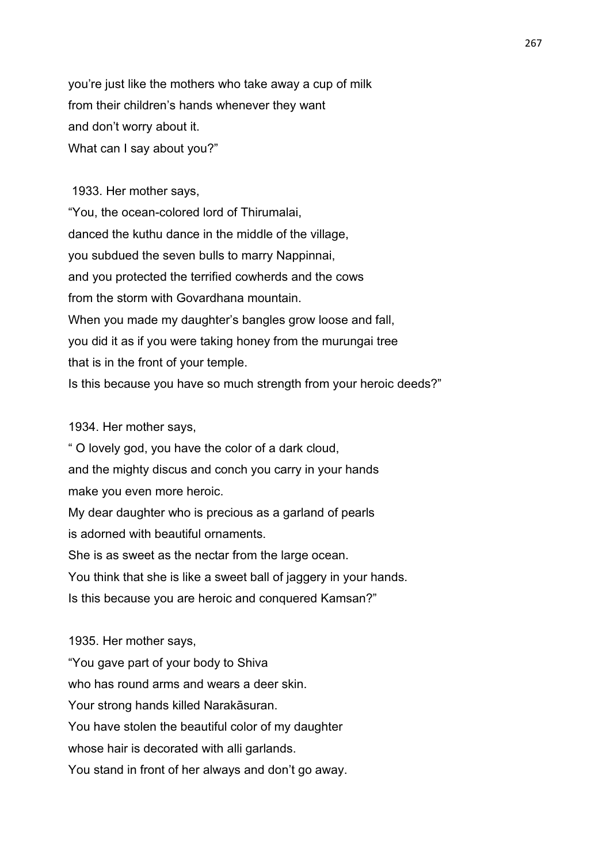you're just like the mothers who take away a cup of milk from their children's hands whenever they want and don't worry about it. What can I say about you?"

 1933. Her mother says, "You, the ocean-colored lord of Thirumalai, danced the kuthu dance in the middle of the village, you subdued the seven bulls to marry Nappinnai, and you protected the terrified cowherds and the cows from the storm with Govardhana mountain. When you made my daughter's bangles grow loose and fall, you did it as if you were taking honey from the murungai tree that is in the front of your temple. Is this because you have so much strength from your heroic deeds?"

## 1934. Her mother says,

" O lovely god, you have the color of a dark cloud, and the mighty discus and conch you carry in your hands make you even more heroic.

My dear daughter who is precious as a garland of pearls is adorned with beautiful ornaments.

She is as sweet as the nectar from the large ocean.

You think that she is like a sweet ball of jaggery in your hands.

Is this because you are heroic and conquered Kamsan?"

1935. Her mother says, "You gave part of your body to Shiva who has round arms and wears a deer skin. Your strong hands killed Narakāsuran. You have stolen the beautiful color of my daughter whose hair is decorated with alli garlands. You stand in front of her always and don't go away.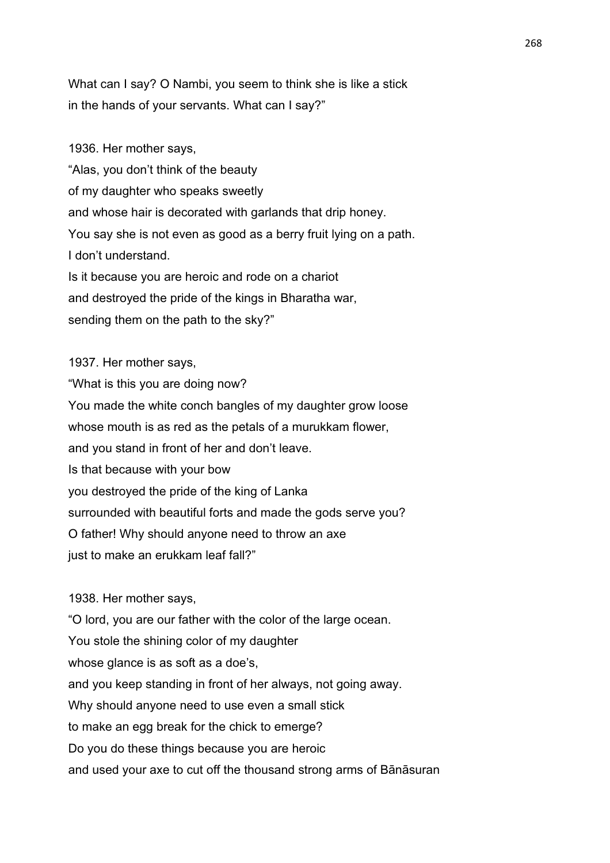What can I say? O Nambi, you seem to think she is like a stick in the hands of your servants. What can I say?"

1936. Her mother says, "Alas, you don't think of the beauty of my daughter who speaks sweetly and whose hair is decorated with garlands that drip honey. You say she is not even as good as a berry fruit lying on a path. I don't understand. Is it because you are heroic and rode on a chariot and destroyed the pride of the kings in Bharatha war, sending them on the path to the sky?"

1937. Her mother says,

"What is this you are doing now? You made the white conch bangles of my daughter grow loose whose mouth is as red as the petals of a murukkam flower, and you stand in front of her and don't leave. Is that because with your bow you destroyed the pride of the king of Lanka surrounded with beautiful forts and made the gods serve you? O father! Why should anyone need to throw an axe just to make an erukkam leaf fall?"

1938. Her mother says,

"O lord, you are our father with the color of the large ocean. You stole the shining color of my daughter whose glance is as soft as a doe's, and you keep standing in front of her always, not going away. Why should anyone need to use even a small stick to make an egg break for the chick to emerge? Do you do these things because you are heroic and used your axe to cut off the thousand strong arms of Bānāsuran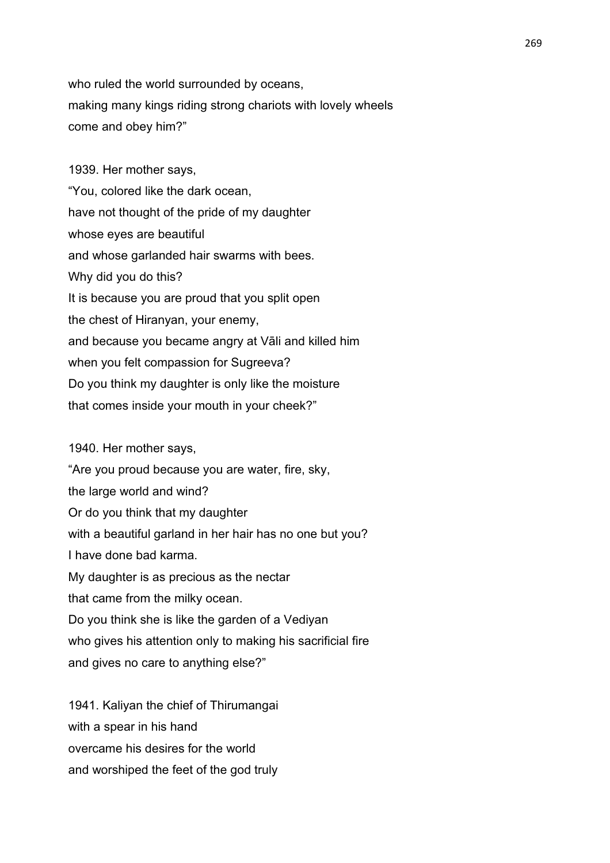who ruled the world surrounded by oceans, making many kings riding strong chariots with lovely wheels come and obey him?"

1939. Her mother says, "You, colored like the dark ocean, have not thought of the pride of my daughter whose eyes are beautiful and whose garlanded hair swarms with bees. Why did you do this? It is because you are proud that you split open the chest of Hiranyan, your enemy, and because you became angry at Vāli and killed him when you felt compassion for Sugreeva? Do you think my daughter is only like the moisture that comes inside your mouth in your cheek?"

1940. Her mother says,

"Are you proud because you are water, fire, sky, the large world and wind? Or do you think that my daughter with a beautiful garland in her hair has no one but you? I have done bad karma. My daughter is as precious as the nectar that came from the milky ocean. Do you think she is like the garden of a Vediyan who gives his attention only to making his sacrificial fire and gives no care to anything else?"

1941. Kaliyan the chief of Thirumangai with a spear in his hand overcame his desires for the world and worshiped the feet of the god truly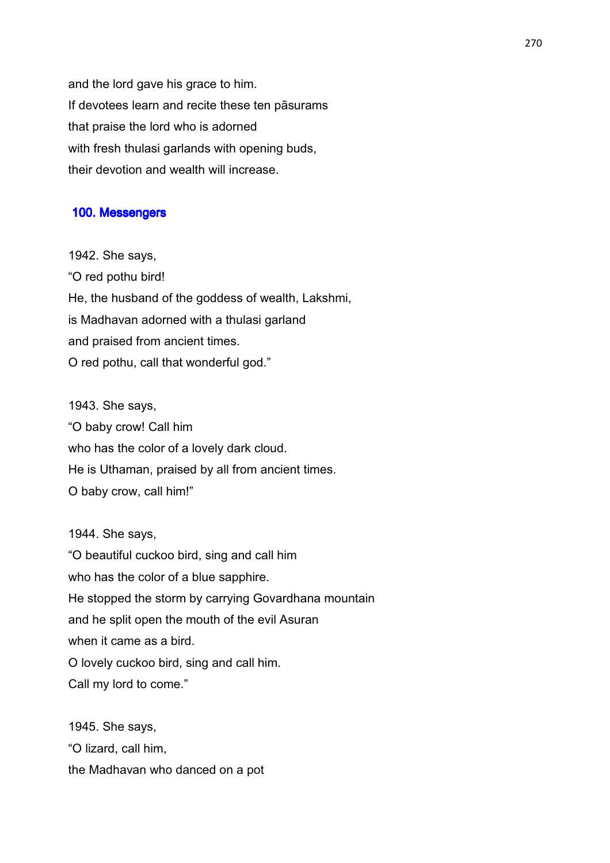and the lord gave his grace to him. If devotees learn and recite these ten pāsurams that praise the lord who is adorned with fresh thulasi garlands with opening buds, their devotion and wealth will increase.

#### 100. Messengers

1942. She says, "O red pothu bird! He, the husband of the goddess of wealth, Lakshmi, is Madhavan adorned with a thulasi garland and praised from ancient times. O red pothu, call that wonderful god."

1943. She says, "O baby crow! Call him who has the color of a lovely dark cloud. He is Uthaman, praised by all from ancient times. O baby crow, call him!"

1944. She says, "O beautiful cuckoo bird, sing and call him who has the color of a blue sapphire. He stopped the storm by carrying Govardhana mountain and he split open the mouth of the evil Asuran when it came as a bird. O lovely cuckoo bird, sing and call him.

Call my lord to come."

1945. She says, "O lizard, call him, the Madhavan who danced on a pot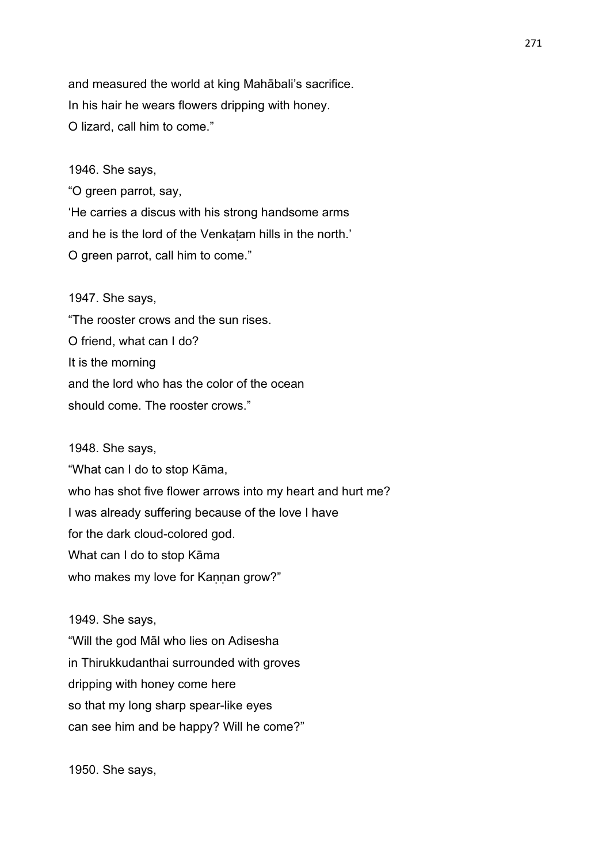and measured the world at king Mahābali's sacrifice. In his hair he wears flowers dripping with honey. O lizard, call him to come."

#### 1946. She says,

"O green parrot, say, 'He carries a discus with his strong handsome arms and he is the lord of the Venkaṭam hills in the north.' O green parrot, call him to come."

#### 1947. She says,

"The rooster crows and the sun rises. O friend, what can I do? It is the morning and the lord who has the color of the ocean should come. The rooster crows."

#### 1948. She says,

"What can I do to stop Kāma, who has shot five flower arrows into my heart and hurt me? I was already suffering because of the love I have for the dark cloud-colored god. What can I do to stop Kāma who makes my love for Kannan grow?"

1949. She says,

"Will the god Māl who lies on Adisesha in Thirukkudanthai surrounded with groves dripping with honey come here so that my long sharp spear-like eyes can see him and be happy? Will he come?"

1950. She says,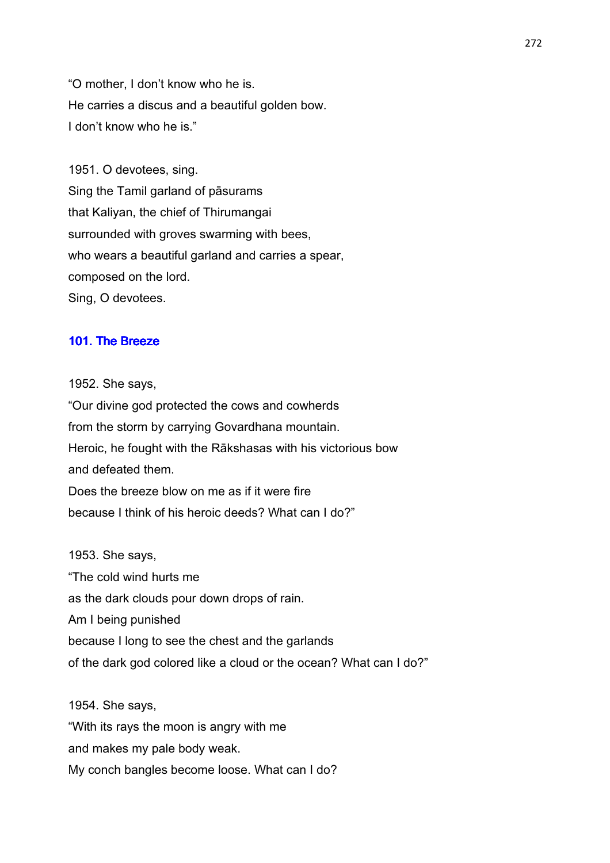"O mother, I don't know who he is. He carries a discus and a beautiful golden bow. I don't know who he is."

1951. O devotees, sing. Sing the Tamil garland of pāsurams that Kaliyan, the chief of Thirumangai surrounded with groves swarming with bees, who wears a beautiful garland and carries a spear, composed on the lord. Sing, O devotees.

#### 101. The Breeze

1952. She says,

"Our divine god protected the cows and cowherds from the storm by carrying Govardhana mountain. Heroic, he fought with the Rākshasas with his victorious bow and defeated them. Does the breeze blow on me as if it were fire because I think of his heroic deeds? What can I do?"

1953. She says, "The cold wind hurts me as the dark clouds pour down drops of rain. Am I being punished because I long to see the chest and the garlands of the dark god colored like a cloud or the ocean? What can I do?"

1954. She says, "With its rays the moon is angry with me and makes my pale body weak. My conch bangles become loose. What can I do?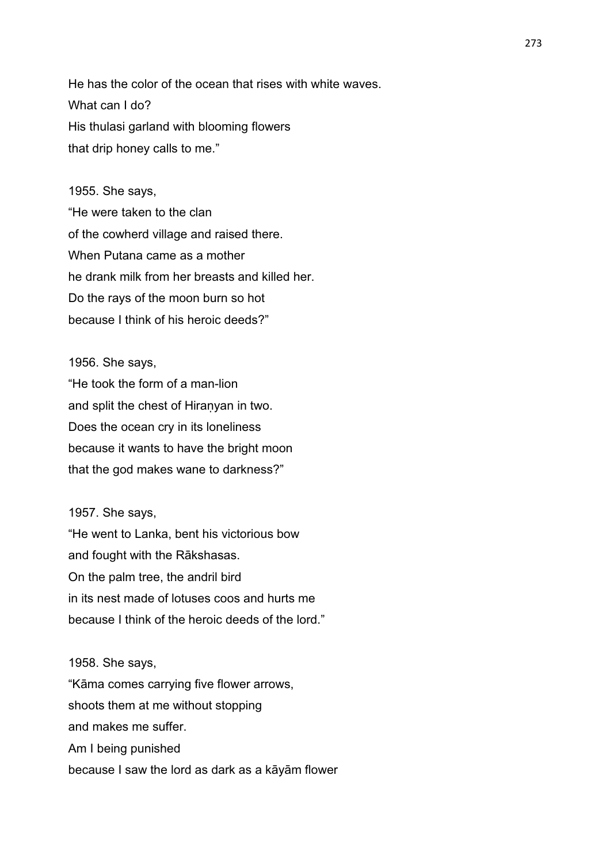He has the color of the ocean that rises with white waves. What can I do? His thulasi garland with blooming flowers that drip honey calls to me."

#### 1955. She says,

"He were taken to the clan of the cowherd village and raised there. When Putana came as a mother he drank milk from her breasts and killed her. Do the rays of the moon burn so hot because I think of his heroic deeds?"

1956. She says,

"He took the form of a man-lion and split the chest of Hiranyan in two. Does the ocean cry in its loneliness because it wants to have the bright moon that the god makes wane to darkness?"

1957. She says,

"He went to Lanka, bent his victorious bow and fought with the Rākshasas. On the palm tree, the andril bird in its nest made of lotuses coos and hurts me because I think of the heroic deeds of the lord."

#### 1958. She says,

"Kāma comes carrying five flower arrows, shoots them at me without stopping and makes me suffer. Am I being punished because I saw the lord as dark as a kāyām flower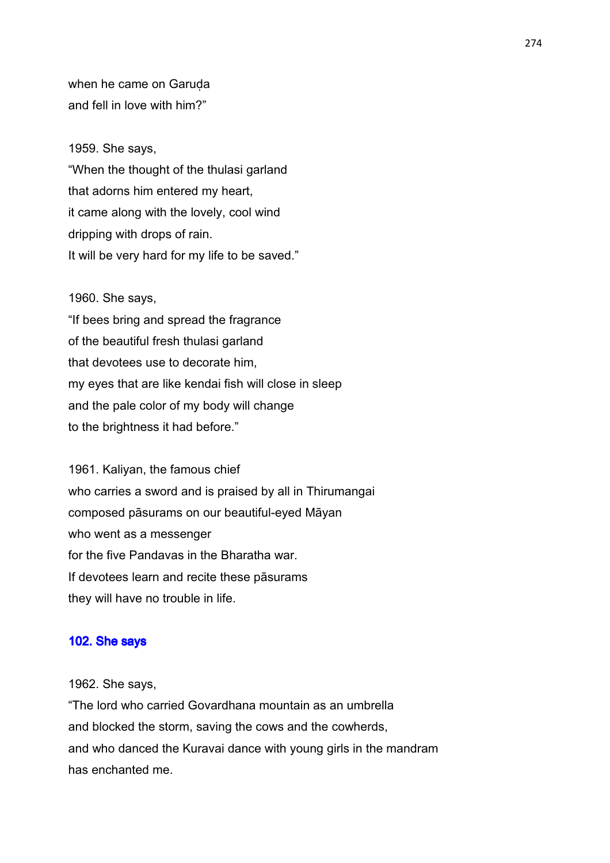when he came on Garuda and fell in love with him?"

#### 1959. She says,

"When the thought of the thulasi garland that adorns him entered my heart, it came along with the lovely, cool wind dripping with drops of rain. It will be very hard for my life to be saved."

#### 1960. She says,

"If bees bring and spread the fragrance of the beautiful fresh thulasi garland that devotees use to decorate him, my eyes that are like kendai fish will close in sleep and the pale color of my body will change to the brightness it had before."

1961. Kaliyan, the famous chief who carries a sword and is praised by all in Thirumangai composed pāsurams on our beautiful-eyed Māyan who went as a messenger for the five Pandavas in the Bharatha war. If devotees learn and recite these pāsurams they will have no trouble in life.

#### 102. She says

1962. She says,

"The lord who carried Govardhana mountain as an umbrella and blocked the storm, saving the cows and the cowherds, and who danced the Kuravai dance with young girls in the mandram has enchanted me.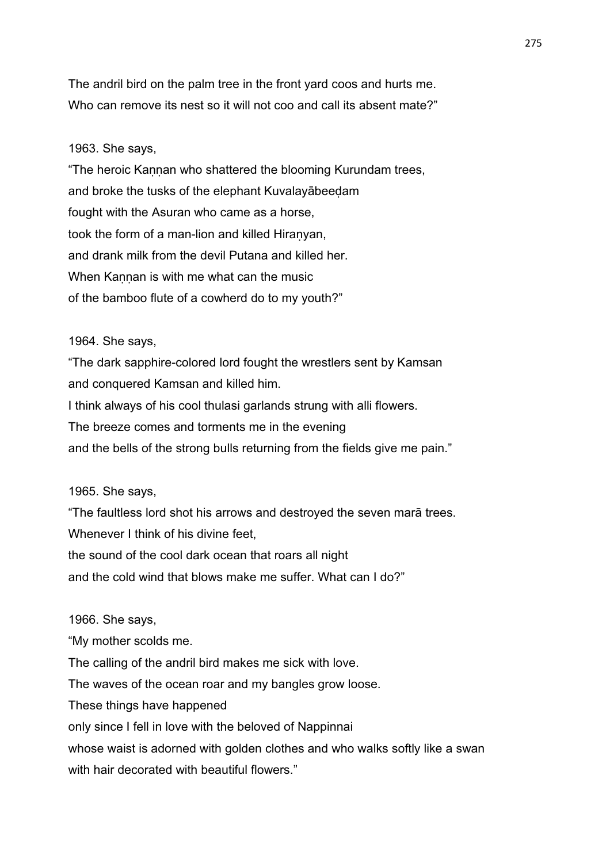The andril bird on the palm tree in the front yard coos and hurts me. Who can remove its nest so it will not coo and call its absent mate?"

## 1963. She says,

"The heroic Kannan who shattered the blooming Kurundam trees, and broke the tusks of the elephant Kuvalayābeeḍam fought with the Asuran who came as a horse, took the form of a man-lion and killed Hiraṇyan, and drank milk from the devil Putana and killed her. When Kannan is with me what can the music of the bamboo flute of a cowherd do to my youth?"

### 1964. She says,

"The dark sapphire-colored lord fought the wrestlers sent by Kamsan and conquered Kamsan and killed him. I think always of his cool thulasi garlands strung with alli flowers. The breeze comes and torments me in the evening and the bells of the strong bulls returning from the fields give me pain."

## 1965. She says,

"The faultless lord shot his arrows and destroyed the seven marā trees. Whenever I think of his divine feet. the sound of the cool dark ocean that roars all night and the cold wind that blows make me suffer. What can I do?"

1966. She says,

"My mother scolds me. The calling of the andril bird makes me sick with love. The waves of the ocean roar and my bangles grow loose. These things have happened only since I fell in love with the beloved of Nappinnai whose waist is adorned with golden clothes and who walks softly like a swan with hair decorated with beautiful flowers."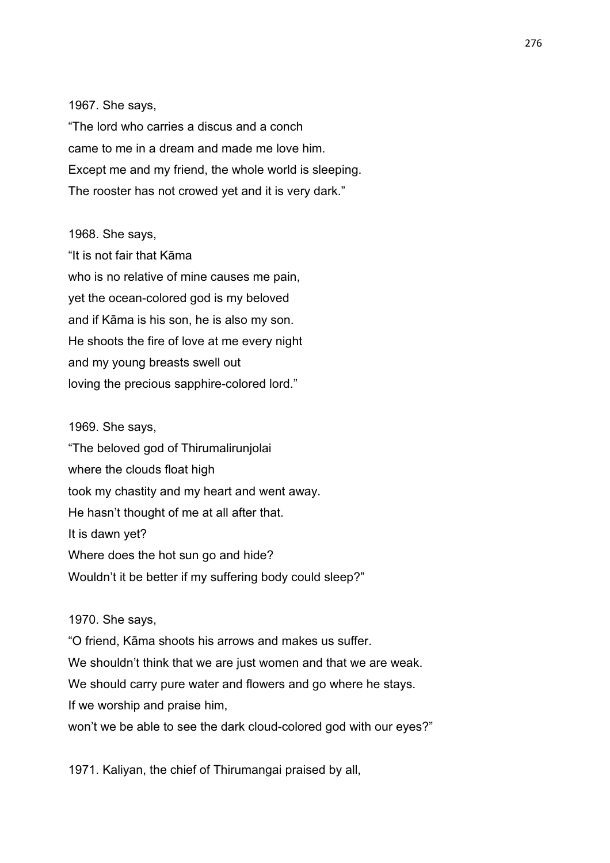1967. She says,

"The lord who carries a discus and a conch came to me in a dream and made me love him. Except me and my friend, the whole world is sleeping. The rooster has not crowed yet and it is very dark."

#### 1968. She says,

"It is not fair that Kāma who is no relative of mine causes me pain, yet the ocean-colored god is my beloved and if Kāma is his son, he is also my son. He shoots the fire of love at me every night and my young breasts swell out loving the precious sapphire-colored lord."

1969. She says, "The beloved god of Thirumalirunjolai where the clouds float high took my chastity and my heart and went away. He hasn't thought of me at all after that. It is dawn yet? Where does the hot sun go and hide? Wouldn't it be better if my suffering body could sleep?"

1970. She says,

"O friend, Kāma shoots his arrows and makes us suffer. We shouldn't think that we are just women and that we are weak. We should carry pure water and flowers and go where he stays. If we worship and praise him, won't we be able to see the dark cloud-colored god with our eyes?"

1971. Kaliyan, the chief of Thirumangai praised by all,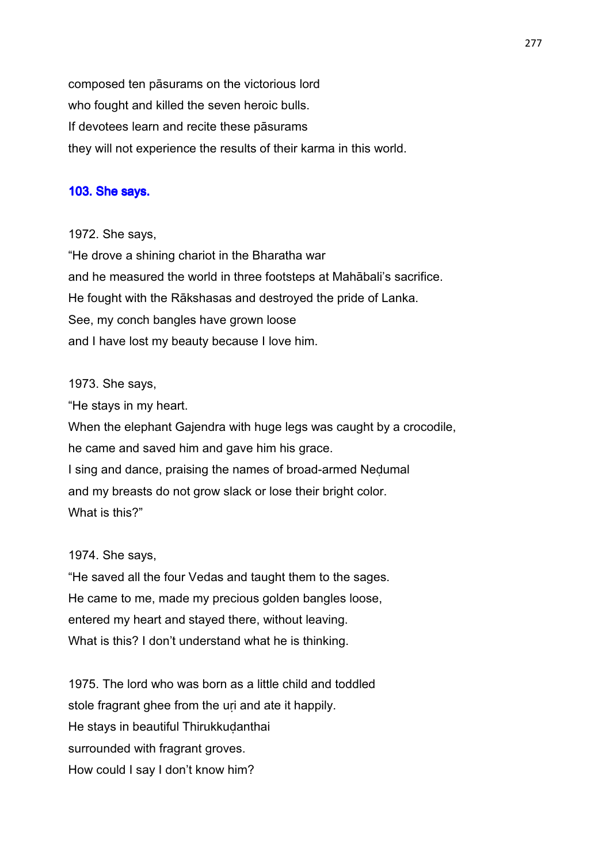composed ten pāsurams on the victorious lord who fought and killed the seven heroic bulls. If devotees learn and recite these pāsurams they will not experience the results of their karma in this world.

## 103. She says.

1972. She says,

"He drove a shining chariot in the Bharatha war and he measured the world in three footsteps at Mahābali's sacrifice. He fought with the Rākshasas and destroyed the pride of Lanka. See, my conch bangles have grown loose and I have lost my beauty because I love him.

## 1973. She says,

"He stays in my heart.

When the elephant Gajendra with huge legs was caught by a crocodile, he came and saved him and gave him his grace. I sing and dance, praising the names of broad-armed Neḍumal and my breasts do not grow slack or lose their bright color. What is this?"

#### 1974. She says,

"He saved all the four Vedas and taught them to the sages. He came to me, made my precious golden bangles loose, entered my heart and stayed there, without leaving. What is this? I don't understand what he is thinking.

1975. The lord who was born as a little child and toddled stole fragrant ghee from the uri and ate it happily. He stays in beautiful Thirukkudanthai surrounded with fragrant groves. How could I say I don't know him?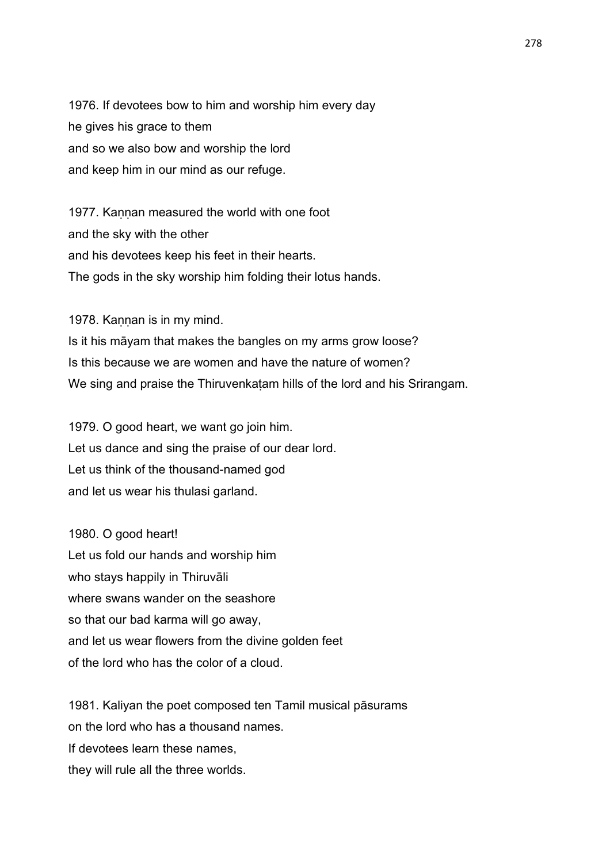1976. If devotees bow to him and worship him every day he gives his grace to them and so we also bow and worship the lord and keep him in our mind as our refuge.

1977. Kaṇṇan measured the world with one foot and the sky with the other and his devotees keep his feet in their hearts. The gods in the sky worship him folding their lotus hands.

1978. Kannan is in my mind.

Is it his māyam that makes the bangles on my arms grow loose? Is this because we are women and have the nature of women? We sing and praise the Thiruvenkatam hills of the lord and his Srirangam.

1979. O good heart, we want go join him. Let us dance and sing the praise of our dear lord. Let us think of the thousand-named god and let us wear his thulasi garland.

1980. O good heart! Let us fold our hands and worship him who stays happily in Thiruvāli where swans wander on the seashore so that our bad karma will go away, and let us wear flowers from the divine golden feet of the lord who has the color of a cloud.

1981. Kaliyan the poet composed ten Tamil musical pāsurams on the lord who has a thousand names. If devotees learn these names, they will rule all the three worlds.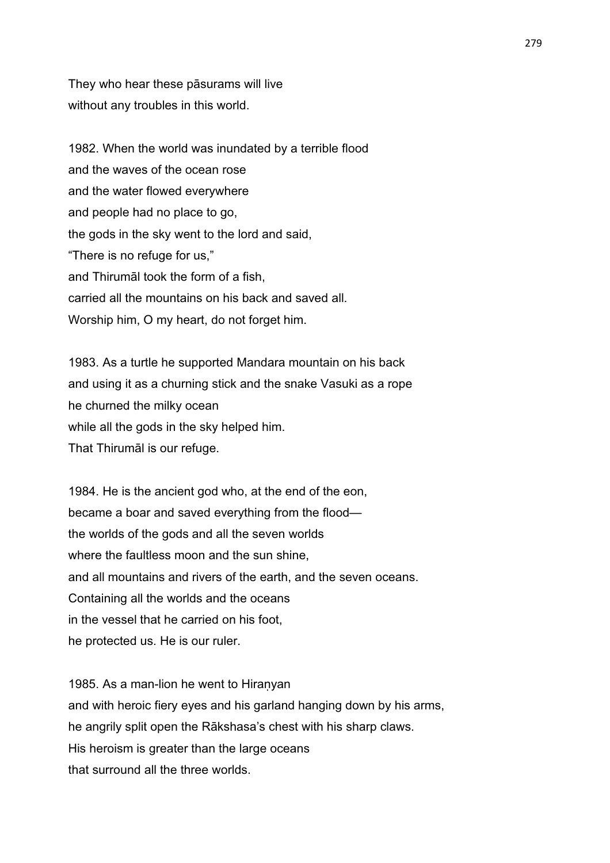They who hear these pāsurams will live without any troubles in this world.

1982. When the world was inundated by a terrible flood and the waves of the ocean rose and the water flowed everywhere and people had no place to go, the gods in the sky went to the lord and said, "There is no refuge for us," and Thirumāl took the form of a fish, carried all the mountains on his back and saved all. Worship him, O my heart, do not forget him.

1983. As a turtle he supported Mandara mountain on his back and using it as a churning stick and the snake Vasuki as a rope he churned the milky ocean while all the gods in the sky helped him. That Thirumāl is our refuge.

1984. He is the ancient god who, at the end of the eon, became a boar and saved everything from the flood the worlds of the gods and all the seven worlds where the faultless moon and the sun shine. and all mountains and rivers of the earth, and the seven oceans. Containing all the worlds and the oceans in the vessel that he carried on his foot, he protected us. He is our ruler.

1985. As a man-lion he went to Hiraṇyan and with heroic fiery eyes and his garland hanging down by his arms, he angrily split open the Rākshasa's chest with his sharp claws. His heroism is greater than the large oceans that surround all the three worlds.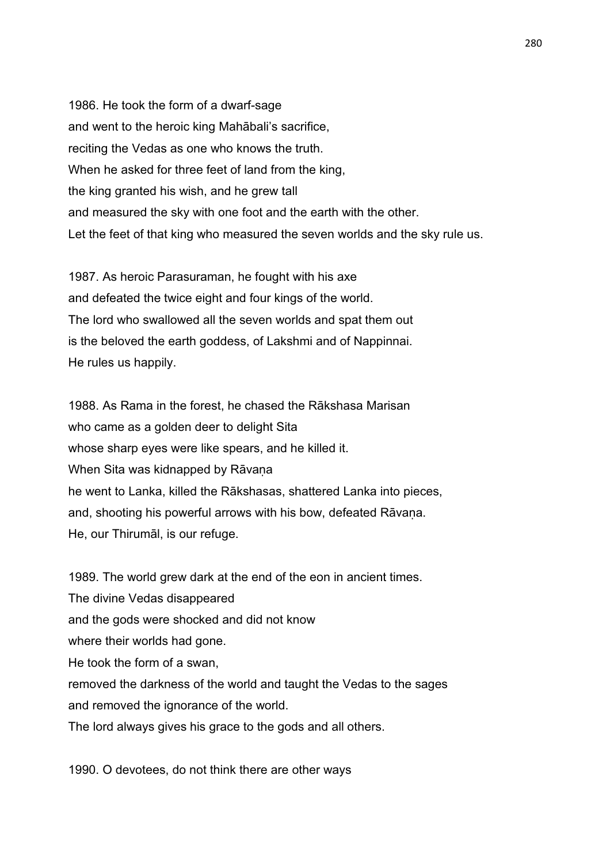1986. He took the form of a dwarf-sage and went to the heroic king Mahābali's sacrifice, reciting the Vedas as one who knows the truth. When he asked for three feet of land from the king, the king granted his wish, and he grew tall and measured the sky with one foot and the earth with the other. Let the feet of that king who measured the seven worlds and the sky rule us.

1987. As heroic Parasuraman, he fought with his axe and defeated the twice eight and four kings of the world. The lord who swallowed all the seven worlds and spat them out is the beloved the earth goddess, of Lakshmi and of Nappinnai. He rules us happily.

1988. As Rama in the forest, he chased the Rākshasa Marisan who came as a golden deer to delight Sita whose sharp eyes were like spears, and he killed it. When Sita was kidnapped by Rāvana he went to Lanka, killed the Rākshasas, shattered Lanka into pieces, and, shooting his powerful arrows with his bow, defeated Rāvana. He, our Thirumāl, is our refuge.

1989. The world grew dark at the end of the eon in ancient times. The divine Vedas disappeared and the gods were shocked and did not know where their worlds had gone. He took the form of a swan, removed the darkness of the world and taught the Vedas to the sages and removed the ignorance of the world. The lord always gives his grace to the gods and all others.

1990. O devotees, do not think there are other ways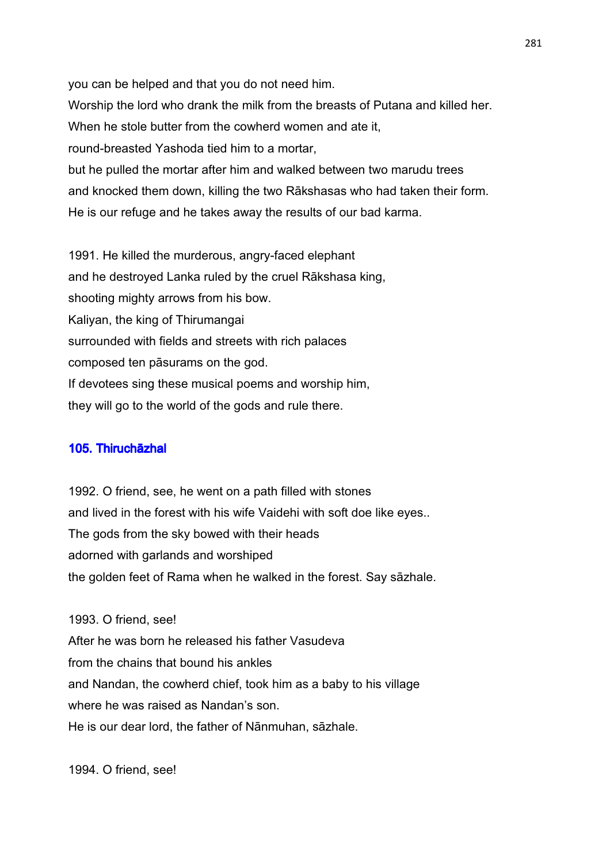you can be helped and that you do not need him. Worship the lord who drank the milk from the breasts of Putana and killed her. When he stole butter from the cowherd women and ate it, round-breasted Yashoda tied him to a mortar, but he pulled the mortar after him and walked between two marudu trees and knocked them down, killing the two Rākshasas who had taken their form. He is our refuge and he takes away the results of our bad karma.

1991. He killed the murderous, angry-faced elephant and he destroyed Lanka ruled by the cruel Rākshasa king, shooting mighty arrows from his bow. Kaliyan, the king of Thirumangai surrounded with fields and streets with rich palaces composed ten pāsurams on the god. If devotees sing these musical poems and worship him, they will go to the world of the gods and rule there.

## 105. Thiruchāzhal

1992. O friend, see, he went on a path filled with stones and lived in the forest with his wife Vaidehi with soft doe like eyes.. The gods from the sky bowed with their heads adorned with garlands and worshiped the golden feet of Rama when he walked in the forest. Say sāzhale.

1993. O friend, see! After he was born he released his father Vasudeva from the chains that bound his ankles and Nandan, the cowherd chief, took him as a baby to his village where he was raised as Nandan's son. He is our dear lord, the father of Nānmuhan, sāzhale.

1994. O friend, see!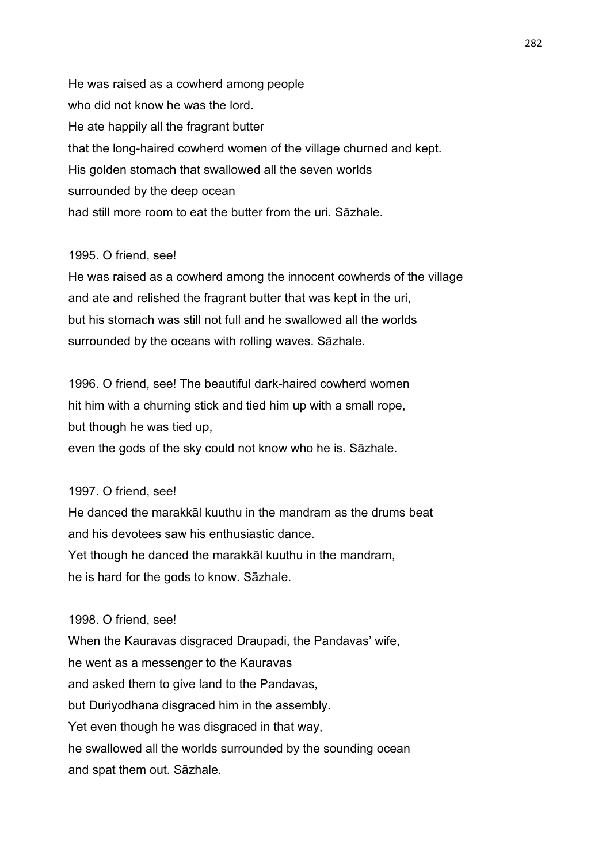He was raised as a cowherd among people who did not know he was the lord. He ate happily all the fragrant butter that the long-haired cowherd women of the village churned and kept. His golden stomach that swallowed all the seven worlds surrounded by the deep ocean had still more room to eat the butter from the uri. Sāzhale.

## 1995. O friend, see!

He was raised as a cowherd among the innocent cowherds of the village and ate and relished the fragrant butter that was kept in the uri, but his stomach was still not full and he swallowed all the worlds surrounded by the oceans with rolling waves. Sāzhale.

1996. O friend, see! The beautiful dark-haired cowherd women hit him with a churning stick and tied him up with a small rope, but though he was tied up,

even the gods of the sky could not know who he is. Sāzhale.

## 1997. O friend, see!

He danced the marakkāl kuuthu in the mandram as the drums beat and his devotees saw his enthusiastic dance. Yet though he danced the marakkāl kuuthu in the mandram, he is hard for the gods to know. Sāzhale.

### 1998. O friend, see!

When the Kauravas disgraced Draupadi, the Pandavas' wife, he went as a messenger to the Kauravas and asked them to give land to the Pandavas, but Duriyodhana disgraced him in the assembly. Yet even though he was disgraced in that way, he swallowed all the worlds surrounded by the sounding ocean and spat them out. Sāzhale.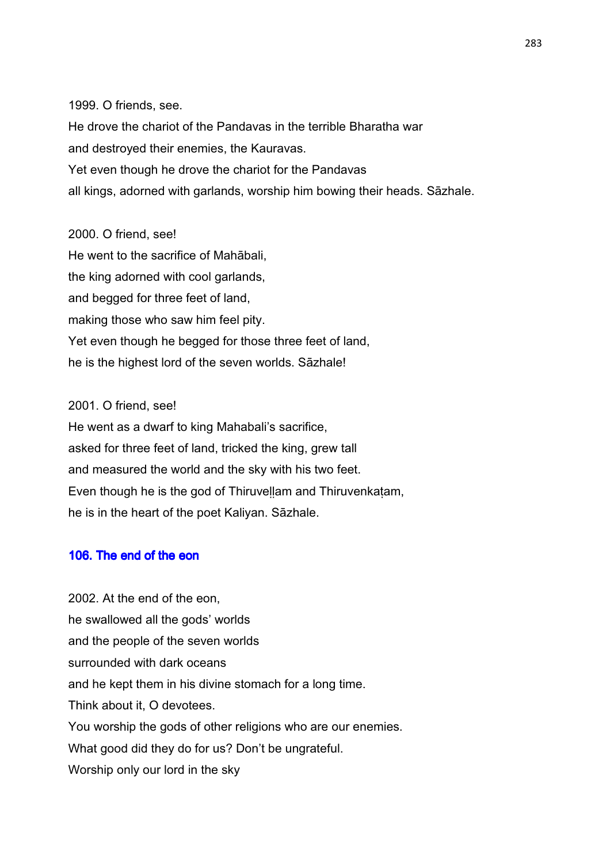1999. O friends, see.

He drove the chariot of the Pandavas in the terrible Bharatha war and destroyed their enemies, the Kauravas. Yet even though he drove the chariot for the Pandavas all kings, adorned with garlands, worship him bowing their heads. Sāzhale.

# 2000. O friend, see!

He went to the sacrifice of Mahābali, the king adorned with cool garlands, and begged for three feet of land, making those who saw him feel pity. Yet even though he begged for those three feet of land, he is the highest lord of the seven worlds. Sāzhale!

## 2001. O friend, see!

He went as a dwarf to king Mahabali's sacrifice, asked for three feet of land, tricked the king, grew tall and measured the world and the sky with his two feet. Even though he is the god of Thiruveḷḷam and Thiruvenkaṭam, he is in the heart of the poet Kaliyan. Sāzhale.

# 106. The end of the eon

2002. At the end of the eon, he swallowed all the gods' worlds and the people of the seven worlds surrounded with dark oceans and he kept them in his divine stomach for a long time. Think about it, O devotees. You worship the gods of other religions who are our enemies. What good did they do for us? Don't be ungrateful. Worship only our lord in the sky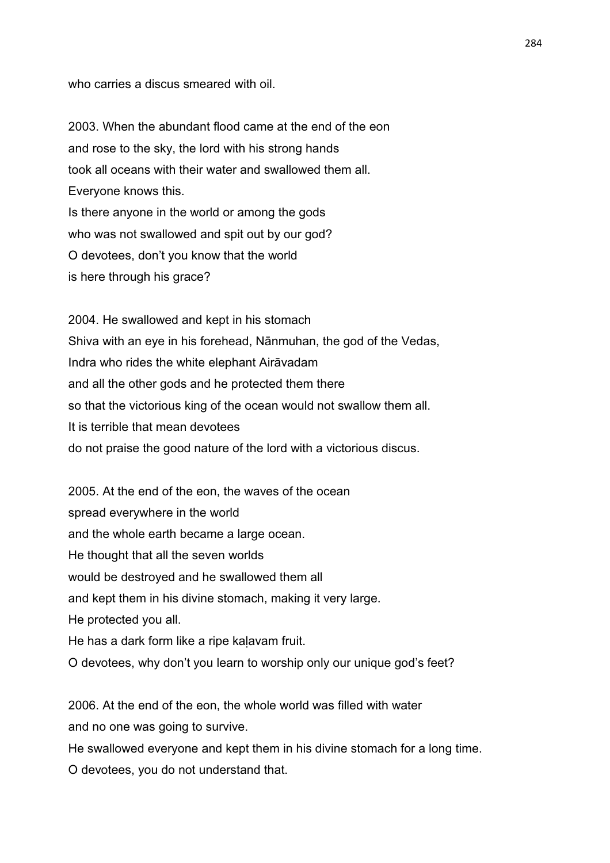who carries a discus smeared with oil.

2003. When the abundant flood came at the end of the eon and rose to the sky, the lord with his strong hands took all oceans with their water and swallowed them all. Everyone knows this. Is there anyone in the world or among the gods who was not swallowed and spit out by our god? O devotees, don't you know that the world is here through his grace?

2004. He swallowed and kept in his stomach Shiva with an eye in his forehead, Nānmuhan, the god of the Vedas, Indra who rides the white elephant Airāvadam and all the other gods and he protected them there so that the victorious king of the ocean would not swallow them all. It is terrible that mean devotees do not praise the good nature of the lord with a victorious discus.

2005. At the end of the eon, the waves of the ocean spread everywhere in the world and the whole earth became a large ocean. He thought that all the seven worlds would be destroyed and he swallowed them all and kept them in his divine stomach, making it very large. He protected you all. He has a dark form like a ripe kaḷavam fruit. O devotees, why don't you learn to worship only our unique god's feet?

2006. At the end of the eon, the whole world was filled with water and no one was going to survive.

He swallowed everyone and kept them in his divine stomach for a long time. O devotees, you do not understand that.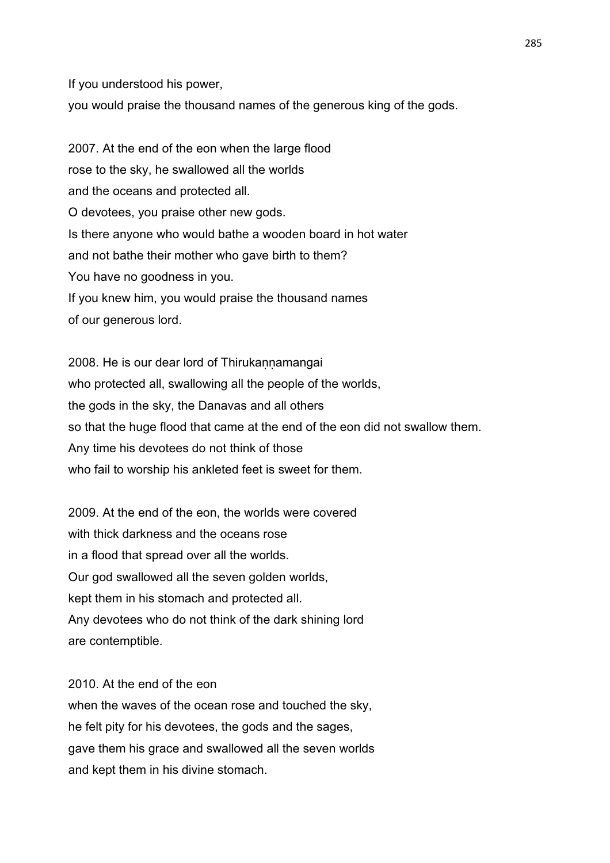If you understood his power,

you would praise the thousand names of the generous king of the gods.

2007. At the end of the eon when the large flood rose to the sky, he swallowed all the worlds and the oceans and protected all. O devotees, you praise other new gods. Is there anyone who would bathe a wooden board in hot water and not bathe their mother who gave birth to them? You have no goodness in you. If you knew him, you would praise the thousand names of our generous lord.

2008. He is our dear lord of Thirukannamangai who protected all, swallowing all the people of the worlds, the gods in the sky, the Danavas and all others so that the huge flood that came at the end of the eon did not swallow them. Any time his devotees do not think of those who fail to worship his ankleted feet is sweet for them.

2009. At the end of the eon, the worlds were covered with thick darkness and the oceans rose in a flood that spread over all the worlds. Our god swallowed all the seven golden worlds, kept them in his stomach and protected all. Any devotees who do not think of the dark shining lord are contemptible.

2010. At the end of the eon when the waves of the ocean rose and touched the sky, he felt pity for his devotees, the gods and the sages, gave them his grace and swallowed all the seven worlds and kept them in his divine stomach.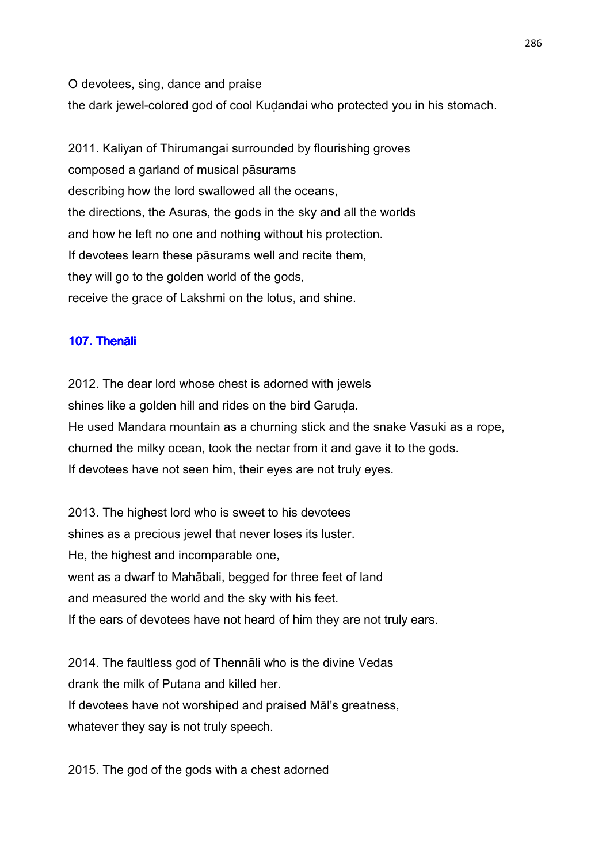O devotees, sing, dance and praise the dark jewel-colored god of cool Kuḍandai who protected you in his stomach.

2011. Kaliyan of Thirumangai surrounded by flourishing groves composed a garland of musical pāsurams describing how the lord swallowed all the oceans, the directions, the Asuras, the gods in the sky and all the worlds and how he left no one and nothing without his protection. If devotees learn these pāsurams well and recite them, they will go to the golden world of the gods, receive the grace of Lakshmi on the lotus, and shine.

## 107. Thenāli

2012. The dear lord whose chest is adorned with jewels shines like a golden hill and rides on the bird Garuda. He used Mandara mountain as a churning stick and the snake Vasuki as a rope, churned the milky ocean, took the nectar from it and gave it to the gods. If devotees have not seen him, their eyes are not truly eyes.

2013. The highest lord who is sweet to his devotees shines as a precious jewel that never loses its luster. He, the highest and incomparable one, went as a dwarf to Mahābali, begged for three feet of land and measured the world and the sky with his feet. If the ears of devotees have not heard of him they are not truly ears.

2014. The faultless god of Thennāli who is the divine Vedas drank the milk of Putana and killed her. If devotees have not worshiped and praised Māl's greatness, whatever they say is not truly speech.

2015. The god of the gods with a chest adorned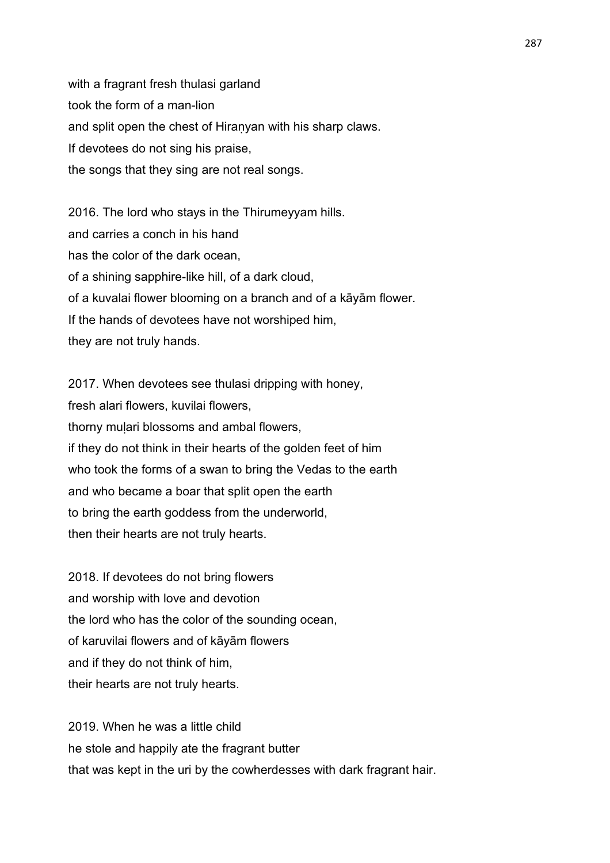with a fragrant fresh thulasi garland took the form of a man-lion and split open the chest of Hiraṇyan with his sharp claws. If devotees do not sing his praise, the songs that they sing are not real songs.

2016. The lord who stays in the Thirumeyyam hills. and carries a conch in his hand has the color of the dark ocean, of a shining sapphire-like hill, of a dark cloud, of a kuvalai flower blooming on a branch and of a kāyām flower. If the hands of devotees have not worshiped him, they are not truly hands.

2017. When devotees see thulasi dripping with honey, fresh alari flowers, kuvilai flowers, thorny muḷari blossoms and ambal flowers, if they do not think in their hearts of the golden feet of him who took the forms of a swan to bring the Vedas to the earth and who became a boar that split open the earth to bring the earth goddess from the underworld, then their hearts are not truly hearts.

2018. If devotees do not bring flowers and worship with love and devotion the lord who has the color of the sounding ocean, of karuvilai flowers and of kāyām flowers and if they do not think of him, their hearts are not truly hearts.

2019. When he was a little child he stole and happily ate the fragrant butter that was kept in the uri by the cowherdesses with dark fragrant hair.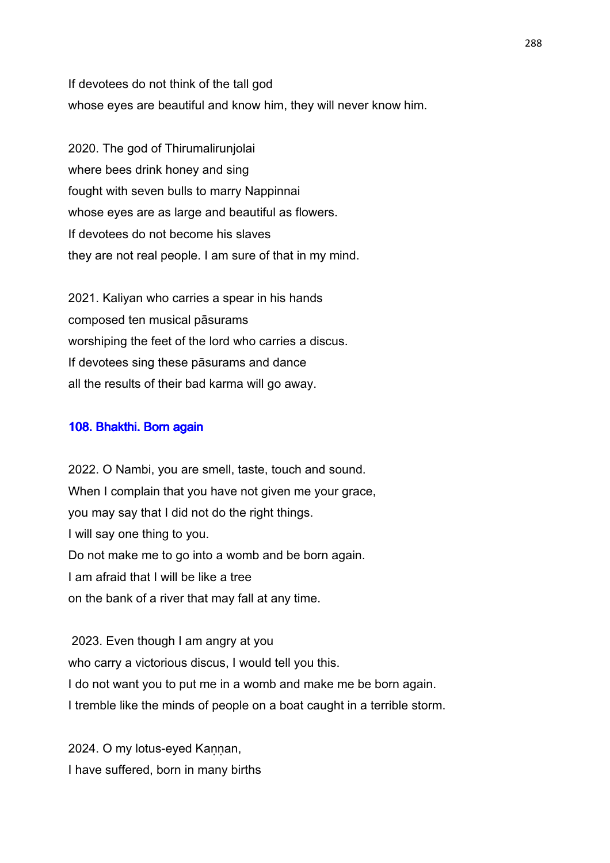If devotees do not think of the tall god whose eyes are beautiful and know him, they will never know him.

2020. The god of Thirumalirunjolai where bees drink honey and sing fought with seven bulls to marry Nappinnai whose eyes are as large and beautiful as flowers. If devotees do not become his slaves they are not real people. I am sure of that in my mind.

2021. Kaliyan who carries a spear in his hands composed ten musical pāsurams worshiping the feet of the lord who carries a discus. If devotees sing these pāsurams and dance all the results of their bad karma will go away.

## 108. Bhakthi. Born again

2022. O Nambi, you are smell, taste, touch and sound. When I complain that you have not given me your grace, you may say that I did not do the right things. I will say one thing to you. Do not make me to go into a womb and be born again. I am afraid that I will be like a tree on the bank of a river that may fall at any time.

 2023. Even though I am angry at you who carry a victorious discus, I would tell you this. I do not want you to put me in a womb and make me be born again. I tremble like the minds of people on a boat caught in a terrible storm.

2024. O my lotus-eyed Kannan, I have suffered, born in many births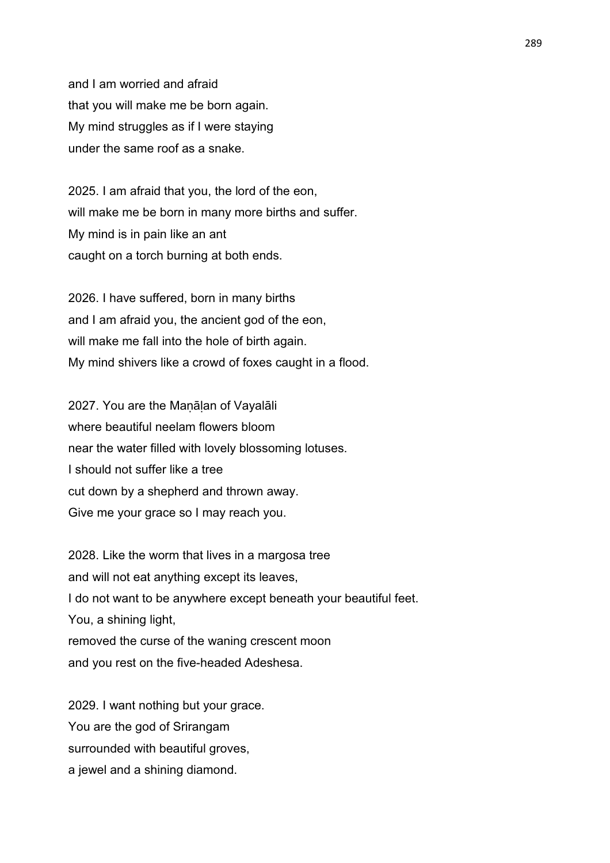and I am worried and afraid that you will make me be born again. My mind struggles as if I were staying under the same roof as a snake.

2025. I am afraid that you, the lord of the eon, will make me be born in many more births and suffer. My mind is in pain like an ant caught on a torch burning at both ends.

2026. I have suffered, born in many births and I am afraid you, the ancient god of the eon, will make me fall into the hole of birth again. My mind shivers like a crowd of foxes caught in a flood.

2027. You are the Maṇāḷan of Vayalāli where beautiful neelam flowers bloom near the water filled with lovely blossoming lotuses. I should not suffer like a tree cut down by a shepherd and thrown away. Give me your grace so I may reach you.

2028. Like the worm that lives in a margosa tree and will not eat anything except its leaves, I do not want to be anywhere except beneath your beautiful feet. You, a shining light, removed the curse of the waning crescent moon and you rest on the five-headed Adeshesa.

2029. I want nothing but your grace. You are the god of Srirangam surrounded with beautiful groves, a jewel and a shining diamond.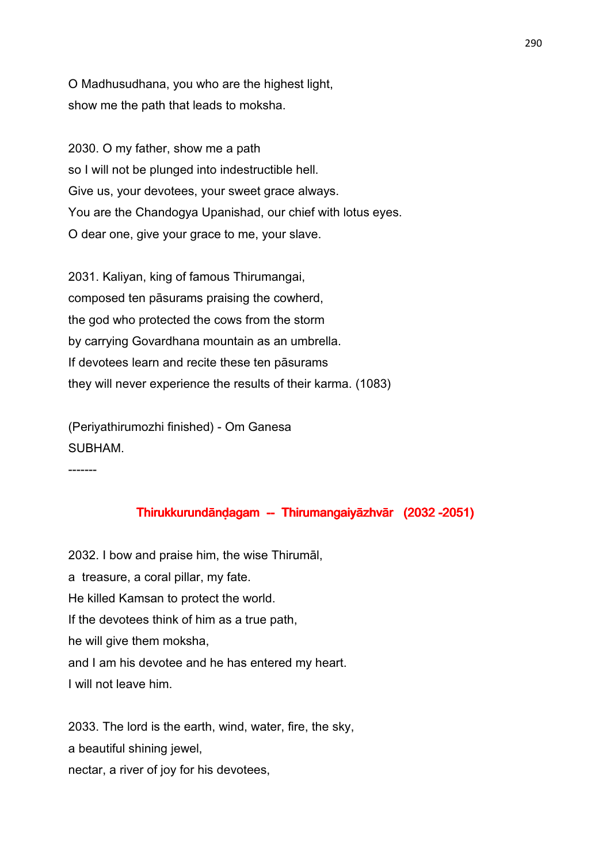O Madhusudhana, you who are the highest light, show me the path that leads to moksha.

2030. O my father, show me a path so I will not be plunged into indestructible hell. Give us, your devotees, your sweet grace always. You are the Chandogya Upanishad, our chief with lotus eyes. O dear one, give your grace to me, your slave.

2031. Kaliyan, king of famous Thirumangai, composed ten pāsurams praising the cowherd, the god who protected the cows from the storm by carrying Govardhana mountain as an umbrella. If devotees learn and recite these ten pāsurams they will never experience the results of their karma. (1083)

(Periyathirumozhi finished) - Om Ganesa SUBHAM.

-------

# Thirukkurundānḍagam -- Thirumangaiyāzhvār (2032 -2051)

2032. I bow and praise him, the wise Thirumāl, a treasure, a coral pillar, my fate. He killed Kamsan to protect the world. If the devotees think of him as a true path, he will give them moksha, and I am his devotee and he has entered my heart. I will not leave him.

2033. The lord is the earth, wind, water, fire, the sky, a beautiful shining jewel, nectar, a river of joy for his devotees,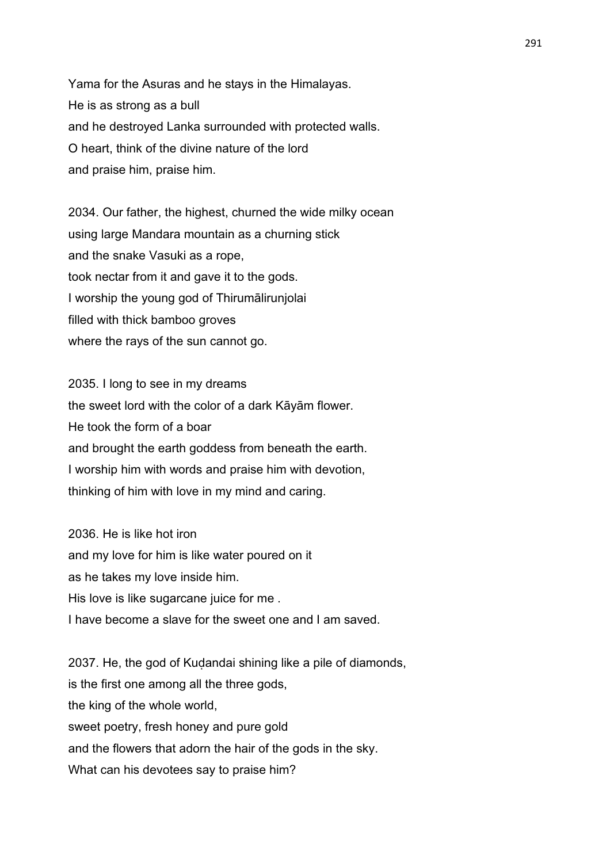Yama for the Asuras and he stays in the Himalayas. He is as strong as a bull and he destroyed Lanka surrounded with protected walls. O heart, think of the divine nature of the lord and praise him, praise him.

2034. Our father, the highest, churned the wide milky ocean using large Mandara mountain as a churning stick and the snake Vasuki as a rope, took nectar from it and gave it to the gods. I worship the young god of Thirumālirunjolai filled with thick bamboo groves where the rays of the sun cannot go.

2035. I long to see in my dreams the sweet lord with the color of a dark Kāyām flower. He took the form of a boar and brought the earth goddess from beneath the earth. I worship him with words and praise him with devotion, thinking of him with love in my mind and caring.

2036. He is like hot iron and my love for him is like water poured on it as he takes my love inside him. His love is like sugarcane juice for me . I have become a slave for the sweet one and I am saved.

2037. He, the god of Kuḍandai shining like a pile of diamonds, is the first one among all the three gods, the king of the whole world, sweet poetry, fresh honey and pure gold and the flowers that adorn the hair of the gods in the sky. What can his devotees say to praise him?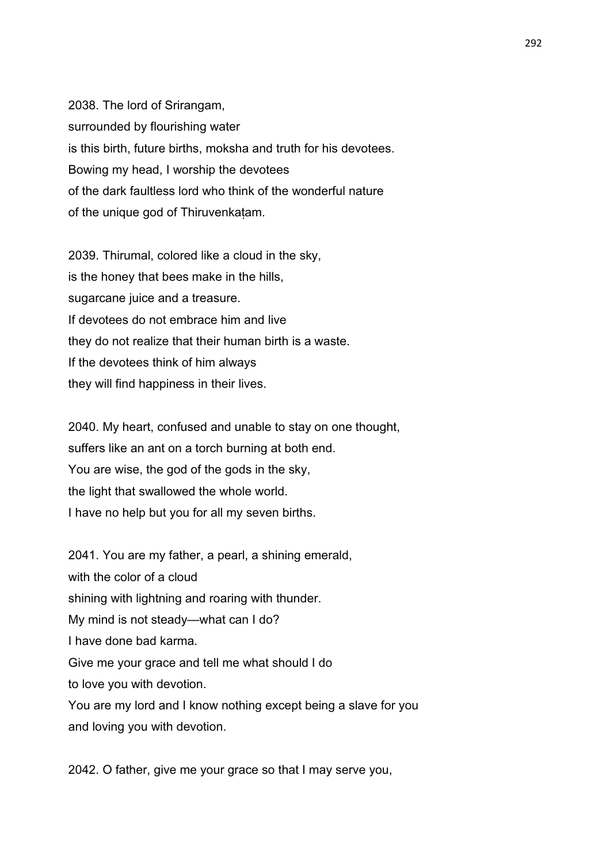2038. The lord of Srirangam, surrounded by flourishing water is this birth, future births, moksha and truth for his devotees. Bowing my head, I worship the devotees of the dark faultless lord who think of the wonderful nature of the unique god of Thiruvenkaṭam.

2039. Thirumal, colored like a cloud in the sky, is the honey that bees make in the hills, sugarcane juice and a treasure. If devotees do not embrace him and live they do not realize that their human birth is a waste. If the devotees think of him always they will find happiness in their lives.

2040. My heart, confused and unable to stay on one thought, suffers like an ant on a torch burning at both end. You are wise, the god of the gods in the sky, the light that swallowed the whole world. I have no help but you for all my seven births.

2041. You are my father, a pearl, a shining emerald, with the color of a cloud shining with lightning and roaring with thunder. My mind is not steady—what can I do? I have done bad karma. Give me your grace and tell me what should I do to love you with devotion. You are my lord and I know nothing except being a slave for you and loving you with devotion.

2042. O father, give me your grace so that I may serve you,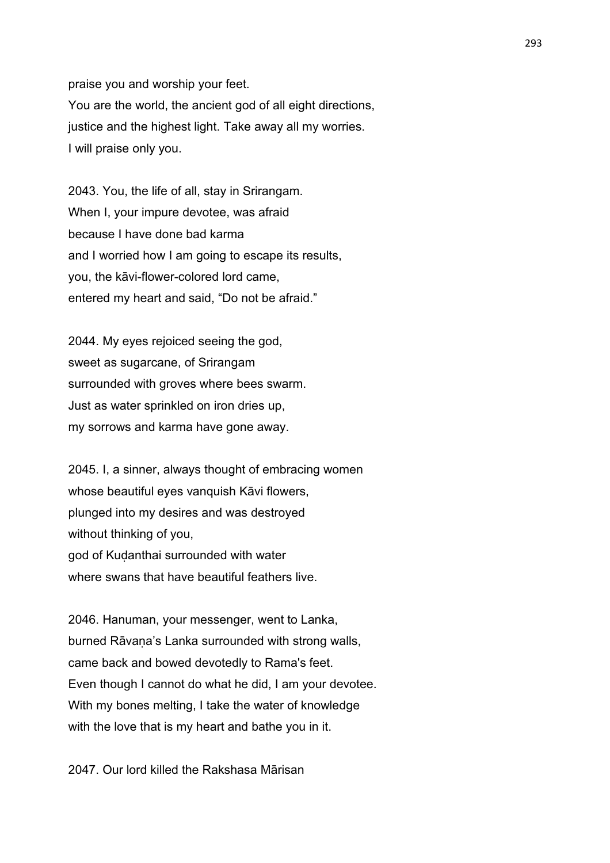praise you and worship your feet. You are the world, the ancient god of all eight directions, justice and the highest light. Take away all my worries. I will praise only you.

2043. You, the life of all, stay in Srirangam. When I, your impure devotee, was afraid because I have done bad karma and I worried how I am going to escape its results, you, the kāvi-flower-colored lord came, entered my heart and said, "Do not be afraid."

2044. My eyes rejoiced seeing the god, sweet as sugarcane, of Srirangam surrounded with groves where bees swarm. Just as water sprinkled on iron dries up, my sorrows and karma have gone away.

2045. I, a sinner, always thought of embracing women whose beautiful eyes vanquish Kāvi flowers, plunged into my desires and was destroyed without thinking of you, god of Kuḍanthai surrounded with water where swans that have beautiful feathers live.

2046. Hanuman, your messenger, went to Lanka, burned Rāvana's Lanka surrounded with strong walls, came back and bowed devotedly to Rama's feet. Even though I cannot do what he did, I am your devotee. With my bones melting, I take the water of knowledge with the love that is my heart and bathe you in it.

2047. Our lord killed the Rakshasa Mārisan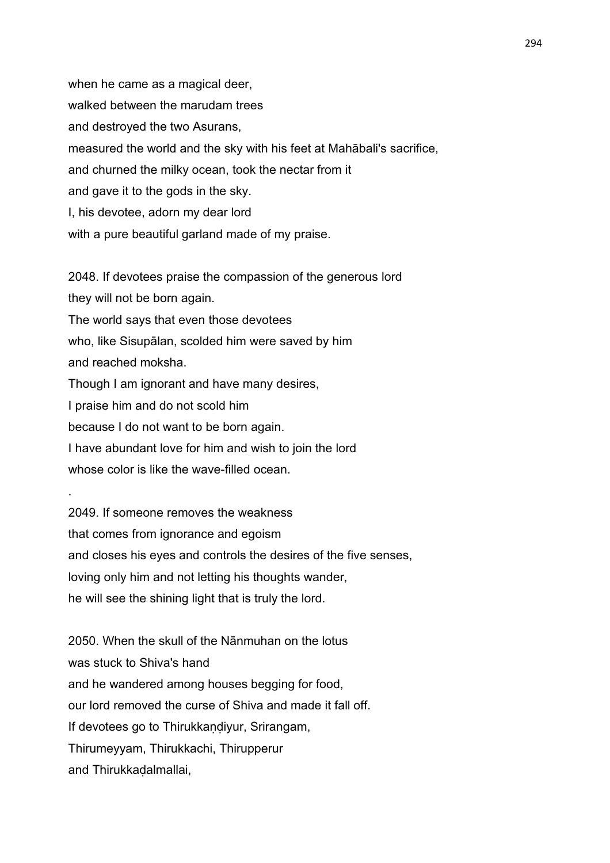when he came as a magical deer, walked between the marudam trees and destroyed the two Asurans, measured the world and the sky with his feet at Mahābali's sacrifice, and churned the milky ocean, took the nectar from it and gave it to the gods in the sky. I, his devotee, adorn my dear lord with a pure beautiful garland made of my praise.

2048. If devotees praise the compassion of the generous lord they will not be born again. The world says that even those devotees who, like Sisupālan, scolded him were saved by him and reached moksha. Though I am ignorant and have many desires, I praise him and do not scold him because I do not want to be born again. I have abundant love for him and wish to join the lord whose color is like the wave-filled ocean.

2049. If someone removes the weakness that comes from ignorance and egoism and closes his eyes and controls the desires of the five senses, loving only him and not letting his thoughts wander, he will see the shining light that is truly the lord.

.

2050. When the skull of the Nānmuhan on the lotus was stuck to Shiva's hand and he wandered among houses begging for food, our lord removed the curse of Shiva and made it fall off. If devotees go to Thirukkaṇḍiyur, Srirangam, Thirumeyyam, Thirukkachi, Thirupperur and Thirukkaḍalmallai,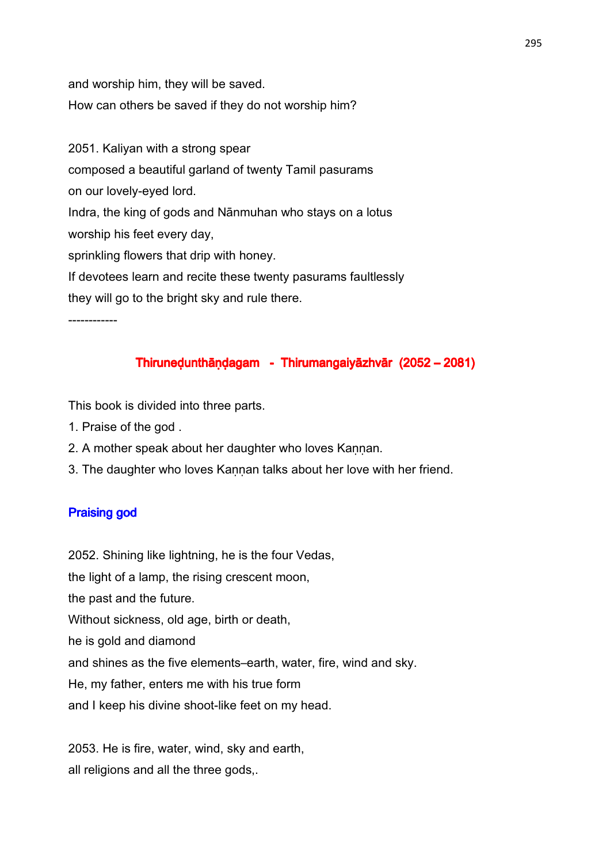and worship him, they will be saved. How can others be saved if they do not worship him?

2051. Kaliyan with a strong spear composed a beautiful garland of twenty Tamil pasurams on our lovely-eyed lord. Indra, the king of gods and Nānmuhan who stays on a lotus worship his feet every day, sprinkling flowers that drip with honey. If devotees learn and recite these twenty pasurams faultlessly they will go to the bright sky and rule there.

------------

# Thiruneḍunthāṇḍagam - Thirumangaiyāzhvār (2052 – 2081)

This book is divided into three parts.

- 1. Praise of the god .
- 2. A mother speak about her daughter who loves Kannan.
- 3. The daughter who loves Kannan talks about her love with her friend.

# **Praising god**

2052. Shining like lightning, he is the four Vedas,

the light of a lamp, the rising crescent moon,

the past and the future.

Without sickness, old age, birth or death,

he is gold and diamond

and shines as the five elements–earth, water, fire, wind and sky.

He, my father, enters me with his true form

and I keep his divine shoot-like feet on my head.

2053. He is fire, water, wind, sky and earth, all religions and all the three gods,.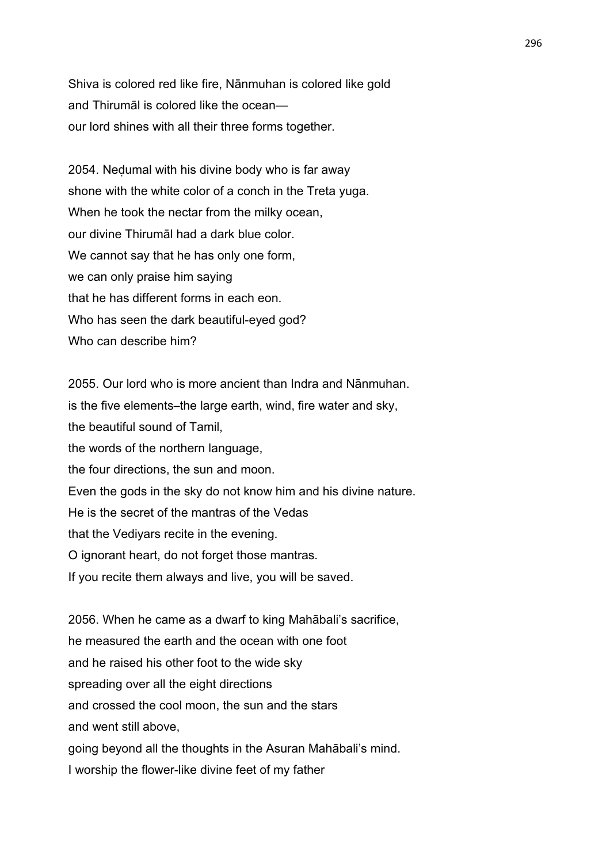Shiva is colored red like fire, Nānmuhan is colored like gold and Thirumāl is colored like the ocean our lord shines with all their three forms together.

2054. Neḍumal with his divine body who is far away shone with the white color of a conch in the Treta yuga. When he took the nectar from the milky ocean, our divine Thirumāl had a dark blue color. We cannot say that he has only one form, we can only praise him saying that he has different forms in each eon. Who has seen the dark beautiful-eyed god? Who can describe him?

2055. Our lord who is more ancient than Indra and Nānmuhan. is the five elements–the large earth, wind, fire water and sky, the beautiful sound of Tamil, the words of the northern language, the four directions, the sun and moon. Even the gods in the sky do not know him and his divine nature. He is the secret of the mantras of the Vedas that the Vediyars recite in the evening. O ignorant heart, do not forget those mantras. If you recite them always and live, you will be saved.

2056. When he came as a dwarf to king Mahābali's sacrifice, he measured the earth and the ocean with one foot and he raised his other foot to the wide sky spreading over all the eight directions and crossed the cool moon, the sun and the stars and went still above, going beyond all the thoughts in the Asuran Mahābali's mind. I worship the flower-like divine feet of my father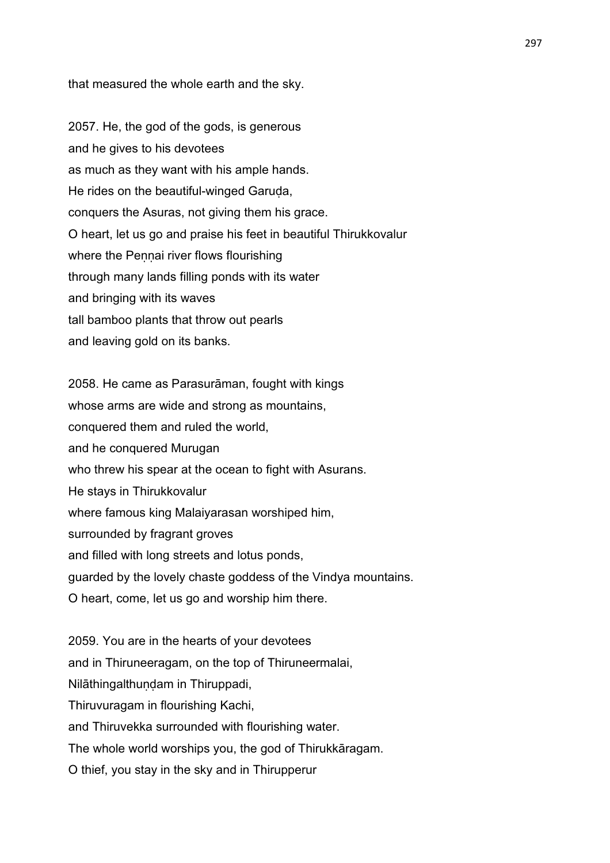that measured the whole earth and the sky.

2057. He, the god of the gods, is generous and he gives to his devotees as much as they want with his ample hands. He rides on the beautiful-winged Garuda, conquers the Asuras, not giving them his grace. O heart, let us go and praise his feet in beautiful Thirukkovalur where the Pennai river flows flourishing through many lands filling ponds with its water and bringing with its waves tall bamboo plants that throw out pearls and leaving gold on its banks.

2058. He came as Parasurāman, fought with kings whose arms are wide and strong as mountains, conquered them and ruled the world, and he conquered Murugan who threw his spear at the ocean to fight with Asurans. He stays in Thirukkovalur where famous king Malaiyarasan worshiped him, surrounded by fragrant groves and filled with long streets and lotus ponds, guarded by the lovely chaste goddess of the Vindya mountains. O heart, come, let us go and worship him there.

2059. You are in the hearts of your devotees and in Thiruneeragam, on the top of Thiruneermalai, Nilāthingalthundam in Thiruppadi, Thiruvuragam in flourishing Kachi, and Thiruvekka surrounded with flourishing water. The whole world worships you, the god of Thirukkāragam. O thief, you stay in the sky and in Thirupperur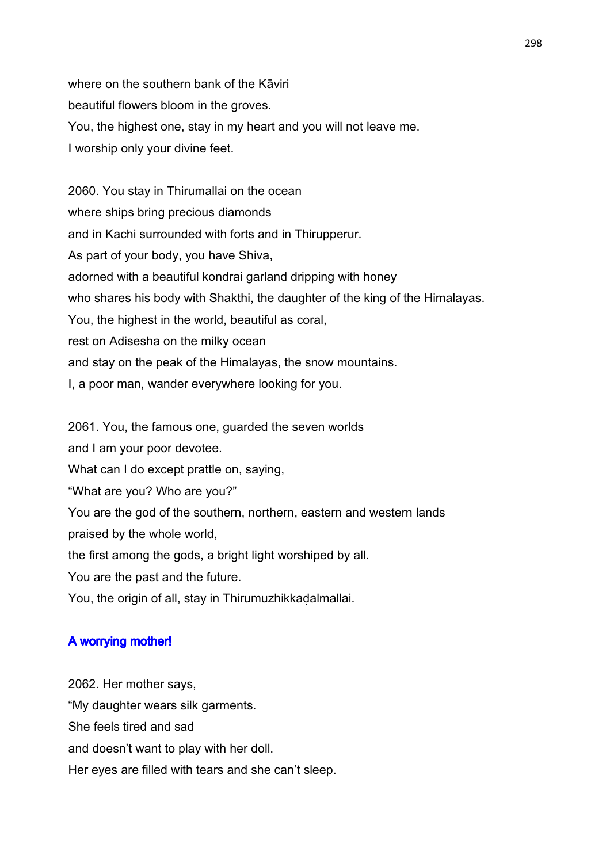where on the southern bank of the Kāviri beautiful flowers bloom in the groves. You, the highest one, stay in my heart and you will not leave me. I worship only your divine feet.

2060. You stay in Thirumallai on the ocean where ships bring precious diamonds and in Kachi surrounded with forts and in Thirupperur. As part of your body, you have Shiva, adorned with a beautiful kondrai garland dripping with honey who shares his body with Shakthi, the daughter of the king of the Himalayas. You, the highest in the world, beautiful as coral, rest on Adisesha on the milky ocean and stay on the peak of the Himalayas, the snow mountains. I, a poor man, wander everywhere looking for you.

2061. You, the famous one, guarded the seven worlds and I am your poor devotee. What can I do except prattle on, saying, "What are you? Who are you?" You are the god of the southern, northern, eastern and western lands praised by the whole world, the first among the gods, a bright light worshiped by all. You are the past and the future. You, the origin of all, stay in Thirumuzhikkadalmallai.

# A worrying mother!

2062. Her mother says, "My daughter wears silk garments. She feels tired and sad and doesn't want to play with her doll. Her eyes are filled with tears and she can't sleep.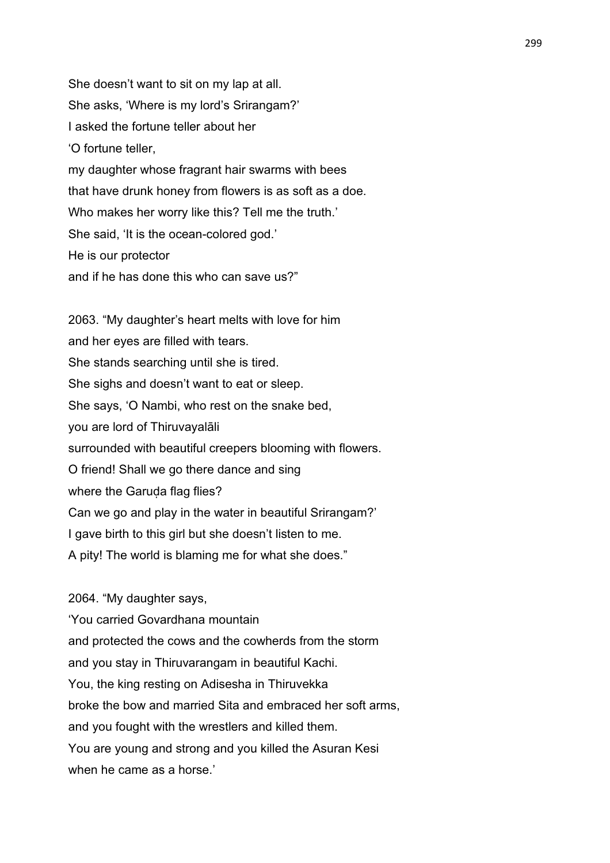She doesn't want to sit on my lap at all. She asks, 'Where is my lord's Srirangam?' I asked the fortune teller about her 'O fortune teller, my daughter whose fragrant hair swarms with bees that have drunk honey from flowers is as soft as a doe. Who makes her worry like this? Tell me the truth.' She said, 'It is the ocean-colored god.' He is our protector and if he has done this who can save us?"

2063. "My daughter's heart melts with love for him and her eyes are filled with tears. She stands searching until she is tired. She sighs and doesn't want to eat or sleep. She says, 'O Nambi, who rest on the snake bed, you are lord of Thiruvayalāli surrounded with beautiful creepers blooming with flowers. O friend! Shall we go there dance and sing where the Garuda flag flies? Can we go and play in the water in beautiful Srirangam?' I gave birth to this girl but she doesn't listen to me. A pity! The world is blaming me for what she does."

# 2064. "My daughter says,

'You carried Govardhana mountain and protected the cows and the cowherds from the storm and you stay in Thiruvarangam in beautiful Kachi. You, the king resting on Adisesha in Thiruvekka broke the bow and married Sita and embraced her soft arms, and you fought with the wrestlers and killed them. You are young and strong and you killed the Asuran Kesi when he came as a horse.'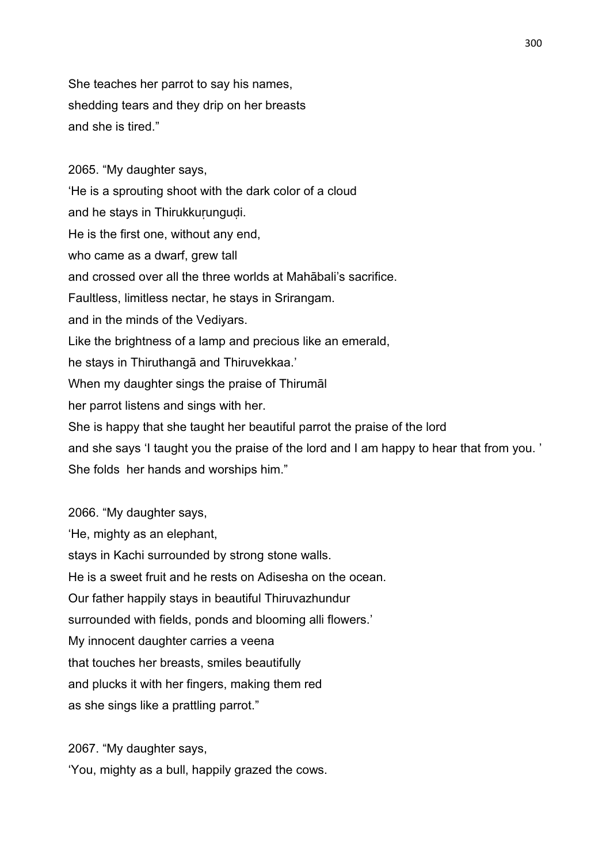She teaches her parrot to say his names, shedding tears and they drip on her breasts and she is tired."

2065. "My daughter says, 'He is a sprouting shoot with the dark color of a cloud and he stays in Thirukkurungudi. He is the first one, without any end, who came as a dwarf, grew tall and crossed over all the three worlds at Mahābali's sacrifice. Faultless, limitless nectar, he stays in Srirangam. and in the minds of the Vediyars. Like the brightness of a lamp and precious like an emerald, he stays in Thiruthangā and Thiruvekkaa.' When my daughter sings the praise of Thirumāl her parrot listens and sings with her. She is happy that she taught her beautiful parrot the praise of the lord and she says 'I taught you the praise of the lord and I am happy to hear that from you. ' She folds her hands and worships him." 2066. "My daughter says,

'He, mighty as an elephant, stays in Kachi surrounded by strong stone walls. He is a sweet fruit and he rests on Adisesha on the ocean. Our father happily stays in beautiful Thiruvazhundur surrounded with fields, ponds and blooming alli flowers.' My innocent daughter carries a veena that touches her breasts, smiles beautifully and plucks it with her fingers, making them red as she sings like a prattling parrot."

2067. "My daughter says, 'You, mighty as a bull, happily grazed the cows.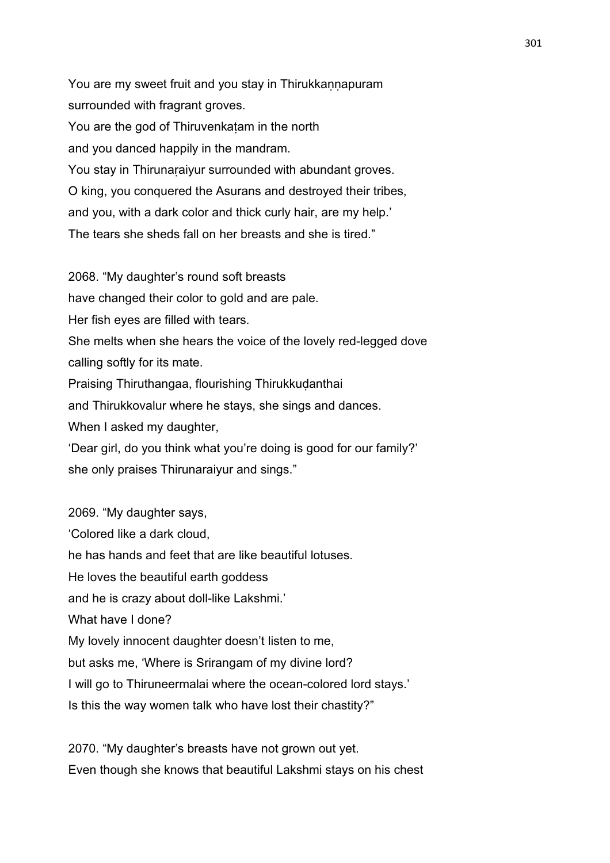You are my sweet fruit and you stay in Thirukkannapuram surrounded with fragrant groves. You are the god of Thiruvenkaṭam in the north and you danced happily in the mandram. You stay in Thirunaraiyur surrounded with abundant groves. O king, you conquered the Asurans and destroyed their tribes, and you, with a dark color and thick curly hair, are my help.' The tears she sheds fall on her breasts and she is tired."

2068. "My daughter's round soft breasts

have changed their color to gold and are pale.

Her fish eyes are filled with tears.

She melts when she hears the voice of the lovely red-legged dove calling softly for its mate.

Praising Thiruthangaa, flourishing Thirukkudanthai

and Thirukkovalur where he stays, she sings and dances.

When I asked my daughter,

'Dear girl, do you think what you're doing is good for our family?' she only praises Thirunaraiyur and sings."

2069. "My daughter says, 'Colored like a dark cloud, he has hands and feet that are like beautiful lotuses. He loves the beautiful earth goddess and he is crazy about doll-like Lakshmi.' What have I done? My lovely innocent daughter doesn't listen to me, but asks me, 'Where is Srirangam of my divine lord? I will go to Thiruneermalai where the ocean-colored lord stays.' Is this the way women talk who have lost their chastity?"

2070. "My daughter's breasts have not grown out yet. Even though she knows that beautiful Lakshmi stays on his chest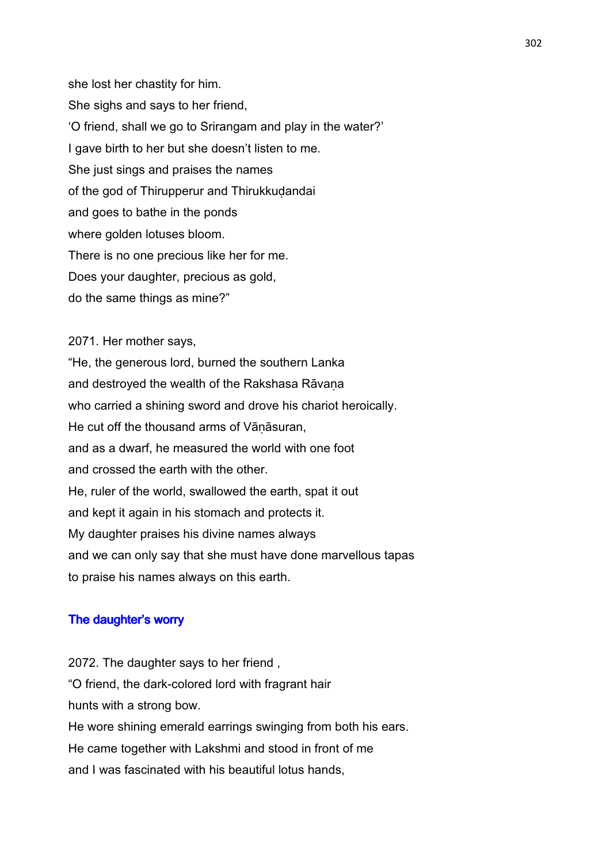she lost her chastity for him. She sighs and says to her friend, 'O friend, shall we go to Srirangam and play in the water?' I gave birth to her but she doesn't listen to me. She just sings and praises the names of the god of Thirupperur and Thirukkudandai and goes to bathe in the ponds where golden lotuses bloom. There is no one precious like her for me. Does your daughter, precious as gold, do the same things as mine?"

2071. Her mother says, "He, the generous lord, burned the southern Lanka and destroyed the wealth of the Rakshasa Rāvaṇa who carried a shining sword and drove his chariot heroically. He cut off the thousand arms of Vāṇāsuran, and as a dwarf, he measured the world with one foot and crossed the earth with the other. He, ruler of the world, swallowed the earth, spat it out and kept it again in his stomach and protects it. My daughter praises his divine names always and we can only say that she must have done marvellous tapas to praise his names always on this earth.

#### The daughter's worry

2072. The daughter says to her friend , "O friend, the dark-colored lord with fragrant hair hunts with a strong bow. He wore shining emerald earrings swinging from both his ears. He came together with Lakshmi and stood in front of me and I was fascinated with his beautiful lotus hands,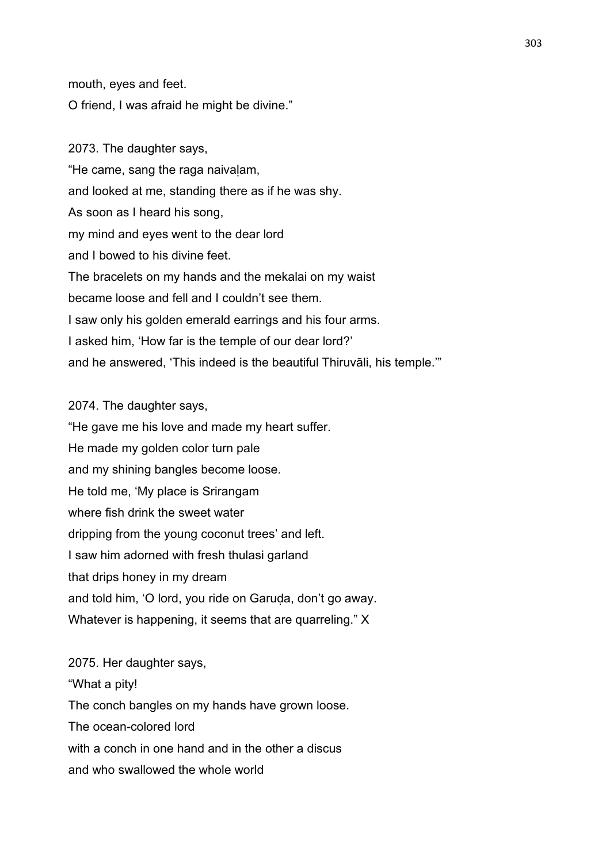mouth, eyes and feet.

O friend, I was afraid he might be divine."

2073. The daughter says, "He came, sang the raga naivaḷam, and looked at me, standing there as if he was shy. As soon as I heard his song, my mind and eyes went to the dear lord and I bowed to his divine feet. The bracelets on my hands and the mekalai on my waist became loose and fell and I couldn't see them. I saw only his golden emerald earrings and his four arms. I asked him, 'How far is the temple of our dear lord?' and he answered, 'This indeed is the beautiful Thiruvāli, his temple.'"

2074. The daughter says,

"He gave me his love and made my heart suffer. He made my golden color turn pale and my shining bangles become loose. He told me, 'My place is Srirangam where fish drink the sweet water dripping from the young coconut trees' and left. I saw him adorned with fresh thulasi garland that drips honey in my dream and told him, 'O lord, you ride on Garuḍa, don't go away. Whatever is happening, it seems that are quarreling." X

2075. Her daughter says, "What a pity! The conch bangles on my hands have grown loose. The ocean-colored lord with a conch in one hand and in the other a discus and who swallowed the whole world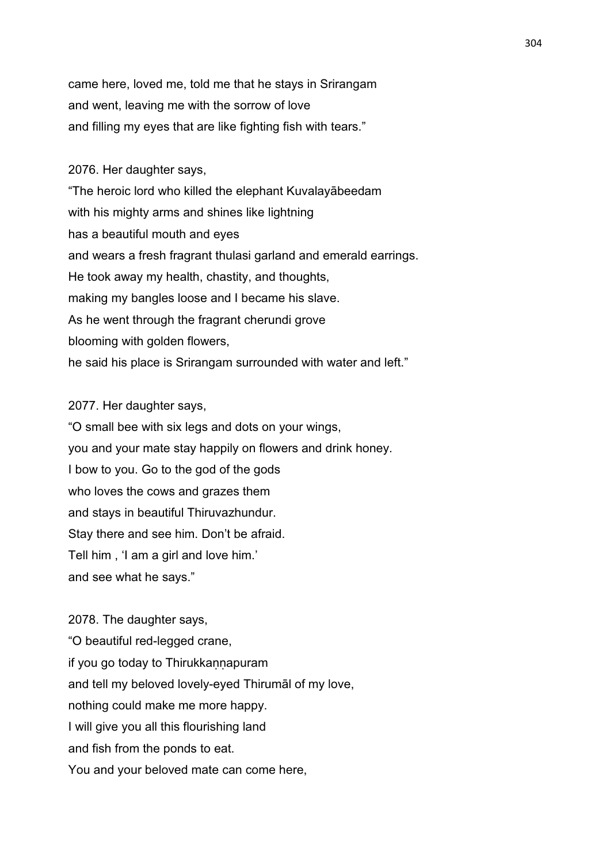came here, loved me, told me that he stays in Srirangam and went, leaving me with the sorrow of love and filling my eyes that are like fighting fish with tears."

# 2076. Her daughter says,

"The heroic lord who killed the elephant Kuvalayābeedam with his mighty arms and shines like lightning has a beautiful mouth and eyes and wears a fresh fragrant thulasi garland and emerald earrings. He took away my health, chastity, and thoughts, making my bangles loose and I became his slave. As he went through the fragrant cherundi grove blooming with golden flowers, he said his place is Srirangam surrounded with water and left."

### 2077. Her daughter says,

"O small bee with six legs and dots on your wings, you and your mate stay happily on flowers and drink honey. I bow to you. Go to the god of the gods who loves the cows and grazes them and stays in beautiful Thiruvazhundur. Stay there and see him. Don't be afraid. Tell him , 'I am a girl and love him.' and see what he says."

2078. The daughter says, "O beautiful red-legged crane, if you go today to Thirukkannapuram and tell my beloved lovely-eyed Thirumāl of my love, nothing could make me more happy. I will give you all this flourishing land and fish from the ponds to eat. You and your beloved mate can come here,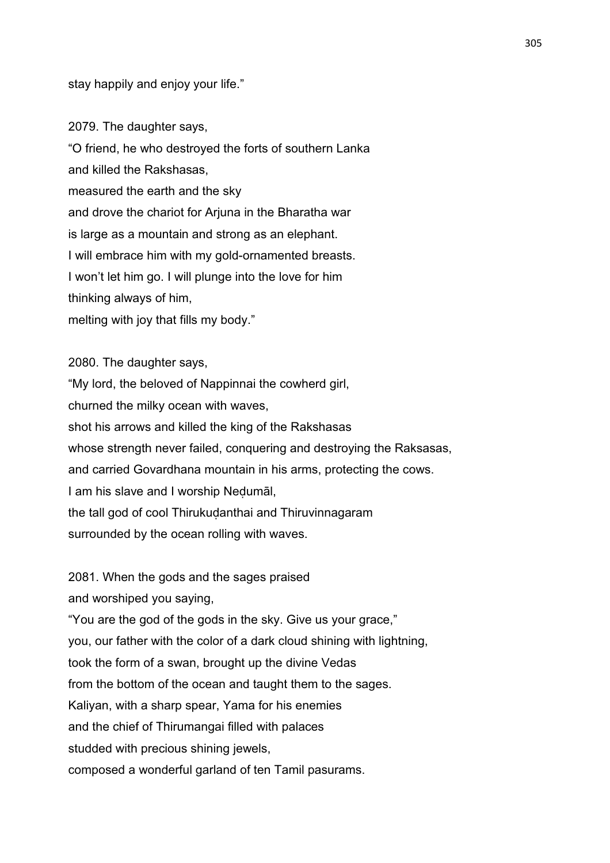stay happily and enjoy your life."

2079. The daughter says, "O friend, he who destroyed the forts of southern Lanka and killed the Rakshasas, measured the earth and the sky and drove the chariot for Arjuna in the Bharatha war is large as a mountain and strong as an elephant. I will embrace him with my gold-ornamented breasts. I won't let him go. I will plunge into the love for him thinking always of him, melting with joy that fills my body."

2080. The daughter says, "My lord, the beloved of Nappinnai the cowherd girl, churned the milky ocean with waves, shot his arrows and killed the king of the Rakshasas whose strength never failed, conquering and destroying the Raksasas, and carried Govardhana mountain in his arms, protecting the cows. I am his slave and I worship Neḍumāl, the tall god of cool Thirukudanthai and Thiruvinnagaram surrounded by the ocean rolling with waves.

2081. When the gods and the sages praised

and worshiped you saying,

"You are the god of the gods in the sky. Give us your grace," you, our father with the color of a dark cloud shining with lightning, took the form of a swan, brought up the divine Vedas from the bottom of the ocean and taught them to the sages. Kaliyan, with a sharp spear, Yama for his enemies

and the chief of Thirumangai filled with palaces

studded with precious shining jewels.

composed a wonderful garland of ten Tamil pasurams.